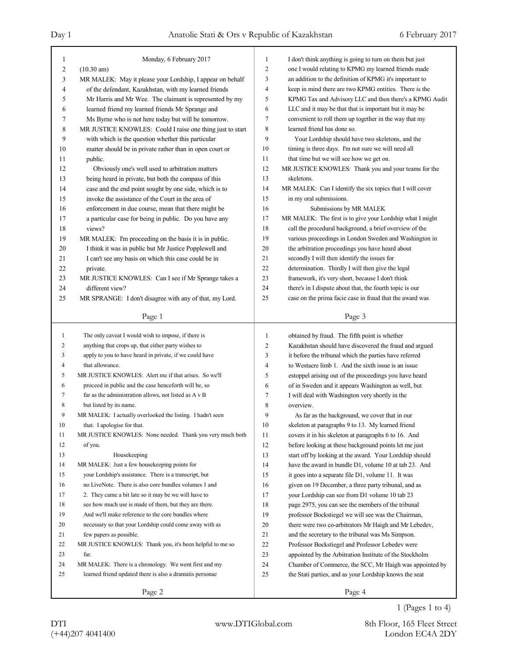| 1              | Monday, 6 February 2017                                                    | $\mathbf{1}$        | I don't think anything is going to turn on them but just  |
|----------------|----------------------------------------------------------------------------|---------------------|-----------------------------------------------------------|
| $\overline{c}$ | $(10.30 \text{ am})$                                                       | $\overline{c}$      | one I would relating to KPMG my learned friends made      |
| 3              | MR MALEK: May it please your Lordship, I appear on behalf                  | 3                   | an addition to the definition of KPMG it's important to   |
| 4              | of the defendant, Kazakhstan, with my learned friends                      | $\overline{4}$      | keep in mind there are two KPMG entities. There is the    |
| 5              | Mr Harris and Mr Wee. The claimant is represented by my                    | 5                   | KPMG Tax and Advisory LLC and then there's a KPMG Audit   |
| 6              | learned friend my learned friends Mr Sprange and                           | 6                   | LLC and it may be that that is important but it may be    |
| 7              | Ms Byrne who is not here today but will be tomorrow.                       | $\tau$              | convenient to roll them up together in the way that my    |
| 8              | MR JUSTICE KNOWLES: Could I raise one thing just to start                  | 8                   | learned friend has done so.                               |
| 9              | with which is the question whether this particular                         | 9                   | Your Lordship should have two skeletons, and the          |
| 10             | matter should be in private rather than in open court or                   | 10                  | timing is three days. I'm not sure we will need all       |
| 11             | public.                                                                    | 11                  | that time but we will see how we get on.                  |
| 12             | Obviously one's well used to arbitration matters                           | 12                  | MR JUSTICE KNOWLES: Thank you and your teams for the      |
| 13             | being heard in private, but both the compass of this                       | 13                  | skeletons.                                                |
| 14             | case and the end point sought by one side, which is to                     | 14                  | MR MALEK: Can I identify the six topics that I will cover |
| 15             | invoke the assistance of the Court in the area of                          | 15                  | in my oral submissions.                                   |
| 16             | enforcement in due course, mean that there might be                        | 16                  | Submissions by MR MALEK                                   |
| 17             | a particular case for being in public. Do you have any                     | 17                  | MR MALEK: The first is to give your Lordship what I might |
| 18             | views?                                                                     | 18                  | call the procedural background, a brief overview of the   |
| 19             | MR MALEK: I'm proceeding on the basis it is in public.                     | 19                  | various proceedings in London Sweden and Washington in    |
| 20             | I think it was in public but Mr Justice Popplewell and                     | 20                  | the arbitration proceedings you have heard about          |
| 21             | I can't see any basis on which this case could be in                       | 21                  | secondly I will then identify the issues for              |
| 22             | private.                                                                   | 22                  | determination. Thirdly I will then give the legal         |
| 23             | MR JUSTICE KNOWLES: Can I see if Mr Sprange takes a                        | 23                  | framework, it's very short, because I don't think         |
| 24             | different view?                                                            | 24                  | there's in I dispute about that, the fourth topic is our  |
| 25             | MR SPRANGE: I don't disagree with any of that, my Lord.                    | 25                  | case on the prima facie case in fraud that the award was  |
|                | Page 1                                                                     |                     | Page 3                                                    |
|                |                                                                            |                     |                                                           |
|                |                                                                            |                     |                                                           |
| -1             |                                                                            |                     |                                                           |
| $\overline{2}$ | The only caveat I would wish to impose, if there is                        | 1<br>$\overline{c}$ | obtained by fraud. The fifth point is whether             |
| 3              | anything that crops up, that either party wishes to                        |                     | Kazakhstan should have discovered the fraud and argued    |
| $\overline{4}$ | apply to you to have heard in private, if we could have<br>that allowance. | 3<br>$\overline{4}$ | it before the tribunal which the parties have referred    |
| 5              | MR JUSTICE KNOWLES: Alert me if that arises. So we'll                      |                     | to Westacre limb 1. And the sixth issue is an issue       |
| 6              |                                                                            | 5                   | estoppel arising out of the proceedings you have heard    |
| 7              | proceed in public and the case henceforth will be, so                      | 6                   | of in Sweden and it appears Washington as well, but       |
|                | far as the administration allows, not listed as A v B                      | 7                   | I will deal with Washington very shortly in the           |
| 8<br>9         | but listed by its name.                                                    | 8<br>9              | overview.                                                 |
|                | MR MALEK: I actually overlooked the listing. I hadn't seen                 |                     | As far as the background, we cover that in our            |
| 10             | that. I apologise for that.                                                | 10                  | skeleton at paragraphs 9 to 13. My learned friend         |
| 11             | MR JUSTICE KNOWLES: None needed. Thank you very much both                  | 11                  | covers it in his skeleton at paragraphs 6 to 16. And      |
| 12             | of you.                                                                    | 12                  | before looking at these background points let me just     |
| 13             | Housekeeping                                                               | 13                  | start off by looking at the award. Your Lordship should   |
| 14             | MR MALEK: Just a few housekeeping points for                               | 14                  | have the award in bundle D1, volume 10 at tab 23. And     |
| 15             | your Lordship's assistance. There is a transcript, but                     | 15                  | it goes into a separate file D1, volume 11. It was        |
| 16             | no LiveNote. There is also core bundles volumes 1 and                      | 16                  | given on 19 December, a three party tribunal, and as      |
| 17             | 2. They came a bit late so it may be we will have to                       | 17                  | your Lordship can see from D1 volume 10 tab 23            |
| 18             | see how much use is made of them, but they are there.                      | 18                  | page 2975, you can see the members of the tribunal        |
| 19             | And we'll make reference to the core bundles where                         | 19                  | professor Bockstiegel we will see was the Chairman,       |
| 20             | necessary so that your Lordship could come away with as                    | 20                  | there were two co-arbitrators Mr Haigh and Mr Lebedev,    |
| 21             | few papers as possible.                                                    | 21                  | and the secretary to the tribunal was Ms Simpson.         |
| 22             | MR JUSTICE KNOWLES: Thank you, it's been helpful to me so                  | 22                  | Professor Bockstiegel and Professor Lebedev were          |
| 23             | far.                                                                       | 23                  | appointed by the Arbitration Institute of the Stockholm   |
| 24             | MR MALEK: There is a chronology. We went first and my                      | 24                  | Chamber of Commerce, the SCC, Mr Haigh was appointed by   |
| 25             | learned friend updated there is also a dramatis personae                   | 25                  | the Stati parties, and as your Lordship knows the seat    |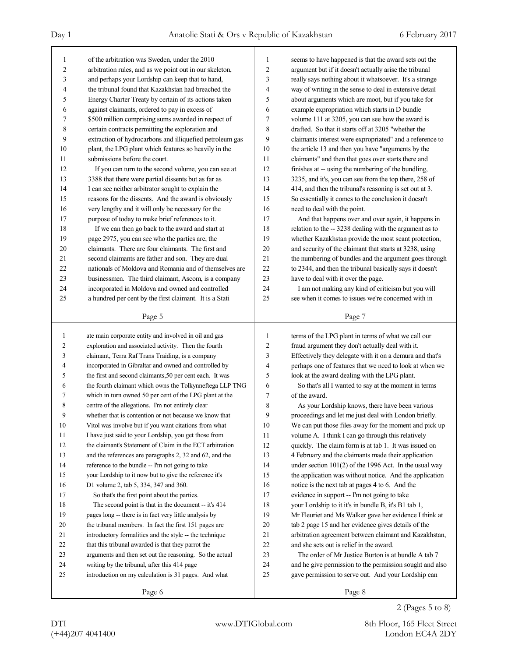| 1              | of the arbitration was Sweden, under the 2010            | 1              | seems to have happened is that the award sets out the    |
|----------------|----------------------------------------------------------|----------------|----------------------------------------------------------|
| $\overline{c}$ | arbitration rules, and as we point out in our skeleton,  | $\overline{c}$ | argument but if it doesn't actually arise the tribunal   |
| 3              | and perhaps your Lordship can keep that to hand,         | 3              | really says nothing about it whatsoever. It's a strange  |
| 4              | the tribunal found that Kazakhstan had breached the      | 4              | way of writing in the sense to deal in extensive detail  |
| 5              | Energy Charter Treaty by certain of its actions taken    | 5              | about arguments which are moot, but if you take for      |
| 6              | against claimants, ordered to pay in excess of           | 6              | example expropriation which starts in D bundle           |
| 7              | \$500 million comprising sums awarded in respect of      | $\tau$         | volume 111 at 3205, you can see how the award is         |
| 8              | certain contracts permitting the exploration and         | 8              | drafted. So that it starts off at 3205 "whether the      |
| 9              | extraction of hydrocarbons and illiquefied petroleum gas | 9              | claimants interest were expropriated" and a reference to |
| 10             | plant, the LPG plant which features so heavily in the    | 10             | the article 13 and then you have "arguments by the       |
| 11             | submissions before the court.                            | 11             | claimants" and then that goes over starts there and      |
| 12             | If you can turn to the second volume, you can see at     | 12             | finishes at -- using the numbering of the bundling,      |
| 13             | 3388 that there were partial dissents but as far as      | 13             | 3235, and it's, you can see from the top there, 258 of   |
| 14             | I can see neither arbitrator sought to explain the       | 14             | 414, and then the tribunal's reasoning is set out at 3.  |
| 15             | reasons for the dissents. And the award is obviously     | 15             | So essentially it comes to the conclusion it doesn't     |
| 16             | very lengthy and it will only be necessary for the       | 16             | need to deal with the point.                             |
| 17             | purpose of today to make brief references to it.         | 17             | And that happens over and over again, it happens in      |
| 18             | If we can then go back to the award and start at         | 18             | relation to the -- 3238 dealing with the argument as to  |
| 19             | page 2975, you can see who the parties are, the          | 19             | whether Kazakhstan provide the most scant protection,    |
| 20             | claimants. There are four claimants. The first and       | 20             | and security of the claimant that starts at 3238, using  |
| 21             | second claimants are father and son. They are dual       | 21             | the numbering of bundles and the argument goes through   |
| 22             | nationals of Moldova and Romania and of themselves are   | 22             | to 2344, and then the tribunal basically says it doesn't |
| 23             | businessmen. The third claimant, Ascom, is a company     | 23             | have to deal with it over the page.                      |
| 24             | incorporated in Moldova and owned and controlled         | 24             | I am not making any kind of criticism but you will       |
| 25             | a hundred per cent by the first claimant. It is a Stati  | 25             | see when it comes to issues we're concerned with in      |
|                |                                                          |                |                                                          |
|                | Page 5                                                   |                | Page 7                                                   |
|                |                                                          |                |                                                          |
|                |                                                          |                |                                                          |
| 1              | ate main corporate entity and involved in oil and gas    | 1              | terms of the LPG plant in terms of what we call our      |
| $\overline{c}$ | exploration and associated activity. Then the fourth     | 2              | fraud argument they don't actually deal with it.         |
| 3              | claimant, Terra Raf Trans Traiding, is a company         | 3              | Effectively they delegate with it on a demura and that's |
| 4              | incorporated in Gibraltar and owned and controlled by    | 4              | perhaps one of features that we need to look at when we  |
| 5              | the first and second claimants, 50 per cent each. It was | 5              | look at the award dealing with the LPG plant.            |
| 6              | the fourth claimant which owns the Tolkynneftega LLP TNG | 6              | So that's all I wanted to say at the moment in terms     |
| 7              | which in turn owned 50 per cent of the LPG plant at the  | 7              | of the award.                                            |
| 8              | centre of the allegations. I'm not entirely clear        | 8              | As your Lordship knows, there have been various          |
| 9              | whether that is contention or not because we know that   | 9              | proceedings and let me just deal with London briefly.    |
| $10\,$         | Vitol was involve but if you want citations from what    | 10             | We can put those files away for the moment and pick up   |
| 11             | I have just said to your Lordship, you get those from    | 11             | volume A. I think I can go through this relatively       |
| 12             | the claimant's Statement of Claim in the ECT arbitration | 12             | quickly. The claim form is at tab 1. It was issued on    |
| 13             | and the references are paragraphs 2, 32 and 62, and the  | 13             | 4 February and the claimants made their application      |
| 14             | reference to the bundle -- I'm not going to take         | 14             | under section 101(2) of the 1996 Act. In the usual way   |
| 15             | your Lordship to it now but to give the reference it's   | 15             | the application was without notice. And the application  |
| 16             | D1 volume 2, tab 5, 334, 347 and 360.                    | 16             | notice is the next tab at pages 4 to 6. And the          |
| 17             | So that's the first point about the parties.             | 17             | evidence in support -- I'm not going to take             |
| 18             | The second point is that in the document -- it's 414     | 18             | your Lordship to it it's in bundle B, it's B1 tab 1,     |
| 19             | pages long -- there is in fact very little analysis by   | 19             | Mr Fleuriet and Ms Walker gave her evidence I think at   |
| 20             | the tribunal members. In fact the first 151 pages are    | $20\,$         | tab 2 page 15 and her evidence gives details of the      |
| 21             | introductory formalities and the style -- the technique  | 21             | arbitration agreement between claimant and Kazakhstan,   |
| 22             | that this tribunal awarded is that they parrot the       | 22             | and she sets out is relief in the award.                 |
| 23             | arguments and then set out the reasoning. So the actual  | 23             | The order of Mr Justice Burton is at bundle A tab 7      |
| 24             | writing by the tribunal, after this 414 page             | 24             | and he give permission to the permission sought and also |
| 25             | introduction on my calculation is 31 pages. And what     | 25             | gave permission to serve out. And your Lordship can      |

2 (Pages 5 to 8)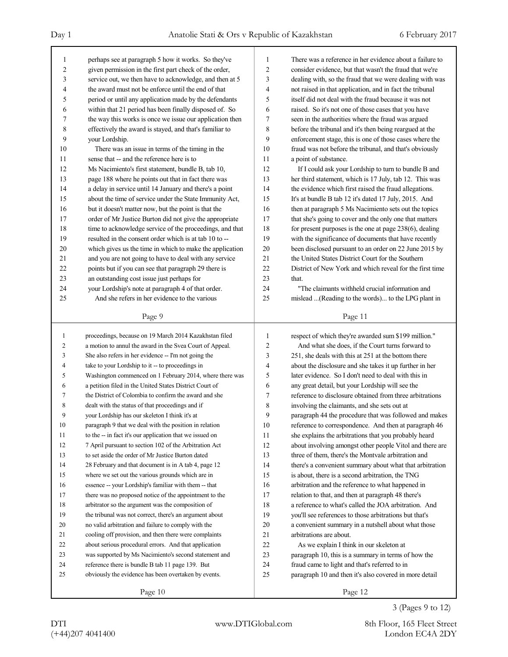| 1              | perhaps see at paragraph 5 how it works. So they've             | 1              | There was a reference in her evidence about a failure to          |
|----------------|-----------------------------------------------------------------|----------------|-------------------------------------------------------------------|
| $\overline{c}$ | given permission in the first part check of the order,          | $\overline{2}$ | consider evidence, but that wasn't the fraud that we're           |
| 3              | service out, we then have to acknowledge, and then at 5         | 3              | dealing with, so the fraud that we were dealing with was          |
| 4              | the award must not be enforce until the end of that             | 4              | not raised in that application, and in fact the tribunal          |
| 5              | period or until any application made by the defendants          | 5              | itself did not deal with the fraud because it was not             |
| 6              | within that 21 period has been finally disposed of. So          | 6              | raised. So it's not one of those cases that you have              |
| 7              | the way this works is once we issue our application then        | 7              | seen in the authorities where the fraud was argued                |
| 8              | effectively the award is stayed, and that's familiar to         | 8              | before the tribunal and it's then being reargued at the           |
| 9              | your Lordship.                                                  | 9              | enforcement stage, this is one of those cases where the           |
| 10             | There was an issue in terms of the timing in the                | 10             | fraud was not before the tribunal, and that's obviously           |
| 11             | sense that -- and the reference here is to                      | 11             | a point of substance.                                             |
| 12             | Ms Nacimiento's first statement, bundle B, tab 10,              | 12             | If I could ask your Lordship to turn to bundle B and              |
| 13             | page 188 where he points out that in fact there was             | 13             | her third statement, which is 17 July, tab 12. This was           |
| 14             | a delay in service until 14 January and there's a point         | 14             | the evidence which first raised the fraud allegations.            |
| 15             | about the time of service under the State Immunity Act,         | 15             | It's at bundle B tab 12 it's dated 17 July, 2015. And             |
| 16             | but it doesn't matter now, but the point is that the            | 16             | then at paragraph 5 Ms Nacimiento sets out the topics             |
| 17             | order of Mr Justice Burton did not give the appropriate         | 17             | that she's going to cover and the only one that matters           |
| 18             | time to acknowledge service of the proceedings, and that        | 18             | for present purposes is the one at page $238(6)$ , dealing        |
| 19             | resulted in the consent order which is at tab 10 to --          | 19             | with the significance of documents that have recently             |
| 20             | which gives us the time in which to make the application        | 20             | been disclosed pursuant to an order on 22 June 2015 by            |
| 21             | and you are not going to have to deal with any service          | 21             | the United States District Court for the Southern                 |
| 22             | points but if you can see that paragraph 29 there is            | 22             | District of New York and which reveal for the first time          |
| 23             | an outstanding cost issue just perhaps for                      | 23             | that.                                                             |
| 24             | your Lordship's note at paragraph 4 of that order.              | 24             | "The claimants withheld crucial information and                   |
| 25             | And she refers in her evidence to the various                   | 25             | mislead  (Reading to the words) to the LPG plant in               |
|                |                                                                 |                |                                                                   |
|                | Page 9                                                          |                | Page 11                                                           |
|                |                                                                 |                |                                                                   |
|                |                                                                 |                |                                                                   |
| $\mathbf{1}$   | proceedings, because on 19 March 2014 Kazakhstan filed          | 1              | respect of which they're awarded sum \$199 million."              |
| $\overline{c}$ | a motion to annul the award in the Svea Court of Appeal.        | 2              | And what she does, if the Court turns forward to                  |
| 3              | She also refers in her evidence -- I'm not going the            | 3              | 251, she deals with this at 251 at the bottom there               |
| 4              | take to your Lordship to it -- to proceedings in                | 4              | about the disclosure and she takes it up further in her           |
| 5              | Washington commenced on 1 February 2014, where there was        | 5              | later evidence. So I don't need to deal with this in              |
| 6              | a petition filed in the United States District Court of         | 6              | any great detail, but your Lordship will see the                  |
| 7              | the District of Colombia to confirm the award and she           | $\tau$         | reference to disclosure obtained from three arbitrations          |
| 8<br>9         | dealt with the status of that proceedings and if                | 8<br>9         | involving the claimants, and she sets out at                      |
|                | your Lordship has our skeleton I think it's at                  |                | paragraph 44 the procedure that was followed and makes            |
| $10\,$         | paragraph 9 that we deal with the position in relation          | 10             | reference to correspondence. And then at paragraph 46             |
| 11             | to the -- in fact it's our application that we issued on        | 11             | she explains the arbitrations that you probably heard             |
| 12             | 7 April pursuant to section 102 of the Arbitration Act          | 12             | about involving amongst other people Vitol and there are          |
| 13             | to set aside the order of Mr Justice Burton dated               | 13             | three of them, there's the Montvale arbitration and               |
| 14             | 28 February and that document is in A tab 4, page 12            | 14             | there's a convenient summary about what that arbitration          |
| 15             | where we set out the various grounds which are in               | 15             | is about, there is a second arbitration, the TNG                  |
| 16             | essence -- your Lordship's familiar with them -- that           | 16             | arbitration and the reference to what happened in                 |
| 17             | there was no proposed notice of the appointment to the          | 17             | relation to that, and then at paragraph 48 there's                |
| 18<br>19       | arbitrator so the argument was the composition of               | 18             | a reference to what's called the JOA arbitration. And             |
|                | the tribunal was not correct, there's an argument about         | 19             | you'll see references to those arbitrations but that's            |
| 20             | no valid arbitration and failure to comply with the             | 20             | a convenient summary in a nutshell about what those               |
| 21             | cooling off provision, and then there were complaints           | 21             | arbitrations are about.                                           |
| 22             | about serious procedural errors. And that application           | 22             | As we explain I think in our skeleton at                          |
| 23             | was supported by Ms Nacimiento's second statement and           | 23             | paragraph 10, this is a summary in terms of how the               |
| 24             | reference there is bundle B tab 11 page 139. But                | 24             | fraud came to light and that's referred to in                     |
| 25             | obviously the evidence has been overtaken by events.<br>Page 10 | 25             | paragraph 10 and then it's also covered in more detail<br>Page 12 |

3 (Pages 9 to 12)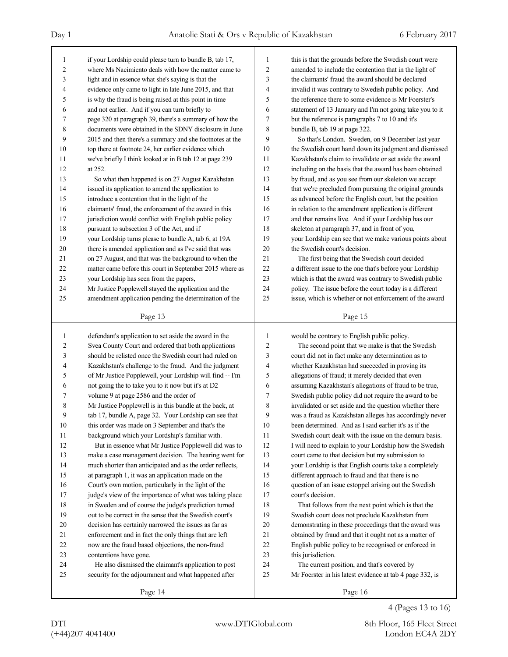| 1              | if your Lordship could please turn to bundle B, tab 17,  | 1  | this is that the grounds before the Swedish court were   |
|----------------|----------------------------------------------------------|----|----------------------------------------------------------|
| $\overline{c}$ | where Ms Nacimiento deals with how the matter came to    | 2  | amended to include the contention that in the light of   |
| 3              | light and in essence what she's saying is that the       | 3  | the claimants' fraud the award should be declared        |
| 4              | evidence only came to light in late June 2015, and that  | 4  | invalid it was contrary to Swedish public policy. And    |
| 5              | is why the fraud is being raised at this point in time   | 5  | the reference there to some evidence is Mr Foerster's    |
| 6              | and not earlier. And if you can turn briefly to          | 6  | statement of 13 January and I'm not going take you to it |
| 7              | page 320 at paragraph 39, there's a summary of how the   | 7  | but the reference is paragraphs 7 to 10 and it's         |
| 8              | documents were obtained in the SDNY disclosure in June   | 8  | bundle B, tab 19 at page 322.                            |
| 9              | 2015 and then there's a summary and she footnotes at the | 9  | So that's London. Sweden, on 9 December last year        |
| 10             | top there at footnote 24, her earlier evidence which     | 10 | the Swedish court hand down its judgment and dismissed   |
| 11             | we've briefly I think looked at in B tab 12 at page 239  | 11 | Kazakhstan's claim to invalidate or set aside the award  |
| 12             | at 252.                                                  | 12 | including on the basis that the award has been obtained  |
| 13             | So what then happened is on 27 August Kazakhstan         | 13 | by fraud, and as you see from our skeleton we accept     |
| 14             | issued its application to amend the application to       | 14 | that we're precluded from pursuing the original grounds  |
| 15             | introduce a contention that in the light of the          | 15 | as advanced before the English court, but the position   |
| 16             | claimants' fraud, the enforcement of the award in this   | 16 | in relation to the amendment application is different    |
| 17             | jurisdiction would conflict with English public policy   | 17 | and that remains live. And if your Lordship has our      |
| 18             | pursuant to subsection 3 of the Act, and if              | 18 | skeleton at paragraph 37, and in front of you,           |
| 19             | your Lordship turns please to bundle A, tab 6, at 19A    | 19 | your Lordship can see that we make various points about  |
| 20             | there is amended application and as I've said that was   | 20 | the Swedish court's decision.                            |
| 21             | on 27 August, and that was the background to when the    | 21 | The first being that the Swedish court decided           |
| 22             | matter came before this court in September 2015 where as | 22 | a different issue to the one that's before your Lordship |
| 23             | your Lordship has seen from the papers,                  | 23 | which is that the award was contrary to Swedish public   |
| 24             | Mr Justice Popplewell stayed the application and the     | 24 | policy. The issue before the court today is a different  |
| 25             | amendment application pending the determination of the   | 25 | issue, which is whether or not enforcement of the award  |
|                |                                                          |    |                                                          |
|                | Page 13                                                  |    | Page 15                                                  |
|                |                                                          |    |                                                          |
|                |                                                          |    |                                                          |
| 1              | defendant's application to set aside the award in the    | 1  | would be contrary to English public policy.              |
| 2              | Svea County Court and ordered that both applications     | 2  | The second point that we make is that the Swedish        |
| 3              | should be relisted once the Swedish court had ruled on   | 3  | court did not in fact make any determination as to       |
| 4              | Kazakhstan's challenge to the fraud. And the judgment    | 4  | whether Kazakhstan had succeeded in proving its          |
| 5              | of Mr Justice Popplewell, your Lordship will find -- I'm | 5  | allegations of fraud; it merely decided that even        |
| 6              | not going the to take you to it now but it's at D2       | 6  | assuming Kazakhstan's allegations of fraud to be true,   |
| 7              | volume 9 at page 2586 and the order of                   | 7  | Swedish public policy did not require the award to be    |
| 8              | Mr Justice Popplewell is in this bundle at the back, at  | 8  | invalidated or set aside and the question whether there  |
| 9              | tab 17, bundle A, page 32. Your Lordship can see that    | 9  | was a fraud as Kazakhstan alleges has accordingly never  |
| $10\,$         | this order was made on 3 September and that's the        | 10 | been determined. And as I said earlier it's as if the    |
| 11             | background which your Lordship's familiar with.          | 11 | Swedish court dealt with the issue on the demura basis.  |
| 12             | But in essence what Mr Justice Popplewell did was to     | 12 | I will need to explain to your Lordship how the Swedish  |
| 13             | make a case management decision. The hearing went for    | 13 | court came to that decision but my submission to         |
| 14             | much shorter than anticipated and as the order reflects, | 14 | your Lordship is that English courts take a completely   |
| 15             | at paragraph 1, it was an application made on the        | 15 | different approach to fraud and that there is no         |
| 16             | Court's own motion, particularly in the light of the     | 16 | question of an issue estoppel arising out the Swedish    |
| 17             | judge's view of the importance of what was taking place  | 17 | court's decision.                                        |
| 18             | in Sweden and of course the judge's prediction turned    | 18 | That follows from the next point which is that the       |
| 19             | out to be correct in the sense that the Swedish court's  | 19 | Swedish court does not preclude Kazakhstan from          |
| 20             | decision has certainly narrowed the issues as far as     | 20 | demonstrating in these proceedings that the award was    |
| 21             | enforcement and in fact the only things that are left    | 21 | obtained by fraud and that it ought not as a matter of   |
| 22             | now are the fraud based objections, the non-fraud        | 22 | English public policy to be recognised or enforced in    |
| 23             | contentions have gone.                                   | 23 | this jurisdiction.                                       |
| 24             | He also dismissed the claimant's application to post     | 24 | The current position, and that's covered by              |
| 25             | security for the adjournment and what happened after     | 25 | Mr Foerster in his latest evidence at tab 4 page 332, is |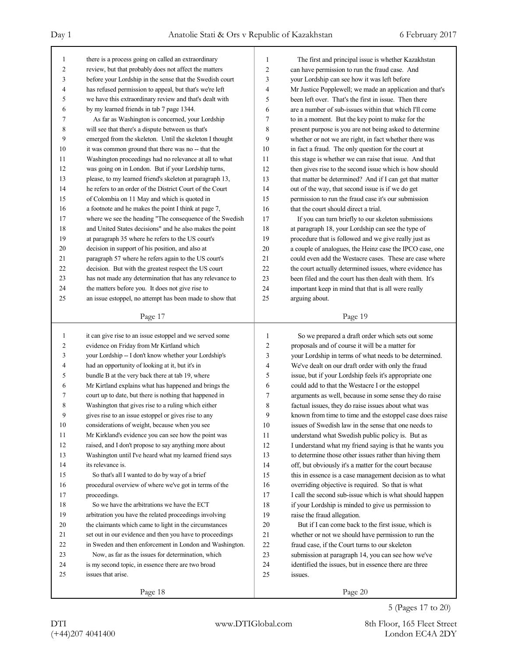| $\mathbf{1}$   | there is a process going on called an extraordinary      | 1              | The first and principal issue is whether Kazakhstan      |
|----------------|----------------------------------------------------------|----------------|----------------------------------------------------------|
| $\overline{c}$ | review, but that probably does not affect the matters    | $\overline{2}$ | can have permission to run the fraud case. And           |
| 3              | before your Lordship in the sense that the Swedish court | 3              | your Lordship can see how it was left before             |
| $\overline{4}$ | has refused permission to appeal, but that's we're left  | $\overline{4}$ | Mr Justice Popplewell; we made an application and that's |
| 5              | we have this extraordinary review and that's dealt with  | 5              | been left over. That's the first in issue. Then there    |
| 6              | by my learned friends in tab 7 page 1344.                | 6              | are a number of sub-issues within that which I'll come   |
| 7              | As far as Washington is concerned, your Lordship         | 7              | to in a moment. But the key point to make for the        |
| 8              | will see that there's a dispute between us that's        | 8              | present purpose is you are not being asked to determine  |
| 9              | emerged from the skeleton. Until the skeleton I thought  | 9              | whether or not we are right, in fact whether there was   |
| 10             | it was common ground that there was no -- that the       | 10             | in fact a fraud. The only question for the court at      |
| 11             | Washington proceedings had no relevance at all to what   | 11             | this stage is whether we can raise that issue. And that  |
| 12             | was going on in London. But if your Lordship turns,      | 12             | then gives rise to the second issue which is how should  |
| 13             | please, to my learned friend's skeleton at paragraph 13, | 13             | that matter be determined? And if I can get that matter  |
| 14             | he refers to an order of the District Court of the Court | 14             | out of the way, that second issue is if we do get        |
| 15             | of Colombia on 11 May and which is quoted in             | 15             | permission to run the fraud case it's our submission     |
| 16             | a footnote and he makes the point I think at page 7,     | 16             | that the court should direct a trial.                    |
| 17             | where we see the heading "The consequence of the Swedish | 17             | If you can turn briefly to our skeleton submissions      |
| 18             | and United States decisions" and he also makes the point | 18             | at paragraph 18, your Lordship can see the type of       |
| 19             | at paragraph 35 where he refers to the US court's        | 19             | procedure that is followed and we give really just as    |
| 20             | decision in support of his position, and also at         | 20             | a couple of analogues, the Heinz case the IPCO case, one |
| 21             | paragraph 57 where he refers again to the US court's     | 21             | could even add the Westacre cases. These are case where  |
| 22             | decision. But with the greatest respect the US court     | 22             | the court actually determined issues, where evidence has |
| 23             | has not made any determination that has any relevance to | 23             | been filed and the court has then dealt with them. It's  |
| 24             | the matters before you. It does not give rise to         | 24             | important keep in mind that that is all were really      |
| 25             | an issue estoppel, no attempt has been made to show that | 25             | arguing about.                                           |
|                |                                                          |                |                                                          |
|                | Page 17                                                  |                | Page 19                                                  |
|                |                                                          |                |                                                          |
|                |                                                          |                |                                                          |
| $\mathbf{1}$   | it can give rise to an issue estoppel and we served some | 1              | So we prepared a draft order which sets out some         |
| $\overline{c}$ | evidence on Friday from Mr Kirtland which                | 2              | proposals and of course it will be a matter for          |
| 3              | your Lordship -- I don't know whether your Lordship's    | 3              | your Lordship in terms of what needs to be determined.   |
| 4              | had an opportunity of looking at it, but it's in         | 4              | We've dealt on our draft order with only the fraud       |
| 5              | bundle B at the very back there at tab 19, where         | 5              | issue, but if your Lordship feels it's appropriate one   |
| 6              | Mr Kirtland explains what has happened and brings the    | 6              | could add to that the Westacre I or the estoppel         |
| 7              | court up to date, but there is nothing that happened in  | 7              | arguments as well, because in some sense they do raise   |
| 8              | Washington that gives rise to a ruling which either      | 8              | factual issues, they do raise issues about what was      |
| 9              | gives rise to an issue estoppel or gives rise to any     | 9              | known from time to time and the estoppel case does raise |
| $10\,$         | considerations of weight, because when you see           | 10             | issues of Swedish law in the sense that one needs to     |
| 11             | Mr Kirkland's evidence you can see how the point was     | 11             | understand what Swedish public policy is. But as         |
| 12             | raised, and I don't propose to say anything more about   | 12             | I understand what my friend saying is that he wants you  |
| 13             | Washington until I've heard what my learned friend says  | 13             | to determine those other issues rather than hiving them  |
| 14             | its relevance is.                                        | 14             | off, but obviously it's a matter for the court because   |
| 15             | So that's all I wanted to do by way of a brief           | 15             | this in essence is a case management decision as to what |
| 16             | procedural overview of where we've got in terms of the   | 16             | overriding objective is required. So that is what        |
| 17             | proceedings.                                             | 17             | I call the second sub-issue which is what should happen  |
| 18             | So we have the arbitrations we have the ECT              | 18             | if your Lordship is minded to give us permission to      |
| 19             | arbitration you have the related proceedings involving   | 19             | raise the fraud allegation.                              |
| 20             | the claimants which came to light in the circumstances   | 20             | But if I can come back to the first issue, which is      |
| 21             | set out in our evidence and then you have to proceedings | 21             | whether or not we should have permission to run the      |
| 22             | in Sweden and then enforcement in London and Washington. | 22             | fraud case, if the Court turns to our skeleton           |
| 23             | Now, as far as the issues for determination, which       | 23             | submission at paragraph 14, you can see how we've        |
| 24             | is my second topic, in essence there are two broad       | 24             | identified the issues, but in essence there are three    |
| 25             | issues that arise.                                       | 25             | issues.                                                  |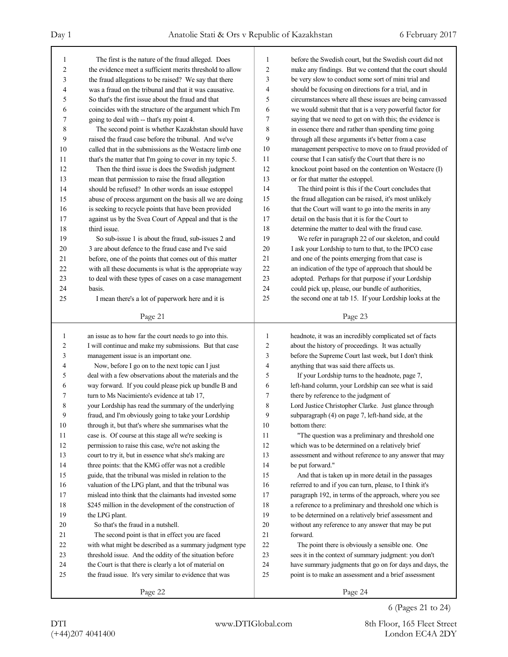| 1              | The first is the nature of the fraud alleged. Does                 | 1        | before the Swedish court, but the Swedish court did not          |
|----------------|--------------------------------------------------------------------|----------|------------------------------------------------------------------|
| 2              | the evidence meet a sufficient merits threshold to allow           | 2        | make any findings. But we contend that the court should          |
| 3              | the fraud allegations to be raised? We say that there              | 3        | be very slow to conduct some sort of mini trial and              |
| 4              | was a fraud on the tribunal and that it was causative.             | 4        | should be focusing on directions for a trial, and in             |
| 5              | So that's the first issue about the fraud and that                 | 5        | circumstances where all these issues are being canvassed         |
| 6              | coincides with the structure of the argument which I'm             | 6        | we would submit that that is a very powerful factor for          |
| 7              | going to deal with -- that's my point 4.                           | 7        | saying that we need to get on with this; the evidence is         |
| 8              | The second point is whether Kazakhstan should have                 | 8        | in essence there and rather than spending time going             |
| 9              | raised the fraud case before the tribunal. And we've               | 9        | through all these arguments it's better from a case              |
| 10             | called that in the submissions as the Westacre limb one            | 10       | management perspective to move on to fraud provided of           |
| 11             | that's the matter that I'm going to cover in my topic 5.           | 11       | course that I can satisfy the Court that there is no             |
| 12             | Then the third issue is does the Swedish judgment                  | 12       | knockout point based on the contention on Westacre (I)           |
| 13             | mean that permission to raise the fraud allegation                 | 13       | or for that matter the estoppel.                                 |
| 14             | should be refused? In other words an issue estoppel                | 14       | The third point is this if the Court concludes that              |
| 15             | abuse of process argument on the basis all we are doing            | 15       | the fraud allegation can be raised, it's most unlikely           |
| 16             | is seeking to recycle points that have been provided               | 16       | that the Court will want to go into the merits in any            |
| 17             | against us by the Svea Court of Appeal and that is the             | 17       | detail on the basis that it is for the Court to                  |
| 18             | third issue.                                                       | 18       | determine the matter to deal with the fraud case.                |
| 19             | So sub-issue 1 is about the fraud, sub-issues 2 and                | 19       | We refer in paragraph 22 of our skeleton, and could              |
| 20             | 3 are about defence to the fraud case and I've said                | 20       | I ask your Lordship to turn to that, to the IPCO case            |
| 21             | before, one of the points that comes out of this matter            | 21       | and one of the points emerging from that case is                 |
| 22             | with all these documents is what is the appropriate way            | 22       | an indication of the type of approach that should be             |
| 23             | to deal with these types of cases on a case management             | 23       | adopted. Perhaps for that purpose if your Lordship               |
| 24             | basis.                                                             | 24       | could pick up, please, our bundle of authorities,                |
| 25             | I mean there's a lot of paperwork here and it is                   | 25       | the second one at tab 15. If your Lordship looks at the          |
|                | Page 21                                                            |          | Page 23                                                          |
|                |                                                                    |          |                                                                  |
|                |                                                                    |          |                                                                  |
| 1              | an issue as to how far the court needs to go into this.            | 1        | headnote, it was an incredibly complicated set of facts          |
| $\overline{c}$ | I will continue and make my submissions. But that case             | 2        | about the history of proceedings. It was actually                |
| 3              | management issue is an important one.                              | 3        | before the Supreme Court last week, but I don't think            |
| 4              | Now, before I go on to the next topic can I just                   | 4        | anything that was said there affects us.                         |
| 5              | deal with a few observations about the materials and the           | 5        | If your Lordship turns to the headnote, page 7,                  |
| 6              | way forward. If you could please pick up bundle B and              | 6        | left-hand column, your Lordship can see what is said             |
| 7              | turn to Ms Nacimiento's evidence at tab 17,                        | 7        | there by reference to the judgment of                            |
| 8              | your Lordship has read the summary of the underlying               | 8        | Lord Justice Christopher Clarke. Just glance through             |
| 9              | fraud, and I'm obviously going to take your Lordship               | 9        | subparagraph (4) on page 7, left-hand side, at the               |
| 10             | through it, but that's where she summarises what the               | 10       | bottom there:                                                    |
| 11             | case is. Of course at this stage all we're seeking is              | 11       | "The question was a preliminary and threshold one                |
| 12             | permission to raise this case, we're not asking the                | 12       | which was to be determined on a relatively brief                 |
| 13             | court to try it, but in essence what she's making are              | 13       | assessment and without reference to any answer that may          |
| 14             | three points: that the KMG offer was not a credible                | 14       | be put forward."                                                 |
| 15             | guide, that the tribunal was misled in relation to the             | 15       | And that is taken up in more detail in the passages              |
| 16             | valuation of the LPG plant, and that the tribunal was              | 16       | referred to and if you can turn, please, to I think it's         |
| 17             | mislead into think that the claimants had invested some            | 17       | paragraph 192, in terms of the approach, where you see           |
| 18             | \$245 million in the development of the construction of            | 18       | a reference to a preliminary and threshold one which is          |
| 19             | the LPG plant.                                                     | 19       | to be determined on a relatively brief assessment and            |
| 20             | So that's the fraud in a nutshell.                                 | $20\,$   | without any reference to any answer that may be put              |
| 21             | The second point is that in effect you are faced                   | 21       | forward.                                                         |
| 22             | with what might be described as a summary judgment type            | $22\,$   | The point there is obviously a sensible one. One                 |
| 23             | threshold issue. And the oddity of the situation before            | 23       | sees it in the context of summary judgment: you don't            |
| 24             | the Court is that there is clearly a lot of material on            | 24<br>25 | have summary judgments that go on for days and days, the         |
| 25             | the fraud issue. It's very similar to evidence that was<br>Page 22 |          | point is to make an assessment and a brief assessment<br>Page 24 |

6 (Pages 21 to 24)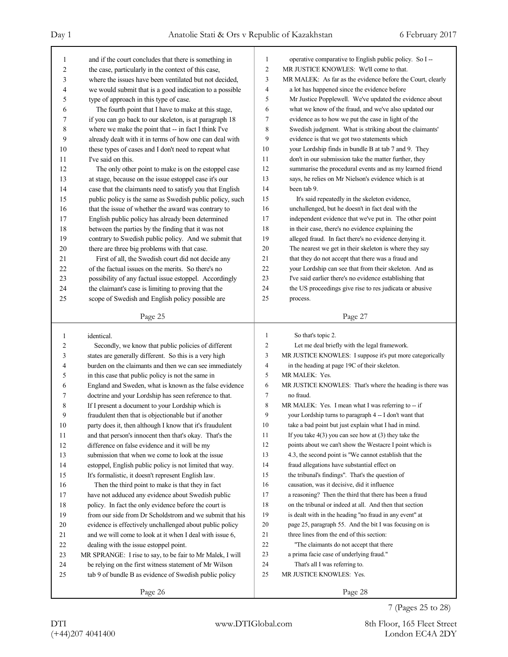| 1<br>operative comparative to English public policy. So I --<br>and if the court concludes that there is something in<br>1<br>$\overline{c}$<br>MR JUSTICE KNOWLES: We'll come to that.<br>2<br>the case, particularly in the context of this case,<br>3<br>MR MALEK: As far as the evidence before the Court, clearly<br>3<br>where the issues have been ventilated but not decided,<br>4<br>a lot has happened since the evidence before<br>4<br>we would submit that is a good indication to a possible<br>5<br>Mr Justice Popplewell. We've updated the evidence about<br>5<br>type of approach in this type of case.<br>6<br>what we know of the fraud, and we've also updated our<br>6<br>The fourth point that I have to make at this stage,<br>7<br>evidence as to how we put the case in light of the<br>7<br>if you can go back to our skeleton, is at paragraph 18<br>8<br>Swedish judgment. What is striking about the claimants'<br>8<br>where we make the point that -- in fact I think I've<br>9<br>9<br>evidence is that we got two statements which<br>already dealt with it in terms of how one can deal with<br>10<br>your Lordship finds in bundle B at tab 7 and 9. They<br>10<br>these types of cases and I don't need to repeat what<br>11<br>don't in our submission take the matter further, they<br>11<br>I've said on this.<br>12<br>summarise the procedural events and as my learned friend<br>12<br>The only other point to make is on the estoppel case<br>13<br>says, he relies on Mr Nielson's evidence which is at<br>13<br>at stage, because on the issue estoppel case it's our<br>14<br>been tab 9.<br>case that the claimants need to satisfy you that English<br>14<br>15<br>15<br>It's said repeatedly in the skeleton evidence,<br>public policy is the same as Swedish public policy, such<br>16<br>unchallenged, but he doesn't in fact deal with the<br>16<br>that the issue of whether the award was contrary to<br>17<br>independent evidence that we've put in. The other point<br>17<br>English public policy has already been determined<br>18<br>in their case, there's no evidence explaining the<br>18<br>between the parties by the finding that it was not<br>19<br>alleged fraud. In fact there's no evidence denying it.<br>19<br>contrary to Swedish public policy. And we submit that<br>$20\,$<br>The nearest we get in their skeleton is where they say<br>20<br>there are three big problems with that case.<br>21<br>21<br>that they do not accept that there was a fraud and<br>First of all, the Swedish court did not decide any<br>22<br>your Lordship can see that from their skeleton. And as<br>22<br>of the factual issues on the merits. So there's no<br>23<br>I've said earlier there's no evidence establishing that<br>23<br>possibility of any factual issue estoppel. Accordingly<br>24<br>the US proceedings give rise to res judicata or abusive<br>24<br>the claimant's case is limiting to proving that the<br>25<br>25<br>scope of Swedish and English policy possible are<br>process.<br>Page 25<br>Page 27<br>$\mathbf{1}$<br>So that's topic 2.<br>identical.<br>1<br>$\overline{c}$<br>Let me deal briefly with the legal framework.<br>2<br>Secondly, we know that public policies of different<br>3<br>MR JUSTICE KNOWLES: I suppose it's put more categorically<br>states are generally different. So this is a very high<br>3<br>4<br>in the heading at page 19C of their skeleton.<br>burden on the claimants and then we can see immediately<br>4<br>5<br>MR MALEK: Yes.<br>5<br>in this case that public policy is not the same in<br>6<br>MR JUSTICE KNOWLES: That's where the heading is there was<br>England and Sweden, what is known as the false evidence<br>6<br>doctrine and your Lordship has seen reference to that.<br>7<br>no fraud.<br>7<br>8<br>If I present a document to your Lordship which is<br>MR MALEK: Yes. I mean what I was referring to -- if<br>8<br>9<br>your Lordship turns to paragraph 4 -- I don't want that<br>9<br>fraudulent then that is objectionable but if another<br>$10\,$<br>take a bad point but just explain what I had in mind.<br>10<br>party does it, then although I know that it's fraudulent<br>11<br>If you take $4(3)$ you can see how at $(3)$ they take the<br>11<br>and that person's innocent then that's okay. That's the<br>12<br>$12\,$<br>difference on false evidence and it will be my<br>points about we can't show the Westacre I point which is<br>13<br>4.3, the second point is "We cannot establish that the<br>13<br>submission that when we come to look at the issue<br>14<br>14<br>fraud allegations have substantial effect on<br>estoppel, English public policy is not limited that way.<br>the tribunal's findings". That's the question of<br>15<br>15<br>It's formalistic, it doesn't represent English law.<br>16<br>causation, was it decisive, did it influence<br>16<br>Then the third point to make is that they in fact<br>17<br>a reasoning? Then the third that there has been a fraud<br>17<br>have not adduced any evidence about Swedish public<br>18<br>on the tribunal or indeed at all. And then that section<br>$18\,$<br>policy. In fact the only evidence before the court is<br>19<br>is dealt with in the heading "no fraud in any event" at<br>19<br>from our side from Dr Scholdstrom and we submit that his<br>$20\,$<br>page 25, paragraph 55. And the bit I was focusing on is<br>20<br>evidence is effectively unchallenged about public policy<br>21<br>three lines from the end of this section:<br>21<br>and we will come to look at it when I deal with issue 6,<br>22<br>$22\,$<br>"The claimants do not accept that there<br>dealing with the issue estoppel point.<br>23<br>a prima facie case of underlying fraud."<br>23<br>MR SPRANGE: I rise to say, to be fair to Mr Malek, I will<br>24<br>That's all I was referring to.<br>be relying on the first witness statement of Mr Wilson<br>24<br>25<br>MR JUSTICE KNOWLES: Yes.<br>25<br>tab 9 of bundle B as evidence of Swedish public policy |  |  |
|-------------------------------------------------------------------------------------------------------------------------------------------------------------------------------------------------------------------------------------------------------------------------------------------------------------------------------------------------------------------------------------------------------------------------------------------------------------------------------------------------------------------------------------------------------------------------------------------------------------------------------------------------------------------------------------------------------------------------------------------------------------------------------------------------------------------------------------------------------------------------------------------------------------------------------------------------------------------------------------------------------------------------------------------------------------------------------------------------------------------------------------------------------------------------------------------------------------------------------------------------------------------------------------------------------------------------------------------------------------------------------------------------------------------------------------------------------------------------------------------------------------------------------------------------------------------------------------------------------------------------------------------------------------------------------------------------------------------------------------------------------------------------------------------------------------------------------------------------------------------------------------------------------------------------------------------------------------------------------------------------------------------------------------------------------------------------------------------------------------------------------------------------------------------------------------------------------------------------------------------------------------------------------------------------------------------------------------------------------------------------------------------------------------------------------------------------------------------------------------------------------------------------------------------------------------------------------------------------------------------------------------------------------------------------------------------------------------------------------------------------------------------------------------------------------------------------------------------------------------------------------------------------------------------------------------------------------------------------------------------------------------------------------------------------------------------------------------------------------------------------------------------------------------------------------------------------------------------------------------------------------------------------------------------------------------------------------------------------------------------------------------------------------------------------------------------------------------------------------------------------------------------------------------------------------------------------------------------------------------------------------------------------------------------------------------------------------------------------------------------------------------------------------------------------------------------------------------------------------------------------------------------------------------------------------------------------------------------------------------------------------------------------------------------------------------------------------------------------------------------------------------------------------------------------------------------------------------------------------------------------------------------------------------------------------------------------------------------------------------------------------------------------------------------------------------------------------------------------------------------------------------------------------------------------------------------------------------------------------------------------------------------------------------------------------------------------------------------------------------------------------------------------------------------------------------------------------------------------------------------------------------------------------------------------------------------------------------------------------------------------------------------------------------------------------------------------------------------------------------------------------------------------------------------------------------------------------------------------------------------------------------------------------------------------------------------------------------------------------------------------------------------------------------------------------------------------------------------------------------------------------------------------------------------------------------------------------------------------------------------------------------------------------------------------------------------------------------------------------------------------------------------------------------------------------------------------------------------------------------------------------------------------------------------------------------------------------------------------------------------------------------------------------------------------------------------------------------------------------------|--|--|
|                                                                                                                                                                                                                                                                                                                                                                                                                                                                                                                                                                                                                                                                                                                                                                                                                                                                                                                                                                                                                                                                                                                                                                                                                                                                                                                                                                                                                                                                                                                                                                                                                                                                                                                                                                                                                                                                                                                                                                                                                                                                                                                                                                                                                                                                                                                                                                                                                                                                                                                                                                                                                                                                                                                                                                                                                                                                                                                                                                                                                                                                                                                                                                                                                                                                                                                                                                                                                                                                                                                                                                                                                                                                                                                                                                                                                                                                                                                                                                                                                                                                                                                                                                                                                                                                                                                                                                                                                                                                                                                                                                                                                                                                                                                                                                                                                                                                                                                                                                                                                                                                                                                                                                                                                                                                                                                                                                                                                                                                                                                                                                                                                                                                                                                                                                                                                                                                                                                                                                                                                                                                                                             |  |  |
|                                                                                                                                                                                                                                                                                                                                                                                                                                                                                                                                                                                                                                                                                                                                                                                                                                                                                                                                                                                                                                                                                                                                                                                                                                                                                                                                                                                                                                                                                                                                                                                                                                                                                                                                                                                                                                                                                                                                                                                                                                                                                                                                                                                                                                                                                                                                                                                                                                                                                                                                                                                                                                                                                                                                                                                                                                                                                                                                                                                                                                                                                                                                                                                                                                                                                                                                                                                                                                                                                                                                                                                                                                                                                                                                                                                                                                                                                                                                                                                                                                                                                                                                                                                                                                                                                                                                                                                                                                                                                                                                                                                                                                                                                                                                                                                                                                                                                                                                                                                                                                                                                                                                                                                                                                                                                                                                                                                                                                                                                                                                                                                                                                                                                                                                                                                                                                                                                                                                                                                                                                                                                                             |  |  |
|                                                                                                                                                                                                                                                                                                                                                                                                                                                                                                                                                                                                                                                                                                                                                                                                                                                                                                                                                                                                                                                                                                                                                                                                                                                                                                                                                                                                                                                                                                                                                                                                                                                                                                                                                                                                                                                                                                                                                                                                                                                                                                                                                                                                                                                                                                                                                                                                                                                                                                                                                                                                                                                                                                                                                                                                                                                                                                                                                                                                                                                                                                                                                                                                                                                                                                                                                                                                                                                                                                                                                                                                                                                                                                                                                                                                                                                                                                                                                                                                                                                                                                                                                                                                                                                                                                                                                                                                                                                                                                                                                                                                                                                                                                                                                                                                                                                                                                                                                                                                                                                                                                                                                                                                                                                                                                                                                                                                                                                                                                                                                                                                                                                                                                                                                                                                                                                                                                                                                                                                                                                                                                             |  |  |
|                                                                                                                                                                                                                                                                                                                                                                                                                                                                                                                                                                                                                                                                                                                                                                                                                                                                                                                                                                                                                                                                                                                                                                                                                                                                                                                                                                                                                                                                                                                                                                                                                                                                                                                                                                                                                                                                                                                                                                                                                                                                                                                                                                                                                                                                                                                                                                                                                                                                                                                                                                                                                                                                                                                                                                                                                                                                                                                                                                                                                                                                                                                                                                                                                                                                                                                                                                                                                                                                                                                                                                                                                                                                                                                                                                                                                                                                                                                                                                                                                                                                                                                                                                                                                                                                                                                                                                                                                                                                                                                                                                                                                                                                                                                                                                                                                                                                                                                                                                                                                                                                                                                                                                                                                                                                                                                                                                                                                                                                                                                                                                                                                                                                                                                                                                                                                                                                                                                                                                                                                                                                                                             |  |  |
|                                                                                                                                                                                                                                                                                                                                                                                                                                                                                                                                                                                                                                                                                                                                                                                                                                                                                                                                                                                                                                                                                                                                                                                                                                                                                                                                                                                                                                                                                                                                                                                                                                                                                                                                                                                                                                                                                                                                                                                                                                                                                                                                                                                                                                                                                                                                                                                                                                                                                                                                                                                                                                                                                                                                                                                                                                                                                                                                                                                                                                                                                                                                                                                                                                                                                                                                                                                                                                                                                                                                                                                                                                                                                                                                                                                                                                                                                                                                                                                                                                                                                                                                                                                                                                                                                                                                                                                                                                                                                                                                                                                                                                                                                                                                                                                                                                                                                                                                                                                                                                                                                                                                                                                                                                                                                                                                                                                                                                                                                                                                                                                                                                                                                                                                                                                                                                                                                                                                                                                                                                                                                                             |  |  |
|                                                                                                                                                                                                                                                                                                                                                                                                                                                                                                                                                                                                                                                                                                                                                                                                                                                                                                                                                                                                                                                                                                                                                                                                                                                                                                                                                                                                                                                                                                                                                                                                                                                                                                                                                                                                                                                                                                                                                                                                                                                                                                                                                                                                                                                                                                                                                                                                                                                                                                                                                                                                                                                                                                                                                                                                                                                                                                                                                                                                                                                                                                                                                                                                                                                                                                                                                                                                                                                                                                                                                                                                                                                                                                                                                                                                                                                                                                                                                                                                                                                                                                                                                                                                                                                                                                                                                                                                                                                                                                                                                                                                                                                                                                                                                                                                                                                                                                                                                                                                                                                                                                                                                                                                                                                                                                                                                                                                                                                                                                                                                                                                                                                                                                                                                                                                                                                                                                                                                                                                                                                                                                             |  |  |
|                                                                                                                                                                                                                                                                                                                                                                                                                                                                                                                                                                                                                                                                                                                                                                                                                                                                                                                                                                                                                                                                                                                                                                                                                                                                                                                                                                                                                                                                                                                                                                                                                                                                                                                                                                                                                                                                                                                                                                                                                                                                                                                                                                                                                                                                                                                                                                                                                                                                                                                                                                                                                                                                                                                                                                                                                                                                                                                                                                                                                                                                                                                                                                                                                                                                                                                                                                                                                                                                                                                                                                                                                                                                                                                                                                                                                                                                                                                                                                                                                                                                                                                                                                                                                                                                                                                                                                                                                                                                                                                                                                                                                                                                                                                                                                                                                                                                                                                                                                                                                                                                                                                                                                                                                                                                                                                                                                                                                                                                                                                                                                                                                                                                                                                                                                                                                                                                                                                                                                                                                                                                                                             |  |  |
|                                                                                                                                                                                                                                                                                                                                                                                                                                                                                                                                                                                                                                                                                                                                                                                                                                                                                                                                                                                                                                                                                                                                                                                                                                                                                                                                                                                                                                                                                                                                                                                                                                                                                                                                                                                                                                                                                                                                                                                                                                                                                                                                                                                                                                                                                                                                                                                                                                                                                                                                                                                                                                                                                                                                                                                                                                                                                                                                                                                                                                                                                                                                                                                                                                                                                                                                                                                                                                                                                                                                                                                                                                                                                                                                                                                                                                                                                                                                                                                                                                                                                                                                                                                                                                                                                                                                                                                                                                                                                                                                                                                                                                                                                                                                                                                                                                                                                                                                                                                                                                                                                                                                                                                                                                                                                                                                                                                                                                                                                                                                                                                                                                                                                                                                                                                                                                                                                                                                                                                                                                                                                                             |  |  |
|                                                                                                                                                                                                                                                                                                                                                                                                                                                                                                                                                                                                                                                                                                                                                                                                                                                                                                                                                                                                                                                                                                                                                                                                                                                                                                                                                                                                                                                                                                                                                                                                                                                                                                                                                                                                                                                                                                                                                                                                                                                                                                                                                                                                                                                                                                                                                                                                                                                                                                                                                                                                                                                                                                                                                                                                                                                                                                                                                                                                                                                                                                                                                                                                                                                                                                                                                                                                                                                                                                                                                                                                                                                                                                                                                                                                                                                                                                                                                                                                                                                                                                                                                                                                                                                                                                                                                                                                                                                                                                                                                                                                                                                                                                                                                                                                                                                                                                                                                                                                                                                                                                                                                                                                                                                                                                                                                                                                                                                                                                                                                                                                                                                                                                                                                                                                                                                                                                                                                                                                                                                                                                             |  |  |
|                                                                                                                                                                                                                                                                                                                                                                                                                                                                                                                                                                                                                                                                                                                                                                                                                                                                                                                                                                                                                                                                                                                                                                                                                                                                                                                                                                                                                                                                                                                                                                                                                                                                                                                                                                                                                                                                                                                                                                                                                                                                                                                                                                                                                                                                                                                                                                                                                                                                                                                                                                                                                                                                                                                                                                                                                                                                                                                                                                                                                                                                                                                                                                                                                                                                                                                                                                                                                                                                                                                                                                                                                                                                                                                                                                                                                                                                                                                                                                                                                                                                                                                                                                                                                                                                                                                                                                                                                                                                                                                                                                                                                                                                                                                                                                                                                                                                                                                                                                                                                                                                                                                                                                                                                                                                                                                                                                                                                                                                                                                                                                                                                                                                                                                                                                                                                                                                                                                                                                                                                                                                                                             |  |  |
|                                                                                                                                                                                                                                                                                                                                                                                                                                                                                                                                                                                                                                                                                                                                                                                                                                                                                                                                                                                                                                                                                                                                                                                                                                                                                                                                                                                                                                                                                                                                                                                                                                                                                                                                                                                                                                                                                                                                                                                                                                                                                                                                                                                                                                                                                                                                                                                                                                                                                                                                                                                                                                                                                                                                                                                                                                                                                                                                                                                                                                                                                                                                                                                                                                                                                                                                                                                                                                                                                                                                                                                                                                                                                                                                                                                                                                                                                                                                                                                                                                                                                                                                                                                                                                                                                                                                                                                                                                                                                                                                                                                                                                                                                                                                                                                                                                                                                                                                                                                                                                                                                                                                                                                                                                                                                                                                                                                                                                                                                                                                                                                                                                                                                                                                                                                                                                                                                                                                                                                                                                                                                                             |  |  |
|                                                                                                                                                                                                                                                                                                                                                                                                                                                                                                                                                                                                                                                                                                                                                                                                                                                                                                                                                                                                                                                                                                                                                                                                                                                                                                                                                                                                                                                                                                                                                                                                                                                                                                                                                                                                                                                                                                                                                                                                                                                                                                                                                                                                                                                                                                                                                                                                                                                                                                                                                                                                                                                                                                                                                                                                                                                                                                                                                                                                                                                                                                                                                                                                                                                                                                                                                                                                                                                                                                                                                                                                                                                                                                                                                                                                                                                                                                                                                                                                                                                                                                                                                                                                                                                                                                                                                                                                                                                                                                                                                                                                                                                                                                                                                                                                                                                                                                                                                                                                                                                                                                                                                                                                                                                                                                                                                                                                                                                                                                                                                                                                                                                                                                                                                                                                                                                                                                                                                                                                                                                                                                             |  |  |
|                                                                                                                                                                                                                                                                                                                                                                                                                                                                                                                                                                                                                                                                                                                                                                                                                                                                                                                                                                                                                                                                                                                                                                                                                                                                                                                                                                                                                                                                                                                                                                                                                                                                                                                                                                                                                                                                                                                                                                                                                                                                                                                                                                                                                                                                                                                                                                                                                                                                                                                                                                                                                                                                                                                                                                                                                                                                                                                                                                                                                                                                                                                                                                                                                                                                                                                                                                                                                                                                                                                                                                                                                                                                                                                                                                                                                                                                                                                                                                                                                                                                                                                                                                                                                                                                                                                                                                                                                                                                                                                                                                                                                                                                                                                                                                                                                                                                                                                                                                                                                                                                                                                                                                                                                                                                                                                                                                                                                                                                                                                                                                                                                                                                                                                                                                                                                                                                                                                                                                                                                                                                                                             |  |  |
|                                                                                                                                                                                                                                                                                                                                                                                                                                                                                                                                                                                                                                                                                                                                                                                                                                                                                                                                                                                                                                                                                                                                                                                                                                                                                                                                                                                                                                                                                                                                                                                                                                                                                                                                                                                                                                                                                                                                                                                                                                                                                                                                                                                                                                                                                                                                                                                                                                                                                                                                                                                                                                                                                                                                                                                                                                                                                                                                                                                                                                                                                                                                                                                                                                                                                                                                                                                                                                                                                                                                                                                                                                                                                                                                                                                                                                                                                                                                                                                                                                                                                                                                                                                                                                                                                                                                                                                                                                                                                                                                                                                                                                                                                                                                                                                                                                                                                                                                                                                                                                                                                                                                                                                                                                                                                                                                                                                                                                                                                                                                                                                                                                                                                                                                                                                                                                                                                                                                                                                                                                                                                                             |  |  |
|                                                                                                                                                                                                                                                                                                                                                                                                                                                                                                                                                                                                                                                                                                                                                                                                                                                                                                                                                                                                                                                                                                                                                                                                                                                                                                                                                                                                                                                                                                                                                                                                                                                                                                                                                                                                                                                                                                                                                                                                                                                                                                                                                                                                                                                                                                                                                                                                                                                                                                                                                                                                                                                                                                                                                                                                                                                                                                                                                                                                                                                                                                                                                                                                                                                                                                                                                                                                                                                                                                                                                                                                                                                                                                                                                                                                                                                                                                                                                                                                                                                                                                                                                                                                                                                                                                                                                                                                                                                                                                                                                                                                                                                                                                                                                                                                                                                                                                                                                                                                                                                                                                                                                                                                                                                                                                                                                                                                                                                                                                                                                                                                                                                                                                                                                                                                                                                                                                                                                                                                                                                                                                             |  |  |
|                                                                                                                                                                                                                                                                                                                                                                                                                                                                                                                                                                                                                                                                                                                                                                                                                                                                                                                                                                                                                                                                                                                                                                                                                                                                                                                                                                                                                                                                                                                                                                                                                                                                                                                                                                                                                                                                                                                                                                                                                                                                                                                                                                                                                                                                                                                                                                                                                                                                                                                                                                                                                                                                                                                                                                                                                                                                                                                                                                                                                                                                                                                                                                                                                                                                                                                                                                                                                                                                                                                                                                                                                                                                                                                                                                                                                                                                                                                                                                                                                                                                                                                                                                                                                                                                                                                                                                                                                                                                                                                                                                                                                                                                                                                                                                                                                                                                                                                                                                                                                                                                                                                                                                                                                                                                                                                                                                                                                                                                                                                                                                                                                                                                                                                                                                                                                                                                                                                                                                                                                                                                                                             |  |  |
|                                                                                                                                                                                                                                                                                                                                                                                                                                                                                                                                                                                                                                                                                                                                                                                                                                                                                                                                                                                                                                                                                                                                                                                                                                                                                                                                                                                                                                                                                                                                                                                                                                                                                                                                                                                                                                                                                                                                                                                                                                                                                                                                                                                                                                                                                                                                                                                                                                                                                                                                                                                                                                                                                                                                                                                                                                                                                                                                                                                                                                                                                                                                                                                                                                                                                                                                                                                                                                                                                                                                                                                                                                                                                                                                                                                                                                                                                                                                                                                                                                                                                                                                                                                                                                                                                                                                                                                                                                                                                                                                                                                                                                                                                                                                                                                                                                                                                                                                                                                                                                                                                                                                                                                                                                                                                                                                                                                                                                                                                                                                                                                                                                                                                                                                                                                                                                                                                                                                                                                                                                                                                                             |  |  |
|                                                                                                                                                                                                                                                                                                                                                                                                                                                                                                                                                                                                                                                                                                                                                                                                                                                                                                                                                                                                                                                                                                                                                                                                                                                                                                                                                                                                                                                                                                                                                                                                                                                                                                                                                                                                                                                                                                                                                                                                                                                                                                                                                                                                                                                                                                                                                                                                                                                                                                                                                                                                                                                                                                                                                                                                                                                                                                                                                                                                                                                                                                                                                                                                                                                                                                                                                                                                                                                                                                                                                                                                                                                                                                                                                                                                                                                                                                                                                                                                                                                                                                                                                                                                                                                                                                                                                                                                                                                                                                                                                                                                                                                                                                                                                                                                                                                                                                                                                                                                                                                                                                                                                                                                                                                                                                                                                                                                                                                                                                                                                                                                                                                                                                                                                                                                                                                                                                                                                                                                                                                                                                             |  |  |
|                                                                                                                                                                                                                                                                                                                                                                                                                                                                                                                                                                                                                                                                                                                                                                                                                                                                                                                                                                                                                                                                                                                                                                                                                                                                                                                                                                                                                                                                                                                                                                                                                                                                                                                                                                                                                                                                                                                                                                                                                                                                                                                                                                                                                                                                                                                                                                                                                                                                                                                                                                                                                                                                                                                                                                                                                                                                                                                                                                                                                                                                                                                                                                                                                                                                                                                                                                                                                                                                                                                                                                                                                                                                                                                                                                                                                                                                                                                                                                                                                                                                                                                                                                                                                                                                                                                                                                                                                                                                                                                                                                                                                                                                                                                                                                                                                                                                                                                                                                                                                                                                                                                                                                                                                                                                                                                                                                                                                                                                                                                                                                                                                                                                                                                                                                                                                                                                                                                                                                                                                                                                                                             |  |  |
|                                                                                                                                                                                                                                                                                                                                                                                                                                                                                                                                                                                                                                                                                                                                                                                                                                                                                                                                                                                                                                                                                                                                                                                                                                                                                                                                                                                                                                                                                                                                                                                                                                                                                                                                                                                                                                                                                                                                                                                                                                                                                                                                                                                                                                                                                                                                                                                                                                                                                                                                                                                                                                                                                                                                                                                                                                                                                                                                                                                                                                                                                                                                                                                                                                                                                                                                                                                                                                                                                                                                                                                                                                                                                                                                                                                                                                                                                                                                                                                                                                                                                                                                                                                                                                                                                                                                                                                                                                                                                                                                                                                                                                                                                                                                                                                                                                                                                                                                                                                                                                                                                                                                                                                                                                                                                                                                                                                                                                                                                                                                                                                                                                                                                                                                                                                                                                                                                                                                                                                                                                                                                                             |  |  |
|                                                                                                                                                                                                                                                                                                                                                                                                                                                                                                                                                                                                                                                                                                                                                                                                                                                                                                                                                                                                                                                                                                                                                                                                                                                                                                                                                                                                                                                                                                                                                                                                                                                                                                                                                                                                                                                                                                                                                                                                                                                                                                                                                                                                                                                                                                                                                                                                                                                                                                                                                                                                                                                                                                                                                                                                                                                                                                                                                                                                                                                                                                                                                                                                                                                                                                                                                                                                                                                                                                                                                                                                                                                                                                                                                                                                                                                                                                                                                                                                                                                                                                                                                                                                                                                                                                                                                                                                                                                                                                                                                                                                                                                                                                                                                                                                                                                                                                                                                                                                                                                                                                                                                                                                                                                                                                                                                                                                                                                                                                                                                                                                                                                                                                                                                                                                                                                                                                                                                                                                                                                                                                             |  |  |
|                                                                                                                                                                                                                                                                                                                                                                                                                                                                                                                                                                                                                                                                                                                                                                                                                                                                                                                                                                                                                                                                                                                                                                                                                                                                                                                                                                                                                                                                                                                                                                                                                                                                                                                                                                                                                                                                                                                                                                                                                                                                                                                                                                                                                                                                                                                                                                                                                                                                                                                                                                                                                                                                                                                                                                                                                                                                                                                                                                                                                                                                                                                                                                                                                                                                                                                                                                                                                                                                                                                                                                                                                                                                                                                                                                                                                                                                                                                                                                                                                                                                                                                                                                                                                                                                                                                                                                                                                                                                                                                                                                                                                                                                                                                                                                                                                                                                                                                                                                                                                                                                                                                                                                                                                                                                                                                                                                                                                                                                                                                                                                                                                                                                                                                                                                                                                                                                                                                                                                                                                                                                                                             |  |  |
|                                                                                                                                                                                                                                                                                                                                                                                                                                                                                                                                                                                                                                                                                                                                                                                                                                                                                                                                                                                                                                                                                                                                                                                                                                                                                                                                                                                                                                                                                                                                                                                                                                                                                                                                                                                                                                                                                                                                                                                                                                                                                                                                                                                                                                                                                                                                                                                                                                                                                                                                                                                                                                                                                                                                                                                                                                                                                                                                                                                                                                                                                                                                                                                                                                                                                                                                                                                                                                                                                                                                                                                                                                                                                                                                                                                                                                                                                                                                                                                                                                                                                                                                                                                                                                                                                                                                                                                                                                                                                                                                                                                                                                                                                                                                                                                                                                                                                                                                                                                                                                                                                                                                                                                                                                                                                                                                                                                                                                                                                                                                                                                                                                                                                                                                                                                                                                                                                                                                                                                                                                                                                                             |  |  |
|                                                                                                                                                                                                                                                                                                                                                                                                                                                                                                                                                                                                                                                                                                                                                                                                                                                                                                                                                                                                                                                                                                                                                                                                                                                                                                                                                                                                                                                                                                                                                                                                                                                                                                                                                                                                                                                                                                                                                                                                                                                                                                                                                                                                                                                                                                                                                                                                                                                                                                                                                                                                                                                                                                                                                                                                                                                                                                                                                                                                                                                                                                                                                                                                                                                                                                                                                                                                                                                                                                                                                                                                                                                                                                                                                                                                                                                                                                                                                                                                                                                                                                                                                                                                                                                                                                                                                                                                                                                                                                                                                                                                                                                                                                                                                                                                                                                                                                                                                                                                                                                                                                                                                                                                                                                                                                                                                                                                                                                                                                                                                                                                                                                                                                                                                                                                                                                                                                                                                                                                                                                                                                             |  |  |
|                                                                                                                                                                                                                                                                                                                                                                                                                                                                                                                                                                                                                                                                                                                                                                                                                                                                                                                                                                                                                                                                                                                                                                                                                                                                                                                                                                                                                                                                                                                                                                                                                                                                                                                                                                                                                                                                                                                                                                                                                                                                                                                                                                                                                                                                                                                                                                                                                                                                                                                                                                                                                                                                                                                                                                                                                                                                                                                                                                                                                                                                                                                                                                                                                                                                                                                                                                                                                                                                                                                                                                                                                                                                                                                                                                                                                                                                                                                                                                                                                                                                                                                                                                                                                                                                                                                                                                                                                                                                                                                                                                                                                                                                                                                                                                                                                                                                                                                                                                                                                                                                                                                                                                                                                                                                                                                                                                                                                                                                                                                                                                                                                                                                                                                                                                                                                                                                                                                                                                                                                                                                                                             |  |  |
|                                                                                                                                                                                                                                                                                                                                                                                                                                                                                                                                                                                                                                                                                                                                                                                                                                                                                                                                                                                                                                                                                                                                                                                                                                                                                                                                                                                                                                                                                                                                                                                                                                                                                                                                                                                                                                                                                                                                                                                                                                                                                                                                                                                                                                                                                                                                                                                                                                                                                                                                                                                                                                                                                                                                                                                                                                                                                                                                                                                                                                                                                                                                                                                                                                                                                                                                                                                                                                                                                                                                                                                                                                                                                                                                                                                                                                                                                                                                                                                                                                                                                                                                                                                                                                                                                                                                                                                                                                                                                                                                                                                                                                                                                                                                                                                                                                                                                                                                                                                                                                                                                                                                                                                                                                                                                                                                                                                                                                                                                                                                                                                                                                                                                                                                                                                                                                                                                                                                                                                                                                                                                                             |  |  |
|                                                                                                                                                                                                                                                                                                                                                                                                                                                                                                                                                                                                                                                                                                                                                                                                                                                                                                                                                                                                                                                                                                                                                                                                                                                                                                                                                                                                                                                                                                                                                                                                                                                                                                                                                                                                                                                                                                                                                                                                                                                                                                                                                                                                                                                                                                                                                                                                                                                                                                                                                                                                                                                                                                                                                                                                                                                                                                                                                                                                                                                                                                                                                                                                                                                                                                                                                                                                                                                                                                                                                                                                                                                                                                                                                                                                                                                                                                                                                                                                                                                                                                                                                                                                                                                                                                                                                                                                                                                                                                                                                                                                                                                                                                                                                                                                                                                                                                                                                                                                                                                                                                                                                                                                                                                                                                                                                                                                                                                                                                                                                                                                                                                                                                                                                                                                                                                                                                                                                                                                                                                                                                             |  |  |
|                                                                                                                                                                                                                                                                                                                                                                                                                                                                                                                                                                                                                                                                                                                                                                                                                                                                                                                                                                                                                                                                                                                                                                                                                                                                                                                                                                                                                                                                                                                                                                                                                                                                                                                                                                                                                                                                                                                                                                                                                                                                                                                                                                                                                                                                                                                                                                                                                                                                                                                                                                                                                                                                                                                                                                                                                                                                                                                                                                                                                                                                                                                                                                                                                                                                                                                                                                                                                                                                                                                                                                                                                                                                                                                                                                                                                                                                                                                                                                                                                                                                                                                                                                                                                                                                                                                                                                                                                                                                                                                                                                                                                                                                                                                                                                                                                                                                                                                                                                                                                                                                                                                                                                                                                                                                                                                                                                                                                                                                                                                                                                                                                                                                                                                                                                                                                                                                                                                                                                                                                                                                                                             |  |  |
|                                                                                                                                                                                                                                                                                                                                                                                                                                                                                                                                                                                                                                                                                                                                                                                                                                                                                                                                                                                                                                                                                                                                                                                                                                                                                                                                                                                                                                                                                                                                                                                                                                                                                                                                                                                                                                                                                                                                                                                                                                                                                                                                                                                                                                                                                                                                                                                                                                                                                                                                                                                                                                                                                                                                                                                                                                                                                                                                                                                                                                                                                                                                                                                                                                                                                                                                                                                                                                                                                                                                                                                                                                                                                                                                                                                                                                                                                                                                                                                                                                                                                                                                                                                                                                                                                                                                                                                                                                                                                                                                                                                                                                                                                                                                                                                                                                                                                                                                                                                                                                                                                                                                                                                                                                                                                                                                                                                                                                                                                                                                                                                                                                                                                                                                                                                                                                                                                                                                                                                                                                                                                                             |  |  |
|                                                                                                                                                                                                                                                                                                                                                                                                                                                                                                                                                                                                                                                                                                                                                                                                                                                                                                                                                                                                                                                                                                                                                                                                                                                                                                                                                                                                                                                                                                                                                                                                                                                                                                                                                                                                                                                                                                                                                                                                                                                                                                                                                                                                                                                                                                                                                                                                                                                                                                                                                                                                                                                                                                                                                                                                                                                                                                                                                                                                                                                                                                                                                                                                                                                                                                                                                                                                                                                                                                                                                                                                                                                                                                                                                                                                                                                                                                                                                                                                                                                                                                                                                                                                                                                                                                                                                                                                                                                                                                                                                                                                                                                                                                                                                                                                                                                                                                                                                                                                                                                                                                                                                                                                                                                                                                                                                                                                                                                                                                                                                                                                                                                                                                                                                                                                                                                                                                                                                                                                                                                                                                             |  |  |
|                                                                                                                                                                                                                                                                                                                                                                                                                                                                                                                                                                                                                                                                                                                                                                                                                                                                                                                                                                                                                                                                                                                                                                                                                                                                                                                                                                                                                                                                                                                                                                                                                                                                                                                                                                                                                                                                                                                                                                                                                                                                                                                                                                                                                                                                                                                                                                                                                                                                                                                                                                                                                                                                                                                                                                                                                                                                                                                                                                                                                                                                                                                                                                                                                                                                                                                                                                                                                                                                                                                                                                                                                                                                                                                                                                                                                                                                                                                                                                                                                                                                                                                                                                                                                                                                                                                                                                                                                                                                                                                                                                                                                                                                                                                                                                                                                                                                                                                                                                                                                                                                                                                                                                                                                                                                                                                                                                                                                                                                                                                                                                                                                                                                                                                                                                                                                                                                                                                                                                                                                                                                                                             |  |  |
|                                                                                                                                                                                                                                                                                                                                                                                                                                                                                                                                                                                                                                                                                                                                                                                                                                                                                                                                                                                                                                                                                                                                                                                                                                                                                                                                                                                                                                                                                                                                                                                                                                                                                                                                                                                                                                                                                                                                                                                                                                                                                                                                                                                                                                                                                                                                                                                                                                                                                                                                                                                                                                                                                                                                                                                                                                                                                                                                                                                                                                                                                                                                                                                                                                                                                                                                                                                                                                                                                                                                                                                                                                                                                                                                                                                                                                                                                                                                                                                                                                                                                                                                                                                                                                                                                                                                                                                                                                                                                                                                                                                                                                                                                                                                                                                                                                                                                                                                                                                                                                                                                                                                                                                                                                                                                                                                                                                                                                                                                                                                                                                                                                                                                                                                                                                                                                                                                                                                                                                                                                                                                                             |  |  |
|                                                                                                                                                                                                                                                                                                                                                                                                                                                                                                                                                                                                                                                                                                                                                                                                                                                                                                                                                                                                                                                                                                                                                                                                                                                                                                                                                                                                                                                                                                                                                                                                                                                                                                                                                                                                                                                                                                                                                                                                                                                                                                                                                                                                                                                                                                                                                                                                                                                                                                                                                                                                                                                                                                                                                                                                                                                                                                                                                                                                                                                                                                                                                                                                                                                                                                                                                                                                                                                                                                                                                                                                                                                                                                                                                                                                                                                                                                                                                                                                                                                                                                                                                                                                                                                                                                                                                                                                                                                                                                                                                                                                                                                                                                                                                                                                                                                                                                                                                                                                                                                                                                                                                                                                                                                                                                                                                                                                                                                                                                                                                                                                                                                                                                                                                                                                                                                                                                                                                                                                                                                                                                             |  |  |
|                                                                                                                                                                                                                                                                                                                                                                                                                                                                                                                                                                                                                                                                                                                                                                                                                                                                                                                                                                                                                                                                                                                                                                                                                                                                                                                                                                                                                                                                                                                                                                                                                                                                                                                                                                                                                                                                                                                                                                                                                                                                                                                                                                                                                                                                                                                                                                                                                                                                                                                                                                                                                                                                                                                                                                                                                                                                                                                                                                                                                                                                                                                                                                                                                                                                                                                                                                                                                                                                                                                                                                                                                                                                                                                                                                                                                                                                                                                                                                                                                                                                                                                                                                                                                                                                                                                                                                                                                                                                                                                                                                                                                                                                                                                                                                                                                                                                                                                                                                                                                                                                                                                                                                                                                                                                                                                                                                                                                                                                                                                                                                                                                                                                                                                                                                                                                                                                                                                                                                                                                                                                                                             |  |  |
|                                                                                                                                                                                                                                                                                                                                                                                                                                                                                                                                                                                                                                                                                                                                                                                                                                                                                                                                                                                                                                                                                                                                                                                                                                                                                                                                                                                                                                                                                                                                                                                                                                                                                                                                                                                                                                                                                                                                                                                                                                                                                                                                                                                                                                                                                                                                                                                                                                                                                                                                                                                                                                                                                                                                                                                                                                                                                                                                                                                                                                                                                                                                                                                                                                                                                                                                                                                                                                                                                                                                                                                                                                                                                                                                                                                                                                                                                                                                                                                                                                                                                                                                                                                                                                                                                                                                                                                                                                                                                                                                                                                                                                                                                                                                                                                                                                                                                                                                                                                                                                                                                                                                                                                                                                                                                                                                                                                                                                                                                                                                                                                                                                                                                                                                                                                                                                                                                                                                                                                                                                                                                                             |  |  |
|                                                                                                                                                                                                                                                                                                                                                                                                                                                                                                                                                                                                                                                                                                                                                                                                                                                                                                                                                                                                                                                                                                                                                                                                                                                                                                                                                                                                                                                                                                                                                                                                                                                                                                                                                                                                                                                                                                                                                                                                                                                                                                                                                                                                                                                                                                                                                                                                                                                                                                                                                                                                                                                                                                                                                                                                                                                                                                                                                                                                                                                                                                                                                                                                                                                                                                                                                                                                                                                                                                                                                                                                                                                                                                                                                                                                                                                                                                                                                                                                                                                                                                                                                                                                                                                                                                                                                                                                                                                                                                                                                                                                                                                                                                                                                                                                                                                                                                                                                                                                                                                                                                                                                                                                                                                                                                                                                                                                                                                                                                                                                                                                                                                                                                                                                                                                                                                                                                                                                                                                                                                                                                             |  |  |
|                                                                                                                                                                                                                                                                                                                                                                                                                                                                                                                                                                                                                                                                                                                                                                                                                                                                                                                                                                                                                                                                                                                                                                                                                                                                                                                                                                                                                                                                                                                                                                                                                                                                                                                                                                                                                                                                                                                                                                                                                                                                                                                                                                                                                                                                                                                                                                                                                                                                                                                                                                                                                                                                                                                                                                                                                                                                                                                                                                                                                                                                                                                                                                                                                                                                                                                                                                                                                                                                                                                                                                                                                                                                                                                                                                                                                                                                                                                                                                                                                                                                                                                                                                                                                                                                                                                                                                                                                                                                                                                                                                                                                                                                                                                                                                                                                                                                                                                                                                                                                                                                                                                                                                                                                                                                                                                                                                                                                                                                                                                                                                                                                                                                                                                                                                                                                                                                                                                                                                                                                                                                                                             |  |  |
|                                                                                                                                                                                                                                                                                                                                                                                                                                                                                                                                                                                                                                                                                                                                                                                                                                                                                                                                                                                                                                                                                                                                                                                                                                                                                                                                                                                                                                                                                                                                                                                                                                                                                                                                                                                                                                                                                                                                                                                                                                                                                                                                                                                                                                                                                                                                                                                                                                                                                                                                                                                                                                                                                                                                                                                                                                                                                                                                                                                                                                                                                                                                                                                                                                                                                                                                                                                                                                                                                                                                                                                                                                                                                                                                                                                                                                                                                                                                                                                                                                                                                                                                                                                                                                                                                                                                                                                                                                                                                                                                                                                                                                                                                                                                                                                                                                                                                                                                                                                                                                                                                                                                                                                                                                                                                                                                                                                                                                                                                                                                                                                                                                                                                                                                                                                                                                                                                                                                                                                                                                                                                                             |  |  |
|                                                                                                                                                                                                                                                                                                                                                                                                                                                                                                                                                                                                                                                                                                                                                                                                                                                                                                                                                                                                                                                                                                                                                                                                                                                                                                                                                                                                                                                                                                                                                                                                                                                                                                                                                                                                                                                                                                                                                                                                                                                                                                                                                                                                                                                                                                                                                                                                                                                                                                                                                                                                                                                                                                                                                                                                                                                                                                                                                                                                                                                                                                                                                                                                                                                                                                                                                                                                                                                                                                                                                                                                                                                                                                                                                                                                                                                                                                                                                                                                                                                                                                                                                                                                                                                                                                                                                                                                                                                                                                                                                                                                                                                                                                                                                                                                                                                                                                                                                                                                                                                                                                                                                                                                                                                                                                                                                                                                                                                                                                                                                                                                                                                                                                                                                                                                                                                                                                                                                                                                                                                                                                             |  |  |
|                                                                                                                                                                                                                                                                                                                                                                                                                                                                                                                                                                                                                                                                                                                                                                                                                                                                                                                                                                                                                                                                                                                                                                                                                                                                                                                                                                                                                                                                                                                                                                                                                                                                                                                                                                                                                                                                                                                                                                                                                                                                                                                                                                                                                                                                                                                                                                                                                                                                                                                                                                                                                                                                                                                                                                                                                                                                                                                                                                                                                                                                                                                                                                                                                                                                                                                                                                                                                                                                                                                                                                                                                                                                                                                                                                                                                                                                                                                                                                                                                                                                                                                                                                                                                                                                                                                                                                                                                                                                                                                                                                                                                                                                                                                                                                                                                                                                                                                                                                                                                                                                                                                                                                                                                                                                                                                                                                                                                                                                                                                                                                                                                                                                                                                                                                                                                                                                                                                                                                                                                                                                                                             |  |  |
|                                                                                                                                                                                                                                                                                                                                                                                                                                                                                                                                                                                                                                                                                                                                                                                                                                                                                                                                                                                                                                                                                                                                                                                                                                                                                                                                                                                                                                                                                                                                                                                                                                                                                                                                                                                                                                                                                                                                                                                                                                                                                                                                                                                                                                                                                                                                                                                                                                                                                                                                                                                                                                                                                                                                                                                                                                                                                                                                                                                                                                                                                                                                                                                                                                                                                                                                                                                                                                                                                                                                                                                                                                                                                                                                                                                                                                                                                                                                                                                                                                                                                                                                                                                                                                                                                                                                                                                                                                                                                                                                                                                                                                                                                                                                                                                                                                                                                                                                                                                                                                                                                                                                                                                                                                                                                                                                                                                                                                                                                                                                                                                                                                                                                                                                                                                                                                                                                                                                                                                                                                                                                                             |  |  |
|                                                                                                                                                                                                                                                                                                                                                                                                                                                                                                                                                                                                                                                                                                                                                                                                                                                                                                                                                                                                                                                                                                                                                                                                                                                                                                                                                                                                                                                                                                                                                                                                                                                                                                                                                                                                                                                                                                                                                                                                                                                                                                                                                                                                                                                                                                                                                                                                                                                                                                                                                                                                                                                                                                                                                                                                                                                                                                                                                                                                                                                                                                                                                                                                                                                                                                                                                                                                                                                                                                                                                                                                                                                                                                                                                                                                                                                                                                                                                                                                                                                                                                                                                                                                                                                                                                                                                                                                                                                                                                                                                                                                                                                                                                                                                                                                                                                                                                                                                                                                                                                                                                                                                                                                                                                                                                                                                                                                                                                                                                                                                                                                                                                                                                                                                                                                                                                                                                                                                                                                                                                                                                             |  |  |
|                                                                                                                                                                                                                                                                                                                                                                                                                                                                                                                                                                                                                                                                                                                                                                                                                                                                                                                                                                                                                                                                                                                                                                                                                                                                                                                                                                                                                                                                                                                                                                                                                                                                                                                                                                                                                                                                                                                                                                                                                                                                                                                                                                                                                                                                                                                                                                                                                                                                                                                                                                                                                                                                                                                                                                                                                                                                                                                                                                                                                                                                                                                                                                                                                                                                                                                                                                                                                                                                                                                                                                                                                                                                                                                                                                                                                                                                                                                                                                                                                                                                                                                                                                                                                                                                                                                                                                                                                                                                                                                                                                                                                                                                                                                                                                                                                                                                                                                                                                                                                                                                                                                                                                                                                                                                                                                                                                                                                                                                                                                                                                                                                                                                                                                                                                                                                                                                                                                                                                                                                                                                                                             |  |  |
|                                                                                                                                                                                                                                                                                                                                                                                                                                                                                                                                                                                                                                                                                                                                                                                                                                                                                                                                                                                                                                                                                                                                                                                                                                                                                                                                                                                                                                                                                                                                                                                                                                                                                                                                                                                                                                                                                                                                                                                                                                                                                                                                                                                                                                                                                                                                                                                                                                                                                                                                                                                                                                                                                                                                                                                                                                                                                                                                                                                                                                                                                                                                                                                                                                                                                                                                                                                                                                                                                                                                                                                                                                                                                                                                                                                                                                                                                                                                                                                                                                                                                                                                                                                                                                                                                                                                                                                                                                                                                                                                                                                                                                                                                                                                                                                                                                                                                                                                                                                                                                                                                                                                                                                                                                                                                                                                                                                                                                                                                                                                                                                                                                                                                                                                                                                                                                                                                                                                                                                                                                                                                                             |  |  |
|                                                                                                                                                                                                                                                                                                                                                                                                                                                                                                                                                                                                                                                                                                                                                                                                                                                                                                                                                                                                                                                                                                                                                                                                                                                                                                                                                                                                                                                                                                                                                                                                                                                                                                                                                                                                                                                                                                                                                                                                                                                                                                                                                                                                                                                                                                                                                                                                                                                                                                                                                                                                                                                                                                                                                                                                                                                                                                                                                                                                                                                                                                                                                                                                                                                                                                                                                                                                                                                                                                                                                                                                                                                                                                                                                                                                                                                                                                                                                                                                                                                                                                                                                                                                                                                                                                                                                                                                                                                                                                                                                                                                                                                                                                                                                                                                                                                                                                                                                                                                                                                                                                                                                                                                                                                                                                                                                                                                                                                                                                                                                                                                                                                                                                                                                                                                                                                                                                                                                                                                                                                                                                             |  |  |
|                                                                                                                                                                                                                                                                                                                                                                                                                                                                                                                                                                                                                                                                                                                                                                                                                                                                                                                                                                                                                                                                                                                                                                                                                                                                                                                                                                                                                                                                                                                                                                                                                                                                                                                                                                                                                                                                                                                                                                                                                                                                                                                                                                                                                                                                                                                                                                                                                                                                                                                                                                                                                                                                                                                                                                                                                                                                                                                                                                                                                                                                                                                                                                                                                                                                                                                                                                                                                                                                                                                                                                                                                                                                                                                                                                                                                                                                                                                                                                                                                                                                                                                                                                                                                                                                                                                                                                                                                                                                                                                                                                                                                                                                                                                                                                                                                                                                                                                                                                                                                                                                                                                                                                                                                                                                                                                                                                                                                                                                                                                                                                                                                                                                                                                                                                                                                                                                                                                                                                                                                                                                                                             |  |  |
|                                                                                                                                                                                                                                                                                                                                                                                                                                                                                                                                                                                                                                                                                                                                                                                                                                                                                                                                                                                                                                                                                                                                                                                                                                                                                                                                                                                                                                                                                                                                                                                                                                                                                                                                                                                                                                                                                                                                                                                                                                                                                                                                                                                                                                                                                                                                                                                                                                                                                                                                                                                                                                                                                                                                                                                                                                                                                                                                                                                                                                                                                                                                                                                                                                                                                                                                                                                                                                                                                                                                                                                                                                                                                                                                                                                                                                                                                                                                                                                                                                                                                                                                                                                                                                                                                                                                                                                                                                                                                                                                                                                                                                                                                                                                                                                                                                                                                                                                                                                                                                                                                                                                                                                                                                                                                                                                                                                                                                                                                                                                                                                                                                                                                                                                                                                                                                                                                                                                                                                                                                                                                                             |  |  |
|                                                                                                                                                                                                                                                                                                                                                                                                                                                                                                                                                                                                                                                                                                                                                                                                                                                                                                                                                                                                                                                                                                                                                                                                                                                                                                                                                                                                                                                                                                                                                                                                                                                                                                                                                                                                                                                                                                                                                                                                                                                                                                                                                                                                                                                                                                                                                                                                                                                                                                                                                                                                                                                                                                                                                                                                                                                                                                                                                                                                                                                                                                                                                                                                                                                                                                                                                                                                                                                                                                                                                                                                                                                                                                                                                                                                                                                                                                                                                                                                                                                                                                                                                                                                                                                                                                                                                                                                                                                                                                                                                                                                                                                                                                                                                                                                                                                                                                                                                                                                                                                                                                                                                                                                                                                                                                                                                                                                                                                                                                                                                                                                                                                                                                                                                                                                                                                                                                                                                                                                                                                                                                             |  |  |
|                                                                                                                                                                                                                                                                                                                                                                                                                                                                                                                                                                                                                                                                                                                                                                                                                                                                                                                                                                                                                                                                                                                                                                                                                                                                                                                                                                                                                                                                                                                                                                                                                                                                                                                                                                                                                                                                                                                                                                                                                                                                                                                                                                                                                                                                                                                                                                                                                                                                                                                                                                                                                                                                                                                                                                                                                                                                                                                                                                                                                                                                                                                                                                                                                                                                                                                                                                                                                                                                                                                                                                                                                                                                                                                                                                                                                                                                                                                                                                                                                                                                                                                                                                                                                                                                                                                                                                                                                                                                                                                                                                                                                                                                                                                                                                                                                                                                                                                                                                                                                                                                                                                                                                                                                                                                                                                                                                                                                                                                                                                                                                                                                                                                                                                                                                                                                                                                                                                                                                                                                                                                                                             |  |  |
|                                                                                                                                                                                                                                                                                                                                                                                                                                                                                                                                                                                                                                                                                                                                                                                                                                                                                                                                                                                                                                                                                                                                                                                                                                                                                                                                                                                                                                                                                                                                                                                                                                                                                                                                                                                                                                                                                                                                                                                                                                                                                                                                                                                                                                                                                                                                                                                                                                                                                                                                                                                                                                                                                                                                                                                                                                                                                                                                                                                                                                                                                                                                                                                                                                                                                                                                                                                                                                                                                                                                                                                                                                                                                                                                                                                                                                                                                                                                                                                                                                                                                                                                                                                                                                                                                                                                                                                                                                                                                                                                                                                                                                                                                                                                                                                                                                                                                                                                                                                                                                                                                                                                                                                                                                                                                                                                                                                                                                                                                                                                                                                                                                                                                                                                                                                                                                                                                                                                                                                                                                                                                                             |  |  |
|                                                                                                                                                                                                                                                                                                                                                                                                                                                                                                                                                                                                                                                                                                                                                                                                                                                                                                                                                                                                                                                                                                                                                                                                                                                                                                                                                                                                                                                                                                                                                                                                                                                                                                                                                                                                                                                                                                                                                                                                                                                                                                                                                                                                                                                                                                                                                                                                                                                                                                                                                                                                                                                                                                                                                                                                                                                                                                                                                                                                                                                                                                                                                                                                                                                                                                                                                                                                                                                                                                                                                                                                                                                                                                                                                                                                                                                                                                                                                                                                                                                                                                                                                                                                                                                                                                                                                                                                                                                                                                                                                                                                                                                                                                                                                                                                                                                                                                                                                                                                                                                                                                                                                                                                                                                                                                                                                                                                                                                                                                                                                                                                                                                                                                                                                                                                                                                                                                                                                                                                                                                                                                             |  |  |
|                                                                                                                                                                                                                                                                                                                                                                                                                                                                                                                                                                                                                                                                                                                                                                                                                                                                                                                                                                                                                                                                                                                                                                                                                                                                                                                                                                                                                                                                                                                                                                                                                                                                                                                                                                                                                                                                                                                                                                                                                                                                                                                                                                                                                                                                                                                                                                                                                                                                                                                                                                                                                                                                                                                                                                                                                                                                                                                                                                                                                                                                                                                                                                                                                                                                                                                                                                                                                                                                                                                                                                                                                                                                                                                                                                                                                                                                                                                                                                                                                                                                                                                                                                                                                                                                                                                                                                                                                                                                                                                                                                                                                                                                                                                                                                                                                                                                                                                                                                                                                                                                                                                                                                                                                                                                                                                                                                                                                                                                                                                                                                                                                                                                                                                                                                                                                                                                                                                                                                                                                                                                                                             |  |  |
|                                                                                                                                                                                                                                                                                                                                                                                                                                                                                                                                                                                                                                                                                                                                                                                                                                                                                                                                                                                                                                                                                                                                                                                                                                                                                                                                                                                                                                                                                                                                                                                                                                                                                                                                                                                                                                                                                                                                                                                                                                                                                                                                                                                                                                                                                                                                                                                                                                                                                                                                                                                                                                                                                                                                                                                                                                                                                                                                                                                                                                                                                                                                                                                                                                                                                                                                                                                                                                                                                                                                                                                                                                                                                                                                                                                                                                                                                                                                                                                                                                                                                                                                                                                                                                                                                                                                                                                                                                                                                                                                                                                                                                                                                                                                                                                                                                                                                                                                                                                                                                                                                                                                                                                                                                                                                                                                                                                                                                                                                                                                                                                                                                                                                                                                                                                                                                                                                                                                                                                                                                                                                                             |  |  |
| Page 26<br>Page 28                                                                                                                                                                                                                                                                                                                                                                                                                                                                                                                                                                                                                                                                                                                                                                                                                                                                                                                                                                                                                                                                                                                                                                                                                                                                                                                                                                                                                                                                                                                                                                                                                                                                                                                                                                                                                                                                                                                                                                                                                                                                                                                                                                                                                                                                                                                                                                                                                                                                                                                                                                                                                                                                                                                                                                                                                                                                                                                                                                                                                                                                                                                                                                                                                                                                                                                                                                                                                                                                                                                                                                                                                                                                                                                                                                                                                                                                                                                                                                                                                                                                                                                                                                                                                                                                                                                                                                                                                                                                                                                                                                                                                                                                                                                                                                                                                                                                                                                                                                                                                                                                                                                                                                                                                                                                                                                                                                                                                                                                                                                                                                                                                                                                                                                                                                                                                                                                                                                                                                                                                                                                                          |  |  |

<sup>7 (</sup>Pages 25 to 28)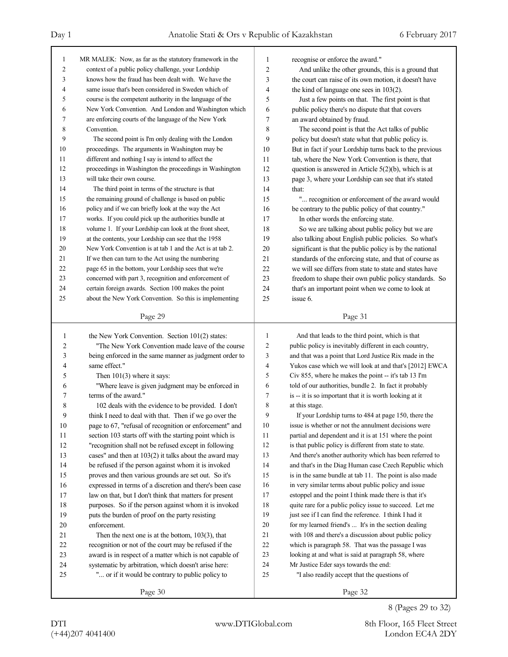| $\mathbf{1}$   | MR MALEK: Now, as far as the statutory framework in the  | 1              | recognise or enforce the award."                         |
|----------------|----------------------------------------------------------|----------------|----------------------------------------------------------|
| $\overline{2}$ | context of a public policy challenge, your Lordship      | $\overline{2}$ | And unlike the other grounds, this is a ground that      |
| 3              | knows how the fraud has been dealt with. We have the     | 3              | the court can raise of its own motion, it doesn't have   |
| 4              | same issue that's been considered in Sweden which of     | 4              | the kind of language one sees in 103(2).                 |
| 5              | course is the competent authority in the language of the | 5              | Just a few points on that. The first point is that       |
| 6              | New York Convention. And London and Washington which     | 6              | public policy there's no dispute that that covers        |
| 7              | are enforcing courts of the language of the New York     | 7              | an award obtained by fraud.                              |
| 8              | Convention.                                              | 8              | The second point is that the Act talks of public         |
| 9              | The second point is I'm only dealing with the London     | 9              | policy but doesn't state what that public policy is.     |
| 10             | proceedings. The arguments in Washington may be          | 10             | But in fact if your Lordship turns back to the previous  |
| 11             | different and nothing I say is intend to affect the      | 11             | tab, where the New York Convention is there, that        |
| 12             | proceedings in Washington the proceedings in Washington  | 12             | question is answered in Article $5(2)(b)$ , which is at  |
| 13             | will take their own course.                              | 13             | page 3, where your Lordship can see that it's stated     |
| 14             | The third point in terms of the structure is that        | 14             | that:                                                    |
| 15             | the remaining ground of challenge is based on public     | 15             | " recognition or enforcement of the award would          |
| 16             | policy and if we can briefly look at the way the Act     | 16             | be contrary to the public policy of that country."       |
| 17             | works. If you could pick up the authorities bundle at    | 17             | In other words the enforcing state.                      |
| 18             | volume 1. If your Lordship can look at the front sheet,  | 18             | So we are talking about public policy but we are         |
| 19             | at the contents, your Lordship can see that the 1958     | 19             | also talking about English public policies. So what's    |
| 20             | New York Convention is at tab 1 and the Act is at tab 2. | 20             | significant is that the public policy is by the national |
| 21             | If we then can turn to the Act using the numbering       | 21             | standards of the enforcing state, and that of course as  |
| 22             | page 65 in the bottom, your Lordship sees that we're     | 22             | we will see differs from state to state and states have  |
| 23             | concerned with part 3, recognition and enforcement of    | 23             | freedom to shape their own public policy standards. So   |
| 24             | certain foreign awards. Section 100 makes the point      | 24             | that's an important point when we come to look at        |
| 25             | about the New York Convention. So this is implementing   | 25             | issue 6.                                                 |
|                | Page 29                                                  |                | Page 31                                                  |
|                |                                                          |                |                                                          |
|                |                                                          |                |                                                          |
| 1              | the New York Convention. Section 101(2) states:          | 1              | And that leads to the third point, which is that         |
| 2              | "The New York Convention made leave of the course"       | 2              | public policy is inevitably different in each country,   |
| 3              | being enforced in the same manner as judgment order to   | 3              | and that was a point that Lord Justice Rix made in the   |
| 4              | same effect."                                            | 4              | Yukos case which we will look at and that's [2012] EWCA  |
| 5              | Then $101(3)$ where it says:                             | 5              | Civ 855, where he makes the point -- it's tab 13 I'm     |
| 6              | "Where leave is given judgment may be enforced in        | 6              | told of our authorities, bundle 2. In fact it probably   |
| 7              | terms of the award."                                     | 7              | is -- it is so important that it is worth looking at it  |
| 8              | 102 deals with the evidence to be provided. I don't      | 8              | at this stage.                                           |
| 9              | think I need to deal with that. Then if we go over the   | 9              | If your Lordship turns to 484 at page 150, there the     |
| 10             | page to 67, "refusal of recognition or enforcement" and  | 10             | issue is whether or not the annulment decisions were     |
| 11             | section 103 starts off with the starting point which is  | 11             | partial and dependent and it is at 151 where the point   |
| 12             | "recognition shall not be refused except in following    | 12             | is that public policy is different from state to state.  |
| 13             | cases" and then at 103(2) it talks about the award may   | 13             | And there's another authority which has been referred to |
| 14             | be refused if the person against whom it is invoked      | 14             | and that's in the Diag Human case Czech Republic which   |
| 15             | proves and then various grounds are set out. So it's     | 15             | is in the same bundle at tab 11. The point is also made  |
| 16             | expressed in terms of a discretion and there's been case | 16             | in very similar terms about public policy and issue      |
| 17             | law on that, but I don't think that matters for present  | 17             | estoppel and the point I think made there is that it's   |
| 18             | purposes. So if the person against whom it is invoked    | 18             | quite rare for a public policy issue to succeed. Let me  |
| 19             | puts the burden of proof on the party resisting          | 19             | just see if I can find the reference. I think I had it   |
| 20             | enforcement.                                             | 20             | for my learned friend's  It's in the section dealing     |
| 21             | Then the next one is at the bottom, $103(3)$ , that      | $21\,$         | with 108 and there's a discussion about public policy    |
| 22             | recognition or not of the court may be refused if the    | 22             | which is paragraph 58. That was the passage I was        |
| 23             | award is in respect of a matter which is not capable of  | 23             | looking at and what is said at paragraph 58, where       |
| 24             | systematic by arbitration, which doesn't arise here:     | 24             | Mr Justice Eder says towards the end:                    |
| 25             | " or if it would be contrary to public policy to         | 25             | "I also readily accept that the questions of             |

8 (Pages 29 to 32)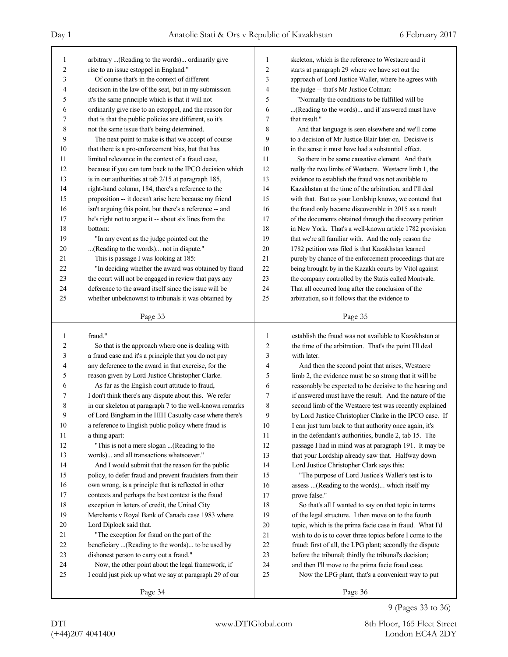| 1              | arbitrary  (Reading to the words) ordinarily give                  | 1              | skeleton, which is the reference to Westacre and it          |
|----------------|--------------------------------------------------------------------|----------------|--------------------------------------------------------------|
| $\overline{c}$ | rise to an issue estoppel in England."                             | $\overline{c}$ | starts at paragraph 29 where we have set out the             |
| 3              | Of course that's in the context of different                       | 3              | approach of Lord Justice Waller, where he agrees with        |
| 4              | decision in the law of the seat, but in my submission              | 4              | the judge -- that's Mr Justice Colman:                       |
| 5              | it's the same principle which is that it will not                  | 5              | "Normally the conditions to be fulfilled will be             |
| 6              | ordinarily give rise to an estoppel, and the reason for            | 6              | (Reading to the words) and if answered must have             |
| 7              | that is that the public policies are different, so it's            | 7              | that result."                                                |
| 8              | not the same issue that's being determined.                        | 8              | And that language is seen elsewhere and we'll come           |
| 9              | The next point to make is that we accept of course                 | 9              | to a decision of Mr Justice Blair later on. Decisive is      |
| 10             | that there is a pro-enforcement bias, but that has                 | 10             | in the sense it must have had a substantial effect.          |
| 11             | limited relevance in the context of a fraud case,                  | 11             | So there in be some causative element. And that's            |
| 12             | because if you can turn back to the IPCO decision which            | 12             | really the two limbs of Westacre. Westacre limb 1, the       |
| 13             | is in our authorities at tab 2/15 at paragraph 185,                | 13             | evidence to establish the fraud was not available to         |
| 14             | right-hand column, 184, there's a reference to the                 | 14             | Kazakhstan at the time of the arbitration, and I'll deal     |
| 15             | proposition -- it doesn't arise here because my friend             | 15             | with that. But as your Lordship knows, we contend that       |
| 16             | isn't arguing this point, but there's a reference -- and           | 16             | the fraud only became discoverable in 2015 as a result       |
| 17             | he's right not to argue it -- about six lines from the             | 17             | of the documents obtained through the discovery petition     |
| 18             | bottom:                                                            | 18             | in New York. That's a well-known article 1782 provision      |
| 19             | "In any event as the judge pointed out the                         | 19             | that we're all familiar with. And the only reason the        |
| 20             | (Reading to the words) not in dispute."                            | 20             | 1782 petition was filed is that Kazakhstan learned           |
| 21             | This is passage I was looking at 185:                              | 21             | purely by chance of the enforcement proceedings that are     |
| 22             | "In deciding whether the award was obtained by fraud               | 22             | being brought by in the Kazakh courts by Vitol against       |
| 23             | the court will not be engaged in review that pays any              | 23             | the company controlled by the Statis called Montvale.        |
| 24             | deference to the award itself since the issue will be              | 24             | That all occurred long after the conclusion of the           |
| 25             | whether unbeknownst to tribunals it was obtained by                | 25             | arbitration, so it follows that the evidence to              |
|                |                                                                    |                |                                                              |
|                | Page 33                                                            |                | Page 35                                                      |
|                |                                                                    |                |                                                              |
|                |                                                                    |                |                                                              |
| 1              | fraud."                                                            | 1              | establish the fraud was not available to Kazakhstan at       |
| $\overline{c}$ | So that is the approach where one is dealing with                  | 2              | the time of the arbitration. That's the point I'll deal      |
| 3              | a fraud case and it's a principle that you do not pay              | 3              | with later.                                                  |
| 4              | any deference to the award in that exercise, for the               | 4              | And then the second point that arises, Westacre              |
| 5              | reason given by Lord Justice Christopher Clarke.                   | 5              | limb 2, the evidence must be so strong that it will be       |
| 6              | As far as the English court attitude to fraud,                     | 6              | reasonably be expected to be decisive to the hearing and     |
| 7              | I don't think there's any dispute about this. We refer             | 7              | if answered must have the result. And the nature of the      |
| 8              | in our skeleton at paragraph 7 to the well-known remarks           | $\,$ 8 $\,$    | second limb of the Westacre test was recently explained      |
| 9              | of Lord Bingham in the HIH Casualty case where there's             | 9              | by Lord Justice Christopher Clarke in the IPCO case. If      |
| $10\,$         | a reference to English public policy where fraud is                | 10             | I can just turn back to that authority once again, it's      |
| 11             | a thing apart:                                                     | 11             | in the defendant's authorities, bundle 2, tab 15. The        |
| 12             | "This is not a mere slogan (Reading to the                         | 12             | passage I had in mind was at paragraph 191. It may be        |
| 13             | words) and all transactions whatsoever."                           | 13             | that your Lordship already saw that. Halfway down            |
| 14             | And I would submit that the reason for the public                  | 14             | Lord Justice Christopher Clark says this:                    |
| 15             | policy, to defer fraud and prevent fraudsters from their           | 15             | "The purpose of Lord Justice's Waller's test is to           |
| 16             | own wrong, is a principle that is reflected in other               | 16             | assess  (Reading to the words) which itself my               |
| $17\,$         | contexts and perhaps the best context is the fraud                 | 17             | prove false."                                                |
| $18\,$         | exception in letters of credit, the United City                    | 18             | So that's all I wanted to say on that topic in terms         |
| 19             | Merchants v Royal Bank of Canada case 1983 where                   | 19             | of the legal structure. I then move on to the fourth         |
| $20\,$         | Lord Diplock said that.                                            | 20             | topic, which is the prima facie case in fraud. What I'd      |
| 21             | "The exception for fraud on the part of the                        | 21             | wish to do is to cover three topics before I come to the     |
| 22             | beneficiary (Reading to the words) to be used by                   | 22             | fraud: first of all, the LPG plant; secondly the dispute     |
| 23             | dishonest person to carry out a fraud."                            | 23             | before the tribunal; thirdly the tribunal's decision;        |
| 24             | Now, the other point about the legal framework, if                 | 24             | and then I'll move to the prima facie fraud case.            |
| 25             | I could just pick up what we say at paragraph 29 of our<br>Page 34 | 25             | Now the LPG plant, that's a convenient way to put<br>Page 36 |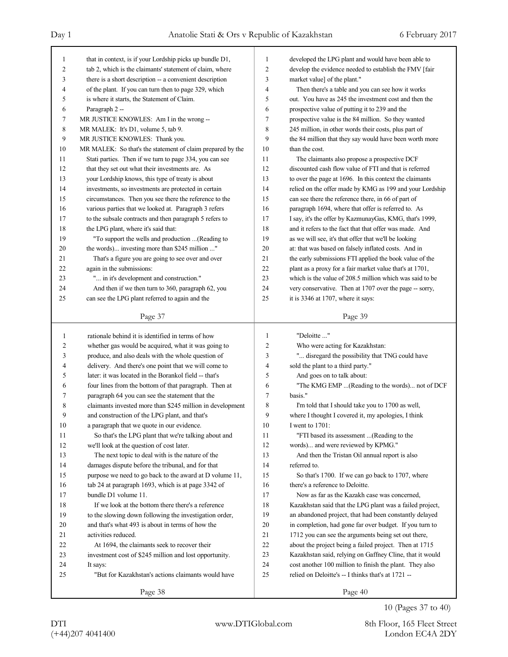| 1            | that in context, is if your Lordship picks up bundle D1,   | 1              | developed the LPG plant and would have been able to      |
|--------------|------------------------------------------------------------|----------------|----------------------------------------------------------|
| 2            | tab 2, which is the claimants' statement of claim, where   | 2              | develop the evidence needed to establish the FMV [fair   |
| 3            | there is a short description -- a convenient description   | 3              | market value] of the plant."                             |
| 4            | of the plant. If you can turn then to page 329, which      | 4              | Then there's a table and you can see how it works        |
| 5            | is where it starts, the Statement of Claim.                | 5              | out. You have as 245 the investment cost and then the    |
| 6            | Paragraph 2 --                                             | 6              | prospective value of putting it to 239 and the           |
| 7            | MR JUSTICE KNOWLES: Am I in the wrong --                   | 7              | prospective value is the 84 million. So they wanted      |
| 8            | MR MALEK: It's D1, volume 5, tab 9.                        | 8              | 245 million, in other words their costs, plus part of    |
| 9            | MR JUSTICE KNOWLES: Thank you.                             | 9              | the 84 million that they say would have been worth more  |
| 10           | MR MALEK: So that's the statement of claim prepared by the | 10             | than the cost.                                           |
| 11           | Stati parties. Then if we turn to page 334, you can see    | 11             | The claimants also propose a prospective DCF             |
| 12           | that they set out what their investments are. As           | 12             | discounted cash flow value of FTI and that is referred   |
| 13           | your Lordship knows, this type of treaty is about          | 13             | to over the page at 1696. In this context the claimants  |
| 14           | investments, so investments are protected in certain       | 14             | relied on the offer made by KMG as 199 and your Lordship |
| 15           | circumstances. Then you see there the reference to the     | 15             | can see there the reference there, in 66 of part of      |
| 16           | various parties that we looked at. Paragraph 3 refers      | 16             | paragraph 1694, where that offer is referred to. As      |
| 17           | to the subsale contracts and then paragraph 5 refers to    | 17             | I say, it's the offer by KazmunayGas, KMG, that's 1999,  |
| 18           | the LPG plant, where it's said that:                       | 18             | and it refers to the fact that that offer was made. And  |
| 19           | "To support the wells and production  (Reading to          | 19             | as we will see, it's that offer that we'll be looking    |
| 20           | the words) investing more than \$245 million "             | 20             | at: that was based on falsely inflated costs. And in     |
| 21           | That's a figure you are going to see over and over         | 21             | the early submissions FTI applied the book value of the  |
| 22           | again in the submissions:                                  | 22             | plant as a proxy for a fair market value that's at 1701, |
| 23           | " in it's development and construction."                   | 23             | which is the value of 208.5 million which was said to be |
| 24           | And then if we then turn to 360, paragraph 62, you         | 24             | very conservative. Then at 1707 over the page -- sorry,  |
| 25           | can see the LPG plant referred to again and the            | 25             | it is 3346 at 1707, where it says:                       |
|              |                                                            |                |                                                          |
|              | Page 37                                                    |                | Page 39                                                  |
|              |                                                            |                |                                                          |
|              |                                                            |                |                                                          |
| $\mathbf{1}$ | rationale behind it is identified in terms of how          | $\mathbf{1}$   | "Deloitte "                                              |
| 2            | whether gas would be acquired, what it was going to        | $\overline{c}$ | Who were acting for Kazakhstan:                          |
| 3            | produce, and also deals with the whole question of         | 3              | " disregard the possibility that TNG could have          |
| 4            | delivery. And there's one point that we will come to       | 4              | sold the plant to a third party."                        |
| 5            | later: it was located in the Borankol field -- that's      | 5              | And goes on to talk about:                               |
| 6            | four lines from the bottom of that paragraph. Then at      | 6              | "The KMG EMP (Reading to the words) not of DCF           |
| 7            | paragraph 64 you can see the statement that the            | 7              | basis."                                                  |
| 8            | claimants invested more than \$245 million in development  | 8              | I'm told that I should take you to 1700 as well,         |
| 9            | and construction of the LPG plant, and that's              | 9              | where I thought I covered it, my apologies, I think      |
| 10           | a paragraph that we quote in our evidence.                 | 10             | I went to 1701:                                          |
| 11           | So that's the LPG plant that we're talking about and       | 11             | "FTI based its assessment  (Reading to the               |
| 12           | we'll look at the question of cost later.                  | 12             | words) and were reviewed by KPMG."                       |
| 13           | The next topic to deal with is the nature of the           | 13             | And then the Tristan Oil annual report is also           |
| 14           | damages dispute before the tribunal, and for that          | 14             | referred to.                                             |
| 15           | purpose we need to go back to the award at D volume 11,    | 15             | So that's 1700. If we can go back to 1707, where         |
| 16           | tab 24 at paragraph 1693, which is at page 3342 of         | 16             | there's a reference to Deloitte.                         |
| 17           | bundle D1 volume 11.                                       | 17             | Now as far as the Kazakh case was concerned,             |
| 18           | If we look at the bottom there there's a reference         | 18             | Kazakhstan said that the LPG plant was a failed project, |
| 19           | to the slowing down following the investigation order,     | 19             | an abandoned project, that had been constantly delayed   |
| 20           | and that's what 493 is about in terms of how the           | 20             | in completion, had gone far over budget. If you turn to  |
| 21           | activities reduced.                                        | 21             | 1712 you can see the arguments being set out there,      |
| $22\,$       | At 1694, the claimants seek to recover their               | 22             | about the project being a failed project. Then at 1715   |
| 23           | investment cost of \$245 million and lost opportunity.     | 23             | Kazakhstan said, relying on Gaffney Cline, that it would |
| 24           | It says:                                                   | 24             | cost another 100 million to finish the plant. They also  |
| 25           | "But for Kazakhstan's actions claimants would have         | 25             | relied on Deloitte's -- I thinks that's at 1721 --       |

10 (Pages 37 to 40)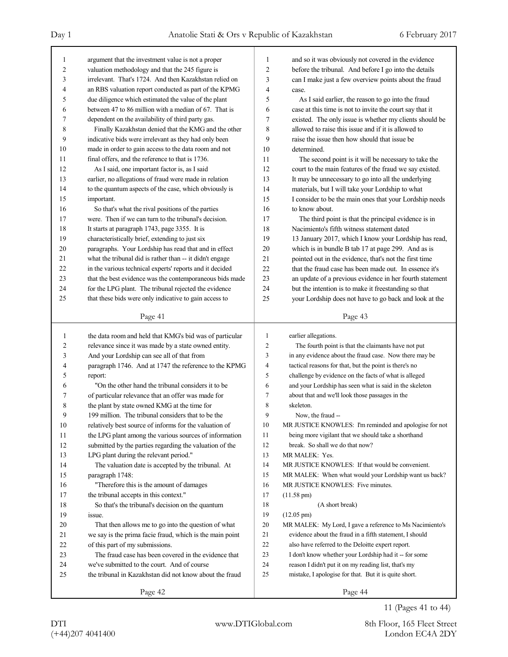| 1      | argument that the investment value is not a proper       | 1      | and so it was obviously not covered in the evidence      |
|--------|----------------------------------------------------------|--------|----------------------------------------------------------|
| 2      | valuation methodology and that the 245 figure is         | 2      | before the tribunal. And before I go into the details    |
| 3      | irrelevant. That's 1724. And then Kazakhstan relied on   | 3      | can I make just a few overview points about the fraud    |
| 4      | an RBS valuation report conducted as part of the KPMG    | 4      | case.                                                    |
| 5      | due diligence which estimated the value of the plant     | 5      | As I said earlier, the reason to go into the fraud       |
| 6      | between 47 to 86 million with a median of 67. That is    | 6      | case at this time is not to invite the court say that it |
| 7      | dependent on the availability of third party gas.        | 7      | existed. The only issue is whether my clients should be  |
| 8      | Finally Kazakhstan denied that the KMG and the other     | 8      | allowed to raise this issue and if it is allowed to      |
| 9      | indicative bids were irrelevant as they had only been    | 9      | raise the issue then how should that issue be            |
| 10     | made in order to gain access to the data room and not    | 10     | determined.                                              |
| 11     | final offers, and the reference to that is 1736.         | 11     | The second point is it will be necessary to take the     |
| 12     | As I said, one important factor is, as I said            | 12     | court to the main features of the fraud we say existed.  |
| 13     | earlier, no allegations of fraud were made in relation   | 13     | It may be unnecessary to go into all the underlying      |
| 14     | to the quantum aspects of the case, which obviously is   | 14     | materials, but I will take your Lordship to what         |
| 15     | important.                                               | 15     | I consider to be the main ones that your Lordship needs  |
| 16     | So that's what the rival positions of the parties        | 16     | to know about.                                           |
| 17     | were. Then if we can turn to the tribunal's decision.    | 17     | The third point is that the principal evidence is in     |
| 18     | It starts at paragraph 1743, page 3355. It is            | 18     | Nacimiento's fifth witness statement dated               |
| 19     | characteristically brief, extending to just six          | 19     | 13 January 2017, which I know your Lordship has read,    |
| 20     | paragraphs. Your Lordship has read that and in effect    | 20     | which is in bundle B tab 17 at page 299. And as is       |
| 21     | what the tribunal did is rather than -- it didn't engage | 21     | pointed out in the evidence, that's not the first time   |
| 22     | in the various technical experts' reports and it decided | 22     | that the fraud case has been made out. In essence it's   |
| 23     | that the best evidence was the contemporaneous bids made | 23     | an update of a previous evidence in her fourth statement |
| 24     | for the LPG plant. The tribunal rejected the evidence    | 24     | but the intention is to make it freestanding so that     |
| 25     | that these bids were only indicative to gain access to   | 25     | your Lordship does not have to go back and look at the   |
|        |                                                          |        |                                                          |
|        | Page 41                                                  |        | Page 43                                                  |
|        |                                                          |        |                                                          |
|        |                                                          |        |                                                          |
| 1      | the data room and held that KMG's bid was of particular  | 1      | earlier allegations.                                     |
| 2      | relevance since it was made by a state owned entity.     | 2      | The fourth point is that the claimants have not put      |
| 3      | And your Lordship can see all of that from               | 3      | in any evidence about the fraud case. Now there may be   |
| 4      | paragraph 1746. And at 1747 the reference to the KPMG    | 4      | tactical reasons for that, but the point is there's no   |
| 5      | report:                                                  | 5      | challenge by evidence on the facts of what is alleged    |
| 6      | "On the other hand the tribunal considers it to be       | 6      | and your Lordship has seen what is said in the skeleton  |
| 7      | of particular relevance that an offer was made for       | 7      | about that and we'll look those passages in the          |
| 8      | the plant by state owned KMG at the time for             | 8<br>9 | skeleton.                                                |
| 9      | 199 million. The tribunal considers that to be the       |        | Now, the fraud --                                        |
| $10\,$ | relatively best source of informs for the valuation of   | 10     | MR JUSTICE KNOWLES: I'm reminded and apologise for not   |
| 11     | the LPG plant among the various sources of information   | 11     | being more vigilant that we should take a shorthand      |
| 12     | submitted by the parties regarding the valuation of the  | 12     | break. So shall we do that now?                          |
| 13     | LPG plant during the relevant period."                   | 13     | MR MALEK: Yes.                                           |
| 14     | The valuation date is accepted by the tribunal. At       | 14     | MR JUSTICE KNOWLES: If that would be convenient.         |
| 15     | paragraph 1748:                                          | 15     | MR MALEK: When what would your Lordship want us back?    |
| 16     | "Therefore this is the amount of damages                 | 16     | MR JUSTICE KNOWLES: Five minutes.                        |
| 17     | the tribunal accepts in this context."                   | 17     | $(11.58 \text{ pm})$                                     |
| 18     | So that's the tribunal's decision on the quantum         | 18     | (A short break)                                          |
| 19     | issue.                                                   | 19     | $(12.05 \text{ pm})$                                     |
| 20     | That then allows me to go into the question of what      | 20     | MR MALEK: My Lord, I gave a reference to Ms Nacimiento's |
| 21     | we say is the prima facie fraud, which is the main point | 21     | evidence about the fraud in a fifth statement, I should  |
| 22     | of this part of my submissions.                          | 22     | also have referred to the Deloitte expert report.        |
| 23     | The fraud case has been covered in the evidence that     | 23     | I don't know whether your Lordship had it -- for some    |
| 24     | we've submitted to the court. And of course              | 24     | reason I didn't put it on my reading list, that's my     |
| 25     | the tribunal in Kazakhstan did not know about the fraud  | 25     | mistake, I apologise for that. But it is quite short.    |

11 (Pages 41 to 44)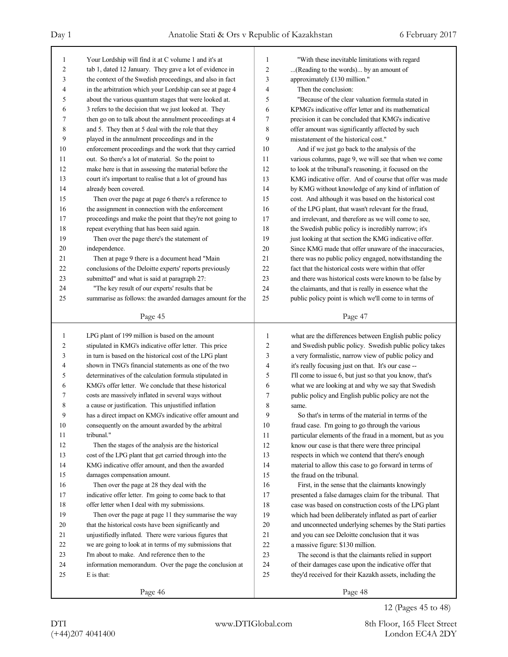| $\mathbf{1}$   | Your Lordship will find it at C volume 1 and it's at     | $\mathbf{1}$   | "With these inevitable limitations with regard                                                                   |
|----------------|----------------------------------------------------------|----------------|------------------------------------------------------------------------------------------------------------------|
| $\overline{2}$ | tab 1, dated 12 January. They gave a lot of evidence in  | $\overline{2}$ | (Reading to the words) by an amount of                                                                           |
| 3              | the context of the Swedish proceedings, and also in fact | 3              | approximately £130 million."                                                                                     |
| $\overline{4}$ | in the arbitration which your Lordship can see at page 4 | 4              | Then the conclusion:                                                                                             |
| 5              | about the various quantum stages that were looked at.    | 5              | "Because of the clear valuation formula stated in                                                                |
| 6              | 3 refers to the decision that we just looked at. They    | 6              | KPMG's indicative offer letter and its mathematical                                                              |
| 7              | then go on to talk about the annulment proceedings at 4  | 7              | precision it can be concluded that KMG's indicative                                                              |
| 8              | and 5. They then at 5 deal with the role that they       | 8              | offer amount was significantly affected by such                                                                  |
| 9              | played in the annulment proceedings and in the           | 9              | misstatement of the historical cost."                                                                            |
| 10             | enforcement proceedings and the work that they carried   | 10             | And if we just go back to the analysis of the                                                                    |
| 11             | out. So there's a lot of material. So the point to       | 11             | various columns, page 9, we will see that when we come                                                           |
| 12             | make here is that in assessing the material before the   | 12             | to look at the tribunal's reasoning, it focused on the                                                           |
| 13             | court it's important to realise that a lot of ground has | 13             | KMG indicative offer. And of course that offer was made                                                          |
| 14             | already been covered.                                    | 14             | by KMG without knowledge of any kind of inflation of                                                             |
| 15             | Then over the page at page 6 there's a reference to      | 15             | cost. And although it was based on the historical cost                                                           |
| 16             | the assignment in connection with the enforcement        | 16             | of the LPG plant, that wasn't relevant for the fraud,                                                            |
| 17             | proceedings and make the point that they're not going to | 17             | and irrelevant, and therefore as we will come to see,                                                            |
| 18             | repeat everything that has been said again.              | 18             | the Swedish public policy is incredibly narrow; it's                                                             |
| 19             | Then over the page there's the statement of              | 19             | just looking at that section the KMG indicative offer.                                                           |
| 20             | independence.                                            | 20             | Since KMG made that offer unaware of the inaccuracies,                                                           |
| 21             | Then at page 9 there is a document head "Main            | 21             | there was no public policy engaged, notwithstanding the                                                          |
| 22             | conclusions of the Deloitte experts' reports previously  | 22             | fact that the historical costs were within that offer                                                            |
| 23             | submitted" and what is said at paragraph 27:             | 23             | and there was historical costs were known to be false by                                                         |
| 24             | "The key result of our experts' results that be          | 24             | the claimants, and that is really in essence what the                                                            |
| 25             | summarise as follows: the awarded damages amount for the | 25             | public policy point is which we'll come to in terms of                                                           |
|                |                                                          |                |                                                                                                                  |
|                | Page 45                                                  |                | Page 47                                                                                                          |
| 1              | LPG plant of 199 million is based on the amount          | 1              |                                                                                                                  |
| $\overline{2}$ | stipulated in KMG's indicative offer letter. This price  | $\overline{2}$ | what are the differences between English public policy<br>and Swedish public policy. Swedish public policy takes |
| 3              | in turn is based on the historical cost of the LPG plant | 3              | a very formalistic, narrow view of public policy and                                                             |
| $\overline{4}$ | shown in TNG's financial statements as one of the two    | 4              | it's really focusing just on that. It's our case --                                                              |
| 5              | determinatives of the calculation formula stipulated in  | 5              | I'll come to issue 6, but just so that you know, that's                                                          |
| 6              | KMG's offer letter. We conclude that these historical    | 6              |                                                                                                                  |
| 7              |                                                          |                | what we are looking at and why we say that Swedish<br>public policy and English public policy are not the        |
|                | costs are massively inflated in several ways without     | 7              |                                                                                                                  |
| 8<br>9         | a cause or justification. This unjustified inflation     | 8              | same.                                                                                                            |
|                | has a direct impact on KMG's indicative offer amount and |                |                                                                                                                  |
|                |                                                          | 9              | So that's in terms of the material in terms of the                                                               |
| 10             | consequently on the amount awarded by the arbitral       | 10             | fraud case. I'm going to go through the various                                                                  |
| 11             | tribunal."                                               | 11             | particular elements of the fraud in a moment, but as you                                                         |
| 12             | Then the stages of the analysis are the historical       | 12             | know our case is that there were three principal                                                                 |
| 13             | cost of the LPG plant that get carried through into the  | 13             | respects in which we contend that there's enough                                                                 |
| 14             | KMG indicative offer amount, and then the awarded        | 14             | material to allow this case to go forward in terms of                                                            |
| 15             | damages compensation amount.                             | 15             | the fraud on the tribunal.                                                                                       |
| 16             | Then over the page at 28 they deal with the              | 16             | First, in the sense that the claimants knowingly                                                                 |
| 17             | indicative offer letter. I'm going to come back to that  | 17             | presented a false damages claim for the tribunal. That                                                           |
| 18             | offer letter when I deal with my submissions.            | 18             | case was based on construction costs of the LPG plant                                                            |
| 19             | Then over the page at page 11 they summarise the way     | 19             | which had been deliberately inflated as part of earlier                                                          |
| 20             | that the historical costs have been significantly and    | 20             | and unconnected underlying schemes by the Stati parties                                                          |
| 21             | unjustifiedly inflated. There were various figures that  | 21             | and you can see Deloitte conclusion that it was                                                                  |
| 22             | we are going to look at in terms of my submissions that  | 22             | a massive figure: \$130 million.                                                                                 |
| 23             | I'm about to make. And reference then to the             | 23             | The second is that the claimants relied in support                                                               |
| 24             | information memorandum. Over the page the conclusion at  | 24             | of their damages case upon the indicative offer that                                                             |
| 25             | E is that:                                               | 25             | they'd received for their Kazakh assets, including the                                                           |
|                | Page 46                                                  |                | Page 48                                                                                                          |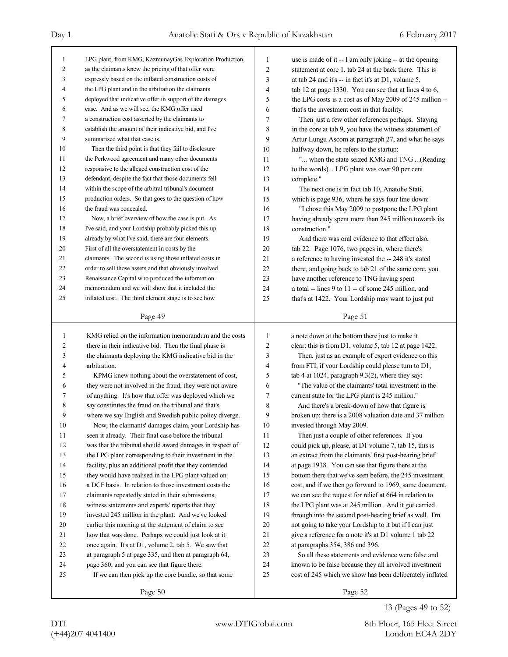| $\mathbf{1}$   | LPG plant, from KMG, KazmunayGas Exploration Production, | 1              | use is made of it -- I am only joking -- at the opening  |
|----------------|----------------------------------------------------------|----------------|----------------------------------------------------------|
| $\overline{c}$ | as the claimants knew the pricing of that offer were     | $\overline{2}$ | statement at core 1, tab 24 at the back there. This is   |
| 3              | expressly based on the inflated construction costs of    | 3              | at tab 24 and it's $-$ in fact it's at D1, volume 5,     |
| 4              | the LPG plant and in the arbitration the claimants       | 4              | tab 12 at page 1330. You can see that at lines 4 to 6,   |
| 5              | deployed that indicative offer in support of the damages | 5              | the LPG costs is a cost as of May 2009 of 245 million -- |
| 6              | case. And as we will see, the KMG offer used             | 6              | that's the investment cost in that facility.             |
| 7              | a construction cost asserted by the claimants to         | 7              | Then just a few other references perhaps. Staying        |
| 8              | establish the amount of their indicative bid, and I've   | 8              | in the core at tab 9, you have the witness statement of  |
| 9              | summarised what that case is.                            | 9              | Artur Lungu Ascom at paragraph 27, and what he says      |
| 10             | Then the third point is that they fail to disclosure     | 10             | halfway down, he refers to the startup:                  |
| 11             | the Perkwood agreement and many other documents          | 11             | " when the state seized KMG and TNG (Reading             |
| 12             | responsive to the alleged construction cost of the       | 12             | to the words) LPG plant was over 90 per cent             |
| 13             | defendant, despite the fact that those documents fell    | 13             | complete."                                               |
| 14             | within the scope of the arbitral tribunal's document     | 14             | The next one is in fact tab 10, Anatolie Stati,          |
| 15             | production orders. So that goes to the question of how   | 15             | which is page 936, where he says four line down:         |
| 16             | the fraud was concealed.                                 | 16             | "I chose this May 2009 to postpone the LPG plant         |
| 17             | Now, a brief overview of how the case is put. As         | 17             | having already spent more than 245 million towards its   |
| 18             | I've said, and your Lordship probably picked this up     | 18             | construction."                                           |
| 19             | already by what I've said, there are four elements.      | 19             | And there was oral evidence to that effect also,         |
| 20             | First of all the overstatement in costs by the           | 20             | tab 22. Page 1076, two pages in, where there's           |
| 21             | claimants. The second is using those inflated costs in   | 21             | a reference to having invested the -- 248 it's stated    |
| 22             | order to sell those assets and that obviously involved   | 22             | there, and going back to tab 21 of the same core, you    |
| 23             | Renaissance Capital who produced the information         | 23             | have another reference to TNG having spent               |
| 24             | memorandum and we will show that it included the         | 24             | a total -- lines 9 to 11 -- of some 245 million, and     |
| 25             | inflated cost. The third element stage is to see how     | 25             | that's at 1422. Your Lordship may want to just put       |
|                |                                                          |                |                                                          |
|                | Page 49                                                  |                | Page 51                                                  |
|                |                                                          |                |                                                          |
|                |                                                          |                |                                                          |
| 1              | KMG relied on the information memorandum and the costs   | 1              | a note down at the bottom there just to make it          |
| 2              | there in their indicative bid. Then the final phase is   | 2              | clear: this is from D1, volume 5, tab 12 at page 1422.   |
| 3              | the claimants deploying the KMG indicative bid in the    | 3              | Then, just as an example of expert evidence on this      |
| 4              | arbitration.                                             | 4              | from FTI, if your Lordship could please turn to D1,      |
| 5              | KPMG knew nothing about the overstatement of cost,       | 5              | tab 4 at 1024, paragraph 9.3(2), where they say:         |
| 6              | they were not involved in the fraud, they were not aware | 6              | "The value of the claimants' total investment in the     |
| 7              | of anything. It's how that offer was deployed which we   | 7              | current state for the LPG plant is 245 million."         |
| 8              | say constitutes the fraud on the tribunal and that's     | 8              | And there's a break-down of how that figure is           |
| 9              | where we say English and Swedish public policy diverge.  | 9              | broken up: there is a 2008 valuation date and 37 million |
| $10\,$         | Now, the claimants' damages claim, your Lordship has     | $10\,$         | invested through May 2009.                               |
| 11             | seen it already. Their final case before the tribunal    | 11             | Then just a couple of other references. If you           |
| 12             | was that the tribunal should award damages in respect of | 12             | could pick up, please, at D1 volume 7, tab 15, this is   |
| 13             | the LPG plant corresponding to their investment in the   | 13             | an extract from the claimants' first post-hearing brief  |
| 14             | facility, plus an additional profit that they contended  | 14             | at page 1938. You can see that figure there at the       |
| 15             | they would have realised in the LPG plant valued on      | 15             | bottom there that we've seen before, the 245 investment  |
| 16             | a DCF basis. In relation to those investment costs the   | 16             | cost, and if we then go forward to 1969, same document,  |
| 17             | claimants repeatedly stated in their submissions,        | 17             | we can see the request for relief at 664 in relation to  |
| 18             | witness statements and experts' reports that they        | 18             | the LPG plant was at 245 million. And it got carried     |
| 19             | invested 245 million in the plant. And we've looked      | 19             | through into the second post-hearing brief as well. I'm  |
| 20             | earlier this morning at the statement of claim to see    | 20             | not going to take your Lordship to it but if I can just  |
| 21             | how that was done. Perhaps we could just look at it      | 21             | give a reference for a note it's at D1 volume 1 tab 22   |
| 22             | once again. It's at D1, volume 2, tab 5. We saw that     | 22             | at paragraphs 354, 386 and 396.                          |
| 23             | at paragraph 5 at page 335, and then at paragraph 64,    | 23             | So all these statements and evidence were false and      |
| 24             | page 360, and you can see that figure there.             | 24             | known to be false because they all involved investment   |
| 25             | If we can then pick up the core bundle, so that some     | 25             | cost of 245 which we show has been deliberately inflated |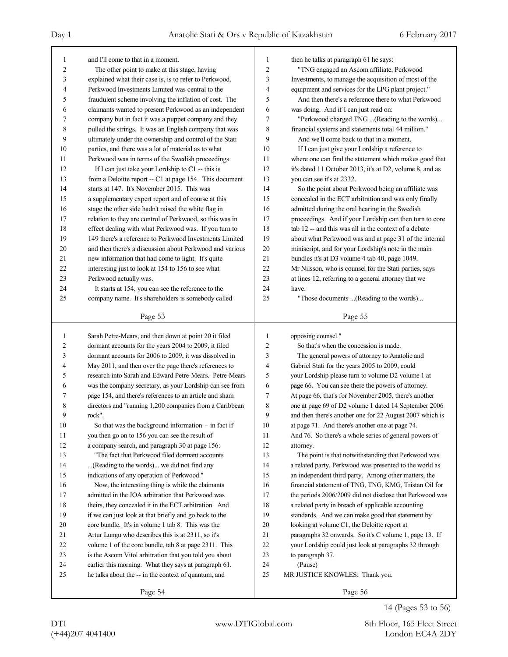| 1              | and I'll come to that in a moment.                       | 1              | then he talks at paragraph 61 he says:                   |
|----------------|----------------------------------------------------------|----------------|----------------------------------------------------------|
| $\overline{2}$ | The other point to make at this stage, having            | $\overline{c}$ | "TNG engaged an Ascom affiliate, Perkwood                |
| 3              | explained what their case is, is to refer to Perkwood.   | 3              | Investments, to manage the acquisition of most of the    |
| 4              | Perkwood Investments Limited was central to the          | 4              | equipment and services for the LPG plant project."       |
| 5              | fraudulent scheme involving the inflation of cost. The   | 5              | And then there's a reference there to what Perkwood      |
| 6              | claimants wanted to present Perkwood as an independent   | 6              | was doing. And if I can just read on:                    |
| 7              | company but in fact it was a puppet company and they     | 7              | "Perkwood charged TNG  (Reading to the words)            |
| 8              | pulled the strings. It was an English company that was   | 8              | financial systems and statements total 44 million."      |
| 9              | ultimately under the ownership and control of the Stati  | 9              | And we'll come back to that in a moment.                 |
| 10             | parties, and there was a lot of material as to what      | 10             | If I can just give your Lordship a reference to          |
| 11             | Perkwood was in terms of the Swedish proceedings.        | 11             | where one can find the statement which makes good that   |
| 12             | If I can just take your Lordship to $C1$ -- this is      | 12             | it's dated 11 October 2013, it's at D2, volume 8, and as |
| 13             | from a Deloitte report -- C1 at page 154. This document  | 13             | you can see it's at 2332.                                |
| 14             | starts at 147. It's November 2015. This was              | 14             | So the point about Perkwood being an affiliate was       |
| 15             | a supplementary expert report and of course at this      | 15             | concealed in the ECT arbitration and was only finally    |
| 16             | stage the other side hadn't raised the white flag in     | 16             | admitted during the oral hearing in the Swedish          |
| 17             | relation to they are control of Perkwood, so this was in | 17             | proceedings. And if your Lordship can then turn to core  |
| 18             | effect dealing with what Perkwood was. If you turn to    | 18             | tab 12 -- and this was all in the context of a debate    |
| 19             | 149 there's a reference to Perkwood Investments Limited  | 19             | about what Perkwood was and at page 31 of the internal   |
| 20             | and then there's a discussion about Perkwood and various | 20             | miniscript, and for your Lordship's note in the main     |
| 21             | new information that had come to light. It's quite       | 21             | bundles it's at D3 volume 4 tab 40, page 1049.           |
| 22             | interesting just to look at 154 to 156 to see what       | 22             | Mr Nilsson, who is counsel for the Stati parties, says   |
| 23             | Perkwood actually was.                                   | 23             | at lines 12, referring to a general attorney that we     |
| 24             | It starts at 154, you can see the reference to the       | 24             | have:                                                    |
| 25             | company name. It's shareholders is somebody called       | 25             | "Those documents (Reading to the words)                  |
|                |                                                          |                |                                                          |
|                | Page 53                                                  |                | Page 55                                                  |
|                |                                                          |                |                                                          |
|                |                                                          |                |                                                          |
| 1              | Sarah Petre-Mears, and then down at point 20 it filed    | 1              | opposing counsel."                                       |
| 2              | dormant accounts for the years 2004 to 2009, it filed    | $\overline{2}$ | So that's when the concession is made.                   |
| 3              | dormant accounts for 2006 to 2009, it was dissolved in   | 3              | The general powers of attorney to Anatolie and           |
| 4              | May 2011, and then over the page there's references to   | 4              | Gabriel Stati for the years 2005 to 2009, could          |
| 5              | research into Sarah and Edward Petre-Mears. Petre-Mears  | 5              | your Lordship please turn to volume D2 volume 1 at       |
| 6              | was the company secretary, as your Lordship can see from | 6              | page 66. You can see there the powers of attorney.       |
| 7              | page 154, and there's references to an article and sham  | 7              | At page 66, that's for November 2005, there's another    |
| 8              | directors and "running 1,200 companies from a Caribbean  | 8              | one at page 69 of D2 volume 1 dated 14 September 2006    |
| 9              | rock".                                                   | 9              | and then there's another one for 22 August 2007 which is |
| 10             | So that was the background information -- in fact if     | 10             | at page 71. And there's another one at page 74.          |
| 11             | you then go on to 156 you can see the result of          | 11             | And 76. So there's a whole series of general powers of   |
| 12             | a company search, and paragraph 30 at page 156:          | 12             | attorney.                                                |
| 13             | "The fact that Perkwood filed dormant accounts           | 13             | The point is that notwithstanding that Perkwood was      |
| 14             | (Reading to the words) we did not find any               | 14             | a related party, Perkwood was presented to the world as  |
| 15             | indications of any operation of Perkwood."               | 15             | an independent third party. Among other matters, the     |
| 16             | Now, the interesting thing is while the claimants        | 16             | financial statement of TNG, TNG, KMG, Tristan Oil for    |
| 17             | admitted in the JOA arbitration that Perkwood was        | 17             | the periods 2006/2009 did not disclose that Perkwood was |
| 18             | theirs, they concealed it in the ECT arbitration. And    | 18             | a related party in breach of applicable accounting       |
| 19             | if we can just look at that briefly and go back to the   | 19             | standards. And we can make good that statement by        |
| 20             | core bundle. It's in volume 1 tab 8. This was the        | 20             | looking at volume C1, the Deloitte report at             |
| 21             | Artur Lungu who describes this is at 2311, so it's       | 21             | paragraphs 32 onwards. So it's C volume 1, page 13. If   |
| 22             | volume 1 of the core bundle, tab 8 at page 2311. This    | 22             | your Lordship could just look at paragraphs 32 through   |
| 23             | is the Ascom Vitol arbitration that you told you about   | 23             | to paragraph 37.                                         |
| 24             | earlier this morning. What they says at paragraph 61,    | 24             | (Pause)                                                  |
| 25             | he talks about the -- in the context of quantum, and     | 25             | MR JUSTICE KNOWLES: Thank you.                           |
|                | Page 54                                                  |                | Page 56                                                  |

14 (Pages 53 to 56)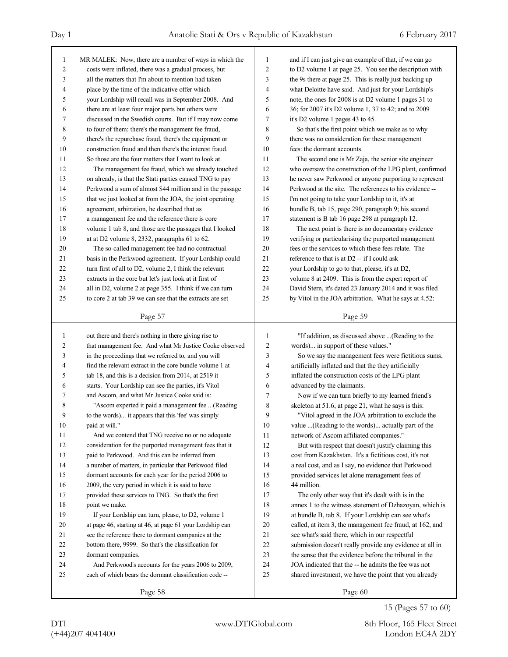| 1                | MR MALEK: Now, there are a number of ways in which the   | $\mathbf{1}$   | and if I can just give an example of that, if we can go  |
|------------------|----------------------------------------------------------|----------------|----------------------------------------------------------|
| $\boldsymbol{2}$ | costs were inflated, there was a gradual process, but    | $\overline{c}$ | to D2 volume 1 at page 25. You see the description with  |
| 3                | all the matters that I'm about to mention had taken      | 3              | the 9s there at page 25. This is really just backing up  |
| $\overline{4}$   | place by the time of the indicative offer which          | $\overline{4}$ | what Deloitte have said. And just for your Lordship's    |
| 5                | your Lordship will recall was in September 2008. And     | 5              | note, the ones for 2008 is at D2 volume 1 pages 31 to    |
| 6                | there are at least four major parts but others were      | 6              | 36; for 2007 it's D2 volume 1, 37 to 42; and to 2009     |
| 7                | discussed in the Swedish courts. But if I may now come   | $\tau$         | it's D2 volume 1 pages 43 to 45.                         |
| 8                | to four of them: there's the management fee fraud,       | 8              | So that's the first point which we make as to why        |
| 9                | there's the repurchase fraud, there's the equipment or   | 9              | there was no consideration for these management          |
| 10               | construction fraud and then there's the interest fraud.  | 10             | fees: the dormant accounts.                              |
| 11               | So those are the four matters that I want to look at.    | 11             | The second one is Mr Zaja, the senior site engineer      |
| 12               | The management fee fraud, which we already touched       | 12             | who oversaw the construction of the LPG plant, confirmed |
| 13               | on already, is that the Stati parties caused TNG to pay  | 13             | he never saw Perkwood or anyone purporting to represent  |
| 14               | Perkwood a sum of almost \$44 million and in the passage | 14             | Perkwood at the site. The references to his evidence --  |
| 15               | that we just looked at from the JOA, the joint operating | 15             | I'm not going to take your Lordship to it, it's at       |
| 16               | agreement, arbitration, he described that as             | 16             | bundle B, tab 15, page 290, paragraph 9; his second      |
| 17               | a management fee and the reference there is core         | 17             | statement is B tab 16 page 298 at paragraph 12.          |
| 18               | volume 1 tab 8, and those are the passages that I looked | 18             | The next point is there is no documentary evidence       |
| 19               | at at D2 volume $8$ , 2332, paragraphs $61$ to $62$ .    | 19             | verifying or particularising the purported management    |
| $20\,$           | The so-called management fee had no contractual          | 20             | fees or the services to which these fees relate. The     |
| 21               | basis in the Perkwood agreement. If your Lordship could  | 21             | reference to that is at D2 -- if I could ask             |
| 22               | turn first of all to D2, volume 2, I think the relevant  | 22             | your Lordship to go to that, please, it's at D2,         |
| 23               | extracts in the core but let's just look at it first of  | 23             | volume 8 at 2409. This is from the expert report of      |
| 24               | all in D2, volume 2 at page 355. I think if we can turn  | 24             | David Stern, it's dated 23 January 2014 and it was filed |
| 25               | to core 2 at tab 39 we can see that the extracts are set | 25             | by Vitol in the JOA arbitration. What he says at 4.52:   |
|                  | Page 57                                                  |                | Page 59                                                  |
|                  |                                                          |                |                                                          |
|                  |                                                          |                |                                                          |
| $\mathbf{1}$     | out there and there's nothing in there giving rise to    | 1              | "If addition, as discussed above  (Reading to the        |
| $\overline{c}$   | that management fee. And what Mr Justice Cooke observed  | 2              | words) in support of these values."                      |
| 3                | in the proceedings that we referred to, and you will     | 3              | So we say the management fees were fictitious sums,      |
| 4                | find the relevant extract in the core bundle volume 1 at | 4              | artificially inflated and that the they artificially     |
| 5                | tab 18, and this is a decision from 2014, at 2519 it     | 5              | inflated the construction costs of the LPG plant         |
| 6                | starts. Your Lordship can see the parties, it's Vitol    | 6              | advanced by the claimants.                               |
| 7                | and Ascom, and what Mr Justice Cooke said is:            | 7              | Now if we can turn briefly to my learned friend's        |
| 8                | "Ascom experted it paid a management fee (Reading        | 8              | skeleton at 51.6, at page 21, what he says is this:      |
| 9                | to the words) it appears that this 'fee' was simply      | 9              | "Vitol agreed in the JOA arbitration to exclude the      |
| 10               | paid at will."                                           | $10\,$         | value (Reading to the words) actually part of the        |
| 11               | And we contend that TNG receive no or no adequate        | 11             | network of Ascom affiliated companies."                  |
| 12               | consideration for the purported management fees that it  | 12             | But with respect that doesn't justify claiming this      |
| 13               | paid to Perkwood. And this can be inferred from          | 13             | cost from Kazakhstan. It's a fictitious cost, it's not   |
| 14               | a number of matters, in particular that Perkwood filed   | 14             | a real cost, and as I say, no evidence that Perkwood     |
| 15               | dormant accounts for each year for the period 2006 to    | 15             | provided services let alone management fees of           |
| 16               | 2009, the very period in which it is said to have        | 16             | 44 million.                                              |
| 17               | provided these services to TNG. So that's the first      | 17             | The only other way that it's dealt with is in the        |
| 18               | point we make.                                           | 18             | annex 1 to the witness statement of Dzhazoyan, which is  |
| 19               | If your Lordship can turn, please, to D2, volume 1       | 19             | at bundle B, tab 8. If your Lordship can see what's      |
| 20               | at page 46, starting at 46, at page 61 your Lordship can | 20             | called, at item 3, the management fee fraud, at 162, and |
| 21               | see the reference there to dormant companies at the      | 21             | see what's said there, which in our respectful           |
| 22               | bottom there, 9999. So that's the classification for     | 22             | submission doesn't really provide any evidence at all in |
| 23               | dormant companies.                                       | 23             | the sense that the evidence before the tribunal in the   |
| 24               | And Perkwood's accounts for the years 2006 to 2009,      | 24             | JOA indicated that the -- he admits the fee was not      |
| 25               | each of which bears the dormant classification code --   | 25             | shared investment, we have the point that you already    |
|                  | Page 58                                                  |                | Page 60                                                  |

15 (Pages 57 to 60)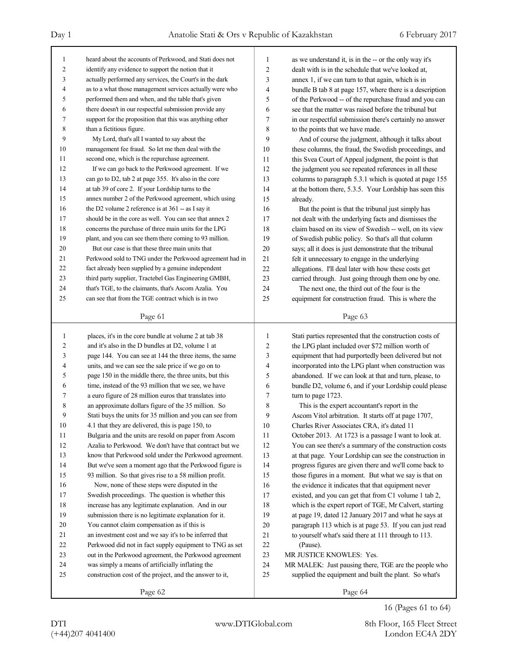| $\mathbf{1}$            | heard about the accounts of Perkwood, and Stati does not           | 1              | as we understand it, is in the -- or the only way it's           |
|-------------------------|--------------------------------------------------------------------|----------------|------------------------------------------------------------------|
| $\overline{\mathbf{c}}$ | identify any evidence to support the notion that it                | $\overline{c}$ | dealt with is in the schedule that we've looked at,              |
| 3                       | actually performed any services, the Court's in the dark           | 3              | annex 1, if we can turn to that again, which is in               |
| 4                       | as to a what those management services actually were who           | $\overline{4}$ | bundle B tab 8 at page 157, where there is a description         |
| 5                       | performed them and when, and the table that's given                | 5              | of the Perkwood -- of the repurchase fraud and you can           |
| 6                       | there doesn't in our respectful submission provide any             | 6              | see that the matter was raised before the tribunal but           |
| 7                       | support for the proposition that this was anything other           | $\overline{7}$ | in our respectful submission there's certainly no answer         |
| 8                       | than a fictitious figure.                                          | 8              | to the points that we have made.                                 |
| 9                       | My Lord, that's all I wanted to say about the                      | 9              | And of course the judgment, although it talks about              |
| 10                      | management fee fraud. So let me then deal with the                 | 10             | these columns, the fraud, the Swedish proceedings, and           |
| 11                      | second one, which is the repurchase agreement.                     | 11             | this Svea Court of Appeal judgment, the point is that            |
| 12                      | If we can go back to the Perkwood agreement. If we                 | 12             | the judgment you see repeated references in all these            |
| 13                      | can go to D2, tab 2 at page 355. It's also in the core             | 13             | columns to paragraph 5.3.1 which is quoted at page 155           |
| 14                      | at tab 39 of core 2. If your Lordship turns to the                 | 14             | at the bottom there, 5.3.5. Your Lordship has seen this          |
| 15                      | annex number 2 of the Perkwood agreement, which using              | 15             | already.                                                         |
| 16                      | the D2 volume 2 reference is at $361 -$ as I say it                | 16             | But the point is that the tribunal just simply has               |
| 17                      | should be in the core as well. You can see that annex 2            | 17             | not dealt with the underlying facts and dismisses the            |
| 18                      | concerns the purchase of three main units for the LPG              | 18             | claim based on its view of Swedish -- well, on its view          |
| 19                      | plant, and you can see them there coming to 93 million.            | 19             | of Swedish public policy. So that's all that column              |
| 20                      | But our case is that these three main units that                   | 20             | says; all it does is just demonstrate that the tribunal          |
| 21                      | Perkwood sold to TNG under the Perkwood agreement had in           | 21             | felt it unnecessary to engage in the underlying                  |
| 22                      | fact already been supplied by a genuine independent                | 22             | allegations. I'll deal later with how these costs get            |
| 23                      | third party supplier, Tractebel Gas Engineering GMBH,              | 23             | carried through. Just going through them one by one.             |
| 24                      | that's TGE, to the claimants, that's Ascom Azalia. You             | 24             | The next one, the third out of the four is the                   |
| 25                      | can see that from the TGE contract which is in two                 | 25             | equipment for construction fraud. This is where the              |
|                         |                                                                    |                |                                                                  |
|                         | Page 61                                                            |                | Page 63                                                          |
|                         |                                                                    |                |                                                                  |
|                         |                                                                    |                |                                                                  |
| $\mathbf{1}$            | places, it's in the core bundle at volume 2 at tab 38              | 1              | Stati parties represented that the construction costs of         |
| $\overline{c}$          | and it's also in the D bundles at D2, volume 1 at                  | $\overline{2}$ | the LPG plant included over \$72 million worth of                |
| 3                       | page 144. You can see at 144 the three items, the same             | 3              | equipment that had purportedly been delivered but not            |
| 4                       | units, and we can see the sale price if we go on to                | 4              | incorporated into the LPG plant when construction was            |
| 5                       | page 150 in the middle there, the three units, but this            | 5              | abandoned. If we can look at that and turn, please, to           |
| 6                       | time, instead of the 93 million that we see, we have               | 6              | bundle D2, volume 6, and if your Lordship could please           |
| 7                       | a euro figure of 28 million euros that translates into             | 7              | turn to page 1723.                                               |
| 8                       | an approximate dollars figure of the 35 million. So                | 8              | This is the expert accountant's report in the                    |
| 9                       | Stati buys the units for 35 million and you can see from           | 9              | Ascom Vitol arbitration. It starts off at page 1707,             |
| $10\,$                  | 4.1 that they are delivered, this is page 150, to                  | $10\,$         | Charles River Associates CRA, it's dated 11                      |
| 11                      | Bulgaria and the units are resold on paper from Ascom              | 11             | October 2013. At 1723 is a passage I want to look at.            |
| 12                      | Azalia to Perkwood. We don't have that contract but we             | 12             | You can see there's a summary of the construction costs          |
| 13                      | know that Perkwood sold under the Perkwood agreement.              | 13             | at that page. Your Lordship can see the construction in          |
| 14                      | But we've seen a moment ago that the Perkwood figure is            | 14             | progress figures are given there and we'll come back to          |
| 15                      | 93 million. So that gives rise to a 58 million profit.             | 15             | those figures in a moment. But what we say is that on            |
| 16                      | Now, none of these steps were disputed in the                      | 16             | the evidence it indicates that that equipment never              |
| 17                      | Swedish proceedings. The question is whether this                  | 17             | existed, and you can get that from C1 volume 1 tab 2,            |
| $18\,$                  | increase has any legitimate explanation. And in our                | 18             | which is the expert report of TGE, Mr Calvert, starting          |
| 19                      | submission there is no legitimate explanation for it.              | 19             | at page 19, dated 12 January 2017 and what he says at            |
| $20\,$                  | You cannot claim compensation as if this is                        | 20             | paragraph 113 which is at page 53. If you can just read          |
| 21                      | an investment cost and we say it's to be inferred that             | 21             | to yourself what's said there at 111 through to 113.             |
| 22                      | Perkwood did not in fact supply equipment to TNG as set            | 22             | (Pause).                                                         |
| 23                      | out in the Perkwood agreement, the Perkwood agreement              | 23             | MR JUSTICE KNOWLES: Yes.                                         |
| 24                      | was simply a means of artificially inflating the                   | 24             | MR MALEK: Just pausing there, TGE are the people who             |
| 25                      | construction cost of the project, and the answer to it,<br>Page 62 | 25             | supplied the equipment and built the plant. So what's<br>Page 64 |

16 (Pages 61 to 64)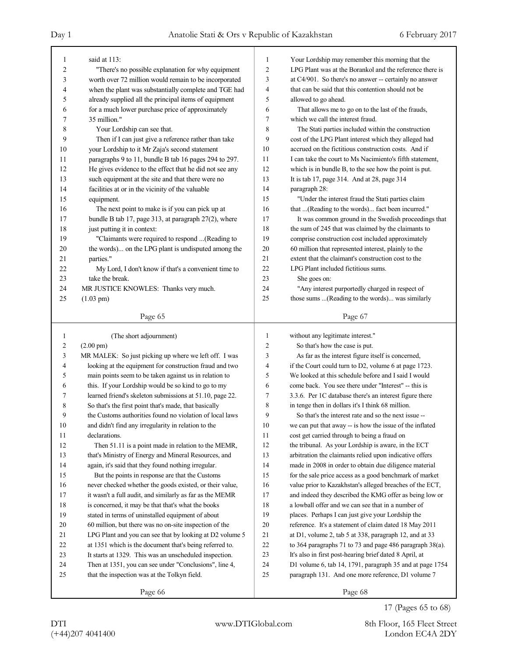| 1              | said at 113:                                                         | 1              | Your Lordship may remember this morning that the         |
|----------------|----------------------------------------------------------------------|----------------|----------------------------------------------------------|
| 2              | "There's no possible explanation for why equipment                   | $\overline{c}$ | LPG Plant was at the Borankol and the reference there is |
| 3              | worth over 72 million would remain to be incorporated                | 3              | at C4/901. So there's no answer -- certainly no answer   |
| 4              | when the plant was substantially complete and TGE had                | 4              | that can be said that this contention should not be      |
| 5              | already supplied all the principal items of equipment                | 5              | allowed to go ahead.                                     |
| 6              | for a much lower purchase price of approximately                     | 6              | That allows me to go on to the last of the frauds,       |
| 7              | 35 million."                                                         | 7              | which we call the interest fraud.                        |
| 8              | Your Lordship can see that.                                          | 8              | The Stati parties included within the construction       |
| 9              | Then if I can just give a reference rather than take                 | 9              | cost of the LPG Plant interest which they alleged had    |
| 10             | your Lordship to it Mr Zaja's second statement                       | 10             | accrued on the fictitious construction costs. And if     |
| 11             | paragraphs 9 to 11, bundle B tab 16 pages 294 to 297.                | 11             | I can take the court to Ms Nacimiento's fifth statement, |
| 12             | He gives evidence to the effect that he did not see any              | 12             | which is in bundle B, to the see how the point is put.   |
| 13             | such equipment at the site and that there were no                    | 13             | It is tab 17, page 314. And at 28, page 314              |
| 14             | facilities at or in the vicinity of the valuable                     | 14             | paragraph 28:                                            |
| 15             | equipment.                                                           | 15             | "Under the interest fraud the Stati parties claim        |
| 16             | The next point to make is if you can pick up at                      | 16             | that (Reading to the words) fact been incurred."         |
| 17             | bundle B tab 17, page 313, at paragraph 27(2), where                 | 17             | It was common ground in the Swedish proceedings that     |
| 18             | just putting it in context:                                          | 18             | the sum of 245 that was claimed by the claimants to      |
| 19             | "Claimants were required to respond (Reading to                      | 19             | comprise construction cost included approximately        |
| 20             | the words) on the LPG plant is undisputed among the                  | 20             | 60 million that represented interest, plainly to the     |
| 21             | parties."                                                            | 21             | extent that the claimant's construction cost to the      |
| 22             | My Lord, I don't know if that's a convenient time to                 | 22             | LPG Plant included fictitious sums.                      |
| 23             | take the break.                                                      | 23             |                                                          |
|                |                                                                      | 24             | She goes on:                                             |
| 24             | MR JUSTICE KNOWLES: Thanks very much.                                |                | "Any interest purportedly charged in respect of          |
| 25             | $(1.03 \text{ pm})$                                                  | 25             | those sums (Reading to the words) was similarly          |
|                | Page 65                                                              |                | Page 67                                                  |
|                |                                                                      |                |                                                          |
|                |                                                                      |                |                                                          |
| $\mathbf{1}$   | (The short adjournment)                                              | 1              | without any legitimate interest."                        |
| $\overline{c}$ | $(2.00 \text{ pm})$                                                  | 2              | So that's how the case is put.                           |
| 3              | MR MALEK: So just picking up where we left off. I was                | 3              | As far as the interest figure itself is concerned,       |
| 4              | looking at the equipment for construction fraud and two              | 4              | if the Court could turn to D2, volume 6 at page 1723.    |
| 5              | main points seem to be taken against us in relation to               | 5              | We looked at this schedule before and I said I would     |
| 6              | this. If your Lordship would be so kind to go to my                  | 6              | come back. You see there under "Interest" -- this is     |
| 7              | learned friend's skeleton submissions at 51.10, page 22.             | 7              | 3.3.6. Per 1C database there's an interest figure there  |
| 8              | So that's the first point that's made, that basically                | 8              | in tenge then in dollars it's I think 68 million.        |
| 9              | the Customs authorities found no violation of local laws             | 9              | So that's the interest rate and so the next issue --     |
| $10\,$         |                                                                      |                | we can put that away -- is how the issue of the inflated |
| 11             | and didn't find any irregularity in relation to the<br>declarations. | 10<br>11       | cost get carried through to being a fraud on             |
|                | Then 51.11 is a point made in relation to the MEMR,                  | 12             |                                                          |
| 12<br>13       |                                                                      | 13             | the tribunal. As your Lordship is aware, in the ECT      |
|                | that's Ministry of Energy and Mineral Resources, and                 |                | arbitration the claimants relied upon indicative offers  |
| 14             | again, it's said that they found nothing irregular.                  | 14             | made in 2008 in order to obtain due diligence material   |
| 15             | But the points in response are that the Customs                      | 15             | for the sale price access as a good benchmark of market  |
| 16             | never checked whether the goods existed, or their value,             | 16             | value prior to Kazakhstan's alleged breaches of the ECT, |
| 17             | it wasn't a full audit, and similarly as far as the MEMR             | 17             | and indeed they described the KMG offer as being low or  |
| $18\,$         | is concerned, it may be that that's what the books                   | 18             | a lowball offer and we can see that in a number of       |
| 19             | stated in terms of uninstalled equipment of about                    | 19             | places. Perhaps I can just give your Lordship the        |
| $20\,$         | 60 million, but there was no on-site inspection of the               | 20             | reference. It's a statement of claim dated 18 May 2011   |
| 21             | LPG Plant and you can see that by looking at D2 volume 5             | 21             | at D1, volume 2, tab 5 at 338, paragraph 12, and at 33   |
| 22             | at 1351 which is the document that's being referred to.              | 22             | to 364 paragraphs 71 to 73 and page 486 paragraph 38(a). |
| 23             | It starts at 1329. This was an unscheduled inspection.               | 23             | It's also in first post-hearing brief dated 8 April, at  |
| 24             | Then at 1351, you can see under "Conclusions", line 4,               | 24             | D1 volume 6, tab 14, 1791, paragraph 35 and at page 1754 |
| 25             | that the inspection was at the Tolkyn field.                         | 25             | paragraph 131. And one more reference, D1 volume 7       |
|                | Page 66                                                              |                | Page 68                                                  |

<sup>17 (</sup>Pages 65 to 68)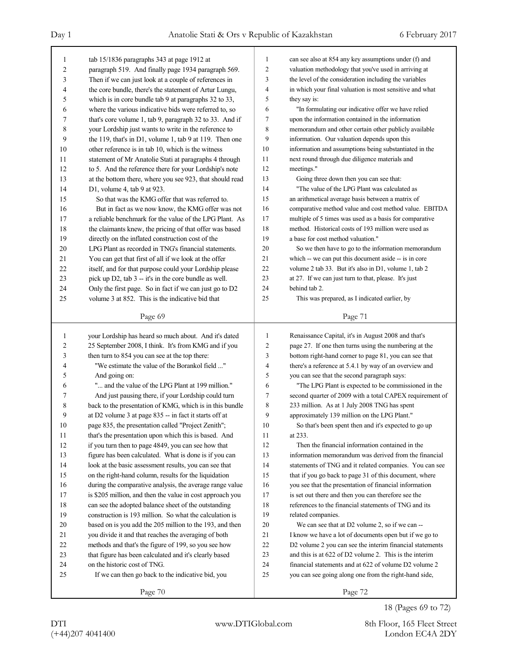| 1              | tab 15/1836 paragraphs 343 at page 1912 at                | 1              | can see also at 854 any key assumptions under (f) and    |
|----------------|-----------------------------------------------------------|----------------|----------------------------------------------------------|
| $\overline{c}$ | paragraph 519. And finally page 1934 paragraph 569.       | $\overline{c}$ | valuation methodology that you've used in arriving at    |
| 3              | Then if we can just look at a couple of references in     | 3              | the level of the consideration including the variables   |
| 4              | the core bundle, there's the statement of Artur Lungu,    | 4              | in which your final valuation is most sensitive and what |
| 5              | which is in core bundle tab 9 at paragraphs 32 to 33,     | 5              | they say is:                                             |
| 6              | where the various indicative bids were referred to, so    | 6              | "In formulating our indicative offer we have relied      |
| 7              | that's core volume 1, tab 9, paragraph 32 to 33. And if   | 7              | upon the information contained in the information        |
| 8              | your Lordship just wants to write in the reference to     | 8              | memorandum and other certain other publicly available    |
| 9              | the 119, that's in D1, volume 1, tab 9 at 119. Then one   | 9              | information. Our valuation depends upon this             |
| 10             | other reference is in tab 10, which is the witness        | 10             | information and assumptions being substantiated in the   |
| 11             | statement of Mr Anatolie Stati at paragraphs 4 through    | 11             | next round through due diligence materials and           |
| 12             | to 5. And the reference there for your Lordship's note    | 12             | meetings."                                               |
| 13             | at the bottom there, where you see 923, that should read  | 13             | Going three down then you can see that:                  |
| 14             | D1, volume 4, tab 9 at 923.                               | 14             | "The value of the LPG Plant was calculated as            |
| 15             | So that was the KMG offer that was referred to.           | 15             | an arithmetical average basis between a matrix of        |
| 16             | But in fact as we now know, the KMG offer was not         | 16             | comparative method value and cost method value. EBITDA   |
| 17             | a reliable benchmark for the value of the LPG Plant. As   | 17             | multiple of 5 times was used as a basis for comparative  |
| 18             | the claimants knew, the pricing of that offer was based   | 18             | method. Historical costs of 193 million were used as     |
| 19             | directly on the inflated construction cost of the         | 19             | a base for cost method valuation."                       |
| 20             | LPG Plant as recorded in TNG's financial statements.      | $20\,$         | So we then have to go to the information memorandum      |
| 21             | You can get that first of all if we look at the offer     | 21             | which -- we can put this document aside -- is in core    |
| 22             | itself, and for that purpose could your Lordship please   | 22             | volume 2 tab 33. But it's also in D1, volume 1, tab 2    |
| 23             | pick up D2, tab 3 -- it's in the core bundle as well.     | 23             | at 27. If we can just turn to that, please. It's just    |
| 24             | Only the first page. So in fact if we can just go to D2   | 24             | behind tab 2.                                            |
| 25             | volume 3 at 852. This is the indicative bid that          | 25             | This was prepared, as I indicated earlier, by            |
|                |                                                           |                |                                                          |
|                | Page 69                                                   |                | Page 71                                                  |
|                |                                                           |                |                                                          |
|                |                                                           |                |                                                          |
| 1              | your Lordship has heard so much about. And it's dated     | 1              | Renaissance Capital, it's in August 2008 and that's      |
| 2              | 25 September 2008, I think. It's from KMG and if you      | $\overline{c}$ | page 27. If one then turns using the numbering at the    |
| 3              | then turn to 854 you can see at the top there:            | 3              | bottom right-hand corner to page 81, you can see that    |
| 4              | "We estimate the value of the Borankol field "            | 4              | there's a reference at 5.4.1 by way of an overview and   |
| 5              | And going on:                                             | 5              | you can see that the second paragraph says:              |
| 6              | " and the value of the LPG Plant at 199 million."         | 6              | "The LPG Plant is expected to be commissioned in the     |
| 7              | And just pausing there, if your Lordship could turn       | 7              | second quarter of 2009 with a total CAPEX requirement of |
| 8              | back to the presentation of KMG, which is in this bundle  | 8              | 233 million. As at 1 July 2008 TNG has spent             |
| 9              | at D2 volume 3 at page 835 -- in fact it starts off at    | 9              | approximately 139 million on the LPG Plant."             |
| 10             | page 835, the presentation called "Project Zenith";       | $10\,$         | So that's been spent then and it's expected to go up     |
| 11             | that's the presentation upon which this is based. And     | 11             | at 233.                                                  |
| 12             | if you turn then to page 4849, you can see how that       | 12             | Then the financial information contained in the          |
| 13             | figure has been calculated. What is done is if you can    | 13             | information memorandum was derived from the financial    |
| 14             | look at the basic assessment results, you can see that    | 14             | statements of TNG and it related companies. You can see  |
| 15             | on the right-hand column, results for the liquidation     | 15             | that if you go back to page 31 of this document, where   |
| 16             | during the comparative analysis, the average range value  | 16             | you see that the presentation of financial information   |
| 17             | is \$205 million, and then the value in cost approach you | 17             | is set out there and then you can therefore see the      |
| 18             | can see the adopted balance sheet of the outstanding      | 18             | references to the financial statements of TNG and its    |
| 19             | construction is 193 million. So what the calculation is   | 19             | related companies.                                       |
| 20             | based on is you add the 205 million to the 193, and then  | 20             | We can see that at D2 volume 2, so if we can --          |
| 21             | you divide it and that reaches the averaging of both      | 21             | I know we have a lot of documents open but if we go to   |
| 22             | methods and that's the figure of 199, so you see how      | 22             | D2 volume 2 you can see the interim financial statements |
| 23             | that figure has been calculated and it's clearly based    | 23             | and this is at 622 of D2 volume 2. This is the interim   |
| 24             | on the historic cost of TNG.                              | 24             | financial statements and at 622 of volume D2 volume 2    |
| 25             | If we can then go back to the indicative bid, you         | 25             | you can see going along one from the right-hand side,    |

<sup>18 (</sup>Pages 69 to 72)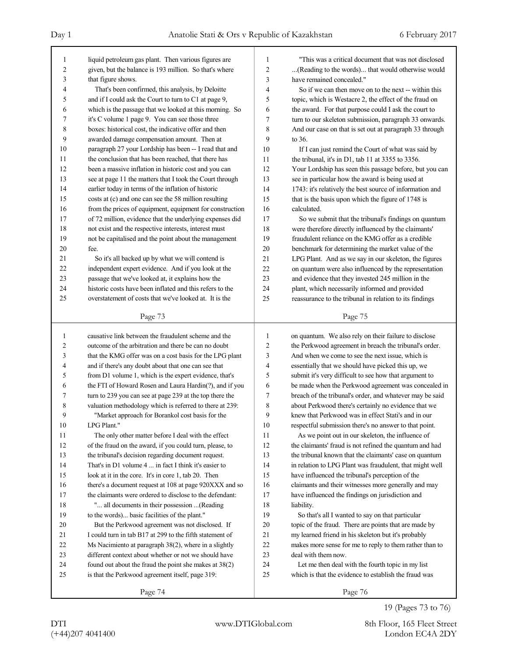| 1<br>$\overline{c}$<br>3<br>4<br>5<br>6<br>7<br>8<br>9<br>10<br>11<br>12<br>13<br>14<br>15<br>16<br>17<br>18<br>19<br>20 | liquid petroleum gas plant. Then various figures are<br>given, but the balance is 193 million. So that's where<br>that figure shows.<br>That's been confirmed, this analysis, by Deloitte<br>and if I could ask the Court to turn to C1 at page 9,<br>which is the passage that we looked at this morning. So<br>it's C volume 1 page 9. You can see those three<br>boxes: historical cost, the indicative offer and then<br>awarded damage compensation amount. Then at<br>paragraph 27 your Lordship has been -- I read that and<br>the conclusion that has been reached, that there has<br>been a massive inflation in historic cost and you can<br>see at page 11 the matters that I took the Court through<br>earlier today in terms of the inflation of historic<br>costs at (c) and one can see the 58 million resulting<br>from the prices of equipment, equipment for construction<br>of 72 million, evidence that the underlying expenses did<br>not exist and the respective interests, interest must<br>not be capitalised and the point about the management<br>fee. | 1<br>2<br>3<br>4<br>5<br>6<br>7<br>8<br>9<br>10<br>11<br>12<br>13<br>14<br>15<br>16<br>17<br>18<br>19<br>20 | "This was a critical document that was not disclosed<br>(Reading to the words) that would otherwise would<br>have remained concealed."<br>So if we can then move on to the next -- within this<br>topic, which is Westacre 2, the effect of the fraud on<br>the award. For that purpose could I ask the court to<br>turn to our skeleton submission, paragraph 33 onwards.<br>And our case on that is set out at paragraph 33 through<br>to 36.<br>If I can just remind the Court of what was said by<br>the tribunal, it's in D1, tab 11 at 3355 to 3356.<br>Your Lordship has seen this passage before, but you can<br>see in particular how the award is being used at<br>1743: it's relatively the best source of information and<br>that is the basis upon which the figure of 1748 is<br>calculated.<br>So we submit that the tribunal's findings on quantum<br>were therefore directly influenced by the claimants'<br>fraudulent reliance on the KMG offer as a credible<br>benchmark for determining the market value of the |
|--------------------------------------------------------------------------------------------------------------------------|-----------------------------------------------------------------------------------------------------------------------------------------------------------------------------------------------------------------------------------------------------------------------------------------------------------------------------------------------------------------------------------------------------------------------------------------------------------------------------------------------------------------------------------------------------------------------------------------------------------------------------------------------------------------------------------------------------------------------------------------------------------------------------------------------------------------------------------------------------------------------------------------------------------------------------------------------------------------------------------------------------------------------------------------------------------------------------------|-------------------------------------------------------------------------------------------------------------|---------------------------------------------------------------------------------------------------------------------------------------------------------------------------------------------------------------------------------------------------------------------------------------------------------------------------------------------------------------------------------------------------------------------------------------------------------------------------------------------------------------------------------------------------------------------------------------------------------------------------------------------------------------------------------------------------------------------------------------------------------------------------------------------------------------------------------------------------------------------------------------------------------------------------------------------------------------------------------------------------------------------------------------|
| 21                                                                                                                       | So it's all backed up by what we will contend is                                                                                                                                                                                                                                                                                                                                                                                                                                                                                                                                                                                                                                                                                                                                                                                                                                                                                                                                                                                                                                  | 21                                                                                                          | LPG Plant. And as we say in our skeleton, the figures                                                                                                                                                                                                                                                                                                                                                                                                                                                                                                                                                                                                                                                                                                                                                                                                                                                                                                                                                                                 |
| 22                                                                                                                       | independent expert evidence. And if you look at the                                                                                                                                                                                                                                                                                                                                                                                                                                                                                                                                                                                                                                                                                                                                                                                                                                                                                                                                                                                                                               | 22                                                                                                          | on quantum were also influenced by the representation                                                                                                                                                                                                                                                                                                                                                                                                                                                                                                                                                                                                                                                                                                                                                                                                                                                                                                                                                                                 |
| 23                                                                                                                       | passage that we've looked at, it explains how the                                                                                                                                                                                                                                                                                                                                                                                                                                                                                                                                                                                                                                                                                                                                                                                                                                                                                                                                                                                                                                 | 23                                                                                                          | and evidence that they invested 245 million in the                                                                                                                                                                                                                                                                                                                                                                                                                                                                                                                                                                                                                                                                                                                                                                                                                                                                                                                                                                                    |
| 24                                                                                                                       | historic costs have been inflated and this refers to the                                                                                                                                                                                                                                                                                                                                                                                                                                                                                                                                                                                                                                                                                                                                                                                                                                                                                                                                                                                                                          | 24                                                                                                          | plant, which necessarily informed and provided                                                                                                                                                                                                                                                                                                                                                                                                                                                                                                                                                                                                                                                                                                                                                                                                                                                                                                                                                                                        |
| 25                                                                                                                       | overstatement of costs that we've looked at. It is the                                                                                                                                                                                                                                                                                                                                                                                                                                                                                                                                                                                                                                                                                                                                                                                                                                                                                                                                                                                                                            | 25                                                                                                          | reassurance to the tribunal in relation to its findings                                                                                                                                                                                                                                                                                                                                                                                                                                                                                                                                                                                                                                                                                                                                                                                                                                                                                                                                                                               |
|                                                                                                                          |                                                                                                                                                                                                                                                                                                                                                                                                                                                                                                                                                                                                                                                                                                                                                                                                                                                                                                                                                                                                                                                                                   |                                                                                                             |                                                                                                                                                                                                                                                                                                                                                                                                                                                                                                                                                                                                                                                                                                                                                                                                                                                                                                                                                                                                                                       |
|                                                                                                                          | Page 73                                                                                                                                                                                                                                                                                                                                                                                                                                                                                                                                                                                                                                                                                                                                                                                                                                                                                                                                                                                                                                                                           |                                                                                                             | Page 75                                                                                                                                                                                                                                                                                                                                                                                                                                                                                                                                                                                                                                                                                                                                                                                                                                                                                                                                                                                                                               |
|                                                                                                                          |                                                                                                                                                                                                                                                                                                                                                                                                                                                                                                                                                                                                                                                                                                                                                                                                                                                                                                                                                                                                                                                                                   |                                                                                                             |                                                                                                                                                                                                                                                                                                                                                                                                                                                                                                                                                                                                                                                                                                                                                                                                                                                                                                                                                                                                                                       |
| $\mathbf{1}$                                                                                                             | causative link between the fraudulent scheme and the                                                                                                                                                                                                                                                                                                                                                                                                                                                                                                                                                                                                                                                                                                                                                                                                                                                                                                                                                                                                                              | 1                                                                                                           | on quantum. We also rely on their failure to disclose                                                                                                                                                                                                                                                                                                                                                                                                                                                                                                                                                                                                                                                                                                                                                                                                                                                                                                                                                                                 |
| 2                                                                                                                        | outcome of the arbitration and there be can no doubt                                                                                                                                                                                                                                                                                                                                                                                                                                                                                                                                                                                                                                                                                                                                                                                                                                                                                                                                                                                                                              | 2                                                                                                           | the Perkwood agreement in breach the tribunal's order.                                                                                                                                                                                                                                                                                                                                                                                                                                                                                                                                                                                                                                                                                                                                                                                                                                                                                                                                                                                |
| 3                                                                                                                        | that the KMG offer was on a cost basis for the LPG plant                                                                                                                                                                                                                                                                                                                                                                                                                                                                                                                                                                                                                                                                                                                                                                                                                                                                                                                                                                                                                          | 3                                                                                                           | And when we come to see the next issue, which is                                                                                                                                                                                                                                                                                                                                                                                                                                                                                                                                                                                                                                                                                                                                                                                                                                                                                                                                                                                      |
| 4                                                                                                                        | and if there's any doubt about that one can see that                                                                                                                                                                                                                                                                                                                                                                                                                                                                                                                                                                                                                                                                                                                                                                                                                                                                                                                                                                                                                              | 4                                                                                                           | essentially that we should have picked this up, we                                                                                                                                                                                                                                                                                                                                                                                                                                                                                                                                                                                                                                                                                                                                                                                                                                                                                                                                                                                    |
| 5                                                                                                                        | from D1 volume 1, which is the expert evidence, that's                                                                                                                                                                                                                                                                                                                                                                                                                                                                                                                                                                                                                                                                                                                                                                                                                                                                                                                                                                                                                            | 5                                                                                                           | submit it's very difficult to see how that argument to                                                                                                                                                                                                                                                                                                                                                                                                                                                                                                                                                                                                                                                                                                                                                                                                                                                                                                                                                                                |
| 6                                                                                                                        | the FTI of Howard Rosen and Laura Hardin(?), and if you                                                                                                                                                                                                                                                                                                                                                                                                                                                                                                                                                                                                                                                                                                                                                                                                                                                                                                                                                                                                                           | 6                                                                                                           | be made when the Perkwood agreement was concealed in                                                                                                                                                                                                                                                                                                                                                                                                                                                                                                                                                                                                                                                                                                                                                                                                                                                                                                                                                                                  |
| 7                                                                                                                        | turn to 239 you can see at page 239 at the top there the                                                                                                                                                                                                                                                                                                                                                                                                                                                                                                                                                                                                                                                                                                                                                                                                                                                                                                                                                                                                                          | 7                                                                                                           | breach of the tribunal's order, and whatever may be said                                                                                                                                                                                                                                                                                                                                                                                                                                                                                                                                                                                                                                                                                                                                                                                                                                                                                                                                                                              |
| 8                                                                                                                        | valuation methodology which is referred to there at 239:                                                                                                                                                                                                                                                                                                                                                                                                                                                                                                                                                                                                                                                                                                                                                                                                                                                                                                                                                                                                                          | 8                                                                                                           | about Perkwood there's certainly no evidence that we                                                                                                                                                                                                                                                                                                                                                                                                                                                                                                                                                                                                                                                                                                                                                                                                                                                                                                                                                                                  |
| 9                                                                                                                        | "Market approach for Borankol cost basis for the                                                                                                                                                                                                                                                                                                                                                                                                                                                                                                                                                                                                                                                                                                                                                                                                                                                                                                                                                                                                                                  | 9                                                                                                           | knew that Perkwood was in effect Stati's and in our                                                                                                                                                                                                                                                                                                                                                                                                                                                                                                                                                                                                                                                                                                                                                                                                                                                                                                                                                                                   |
| 10                                                                                                                       | LPG Plant."                                                                                                                                                                                                                                                                                                                                                                                                                                                                                                                                                                                                                                                                                                                                                                                                                                                                                                                                                                                                                                                                       | 10                                                                                                          | respectful submission there's no answer to that point.                                                                                                                                                                                                                                                                                                                                                                                                                                                                                                                                                                                                                                                                                                                                                                                                                                                                                                                                                                                |
| 11                                                                                                                       | The only other matter before I deal with the effect                                                                                                                                                                                                                                                                                                                                                                                                                                                                                                                                                                                                                                                                                                                                                                                                                                                                                                                                                                                                                               | 11                                                                                                          | As we point out in our skeleton, the influence of                                                                                                                                                                                                                                                                                                                                                                                                                                                                                                                                                                                                                                                                                                                                                                                                                                                                                                                                                                                     |
| 12                                                                                                                       | of the fraud on the award, if you could turn, please, to                                                                                                                                                                                                                                                                                                                                                                                                                                                                                                                                                                                                                                                                                                                                                                                                                                                                                                                                                                                                                          | 12                                                                                                          | the claimants' fraud is not refined the quantum and had                                                                                                                                                                                                                                                                                                                                                                                                                                                                                                                                                                                                                                                                                                                                                                                                                                                                                                                                                                               |
| 13                                                                                                                       | the tribunal's decision regarding document request.                                                                                                                                                                                                                                                                                                                                                                                                                                                                                                                                                                                                                                                                                                                                                                                                                                                                                                                                                                                                                               | 13                                                                                                          | the tribunal known that the claimants' case on quantum                                                                                                                                                                                                                                                                                                                                                                                                                                                                                                                                                                                                                                                                                                                                                                                                                                                                                                                                                                                |
| 14                                                                                                                       | That's in D1 volume 4  in fact I think it's easier to                                                                                                                                                                                                                                                                                                                                                                                                                                                                                                                                                                                                                                                                                                                                                                                                                                                                                                                                                                                                                             | 14                                                                                                          | in relation to LPG Plant was fraudulent, that might well                                                                                                                                                                                                                                                                                                                                                                                                                                                                                                                                                                                                                                                                                                                                                                                                                                                                                                                                                                              |
| 15                                                                                                                       | look at it in the core. It's in core 1, tab 20. Then                                                                                                                                                                                                                                                                                                                                                                                                                                                                                                                                                                                                                                                                                                                                                                                                                                                                                                                                                                                                                              | 15                                                                                                          | have influenced the tribunal's perception of the                                                                                                                                                                                                                                                                                                                                                                                                                                                                                                                                                                                                                                                                                                                                                                                                                                                                                                                                                                                      |
| 16                                                                                                                       | there's a document request at 108 at page 920XXX and so                                                                                                                                                                                                                                                                                                                                                                                                                                                                                                                                                                                                                                                                                                                                                                                                                                                                                                                                                                                                                           | 16                                                                                                          | claimants and their witnesses more generally and may                                                                                                                                                                                                                                                                                                                                                                                                                                                                                                                                                                                                                                                                                                                                                                                                                                                                                                                                                                                  |
| 17                                                                                                                       | the claimants were ordered to disclose to the defendant:                                                                                                                                                                                                                                                                                                                                                                                                                                                                                                                                                                                                                                                                                                                                                                                                                                                                                                                                                                                                                          | 17                                                                                                          | have influenced the findings on jurisdiction and                                                                                                                                                                                                                                                                                                                                                                                                                                                                                                                                                                                                                                                                                                                                                                                                                                                                                                                                                                                      |
| $18\,$                                                                                                                   | " all documents in their possession  (Reading                                                                                                                                                                                                                                                                                                                                                                                                                                                                                                                                                                                                                                                                                                                                                                                                                                                                                                                                                                                                                                     | 18                                                                                                          | liability.                                                                                                                                                                                                                                                                                                                                                                                                                                                                                                                                                                                                                                                                                                                                                                                                                                                                                                                                                                                                                            |
| 19                                                                                                                       | to the words) basic facilities of the plant."                                                                                                                                                                                                                                                                                                                                                                                                                                                                                                                                                                                                                                                                                                                                                                                                                                                                                                                                                                                                                                     | 19                                                                                                          | So that's all I wanted to say on that particular                                                                                                                                                                                                                                                                                                                                                                                                                                                                                                                                                                                                                                                                                                                                                                                                                                                                                                                                                                                      |
| 20                                                                                                                       | But the Perkwood agreement was not disclosed. If                                                                                                                                                                                                                                                                                                                                                                                                                                                                                                                                                                                                                                                                                                                                                                                                                                                                                                                                                                                                                                  | 20                                                                                                          | topic of the fraud. There are points that are made by                                                                                                                                                                                                                                                                                                                                                                                                                                                                                                                                                                                                                                                                                                                                                                                                                                                                                                                                                                                 |
| 21                                                                                                                       | I could turn in tab B17 at 299 to the fifth statement of                                                                                                                                                                                                                                                                                                                                                                                                                                                                                                                                                                                                                                                                                                                                                                                                                                                                                                                                                                                                                          | 21                                                                                                          | my learned friend in his skeleton but it's probably                                                                                                                                                                                                                                                                                                                                                                                                                                                                                                                                                                                                                                                                                                                                                                                                                                                                                                                                                                                   |
| 22                                                                                                                       | Ms Nacimiento at paragraph 38(2), where in a slightly                                                                                                                                                                                                                                                                                                                                                                                                                                                                                                                                                                                                                                                                                                                                                                                                                                                                                                                                                                                                                             | 22                                                                                                          | makes more sense for me to reply to them rather than to                                                                                                                                                                                                                                                                                                                                                                                                                                                                                                                                                                                                                                                                                                                                                                                                                                                                                                                                                                               |
| 23                                                                                                                       | different context about whether or not we should have                                                                                                                                                                                                                                                                                                                                                                                                                                                                                                                                                                                                                                                                                                                                                                                                                                                                                                                                                                                                                             | 23                                                                                                          | deal with them now.                                                                                                                                                                                                                                                                                                                                                                                                                                                                                                                                                                                                                                                                                                                                                                                                                                                                                                                                                                                                                   |
| 24                                                                                                                       | found out about the fraud the point she makes at 38(2)                                                                                                                                                                                                                                                                                                                                                                                                                                                                                                                                                                                                                                                                                                                                                                                                                                                                                                                                                                                                                            | 24                                                                                                          | Let me then deal with the fourth topic in my list                                                                                                                                                                                                                                                                                                                                                                                                                                                                                                                                                                                                                                                                                                                                                                                                                                                                                                                                                                                     |
| 25                                                                                                                       | is that the Perkwood agreement itself, page 319:                                                                                                                                                                                                                                                                                                                                                                                                                                                                                                                                                                                                                                                                                                                                                                                                                                                                                                                                                                                                                                  | 25                                                                                                          | which is that the evidence to establish the fraud was                                                                                                                                                                                                                                                                                                                                                                                                                                                                                                                                                                                                                                                                                                                                                                                                                                                                                                                                                                                 |

19 (Pages 73 to 76)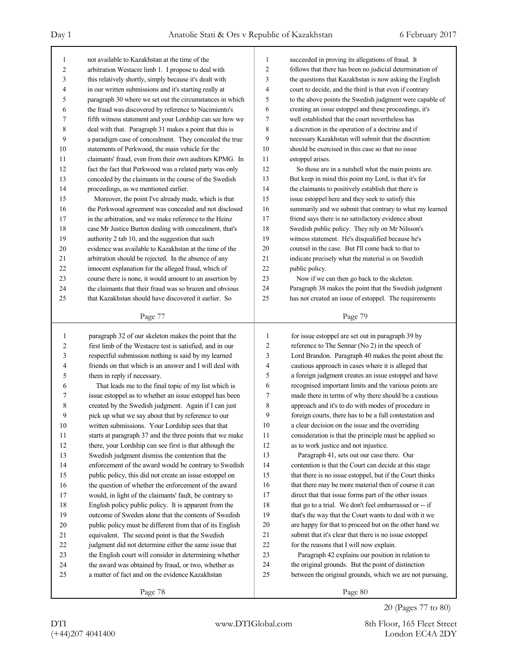| $\mathbf{1}$   | not available to Kazakhstan at the time of the             | 1              | succeeded in proving its allegations of fraud. It                   |
|----------------|------------------------------------------------------------|----------------|---------------------------------------------------------------------|
| $\overline{c}$ | arbitration Westacre limb 1. I propose to deal with        | $\overline{2}$ | follows that there has been no judicial determination of            |
| 3              | this relatively shortly, simply because it's dealt with    | 3              | the questions that Kazakhstan is now asking the English             |
| 4              | in our written submissions and it's starting really at     | 4              | court to decide, and the third is that even if contrary             |
| 5              | paragraph 30 where we set out the circumstances in which   | 5              | to the above points the Swedish judgment were capable of            |
| 6              | the fraud was discovered by reference to Nacimiento's      | 6              | creating an issue estoppel and these proceedings, it's              |
| 7              | fifth witness statement and your Lordship can see how we   | 7              | well established that the court nevertheless has                    |
| 8              | deal with that. Paragraph 31 makes a point that this is    | 8              | a discretion in the operation of a doctrine and if                  |
| 9              | a paradigm case of concealment. They concealed the true    | 9              | necessary Kazakhstan will submit that the discretion                |
| 10             | statements of Perkwood, the main vehicle for the           | 10             | should be exercised in this case so that no issue                   |
| 11             | claimants' fraud, even from their own auditors KPMG. In    | 11             | estoppel arises.                                                    |
| 12             | fact the fact that Perkwood was a related party was only   | 12             | So those are in a nutshell what the main points are.                |
| 13             | conceded by the claimants in the course of the Swedish     | 13             | But keep in mind this point my Lord, is that it's for               |
| 14             | proceedings, as we mentioned earlier.                      | 14             | the claimants to positively establish that there is                 |
| 15             | Moreover, the point I've already made, which is that       | 15             | issue estoppel here and they seek to satisfy this                   |
| 16             | the Perkwood agreement was concealed and not disclosed     | 16             | summarily and we submit that contrary to what my learned            |
| 17             | in the arbitration, and we make reference to the Heinz     | 17             | friend says there is no satisfactory evidence about                 |
| 18             | case Mr Justice Burton dealing with concealment, that's    | 18             | Swedish public policy. They rely on Mr Nilsson's                    |
| 19             | authority 2 tab 10, and the suggestion that such           | 19             | witness statement. He's disqualified because he's                   |
| $20\,$         | evidence was available to Kazakhstan at the time of the    | 20             | counsel in the case. But I'll come back to that to                  |
| 21             | arbitration should be rejected. In the absence of any      | 21             | indicate precisely what the material is on Swedish                  |
| 22             | innocent explanation for the alleged fraud, which of       | 22             | public policy.                                                      |
| 23             | course there is none, it would amount to an assertion by   | 23             | Now if we can then go back to the skeleton.                         |
| 24             | the claimants that their fraud was so brazen and obvious   | 24             | Paragraph 38 makes the point that the Swedish judgment              |
| 25             | that Kazakhstan should have discovered it earlier. So      | 25             | has not created an issue of estoppel. The requirements              |
|                | Page 77                                                    |                | Page 79                                                             |
|                |                                                            |                |                                                                     |
|                |                                                            |                |                                                                     |
| $\mathbf{1}$   | paragraph 32 of our skeleton makes the point that the      | 1              | for issue estoppel are set out in paragraph 39 by                   |
| $\overline{c}$ | first limb of the Westacre test is satisfied, and in our   | $\overline{2}$ | reference to The Sennar (No 2) in the speech of                     |
| 3              | respectful submission nothing is said by my learned        | 3              | Lord Brandon. Paragraph 40 makes the point about the                |
| 4              | friends on that which is an answer and I will deal with    | $\overline{4}$ | cautious approach in cases where it is alleged that                 |
| 5              | them in reply if necessary.                                | 5              | a foreign judgment creates an issue estoppel and have               |
| 6              | That leads me to the final topic of my list which is       | 6              | recognised important limits and the various points are              |
| 7              | issue estoppel as to whether an issue estoppel has been    | 7              | made there in terms of why there should be a cautious               |
| 8              | created by the Swedish judgment. Again if I can just       | 8              | approach and it's to do with modes of procedure in                  |
| 9              | pick up what we say about that by reference to our         | 9              | foreign courts, there has to be a full contestation and             |
| 10             | written submissions. Your Lordship sees that that          | 10             | a clear decision on the issue and the overriding                    |
| 11             | starts at paragraph 37 and the three points that we make   | 11             | consideration is that the principle must be applied so              |
| 12             | there, your Lordship can see first is that although the    | 12             | as to work justice and not injustice.                               |
| 13             | Swedish judgment dismiss the contention that the           | 13             | Paragraph 41, sets out our case there. Our                          |
| 14             | enforcement of the award would be contrary to Swedish      | 14             | contention is that the Court can decide at this stage               |
| 15             | public policy, this did not create an issue estoppel on    | 15             | that there is no issue estoppel, but if the Court thinks            |
| 16             | the question of whether the enforcement of the award       | 16             | that there may be more material then of course it can               |
| 17             | would, in light of the claimants' fault, be contrary to    | 17             | direct that that issue forms part of the other issues               |
| 18             | English policy public policy. It is apparent from the      | $18\,$         | that go to a trial. We don't feel embarrassed or -- if              |
| 19             | outcome of Sweden alone that the contents of Swedish       | 19             | that's the way that the Court wants to deal with it we              |
| 20             | public policy must be different from that of its English   | $20\,$         | are happy for that to proceed but on the other hand we              |
| 21             | equivalent. The second point is that the Swedish           | 21             | submit that it's clear that there is no issue estoppel              |
| 22             | judgment did not determine either the same issue that      | 22             | for the reasons that I will now explain.                            |
| 23             | the English court will consider in determining whether     | 23             | Paragraph 42 explains our position in relation to                   |
| 24             | the award was obtained by fraud, or two, whether as        | 24             | the original grounds. But the point of distinction                  |
| 25             | a matter of fact and on the evidence Kazakhstan<br>Page 78 | 25             | between the original grounds, which we are not pursuing,<br>Page 80 |

<sup>20 (</sup>Pages 77 to 80)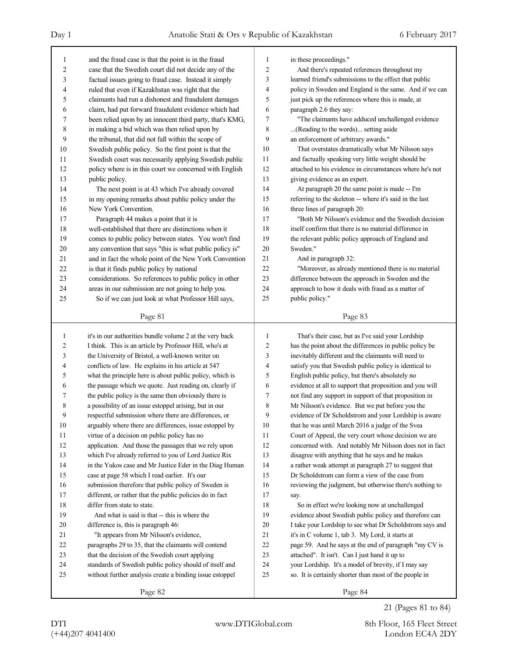| 1                | and the fraud case is that the point is in the fraud     | $\mathbf{1}$            | in these proceedings."                                   |
|------------------|----------------------------------------------------------|-------------------------|----------------------------------------------------------|
| $\overline{c}$   | case that the Swedish court did not decide any of the    | $\overline{\mathbf{c}}$ | And there's repeated references throughout my            |
| 3                | factual issues going to fraud case. Instead it simply    | 3                       | learned friend's submissions to the effect that public   |
| 4                | ruled that even if Kazakhstan was right that the         | $\overline{4}$          | policy in Sweden and England is the same. And if we can  |
| 5                | claimants had run a dishonest and fraudulent damages     | 5                       | just pick up the references where this is made, at       |
| 6                | claim, had put forward fraudulent evidence which had     | 6                       | paragraph 2.6 they say:                                  |
| 7                | been relied upon by an innocent third party, that's KMG, | 7                       | "The claimants have adduced unchallenged evidence        |
| 8                | in making a bid which was then relied upon by            | 8                       | (Reading to the words) setting aside                     |
| 9                | the tribunal, that did not fall within the scope of      | 9                       | an enforcement of arbitrary awards."                     |
| 10               | Swedish public policy. So the first point is that the    | 10                      | That overstates dramatically what Mr Nilsson says        |
| 11               | Swedish court was necessarily applying Swedish public    | 11                      | and factually speaking very little weight should be      |
| 12               | policy where is in this court we concerned with English  | 12                      | attached to his evidence in circumstances where he's not |
| 13               | public policy.                                           | 13                      | giving evidence as an expert.                            |
| 14               | The next point is at 43 which I've already covered       | 14                      | At paragraph 20 the same point is made -- I'm            |
| 15               | in my opening remarks about public policy under the      | 15                      | referring to the skeleton -- where it's said in the last |
| 16               | New York Convention.                                     | 16                      | three lines of paragraph 20:                             |
| 17               | Paragraph 44 makes a point that it is                    | 17                      | "Both Mr Nilsson's evidence and the Swedish decision     |
| 18               | well-established that there are distinctions when it     | 18                      | itself confirm that there is no material difference in   |
| 19               | comes to public policy between states. You won't find    | 19                      | the relevant public policy approach of England and       |
| 20               | any convention that says "this is what public policy is" | 20                      | Sweden."                                                 |
| 21               | and in fact the whole point of the New York Convention   | 21                      | And in paragraph 32:                                     |
| 22               | is that it finds public policy by national               | 22                      | "Moreover, as already mentioned there is no material     |
| 23               | considerations. So references to public policy in other  | 23                      | difference between the approach in Sweden and the        |
| 24               | areas in our submission are not going to help you.       | 24                      | approach to how it deals with fraud as a matter of       |
| 25               | So if we can just look at what Professor Hill says,      | 25                      | public policy."                                          |
|                  | Page 81                                                  |                         | Page 83                                                  |
|                  |                                                          |                         |                                                          |
|                  |                                                          |                         |                                                          |
| $\mathbf{1}$     | it's in our authorities bundle volume 2 at the very back | $\mathbf{1}$            | That's their case, but as I've said your Lordship        |
| $\boldsymbol{2}$ | I think. This is an article by Professor Hill, who's at  | $\overline{\mathbf{c}}$ | has the point about the differences in public policy be  |
| 3                | the University of Bristol, a well-known writer on        | $\mathfrak{Z}$          | inevitably different and the claimants will need to      |
| 4                | conflicts of law. He explains in his article at 547      | $\overline{4}$          | satisfy you that Swedish public policy is identical to   |
| 5                | what the principle here is about public policy, which is | 5                       | English public policy, but there's absolutely no         |
| 6                | the passage which we quote. Just reading on, clearly if  | 6                       | evidence at all to support that proposition and you will |
| 7                | the public policy is the same then obviously there is    | 7                       | not find any support in support of that proposition in   |
| 8                | a possibility of an issue estoppel arising, but in our   | 8                       | Mr Nilsson's evidence. But we put before you the         |
| 9                | respectful submission where there are differences, or    | 9                       | evidence of Dr Scholdstrom and your Lordship is aware    |
| $10\,$           | arguably where there are differences, issue estoppel by  | 10                      | that he was until March 2016 a judge of the Svea         |
| 11               | virtue of a decision on public policy has no             | 11                      | Court of Appeal, the very court whose decision we are    |
| 12               | application. And those the passages that we rely upon    | 12                      | concerned with. And notably Mr Nilsson does not in fact  |
| 13               | which I've already referred to you of Lord Justice Rix   | 13                      | disagree with anything that he says and he makes         |
| 14               | in the Yukos case and Mr Justice Eder in the Diag Human  | 14                      | a rather weak attempt at paragraph 27 to suggest that    |
| 15               | case at page 58 which I read earlier. It's our           | 15                      | Dr Scholdstrom can form a view of the case from          |
| 16               | submission therefore that public policy of Sweden is     | 16                      | reviewing the judgment, but otherwise there's nothing to |
| 17               | different, or rather that the public policies do in fact | 17                      | say.                                                     |
| 18               | differ from state to state.                              | 18                      | So in effect we're looking now at unchallenged           |
| 19               | And what is said is that -- this is where the            | 19                      | evidence about Swedish public policy and therefore can   |
| 20               | difference is, this is paragraph 46:                     | $20\,$                  | I take your Lordship to see what Dr Scholdstrom says and |
| 21               | "It appears from Mr Nilsson's evidence,                  | 21                      | it's in C volume 1, tab 3. My Lord, it starts at         |
| $22\,$           | paragraphs 29 to 35, that the claimants will contend     | 22                      | page 59. And he says at the end of paragraph "my CV is   |
| 23               | that the decision of the Swedish court applying          | 23                      | attached". It isn't. Can I just hand it up to            |
| 24               | standards of Swedish public policy should of itself and  | 24                      | your Lordship. It's a model of brevity, if I may say     |
| 25               | without further analysis create a binding issue estoppel | 25                      | so. It is certainly shorter than most of the people in   |

21 (Pages 81 to 84)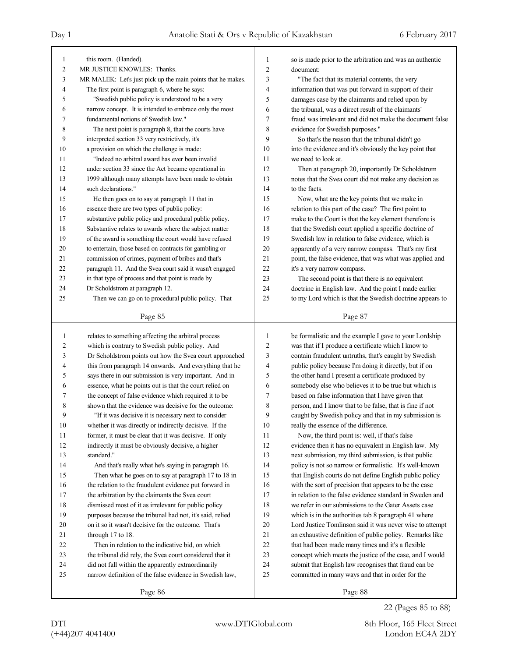| $\mathbf{1}$            | this room. (Handed).                                                                                          | $\mathbf{1}$     | so is made prior to the arbitration and was an authentic                                                 |
|-------------------------|---------------------------------------------------------------------------------------------------------------|------------------|----------------------------------------------------------------------------------------------------------|
| $\overline{c}$          | MR JUSTICE KNOWLES: Thanks.                                                                                   | $\overline{c}$   | document:                                                                                                |
| 3                       | MR MALEK: Let's just pick up the main points that he makes.                                                   | 3                | "The fact that its material contents, the very                                                           |
| 4                       | The first point is paragraph 6, where he says:                                                                | 4                | information that was put forward in support of their                                                     |
| 5                       | "Swedish public policy is understood to be a very                                                             | 5                | damages case by the claimants and relied upon by                                                         |
| 6                       | narrow concept. It is intended to embrace only the most                                                       | 6                | the tribunal, was a direct result of the claimants'                                                      |
| 7                       | fundamental notions of Swedish law."                                                                          | 7                | fraud was irrelevant and did not make the document false                                                 |
| 8                       | The next point is paragraph 8, that the courts have                                                           | 8                | evidence for Swedish purposes."                                                                          |
| 9                       | interpreted section 33 very restrictively, it's                                                               | 9                | So that's the reason that the tribunal didn't go                                                         |
| 10                      | a provision on which the challenge is made:                                                                   | 10               | into the evidence and it's obviously the key point that                                                  |
| 11                      | "Indeed no arbitral award has ever been invalid                                                               | 11               | we need to look at.                                                                                      |
| 12                      | under section 33 since the Act became operational in                                                          | 12               | Then at paragraph 20, importantly Dr Scholdstrom                                                         |
| 13                      | 1999 although many attempts have been made to obtain                                                          | 13               | notes that the Svea court did not make any decision as                                                   |
| 14                      | such declarations."                                                                                           | 14               | to the facts.                                                                                            |
| 15                      | He then goes on to say at paragraph 11 that in                                                                | 15               | Now, what are the key points that we make in                                                             |
| 16                      | essence there are two types of public policy:                                                                 | 16               | relation to this part of the case? The first point to                                                    |
| 17                      | substantive public policy and procedural public policy.                                                       | 17               | make to the Court is that the key element therefore is                                                   |
| 18                      | Substantive relates to awards where the subject matter                                                        | 18               | that the Swedish court applied a specific doctrine of                                                    |
| 19                      | of the award is something the court would have refused                                                        | 19               | Swedish law in relation to false evidence, which is                                                      |
| 20                      | to entertain, those based on contracts for gambling or                                                        | 20               | apparently of a very narrow compass. That's my first                                                     |
| 21                      | commission of crimes, payment of bribes and that's                                                            | 21               | point, the false evidence, that was what was applied and                                                 |
| 22                      | paragraph 11. And the Svea court said it wasn't engaged                                                       | 22               | it's a very narrow compass.                                                                              |
| 23                      | in that type of process and that point is made by                                                             | 23               | The second point is that there is no equivalent                                                          |
| 24                      | Dr Scholdstrom at paragraph 12.                                                                               | 24               | doctrine in English law. And the point I made earlier                                                    |
| 25                      | Then we can go on to procedural public policy. That                                                           | 25               | to my Lord which is that the Swedish doctrine appears to                                                 |
|                         |                                                                                                               |                  |                                                                                                          |
|                         | Page 85                                                                                                       |                  | Page 87                                                                                                  |
|                         |                                                                                                               |                  |                                                                                                          |
|                         |                                                                                                               |                  |                                                                                                          |
| $\mathbf{1}$            | relates to something affecting the arbitral process                                                           | $\mathbf{1}$     | be formalistic and the example I gave to your Lordship                                                   |
| $\overline{\mathbf{c}}$ | which is contrary to Swedish public policy. And                                                               | $\boldsymbol{2}$ | was that if I produce a certificate which I know to                                                      |
| 3                       | Dr Scholdstrom points out how the Svea court approached                                                       | $\mathfrak{Z}$   | contain fraudulent untruths, that's caught by Swedish                                                    |
| $\overline{4}$          | this from paragraph 14 onwards. And everything that he                                                        | $\overline{4}$   | public policy because I'm doing it directly, but if on                                                   |
| 5                       | says there in our submission is very important. And in                                                        | 5                | the other hand I present a certificate produced by                                                       |
| 6                       | essence, what he points out is that the court relied on                                                       | 6                | somebody else who believes it to be true but which is                                                    |
| 7                       | the concept of false evidence which required it to be                                                         | 7                | based on false information that I have given that                                                        |
| 8                       | shown that the evidence was decisive for the outcome:                                                         | 8                | person, and I know that to be false, that is fine if not                                                 |
| 9                       | "If it was decisive it is necessary next to consider                                                          | 9                | caught by Swedish policy and that in my submission is                                                    |
| $10\,$                  | whether it was directly or indirectly decisive. If the                                                        | 10               | really the essence of the difference.                                                                    |
| 11                      | former, it must be clear that it was decisive. If only                                                        | 11               | Now, the third point is: well, if that's false                                                           |
| 12                      | indirectly it must be obviously decisive, a higher                                                            | 12               | evidence then it has no equivalent in English law. My                                                    |
| 13                      | standard."                                                                                                    | 13               | next submission, my third submission, is that public                                                     |
| 14                      | And that's really what he's saying in paragraph 16.                                                           | 14               | policy is not so narrow or formalistic. It's well-known                                                  |
| 15                      | Then what he goes on to say at paragraph 17 to 18 in                                                          | 15               | that English courts do not define English public policy                                                  |
| 16                      | the relation to the fraudulent evidence put forward in                                                        | 16               | with the sort of precision that appears to be the case                                                   |
| 17                      | the arbitration by the claimants the Svea court                                                               | 17               | in relation to the false evidence standard in Sweden and                                                 |
| $18\,$                  | dismissed most of it as irrelevant for public policy                                                          | $18\,$           | we refer in our submissions to the Gater Assets case                                                     |
| 19                      | purposes because the tribunal had not, it's said, relied                                                      | 19               | which is in the authorities tab 8 paragraph 41 where                                                     |
| $20\,$                  | on it so it wasn't decisive for the outcome. That's                                                           | 20               | Lord Justice Tomlinson said it was never wise to attempt                                                 |
| 21<br>22                | through 17 to 18.                                                                                             | 21<br>22         | an exhaustive definition of public policy. Remarks like                                                  |
| 23                      | Then in relation to the indicative bid, on which                                                              | 23               | that had been made many times and it's a flexible                                                        |
|                         | the tribunal did rely, the Svea court considered that it                                                      |                  | concept which meets the justice of the case, and I would                                                 |
| 24<br>25                | did not fall within the apparently extraordinarily<br>narrow definition of the false evidence in Swedish law, | 24<br>25         | submit that English law recognises that fraud can be<br>committed in many ways and that in order for the |
|                         | Page 86                                                                                                       |                  | Page 88                                                                                                  |

22 (Pages 85 to 88)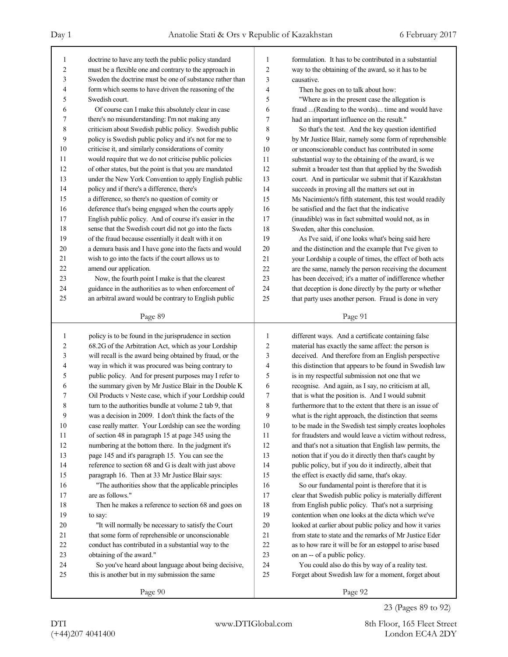| 1              | doctrine to have any teeth the public policy standard    | 1              | formulation. It has to be contributed in a substantial   |
|----------------|----------------------------------------------------------|----------------|----------------------------------------------------------|
| $\overline{c}$ | must be a flexible one and contrary to the approach in   | $\overline{2}$ | way to the obtaining of the award, so it has to be       |
| 3              | Sweden the doctrine must be one of substance rather than | 3              | causative.                                               |
| 4              | form which seems to have driven the reasoning of the     | 4              | Then he goes on to talk about how:                       |
| 5              | Swedish court.                                           | 5              | "Where as in the present case the allegation is          |
| 6              | Of course can I make this absolutely clear in case       | 6              | fraud (Reading to the words) time and would have         |
| 7              | there's no misunderstanding: I'm not making any          | 7              | had an important influence on the result."               |
| 8              | criticism about Swedish public policy. Swedish public    | 8              | So that's the test. And the key question identified      |
| 9              | policy is Swedish public policy and it's not for me to   | 9              | by Mr Justice Blair, namely some form of reprehensible   |
| 10             | criticise it, and similarly considerations of comity     | 10             | or unconscionable conduct has contributed in some        |
| 11             | would require that we do not criticise public policies   | 11             | substantial way to the obtaining of the award, is we     |
| 12             | of other states, but the point is that you are mandated  | 12             | submit a broader test than that applied by the Swedish   |
| 13             | under the New York Convention to apply English public    | 13             | court. And in particular we submit that if Kazakhstan    |
| 14             | policy and if there's a difference, there's              | 14             | succeeds in proving all the matters set out in           |
| 15             | a difference, so there's no question of comity or        | 15             | Ms Nacimiento's fifth statement, this test would readily |
| 16             | deference that's being engaged when the courts apply     | 16             | be satisfied and the fact that the indicative            |
| 17             | English public policy. And of course it's easier in the  | 17             | (inaudible) was in fact submitted would not, as in       |
| 18             | sense that the Swedish court did not go into the facts   | 18             | Sweden, alter this conclusion.                           |
| 19             | of the fraud because essentially it dealt with it on     | 19             | As I've said, if one looks what's being said here        |
| 20             | a demura basis and I have gone into the facts and would  | 20             | and the distinction and the example that I've given to   |
| 21             | wish to go into the facts if the court allows us to      | 21             | your Lordship a couple of times, the effect of both acts |
| 22             | amend our application.                                   | 22             | are the same, namely the person receiving the document   |
| 23             | Now, the fourth point I make is that the clearest        | 23             | has been deceived; it's a matter of indifference whether |
| 24             | guidance in the authorities as to when enforcement of    | 24             | that deception is done directly by the party or whether  |
| 25             | an arbitral award would be contrary to English public    | 25             | that party uses another person. Fraud is done in very    |
|                |                                                          |                |                                                          |
|                | Page 89                                                  |                | Page 91                                                  |
| 1              |                                                          |                |                                                          |
|                |                                                          |                |                                                          |
|                | policy is to be found in the jurisprudence in section    | 1              | different ways. And a certificate containing false       |
| 2              | 68.2G of the Arbitration Act, which as your Lordship     | 2              | material has exactly the same affect: the person is      |
| 3              | will recall is the award being obtained by fraud, or the | 3              | deceived. And therefore from an English perspective      |
| 4              | way in which it was procured was being contrary to       | 4              | this distinction that appears to be found in Swedish law |
| 5              | public policy. And for present purposes may I refer to   | 5              | is in my respectful submission not one that we           |
| 6              | the summary given by Mr Justice Blair in the Double K    | 6              | recognise. And again, as I say, no criticism at all,     |
| 7              | Oil Products v Neste case, which if your Lordship could  | 7              | that is what the position is. And I would submit         |
| 8              | turn to the authorities bundle at volume 2 tab 9, that   | 8              | furthermore that to the extent that there is an issue of |
| 9              | was a decision in 2009. I don't think the facts of the   | 9              | what is the right approach, the distinction that seems   |
| 10             | case really matter. Your Lordship can see the wording    | 10             | to be made in the Swedish test simply creates loopholes  |
| 11             | of section 48 in paragraph 15 at page 345 using the      | 11             | for fraudsters and would leave a victim without redress, |
| 12             | numbering at the bottom there. In the judgment it's      | 12             | and that's not a situation that English law permits, the |
| 13             | page 145 and it's paragraph 15. You can see the          | 13             | notion that if you do it directly then that's caught by  |
| 14             | reference to section 68 and G is dealt with just above   | 14             | public policy, but if you do it indirectly, albeit that  |
| 15             | paragraph 16. Then at 33 Mr Justice Blair says:          | 15             | the effect is exactly did same, that's okay.             |
| 16             | "The authorities show that the applicable principles     | 16             | So our fundamental point is therefore that it is         |
| 17             | are as follows."                                         | 17             | clear that Swedish public policy is materially different |
| 18             | Then he makes a reference to section 68 and goes on      | 18             | from English public policy. That's not a surprising      |
| 19             | to say:                                                  | 19             | contention when one looks at the dicta which we've       |
| 20             | "It will normally be necessary to satisfy the Court      | 20             | looked at earlier about public policy and how it varies  |
| 21             | that some form of reprehensible or unconscionable        | $21\,$         | from state to state and the remarks of Mr Justice Eder   |
| 22             | conduct has contributed in a substantial way to the      | 22             | as to how rare it will be for an estoppel to arise based |
| 23             | obtaining of the award."                                 | 23             | on an -- of a public policy.                             |
| 24             | So you've heard about language about being decisive,     | 24             | You could also do this by way of a reality test.         |
| 25             | this is another but in my submission the same            | 25             | Forget about Swedish law for a moment, forget about      |
|                | Page 90                                                  |                | Page 92                                                  |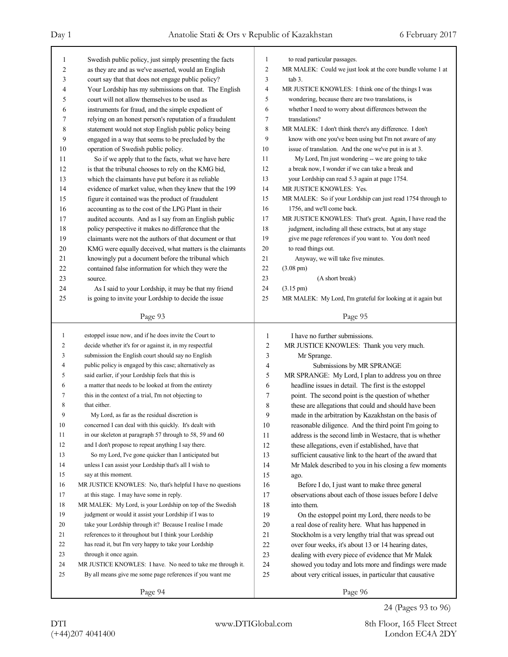| 1              | Swedish public policy, just simply presenting the facts    | 1              | to read particular passages.                                |
|----------------|------------------------------------------------------------|----------------|-------------------------------------------------------------|
| 2              | as they are and as we've asserted, would an English        | $\overline{c}$ | MR MALEK: Could we just look at the core bundle volume 1 at |
| 3              | court say that that does not engage public policy?         | 3              | tab 3.                                                      |
| 4              | Your Lordship has my submissions on that. The English      | $\overline{4}$ | MR JUSTICE KNOWLES: I think one of the things I was         |
| 5              | court will not allow themselves to be used as              | 5              | wondering, because there are two translations, is           |
| 6              | instruments for fraud, and the simple expedient of         | 6              | whether I need to worry about differences between the       |
| 7              | relying on an honest person's reputation of a fraudulent   | 7              | translations?                                               |
| 8              | statement would not stop English public policy being       | 8              | MR MALEK: I don't think there's any difference. I don't     |
| 9              | engaged in a way that seems to be precluded by the         | 9              | know with one you've been using but I'm not aware of any    |
| 10             | operation of Swedish public policy.                        | 10             | issue of translation. And the one we've put in is at 3.     |
| 11             | So if we apply that to the facts, what we have here        | 11             | My Lord, I'm just wondering -- we are going to take         |
| 12             | is that the tribunal chooses to rely on the KMG bid,       | 12             | a break now, I wonder if we can take a break and            |
| 13             | which the claimants have put before it as reliable         | 13             | your Lordship can read 5.3 again at page 1754.              |
| 14             | evidence of market value, when they knew that the 199      | 14             | MR JUSTICE KNOWLES: Yes.                                    |
| 15             | figure it contained was the product of fraudulent          | 15             | MR MALEK: So if your Lordship can just read 1754 through to |
| 16             | accounting as to the cost of the LPG Plant in their        | 16             | 1756, and we'll come back.                                  |
| 17             | audited accounts. And as I say from an English public      | 17             | MR JUSTICE KNOWLES: That's great. Again, I have read the    |
| 18             | policy perspective it makes no difference that the         | 18             | judgment, including all these extracts, but at any stage    |
| 19             | claimants were not the authors of that document or that    | 19             | give me page references if you want to. You don't need      |
|                |                                                            | 20             |                                                             |
| 20             | KMG were equally deceived, what matters is the claimants   |                | to read things out.                                         |
| 21             | knowingly put a document before the tribunal which         | 21             | Anyway, we will take five minutes.                          |
| 22             | contained false information for which they were the        | 22             | $(3.08 \text{ pm})$                                         |
| 23             | source.                                                    | 23             | (A short break)                                             |
| 24             | As I said to your Lordship, it may be that my friend       | 24             | $(3.15 \text{ pm})$                                         |
| 25             | is going to invite your Lordship to decide the issue       | 25             | MR MALEK: My Lord, I'm grateful for looking at it again but |
|                | Page 93                                                    |                | Page 95                                                     |
|                |                                                            |                |                                                             |
|                |                                                            |                |                                                             |
| $\mathbf{1}$   | estoppel issue now, and if he does invite the Court to     | 1              | I have no further submissions.                              |
| 2              | decide whether it's for or against it, in my respectful    | $\overline{c}$ | MR JUSTICE KNOWLES: Thank you very much.                    |
| 3              | submission the English court should say no English         | 3              | Mr Sprange.                                                 |
| $\overline{4}$ | public policy is engaged by this case; alternatively as    | 4              | Submissions by MR SPRANGE                                   |
| 5              | said earlier, if your Lordship feels that this is          | 5              | MR SPRANGE: My Lord, I plan to address you on three         |
| 6              | a matter that needs to be looked at from the entirety      | 6              | headline issues in detail. The first is the estoppel        |
| 7              | this in the context of a trial, I'm not objecting to       | 7              | point. The second point is the question of whether          |
| 8              | that either.                                               | 8              | these are allegations that could and should have been       |
| 9              | My Lord, as far as the residual discretion is              | 9              |                                                             |
| 10             | concerned I can deal with this quickly. It's dealt with    |                | made in the arbitration by Kazakhstan on the basis of       |
| 11             | in our skeleton at paragraph 57 through to 58, 59 and 60   | 10             | reasonable diligence. And the third point I'm going to      |
| 12             | and I don't propose to repeat anything I say there.        | 11             | address is the second limb in Westacre, that is whether     |
|                |                                                            | 12             | these allegations, even if established, have that           |
| 13             | So my Lord, I've gone quicker than I anticipated but       | 13             | sufficient causative link to the heart of the award that    |
| 14             | unless I can assist your Lordship that's all I wish to     | 14             | Mr Malek described to you in his closing a few moments      |
| 15             | say at this moment.                                        | 15             | ago.                                                        |
| 16             | MR JUSTICE KNOWLES: No, that's helpful I have no questions | 16             | Before I do, I just want to make three general              |
| 17             | at this stage. I may have some in reply.                   | 17             | observations about each of those issues before I delve      |
| 18             | MR MALEK: My Lord, is your Lordship on top of the Swedish  | 18             | into them.                                                  |
| 19             | judgment or would it assist your Lordship if I was to      | 19             | On the estoppel point my Lord, there needs to be            |
| 20             | take your Lordship through it? Because I realise I made    | 20             | a real dose of reality here. What has happened in           |
| 21             | references to it throughout but I think your Lordship      | 21             | Stockholm is a very lengthy trial that was spread out       |
| 22             | has read it, but I'm very happy to take your Lordship      | 22             | over four weeks, it's about 13 or 14 hearing dates,         |
| 23             | through it once again.                                     | 23             | dealing with every piece of evidence that Mr Malek          |
| 24             | MR JUSTICE KNOWLES: I have. No need to take me through it. | 24             | showed you today and lots more and findings were made       |
| 25             | By all means give me some page references if you want me   | 25             | about very critical issues, in particular that causative    |

24 (Pages 93 to 96)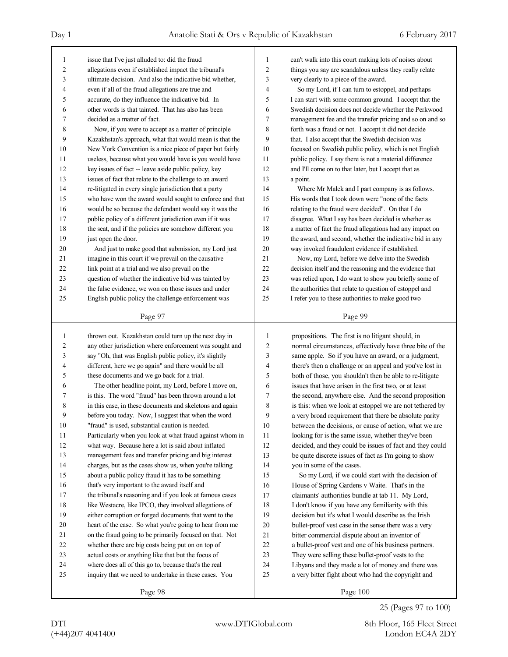Page 97 1 issue that I've just alluded to: did the fraud 2 allegations even if established impact the tribunal's 3 ultimate decision. And also the indicative bid whether, 4 even if all of the fraud allegations are true and 5 accurate, do they influence the indicative bid. In 6 other words is that tainted. That has also has been 7 decided as a matter of fact. 8 Now, if you were to accept as a matter of principle 9 Kazakhstan's approach, what that would mean is that the 10 New York Convention is a nice piece of paper but fairly 11 useless, because what you would have is you would have 12 key issues of fact -- leave aside public policy, key 13 issues of fact that relate to the challenge to an award 14 re-litigated in every single jurisdiction that a party 15 who have won the award would sought to enforce and that 16 would be so because the defendant would say it was the 17 public policy of a different jurisdiction even if it was 18 the seat, and if the policies are somehow different you 19 just open the door. 20 And just to make good that submission, my Lord just 21 imagine in this court if we prevail on the causative 22 link point at a trial and we also prevail on the 23 question of whether the indicative bid was tainted by 24 the false evidence, we won on those issues and under 25 English public policy the challenge enforcement was Page 98 1 thrown out. Kazakhstan could turn up the next day in 2 any other jurisdiction where enforcement was sought and 3 say "Oh, that was English public policy, it's slightly 4 different, here we go again" and there would be all 5 these documents and we go back for a trial. 6 The other headline point, my Lord, before I move on, 7 is this. The word "fraud" has been thrown around a lot 8 in this case, in these documents and skeletons and again 9 before you today. Now, I suggest that when the word 10 "fraud" is used, substantial caution is needed. 11 Particularly when you look at what fraud against whom in 12 what way. Because here a lot is said about inflated 13 management fees and transfer pricing and big interest 14 charges, but as the cases show us, when you're talking 15 about a public policy fraud it has to be something 16 that's very important to the award itself and 17 the tribunal's reasoning and if you look at famous cases 18 like Westacre, like IPCO, they involved allegations of 19 either corruption or forged documents that went to the 20 heart of the case. So what you're going to hear from me 21 on the fraud going to be primarily focused on that. Not 22 whether there are big costs being put on on top of 23 actual costs or anything like that but the focus of 24 where does all of this go to, because that's the real 25 inquiry that we need to undertake in these cases. You Page 99 1 can't walk into this court making lots of noises about 2 things you say are scandalous unless they really relate 3 very clearly to a piece of the award. 4 So my Lord, if I can turn to estoppel, and perhaps 5 I can start with some common ground. I accept that the 6 Swedish decision does not decide whether the Perkwood 7 management fee and the transfer pricing and so on and so 8 forth was a fraud or not. I accept it did not decide 9 that. I also accept that the Swedish decision was 10 focused on Swedish public policy, which is not English 11 public policy. I say there is not a material difference 12 and I'll come on to that later, but I accept that as 13 a point. 14 Where Mr Malek and I part company is as follows. 15 His words that I took down were "none of the facts 16 relating to the fraud were decided". On that I do 17 disagree. What I say has been decided is whether as 18 a matter of fact the fraud allegations had any impact on 19 the award, and second, whether the indicative bid in any 20 way invoked fraudulent evidence if established. 21 Now, my Lord, before we delve into the Swedish 22 decision itself and the reasoning and the evidence that 23 was relied upon, I do want to show you briefly some of 24 the authorities that relate to question of estoppel and 25 I refer you to these authorities to make good two 1 propositions. The first is no litigant should, in 2 normal circumstances, effectively have three bite of the 3 same apple. So if you have an award, or a judgment, 4 there's then a challenge or an appeal and you've lost in 5 both of those, you shouldn't then be able to re-litigate 6 issues that have arisen in the first two, or at least 7 the second, anywhere else. And the second proposition 8 is this: when we look at estoppel we are not tethered by 9 a very broad requirement that there be absolute parity 10 between the decisions, or cause of action, what we are 11 looking for is the same issue, whether they've been 12 decided, and they could be issues of fact and they could 13 be quite discrete issues of fact as I'm going to show 14 you in some of the cases. 15 So my Lord, if we could start with the decision of 16 House of Spring Gardens v Waite. That's in the 17 claimants' authorities bundle at tab 11. My Lord, 18 I don't know if you have any familiarity with this 19 decision but it's what I would describe as the Irish 20 bullet-proof vest case in the sense there was a very 21 bitter commercial dispute about an inventor of 22 a bullet-proof vest and one of his business partners. 23 They were selling these bullet-proof vests to the 24 Libyans and they made a lot of money and there was 25 a very bitter fight about who had the copyright and

Page 100

DTI www.DTIGlobal.com 8th Floor, 165 Fleet Street 25 (Pages 97 to 100)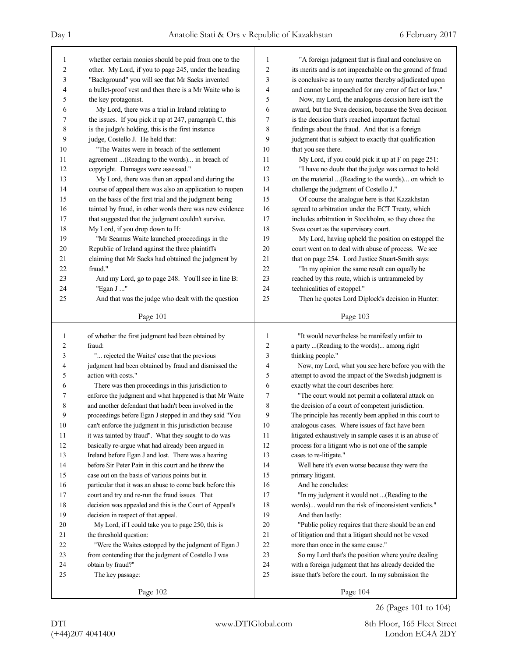| 1              | whether certain monies should be paid from one to the    | 1              | "A foreign judgment that is final and conclusive on      |  |  |
|----------------|----------------------------------------------------------|----------------|----------------------------------------------------------|--|--|
| 2              | other. My Lord, if you to page 245, under the heading    | $\overline{2}$ | its merits and is not impeachable on the ground of fraud |  |  |
| 3              | "Background" you will see that Mr Sacks invented         | 3              | is conclusive as to any matter thereby adjudicated upon  |  |  |
| 4              | a bullet-proof vest and then there is a Mr Waite who is  | 4              | and cannot be impeached for any error of fact or law."   |  |  |
| 5              | the key protagonist.                                     | 5              | Now, my Lord, the analogous decision here isn't the      |  |  |
| 6              | My Lord, there was a trial in Ireland relating to        | 6              | award, but the Svea decision, because the Svea decision  |  |  |
| 7              | the issues. If you pick it up at 247, paragraph C, this  | 7              | is the decision that's reached important factual         |  |  |
| 8              | is the judge's holding, this is the first instance       | 8              | findings about the fraud. And that is a foreign          |  |  |
| 9              | judge, Costello J. He held that:                         | 9              | judgment that is subject to exactly that qualification   |  |  |
| 10             | "The Waites were in breach of the settlement"            | 10             | that you see there.                                      |  |  |
| 11             | agreement (Reading to the words) in breach of            | 11             | My Lord, if you could pick it up at F on page 251:       |  |  |
| 12             | copyright. Damages were assessed."                       | 12             | "I have no doubt that the judge was correct to hold      |  |  |
| 13             | My Lord, there was then an appeal and during the         | 13             | on the material (Reading to the words) on which to       |  |  |
| 14             | course of appeal there was also an application to reopen | 14             | challenge the judgment of Costello J."                   |  |  |
| 15             | on the basis of the first trial and the judgment being   | 15             | Of course the analogue here is that Kazakhstan           |  |  |
| 16             | tainted by fraud, in other words there was new evidence  | 16             | agreed to arbitration under the ECT Treaty, which        |  |  |
| 17             | that suggested that the judgment couldn't survive.       | 17             | includes arbitration in Stockholm, so they chose the     |  |  |
| 18             | My Lord, if you drop down to H:                          | 18             | Svea court as the supervisory court.                     |  |  |
| 19             | "Mr Seamus Waite launched proceedings in the             | 19             | My Lord, having upheld the position on estoppel the      |  |  |
| 20             | Republic of Ireland against the three plaintiffs         | 20             | court went on to deal with abuse of process. We see      |  |  |
| 21             | claiming that Mr Sacks had obtained the judgment by      | 21             | that on page 254. Lord Justice Stuart-Smith says:        |  |  |
| 22             | fraud."                                                  | 22             | "In my opinion the same result can equally be            |  |  |
| 23             | And my Lord, go to page 248. You'll see in line B:       | 23             | reached by this route, which is untrammeled by           |  |  |
| 24             | "Egan J "                                                | 24             | technicalities of estoppel."                             |  |  |
| 25             | And that was the judge who dealt with the question       | 25             | Then he quotes Lord Diplock's decision in Hunter:        |  |  |
|                |                                                          |                | Page 103                                                 |  |  |
|                | Page 101                                                 |                |                                                          |  |  |
|                |                                                          |                |                                                          |  |  |
| $\mathbf{1}$   | of whether the first judgment had been obtained by       | 1              | "It would nevertheless be manifestly unfair to           |  |  |
| $\overline{c}$ | fraud:                                                   | $\overline{2}$ | a party (Reading to the words) among right               |  |  |
| 3              | " rejected the Waites' case that the previous            | 3              | thinking people."                                        |  |  |
| $\overline{4}$ | judgment had been obtained by fraud and dismissed the    | $\overline{4}$ | Now, my Lord, what you see here before you with the      |  |  |
| 5              | action with costs."                                      | 5              | attempt to avoid the impact of the Swedish judgment is   |  |  |
| 6              | There was then proceedings in this jurisdiction to       | 6              | exactly what the court describes here:                   |  |  |
| 7              | enforce the judgment and what happened is that Mr Waite  | 7              | "The court would not permit a collateral attack on       |  |  |
| 8              | and another defendant that hadn't been involved in the   | 8              | the decision of a court of competent jurisdiction.       |  |  |
| 9              | proceedings before Egan J stepped in and they said "You  | 9              | The principle has recently been applied in this court to |  |  |
| 10             | can't enforce the judgment in this jurisdiction because  | 10             | analogous cases. Where issues of fact have been          |  |  |
| 11             | it was tainted by fraud". What they sought to do was     | 11             | litigated exhaustively in sample cases it is an abuse of |  |  |
| 12             |                                                          | 12             |                                                          |  |  |
|                | basically re-argue what had already been argued in       | 13             | process for a litigant who is not one of the sample      |  |  |
| 13             | Ireland before Egan J and lost. There was a hearing      | 14             | cases to re-litigate."                                   |  |  |
| 14             | before Sir Peter Pain in this court and he threw the     | 15             | Well here it's even worse because they were the          |  |  |
| 15             | case out on the basis of various points but in           |                | primary litigant.                                        |  |  |
| 16             | particular that it was an abuse to come back before this | 16             | And he concludes:                                        |  |  |
| 17             | court and try and re-run the fraud issues. That          | 17             | "In my judgment it would not (Reading to the             |  |  |
| 18             | decision was appealed and this is the Court of Appeal's  | 18             | words) would run the risk of inconsistent verdicts."     |  |  |
| 19             | decision in respect of that appeal.                      | 19             | And then lastly:                                         |  |  |
| 20             | My Lord, if I could take you to page 250, this is        | 20             | "Public policy requires that there should be an end      |  |  |
| 21             | the threshold question:                                  | 21             | of litigation and that a litigant should not be vexed    |  |  |
| $22\,$         | "Were the Waites estopped by the judgment of Egan J      | 22             | more than once in the same cause."                       |  |  |
| 23             | from contending that the judgment of Costello J was      | 23             | So my Lord that's the position where you're dealing      |  |  |
| 24             | obtain by fraud?"                                        | 24             | with a foreign judgment that has already decided the     |  |  |
| 25             | The key passage:                                         | 25             | issue that's before the court. In my submission the      |  |  |

26 (Pages 101 to 104)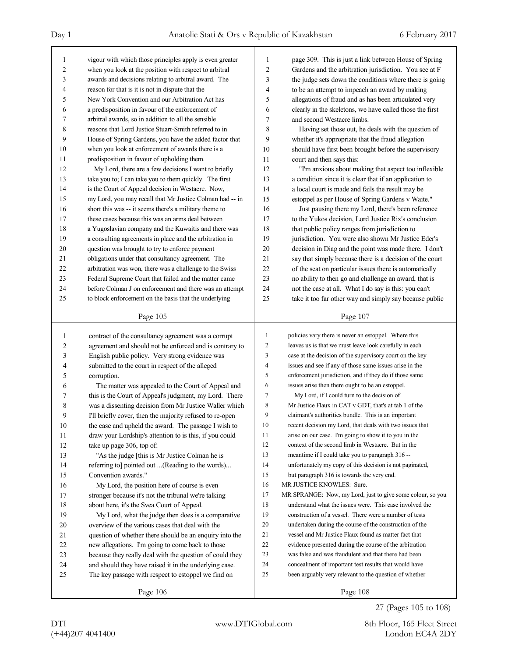| 1                       | vigour with which those principles apply is even greater | $\mathbf{1}$   | page 309. This is just a link between House of Spring      |
|-------------------------|----------------------------------------------------------|----------------|------------------------------------------------------------|
| $\overline{\mathbf{c}}$ | when you look at the position with respect to arbitral   | $\overline{c}$ | Gardens and the arbitration jurisdiction. You see at F     |
| 3                       | awards and decisions relating to arbitral award. The     | 3              | the judge sets down the conditions where there is going    |
| 4                       | reason for that is it is not in dispute that the         | 4              | to be an attempt to impeach an award by making             |
| 5                       | New York Convention and our Arbitration Act has          | 5              | allegations of fraud and as has been articulated very      |
| 6                       | a predisposition in favour of the enforcement of         | 6              | clearly in the skeletons, we have called those the first   |
| 7                       | arbitral awards, so in addition to all the sensible      | 7              | and second Westacre limbs.                                 |
| 8                       | reasons that Lord Justice Stuart-Smith referred to in    | 8              | Having set those out, he deals with the question of        |
| 9                       | House of Spring Gardens, you have the added factor that  | 9              | whether it's appropriate that the fraud allegation         |
| 10                      | when you look at enforcement of awards there is a        | 10             | should have first been brought before the supervisory      |
| 11                      | predisposition in favour of upholding them.              | 11             | court and then says this:                                  |
| 12                      | My Lord, there are a few decisions I want to briefly     | 12             | "I'm anxious about making that aspect too inflexible       |
| 13                      | take you to; I can take you to them quickly. The first   | 13             | a condition since it is clear that if an application to    |
| 14                      | is the Court of Appeal decision in Westacre. Now,        | 14             | a local court is made and fails the result may be          |
| 15                      | my Lord, you may recall that Mr Justice Colman had -- in | 15             | estoppel as per House of Spring Gardens v Waite."          |
| 16                      | short this was -- it seems there's a military theme to   | 16             | Just pausing there my Lord, there's been reference         |
| 17                      | these cases because this was an arms deal between        | 17             | to the Yukos decision, Lord Justice Rix's conclusion       |
| 18                      | a Yugoslavian company and the Kuwaitis and there was     | 18             | that public policy ranges from jurisdiction to             |
| 19                      | a consulting agreements in place and the arbitration in  | 19             | jurisdiction. You were also shown Mr Justice Eder's        |
| 20                      | question was brought to try to enforce payment           | 20             | decision in Diag and the point was made there. I don't     |
| 21                      | obligations under that consultancy agreement. The        | $21$           | say that simply because there is a decision of the court   |
| 22                      | arbitration was won, there was a challenge to the Swiss  | 22             | of the seat on particular issues there is automatically    |
| 23                      | Federal Supreme Court that failed and the matter came    | 23             | no ability to then go and challenge an award, that is      |
| 24                      | before Colman J on enforcement and there was an attempt  | 24             | not the case at all. What I do say is this: you can't      |
| 25                      | to block enforcement on the basis that the underlying    | 25             | take it too far other way and simply say because public    |
|                         |                                                          |                |                                                            |
|                         | Page 105                                                 |                | Page 107                                                   |
|                         |                                                          |                |                                                            |
|                         |                                                          |                |                                                            |
| 1                       | contract of the consultancy agreement was a corrupt      | 1              | policies vary there is never an estoppel. Where this       |
| 2                       | agreement and should not be enforced and is contrary to  | 2              | leaves us is that we must leave look carefully in each     |
| 3                       | English public policy. Very strong evidence was          | 3              | case at the decision of the supervisory court on the key   |
| 4                       | submitted to the court in respect of the alleged         | 4              | issues and see if any of those same issues arise in the    |
| 5                       | corruption.                                              | 5              | enforcement jurisdiction, and if they do if those same     |
| 6                       | The matter was appealed to the Court of Appeal and       | 6              | issues arise then there ought to be an estoppel.           |
| 7                       | this is the Court of Appeal's judgment, my Lord. There   | 7              | My Lord, if I could turn to the decision of                |
| 8                       | was a dissenting decision from Mr Justice Waller which   | 8              | Mr Justice Flaux in CAT v GDT, that's at tab 1 of the      |
| 9                       | I'll briefly cover, then the majority refused to re-open | 9              | claimant's authorities bundle. This is an important        |
| 10                      | the case and upheld the award. The passage I wish to     | 10             | recent decision my Lord, that deals with two issues that   |
| 11                      | draw your Lordship's attention to is this, if you could  | 11             | arise on our case. I'm going to show it to you in the      |
| 12                      | take up page 306, top of:                                | 12             | context of the second limb in Westacre. But in the         |
| 13                      | "As the judge [this is Mr Justice Colman he is           | 13             | meantime if I could take you to paragraph 316 --           |
| 14                      | referring to pointed out (Reading to the words)          | 14             | unfortunately my copy of this decision is not paginated,   |
| 15                      | Convention awards."                                      | 15             | but paragraph 316 is towards the very end.                 |
| 16                      | My Lord, the position here of course is even             | 16             | MR JUSTICE KNOWLES: Sure.                                  |
| 17                      | stronger because it's not the tribunal we're talking     | 17             | MR SPRANGE: Now, my Lord, just to give some colour, so you |
| 18                      | about here, it's the Svea Court of Appeal.               | 18             | understand what the issues were. This case involved the    |
| 19                      | My Lord, what the judge then does is a comparative       | 19             | construction of a vessel. There were a number of tests     |
| 20                      | overview of the various cases that deal with the         | 20             | undertaken during the course of the construction of the    |
| 21                      | question of whether there should be an enquiry into the  | 21             | vessel and Mr Justice Flaux found as matter fact that      |
| 22                      | new allegations. I'm going to come back to those         | 22             | evidence presented during the course of the arbitration    |
| 23                      | because they really deal with the question of could they | 23             | was false and was fraudulent and that there had been       |
| 24                      | and should they have raised it in the underlying case.   | 24             | concealment of important test results that would have      |
| 25                      | The key passage with respect to estoppel we find on      | 25             | been arguably very relevant to the question of whether     |

27 (Pages 105 to 108)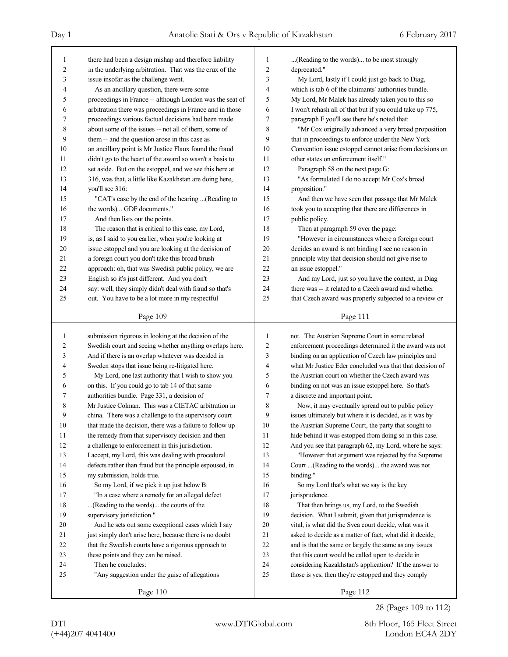| 1<br>2<br>3<br>4<br>5<br>6<br>7<br>8<br>9<br>10<br>11<br>12<br>13<br>14<br>15<br>16 | there had been a design mishap and therefore liability<br>in the underlying arbitration. That was the crux of the<br>issue insofar as the challenge went.<br>As an ancillary question, there were some<br>proceedings in France -- although London was the seat of<br>arbitration there was proceedings in France and in those<br>proceedings various factual decisions had been made<br>about some of the issues -- not all of them, some of<br>them -- and the question arose in this case as<br>an ancillary point is Mr Justice Flaux found the fraud<br>didn't go to the heart of the award so wasn't a basis to<br>set aside. But on the estoppel, and we see this here at<br>316, was that, a little like Kazakhstan are doing here,<br>you'll see 316:<br>"CAT's case by the end of the hearing (Reading to<br>the words) GDF documents." | $\mathbf{1}$<br>2<br>3<br>4<br>5<br>6<br>7<br>8<br>9<br>10<br>11<br>12<br>13<br>14<br>15<br>16 | (Reading to the words) to be most strongly<br>deprecated."<br>My Lord, lastly if I could just go back to Diag,<br>which is tab 6 of the claimants' authorities bundle.<br>My Lord, Mr Malek has already taken you to this so<br>I won't rehash all of that but if you could take up 775,<br>paragraph F you'll see there he's noted that:<br>"Mr Cox originally advanced a very broad proposition<br>that in proceedings to enforce under the New York<br>Convention issue estoppel cannot arise from decisions on<br>other states on enforcement itself."<br>Paragraph 58 on the next page G:<br>"As formulated I do no accept Mr Cox's broad<br>proposition."<br>And then we have seen that passage that Mr Malek<br>took you to accepting that there are differences in |
|-------------------------------------------------------------------------------------|---------------------------------------------------------------------------------------------------------------------------------------------------------------------------------------------------------------------------------------------------------------------------------------------------------------------------------------------------------------------------------------------------------------------------------------------------------------------------------------------------------------------------------------------------------------------------------------------------------------------------------------------------------------------------------------------------------------------------------------------------------------------------------------------------------------------------------------------------|------------------------------------------------------------------------------------------------|----------------------------------------------------------------------------------------------------------------------------------------------------------------------------------------------------------------------------------------------------------------------------------------------------------------------------------------------------------------------------------------------------------------------------------------------------------------------------------------------------------------------------------------------------------------------------------------------------------------------------------------------------------------------------------------------------------------------------------------------------------------------------|
| 17                                                                                  | And then lists out the points.                                                                                                                                                                                                                                                                                                                                                                                                                                                                                                                                                                                                                                                                                                                                                                                                                    | 17                                                                                             | public policy.                                                                                                                                                                                                                                                                                                                                                                                                                                                                                                                                                                                                                                                                                                                                                             |
| 18                                                                                  | The reason that is critical to this case, my Lord,                                                                                                                                                                                                                                                                                                                                                                                                                                                                                                                                                                                                                                                                                                                                                                                                | 18                                                                                             | Then at paragraph 59 over the page:                                                                                                                                                                                                                                                                                                                                                                                                                                                                                                                                                                                                                                                                                                                                        |
| 19                                                                                  | is, as I said to you earlier, when you're looking at                                                                                                                                                                                                                                                                                                                                                                                                                                                                                                                                                                                                                                                                                                                                                                                              | 19                                                                                             | "However in circumstances where a foreign court                                                                                                                                                                                                                                                                                                                                                                                                                                                                                                                                                                                                                                                                                                                            |
| 20                                                                                  | issue estoppel and you are looking at the decision of                                                                                                                                                                                                                                                                                                                                                                                                                                                                                                                                                                                                                                                                                                                                                                                             | 20                                                                                             | decides an award is not binding I see no reason in                                                                                                                                                                                                                                                                                                                                                                                                                                                                                                                                                                                                                                                                                                                         |
| 21                                                                                  | a foreign court you don't take this broad brush                                                                                                                                                                                                                                                                                                                                                                                                                                                                                                                                                                                                                                                                                                                                                                                                   | 21                                                                                             | principle why that decision should not give rise to                                                                                                                                                                                                                                                                                                                                                                                                                                                                                                                                                                                                                                                                                                                        |
| 22                                                                                  | approach: oh, that was Swedish public policy, we are                                                                                                                                                                                                                                                                                                                                                                                                                                                                                                                                                                                                                                                                                                                                                                                              | 22                                                                                             | an issue estoppel."                                                                                                                                                                                                                                                                                                                                                                                                                                                                                                                                                                                                                                                                                                                                                        |
| 23                                                                                  | English so it's just different. And you don't                                                                                                                                                                                                                                                                                                                                                                                                                                                                                                                                                                                                                                                                                                                                                                                                     | 23                                                                                             | And my Lord, just so you have the context, in Diag                                                                                                                                                                                                                                                                                                                                                                                                                                                                                                                                                                                                                                                                                                                         |
| 24                                                                                  | say: well, they simply didn't deal with fraud so that's                                                                                                                                                                                                                                                                                                                                                                                                                                                                                                                                                                                                                                                                                                                                                                                           | 24                                                                                             | there was -- it related to a Czech award and whether                                                                                                                                                                                                                                                                                                                                                                                                                                                                                                                                                                                                                                                                                                                       |
| 25                                                                                  | out. You have to be a lot more in my respectful                                                                                                                                                                                                                                                                                                                                                                                                                                                                                                                                                                                                                                                                                                                                                                                                   | 25                                                                                             | that Czech award was properly subjected to a review or                                                                                                                                                                                                                                                                                                                                                                                                                                                                                                                                                                                                                                                                                                                     |
|                                                                                     | Page 109                                                                                                                                                                                                                                                                                                                                                                                                                                                                                                                                                                                                                                                                                                                                                                                                                                          |                                                                                                | Page 111                                                                                                                                                                                                                                                                                                                                                                                                                                                                                                                                                                                                                                                                                                                                                                   |
|                                                                                     |                                                                                                                                                                                                                                                                                                                                                                                                                                                                                                                                                                                                                                                                                                                                                                                                                                                   |                                                                                                |                                                                                                                                                                                                                                                                                                                                                                                                                                                                                                                                                                                                                                                                                                                                                                            |
|                                                                                     |                                                                                                                                                                                                                                                                                                                                                                                                                                                                                                                                                                                                                                                                                                                                                                                                                                                   |                                                                                                |                                                                                                                                                                                                                                                                                                                                                                                                                                                                                                                                                                                                                                                                                                                                                                            |
| $\mathbf{1}$                                                                        | submission rigorous in looking at the decision of the                                                                                                                                                                                                                                                                                                                                                                                                                                                                                                                                                                                                                                                                                                                                                                                             | $\mathbf{1}$                                                                                   | not. The Austrian Supreme Court in some related                                                                                                                                                                                                                                                                                                                                                                                                                                                                                                                                                                                                                                                                                                                            |
| $\overline{\mathbf{c}}$                                                             | Swedish court and seeing whether anything overlaps here.                                                                                                                                                                                                                                                                                                                                                                                                                                                                                                                                                                                                                                                                                                                                                                                          | $\overline{\mathbf{c}}$                                                                        | enforcement proceedings determined it the award was not                                                                                                                                                                                                                                                                                                                                                                                                                                                                                                                                                                                                                                                                                                                    |
| 3                                                                                   | And if there is an overlap whatever was decided in                                                                                                                                                                                                                                                                                                                                                                                                                                                                                                                                                                                                                                                                                                                                                                                                | 3                                                                                              | binding on an application of Czech law principles and                                                                                                                                                                                                                                                                                                                                                                                                                                                                                                                                                                                                                                                                                                                      |
| 4                                                                                   | Sweden stops that issue being re-litigated here.                                                                                                                                                                                                                                                                                                                                                                                                                                                                                                                                                                                                                                                                                                                                                                                                  | 4                                                                                              | what Mr Justice Eder concluded was that that decision of                                                                                                                                                                                                                                                                                                                                                                                                                                                                                                                                                                                                                                                                                                                   |
| 5                                                                                   | My Lord, one last authority that I wish to show you                                                                                                                                                                                                                                                                                                                                                                                                                                                                                                                                                                                                                                                                                                                                                                                               | 5                                                                                              | the Austrian court on whether the Czech award was                                                                                                                                                                                                                                                                                                                                                                                                                                                                                                                                                                                                                                                                                                                          |
| 6                                                                                   | on this. If you could go to tab 14 of that same                                                                                                                                                                                                                                                                                                                                                                                                                                                                                                                                                                                                                                                                                                                                                                                                   | 6                                                                                              | binding on not was an issue estoppel here. So that's                                                                                                                                                                                                                                                                                                                                                                                                                                                                                                                                                                                                                                                                                                                       |
| 7                                                                                   | authorities bundle. Page 331, a decision of                                                                                                                                                                                                                                                                                                                                                                                                                                                                                                                                                                                                                                                                                                                                                                                                       | 7                                                                                              | a discrete and important point.                                                                                                                                                                                                                                                                                                                                                                                                                                                                                                                                                                                                                                                                                                                                            |
| 8                                                                                   | Mr Justice Colman. This was a CIETAC arbitration in                                                                                                                                                                                                                                                                                                                                                                                                                                                                                                                                                                                                                                                                                                                                                                                               | 8                                                                                              | Now, it may eventually spread out to public policy                                                                                                                                                                                                                                                                                                                                                                                                                                                                                                                                                                                                                                                                                                                         |
| 9                                                                                   | china. There was a challenge to the supervisory court                                                                                                                                                                                                                                                                                                                                                                                                                                                                                                                                                                                                                                                                                                                                                                                             | 9                                                                                              | issues ultimately but where it is decided, as it was by                                                                                                                                                                                                                                                                                                                                                                                                                                                                                                                                                                                                                                                                                                                    |
| $10\,$                                                                              | that made the decision, there was a failure to follow up                                                                                                                                                                                                                                                                                                                                                                                                                                                                                                                                                                                                                                                                                                                                                                                          | 10                                                                                             | the Austrian Supreme Court, the party that sought to                                                                                                                                                                                                                                                                                                                                                                                                                                                                                                                                                                                                                                                                                                                       |
| 11                                                                                  | the remedy from that supervisory decision and then                                                                                                                                                                                                                                                                                                                                                                                                                                                                                                                                                                                                                                                                                                                                                                                                | 11                                                                                             | hide behind it was estopped from doing so in this case.                                                                                                                                                                                                                                                                                                                                                                                                                                                                                                                                                                                                                                                                                                                    |
| 12                                                                                  | a challenge to enforcement in this jurisdiction.                                                                                                                                                                                                                                                                                                                                                                                                                                                                                                                                                                                                                                                                                                                                                                                                  | 12                                                                                             | And you see that paragraph 62, my Lord, where he says:                                                                                                                                                                                                                                                                                                                                                                                                                                                                                                                                                                                                                                                                                                                     |
| 13                                                                                  | I accept, my Lord, this was dealing with procedural                                                                                                                                                                                                                                                                                                                                                                                                                                                                                                                                                                                                                                                                                                                                                                                               | 13                                                                                             | "However that argument was rejected by the Supreme                                                                                                                                                                                                                                                                                                                                                                                                                                                                                                                                                                                                                                                                                                                         |
| 14                                                                                  | defects rather than fraud but the principle espoused, in                                                                                                                                                                                                                                                                                                                                                                                                                                                                                                                                                                                                                                                                                                                                                                                          | 14                                                                                             | Court (Reading to the words) the award was not                                                                                                                                                                                                                                                                                                                                                                                                                                                                                                                                                                                                                                                                                                                             |
| 15                                                                                  | my submission, holds true.                                                                                                                                                                                                                                                                                                                                                                                                                                                                                                                                                                                                                                                                                                                                                                                                                        | 15                                                                                             | binding."                                                                                                                                                                                                                                                                                                                                                                                                                                                                                                                                                                                                                                                                                                                                                                  |
| 16                                                                                  | So my Lord, if we pick it up just below B:                                                                                                                                                                                                                                                                                                                                                                                                                                                                                                                                                                                                                                                                                                                                                                                                        | 16                                                                                             | So my Lord that's what we say is the key                                                                                                                                                                                                                                                                                                                                                                                                                                                                                                                                                                                                                                                                                                                                   |
| 17                                                                                  | "In a case where a remedy for an alleged defect                                                                                                                                                                                                                                                                                                                                                                                                                                                                                                                                                                                                                                                                                                                                                                                                   | 17                                                                                             | jurisprudence.                                                                                                                                                                                                                                                                                                                                                                                                                                                                                                                                                                                                                                                                                                                                                             |
| $18\,$                                                                              | (Reading to the words) the courts of the                                                                                                                                                                                                                                                                                                                                                                                                                                                                                                                                                                                                                                                                                                                                                                                                          | 18                                                                                             | That then brings us, my Lord, to the Swedish                                                                                                                                                                                                                                                                                                                                                                                                                                                                                                                                                                                                                                                                                                                               |
| 19                                                                                  | supervisory jurisdiction."                                                                                                                                                                                                                                                                                                                                                                                                                                                                                                                                                                                                                                                                                                                                                                                                                        | 19                                                                                             | decision. What I submit, given that jurisprudence is                                                                                                                                                                                                                                                                                                                                                                                                                                                                                                                                                                                                                                                                                                                       |
| 20                                                                                  | And he sets out some exceptional cases which I say                                                                                                                                                                                                                                                                                                                                                                                                                                                                                                                                                                                                                                                                                                                                                                                                | 20                                                                                             | vital, is what did the Svea court decide, what was it                                                                                                                                                                                                                                                                                                                                                                                                                                                                                                                                                                                                                                                                                                                      |
| 21                                                                                  | just simply don't arise here, because there is no doubt                                                                                                                                                                                                                                                                                                                                                                                                                                                                                                                                                                                                                                                                                                                                                                                           | 21                                                                                             | asked to decide as a matter of fact, what did it decide,                                                                                                                                                                                                                                                                                                                                                                                                                                                                                                                                                                                                                                                                                                                   |
| $22\,$                                                                              | that the Swedish courts have a rigorous approach to                                                                                                                                                                                                                                                                                                                                                                                                                                                                                                                                                                                                                                                                                                                                                                                               | $22\,$                                                                                         | and is that the same or largely the same as any issues                                                                                                                                                                                                                                                                                                                                                                                                                                                                                                                                                                                                                                                                                                                     |
| 23                                                                                  | these points and they can be raised.                                                                                                                                                                                                                                                                                                                                                                                                                                                                                                                                                                                                                                                                                                                                                                                                              | 23                                                                                             | that this court would be called upon to decide in                                                                                                                                                                                                                                                                                                                                                                                                                                                                                                                                                                                                                                                                                                                          |
| 24<br>25                                                                            | Then he concludes:<br>"Any suggestion under the guise of allegations                                                                                                                                                                                                                                                                                                                                                                                                                                                                                                                                                                                                                                                                                                                                                                              | 24<br>25                                                                                       | considering Kazakhstan's application? If the answer to<br>those is yes, then they're estopped and they comply                                                                                                                                                                                                                                                                                                                                                                                                                                                                                                                                                                                                                                                              |

28 (Pages 109 to 112)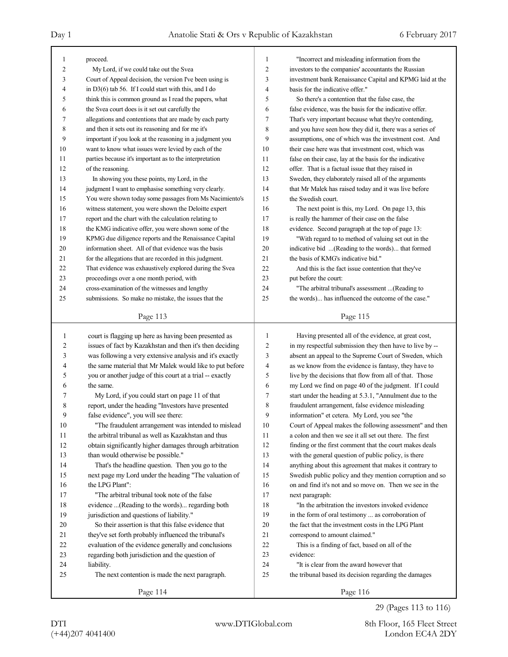| $\mathbf{1}$   | proceed.                                                 | $\mathbf{1}$                                                          | "Incorrect and misleading information from the           |  |
|----------------|----------------------------------------------------------|-----------------------------------------------------------------------|----------------------------------------------------------|--|
| $\overline{c}$ | My Lord, if we could take out the Svea                   | $\overline{c}$<br>investors to the companies' accountants the Russian |                                                          |  |
| 3              | Court of Appeal decision, the version I've been using is | 3                                                                     | investment bank Renaissance Capital and KPMG laid at the |  |
| 4              | in D3(6) tab 56. If I could start with this, and I do    | 4                                                                     | basis for the indicative offer."                         |  |
| 5              | think this is common ground as I read the papers, what   | 5                                                                     | So there's a contention that the false case, the         |  |
| 6              | the Svea court does is it set out carefully the          | 6                                                                     | false evidence, was the basis for the indicative offer.  |  |
| 7              | allegations and contentions that are made by each party  | 7                                                                     | That's very important because what they're contending,   |  |
| 8              | and then it sets out its reasoning and for me it's       | 8                                                                     | and you have seen how they did it, there was a series of |  |
| 9              | important if you look at the reasoning in a judgment you | 9                                                                     | assumptions, one of which was the investment cost. And   |  |
| 10             | want to know what issues were levied by each of the      | 10                                                                    | their case here was that investment cost, which was      |  |
| 11             | parties because it's important as to the interpretation  | 11                                                                    | false on their case, lay at the basis for the indicative |  |
| 12             | of the reasoning.                                        | 12                                                                    | offer. That is a factual issue that they raised in       |  |
| 13             | In showing you these points, my Lord, in the             | 13                                                                    | Sweden, they elaborately raised all of the arguments     |  |
| 14             | judgment I want to emphasise something very clearly.     | 14                                                                    | that Mr Malek has raised today and it was live before    |  |
| 15             | You were shown today some passages from Ms Nacimiento's  | 15                                                                    | the Swedish court.                                       |  |
| 16             | witness statement, you were shown the Deloitte expert    | 16                                                                    | The next point is this, my Lord. On page 13, this        |  |
| 17             | report and the chart with the calculation relating to    | 17                                                                    | is really the hammer of their case on the false          |  |
| 18             | the KMG indicative offer, you were shown some of the     | 18                                                                    | evidence. Second paragraph at the top of page 13:        |  |
| 19             | KPMG due diligence reports and the Renaissance Capital   | 19                                                                    | "With regard to to method of valuing set out in the      |  |
| 20             | information sheet. All of that evidence was the basis    | 20                                                                    | indicative bid (Reading to the words) that formed        |  |
| 21             | for the allegations that are recorded in this judgment.  | 21                                                                    | the basis of KMG's indicative bid."                      |  |
| 22             | That evidence was exhaustively explored during the Svea  | 22                                                                    | And this is the fact issue contention that they've       |  |
| 23             | proceedings over a one month period, with                | 23                                                                    | put before the court:                                    |  |
| 24             | cross-examination of the witnesses and lengthy           | 24                                                                    | "The arbitral tribunal's assessment  (Reading to         |  |
| 25             | submissions. So make no mistake, the issues that the     | 25                                                                    | the words) has influenced the outcome of the case."      |  |
|                |                                                          |                                                                       |                                                          |  |
|                | Page 113                                                 |                                                                       | Page 115                                                 |  |
|                |                                                          |                                                                       |                                                          |  |
|                |                                                          |                                                                       |                                                          |  |
| 1              | court is flagging up here as having been presented as    | 1                                                                     | Having presented all of the evidence, at great cost,     |  |
| 2              | issues of fact by Kazakhstan and then it's then deciding | 2                                                                     | in my respectful submission they then have to live by -- |  |
| 3              | was following a very extensive analysis and it's exactly | 3                                                                     | absent an appeal to the Supreme Court of Sweden, which   |  |
| 4              | the same material that Mr Malek would like to put before | 4                                                                     | as we know from the evidence is fantasy, they have to    |  |
| 5              | you or another judge of this court at a trial -- exactly | 5                                                                     | live by the decisions that flow from all of that. Those  |  |
| 6              | the same.                                                | 6                                                                     | my Lord we find on page 40 of the judgment. If I could   |  |
| 7              | My Lord, if you could start on page 11 of that           | 7                                                                     | start under the heading at 5.3.1, "Annulment due to the  |  |
| 8              | report, under the heading "Investors have presented      | 8                                                                     | fraudulent arrangement, false evidence misleading        |  |
| 9              | false evidence", you will see there:                     | 9                                                                     | information" et cetera. My Lord, you see "the            |  |
| 10             | "The fraudulent arrangement was intended to mislead      | 10                                                                    | Court of Appeal makes the following assessment" and then |  |
| 11             | the arbitral tribunal as well as Kazakhstan and thus     | 11                                                                    | a colon and then we see it all set out there. The first  |  |
| 12             | obtain significantly higher damages through arbitration  | 12                                                                    | finding or the first comment that the court makes deals  |  |
| 13             | than would otherwise be possible."                       | 13                                                                    | with the general question of public policy, is there     |  |
| 14             | That's the headline question. Then you go to the         | 14                                                                    | anything about this agreement that makes it contrary to  |  |
| 15             | next page my Lord under the heading "The valuation of    | 15                                                                    | Swedish public policy and they mention corruption and so |  |
| 16             | the LPG Plant":                                          | 16                                                                    | on and find it's not and so move on. Then we see in the  |  |
| 17             | "The arbitral tribunal took note of the false            | 17                                                                    | next paragraph:                                          |  |
| 18             | evidence  (Reading to the words) regarding both          | 18                                                                    | "In the arbitration the investors invoked evidence       |  |
| 19             | jurisdiction and questions of liability."                | 19                                                                    | in the form of oral testimony  as corroboration of       |  |
| 20             | So their assertion is that this false evidence that      | 20                                                                    | the fact that the investment costs in the LPG Plant      |  |
| 21             | they've set forth probably influenced the tribunal's     | 21                                                                    | correspond to amount claimed."                           |  |
| 22             | evaluation of the evidence generally and conclusions     | 22                                                                    | This is a finding of fact, based on all of the           |  |
| 23             | regarding both jurisdiction and the question of          | 23                                                                    | evidence:                                                |  |
| 24             | liability.                                               | 24                                                                    | "It is clear from the award however that                 |  |
| 25             | The next contention is made the next paragraph.          | 25                                                                    | the tribunal based its decision regarding the damages    |  |
|                | Page 114                                                 |                                                                       | Page 116                                                 |  |

29 (Pages 113 to 116)

(+44)207 4041400 London EC4A 2DY DTI www.DTIGlobal.com 8th Floor, 165 Fleet Street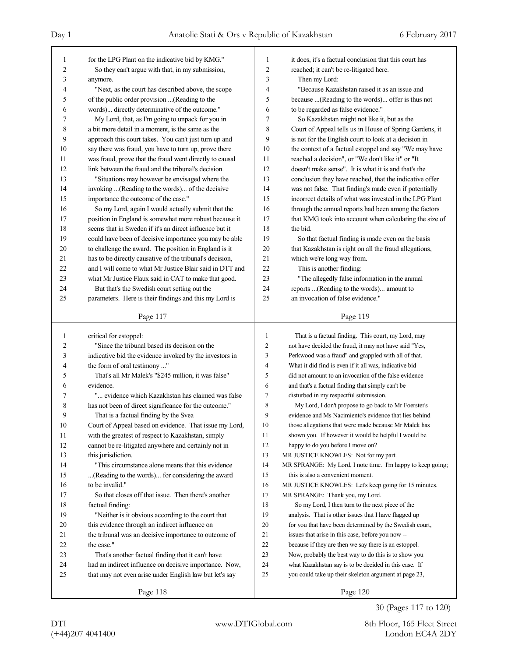|    |                                                                                                      |                                                   | it does, it's a factual conclusion that this court has     |  |
|----|------------------------------------------------------------------------------------------------------|---------------------------------------------------|------------------------------------------------------------|--|
| 1  | for the LPG Plant on the indicative bid by KMG."<br>So they can't argue with that, in my submission, | 1<br>2<br>reached; it can't be re-litigated here. |                                                            |  |
| 2  |                                                                                                      |                                                   |                                                            |  |
| 3  | anymore.                                                                                             | 3                                                 | Then my Lord:                                              |  |
| 4  | "Next, as the court has described above, the scope                                                   | 4                                                 | "Because Kazakhstan raised it as an issue and              |  |
| 5  | of the public order provision (Reading to the                                                        | 5                                                 | because  (Reading to the words) offer is thus not          |  |
| 6  | words) directly determinative of the outcome."                                                       | 6                                                 | to be regarded as false evidence."                         |  |
| 7  | My Lord, that, as I'm going to unpack for you in                                                     | 7                                                 | So Kazakhstan might not like it, but as the                |  |
| 8  | a bit more detail in a moment, is the same as the                                                    | 8                                                 | Court of Appeal tells us in House of Spring Gardens, it    |  |
| 9  | approach this court takes. You can't just turn up and                                                | 9                                                 | is not for the English court to look at a decision in      |  |
| 10 | say there was fraud, you have to turn up, prove there                                                | 10                                                | the context of a factual estoppel and say "We may have     |  |
| 11 | was fraud, prove that the fraud went directly to causal                                              | 11                                                | reached a decision", or "We don't like it" or "It          |  |
| 12 | link between the fraud and the tribunal's decision.                                                  | 12                                                | doesn't make sense". It is what it is and that's the       |  |
| 13 | "Situations may however be envisaged where the                                                       | 13                                                | conclusion they have reached, that the indicative offer    |  |
| 14 | invoking  (Reading to the words) of the decisive                                                     | 14                                                | was not false. That finding's made even if potentially     |  |
| 15 | importance the outcome of the case."                                                                 | 15                                                | incorrect details of what was invested in the LPG Plant    |  |
| 16 | So my Lord, again I would actually submit that the                                                   | 16                                                | through the annual reports had been among the factors      |  |
| 17 | position in England is somewhat more robust because it                                               | 17                                                | that KMG took into account when calculating the size of    |  |
| 18 | seems that in Sweden if it's an direct influence but it                                              | 18                                                | the bid.                                                   |  |
| 19 | could have been of decisive importance you may be able                                               | 19                                                | So that factual finding is made even on the basis          |  |
| 20 | to challenge the award. The position in England is it                                                | 20                                                | that Kazakhstan is right on all the fraud allegations,     |  |
| 21 | has to be directly causative of the tribunal's decision,                                             | 21                                                | which we're long way from.                                 |  |
| 22 | and I will come to what Mr Justice Blair said in DTT and                                             | 22                                                | This is another finding:                                   |  |
| 23 | what Mr Justice Flaux said in CAT to make that good.                                                 | 23                                                | "The allegedly false information in the annual             |  |
| 24 | But that's the Swedish court setting out the                                                         | 24                                                | reports (Reading to the words) amount to                   |  |
| 25 | parameters. Here is their findings and this my Lord is                                               | 25                                                | an invocation of false evidence."                          |  |
|    |                                                                                                      |                                                   |                                                            |  |
|    | Page 117                                                                                             |                                                   | Page 119                                                   |  |
|    |                                                                                                      |                                                   |                                                            |  |
|    |                                                                                                      |                                                   |                                                            |  |
| 1  | critical for estoppel:                                                                               | $\mathbf{1}$                                      | That is a factual finding. This court, my Lord, may        |  |
| 2  | "Since the tribunal based its decision on the                                                        | $\overline{c}$                                    | not have decided the fraud, it may not have said "Yes,     |  |
| 3  | indicative bid the evidence invoked by the investors in                                              | 3                                                 | Perkwood was a fraud" and grappled with all of that.       |  |
| 4  | the form of oral testimony "                                                                         | 4                                                 | What it did find is even if it all was, indicative bid     |  |
| 5  | That's all Mr Malek's "\$245 million, it was false"                                                  | 5                                                 | did not amount to an invocation of the false evidence      |  |
| 6  | evidence.                                                                                            | 6                                                 | and that's a factual finding that simply can't be          |  |
| 7  | " evidence which Kazakhstan has claimed was false                                                    | 7                                                 | disturbed in my respectful submission.                     |  |
| 8  | has not been of direct significance for the outcome."                                                | $\,$ $\,$                                         | My Lord, I don't propose to go back to Mr Foerster's       |  |
| 9  | That is a factual finding by the Svea                                                                | 9                                                 | evidence and Ms Nacimiento's evidence that lies behind     |  |
| 10 | Court of Appeal based on evidence. That issue my Lord,                                               | 10                                                | those allegations that were made because Mr Malek has      |  |
| 11 | with the greatest of respect to Kazakhstan, simply                                                   | 11                                                | shown you. If however it would be helpful I would be       |  |
| 12 | cannot be re-litigated anywhere and certainly not in                                                 | 12                                                | happy to do you before I move on?                          |  |
| 13 | this jurisdiction.                                                                                   | 13                                                | MR JUSTICE KNOWLES: Not for my part.                       |  |
| 14 | "This circumstance alone means that this evidence"                                                   | 14                                                | MR SPRANGE: My Lord, I note time. I'm happy to keep going; |  |
| 15 | (Reading to the words) for considering the award                                                     | 15                                                | this is also a convenient moment.                          |  |
| 16 | to be invalid."                                                                                      | 16                                                | MR JUSTICE KNOWLES: Let's keep going for 15 minutes.       |  |
| 17 | So that closes off that issue. Then there's another                                                  | 17                                                | MR SPRANGE: Thank you, my Lord.                            |  |
| 18 | factual finding:                                                                                     | 18                                                | So my Lord, I then turn to the next piece of the           |  |
| 19 | "Neither is it obvious according to the court that                                                   | 19                                                | analysis. That is other issues that I have flagged up      |  |
| 20 | this evidence through an indirect influence on                                                       | 20                                                | for you that have been determined by the Swedish court,    |  |
| 21 | the tribunal was an decisive importance to outcome of                                                | 21                                                | issues that arise in this case, before you now --          |  |
| 22 | the case."                                                                                           | 22                                                | because if they are then we say there is an estoppel.      |  |
| 23 | That's another factual finding that it can't have                                                    | 23                                                | Now, probably the best way to do this is to show you       |  |
| 24 | had an indirect influence on decisive importance. Now,                                               | 24                                                | what Kazakhstan say is to be decided in this case. If      |  |
| 25 | that may not even arise under English law but let's say                                              | 25                                                | you could take up their skeleton argument at page 23,      |  |
|    | Page 118                                                                                             |                                                   | Page 120                                                   |  |

30 (Pages 117 to 120)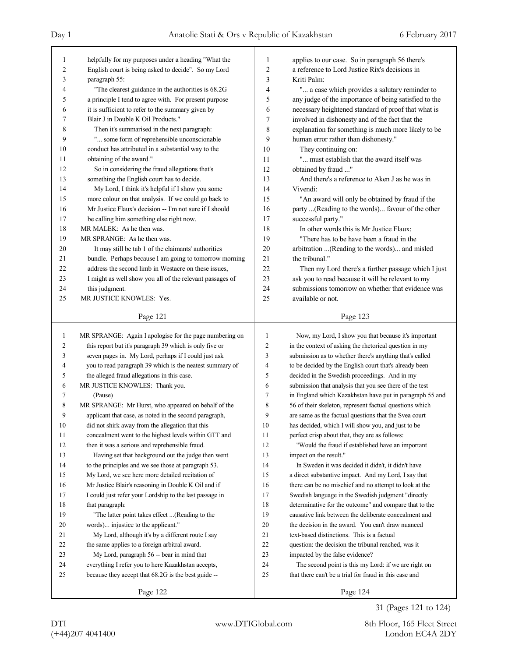| 1      | helpfully for my purposes under a heading "What the      | 1              | applies to our case. So in paragraph 56 there's          |
|--------|----------------------------------------------------------|----------------|----------------------------------------------------------|
| 2      | English court is being asked to decide". So my Lord      | $\overline{2}$ | a reference to Lord Justice Rix's decisions in           |
| 3      | paragraph 55:                                            | 3              | Kriti Palm:                                              |
| 4      | "The clearest guidance in the authorities is 68.2G       | $\overline{4}$ | " a case which provides a salutary reminder to           |
| 5      | a principle I tend to agree with. For present purpose    | 5              | any judge of the importance of being satisfied to the    |
| 6      | it is sufficient to refer to the summary given by        | 6              | necessary heightened standard of proof that what is      |
| 7      | Blair J in Double K Oil Products."                       | 7              | involved in dishonesty and of the fact that the          |
| 8      | Then it's summarised in the next paragraph:              | 8              | explanation for something is much more likely to be      |
| 9      | " some form of reprehensible unconscionable              | 9              | human error rather than dishonesty."                     |
| 10     | conduct has attributed in a substantial way to the       | 10             | They continuing on:                                      |
| 11     | obtaining of the award."                                 | 11             | " must establish that the award itself was               |
| 12     | So in considering the fraud allegations that's           | 12             | obtained by fraud "                                      |
| 13     | something the English court has to decide.               | 13             | And there's a reference to Aken J as he was in           |
| 14     | My Lord, I think it's helpful if I show you some         | 14             | Vivendi:                                                 |
| 15     | more colour on that analysis. If we could go back to     | 15             | "An award will only be obtained by fraud if the          |
| 16     | Mr Justice Flaux's decision -- I'm not sure if I should  | 16             | party  (Reading to the words) favour of the other        |
| 17     | be calling him something else right now.                 | 17             | successful party."                                       |
| 18     | MR MALEK: As he then was.                                | 18             | In other words this is Mr Justice Flaux:                 |
| 19     | MR SPRANGE: As he then was.                              | 19             | "There has to be have been a fraud in the                |
| $20\,$ | It may still be tab 1 of the claimants' authorities      | 20             | arbitration (Reading to the words) and misled            |
| 21     | bundle. Perhaps because I am going to tomorrow morning   | 21             | the tribunal."                                           |
| 22     | address the second limb in Westacre on these issues,     | 22             | Then my Lord there's a further passage which I just      |
| 23     | I might as well show you all of the relevant passages of | 23             | ask you to read because it will be relevant to my        |
| 24     | this judgment.                                           | 24             | submissions tomorrow on whether that evidence was        |
| 25     | MR JUSTICE KNOWLES: Yes.                                 | 25             | available or not.                                        |
|        |                                                          |                |                                                          |
|        | Page 121                                                 |                | Page 123                                                 |
|        |                                                          |                |                                                          |
|        |                                                          |                |                                                          |
| 1      | MR SPRANGE: Again I apologise for the page numbering on  | 1              | Now, my Lord, I show you that because it's important     |
| 2      | this report but it's paragraph 39 which is only five or  | 2              | in the context of asking the rhetorical question in my   |
| 3      | seven pages in. My Lord, perhaps if I could just ask     | 3              | submission as to whether there's anything that's called  |
| 4      | you to read paragraph 39 which is the neatest summary of | 4              | to be decided by the English court that's already been   |
| 5      | the alleged fraud allegations in this case.              | 5              | decided in the Swedish proceedings. And in my            |
| 6      | MR JUSTICE KNOWLES: Thank you.                           | 6              | submission that analysis that you see there of the test  |
| 7      | (Pause)                                                  | 7              | in England which Kazakhstan have put in paragraph 55 and |
| 8      | MR SPRANGE: Mr Hurst, who appeared on behalf of the      | 8              | 56 of their skeleton, represent factual questions which  |
| 9      | applicant that case, as noted in the second paragraph,   | 9              | are same as the factual questions that the Svea court    |
| 10     | did not shirk away from the allegation that this         | 10             | has decided, which I will show you, and just to be       |
| 11     | concealment went to the highest levels within GTT and    | 11             | perfect crisp about that, they are as follows:           |
| 12     | then it was a serious and reprehensible fraud.           | 12             | "Would the fraud if established have an important        |
| 13     | Having set that background out the judge then went       | 13             | impact on the result."                                   |
| 14     | to the principles and we see those at paragraph 53.      | 14             | In Sweden it was decided it didn't, it didn't have       |
| 15     | My Lord, we see here more detailed recitation of         | 15             | a direct substantive impact. And my Lord, I say that     |
| 16     | Mr Justice Blair's reasoning in Double K Oil and if      | 16             | there can be no mischief and no attempt to look at the   |
| 17     | I could just refer your Lordship to the last passage in  | 17             | Swedish language in the Swedish judgment "directly       |
| 18     | that paragraph:                                          | 18             | determinative for the outcome" and compare that to the   |
| 19     | "The latter point takes effect (Reading to the           | 19             | causative link between the deliberate concealment and    |
| 20     | words) injustice to the applicant."                      | 20             | the decision in the award. You can't draw nuanced        |
| 21     | My Lord, although it's by a different route I say        | 21             | text-based distinctions. This is a factual               |
| 22     | the same applies to a foreign arbitral award.            | 22             | question: the decision the tribunal reached, was it      |
| 23     | My Lord, paragraph 56 -- bear in mind that               | 23             | impacted by the false evidence?                          |
| 24     | everything I refer you to here Kazakhstan accepts,       | 24             | The second point is this my Lord: if we are right on     |
| 25     | because they accept that 68.2G is the best guide --      | 25             | that there can't be a trial for fraud in this case and   |

31 (Pages 121 to 124)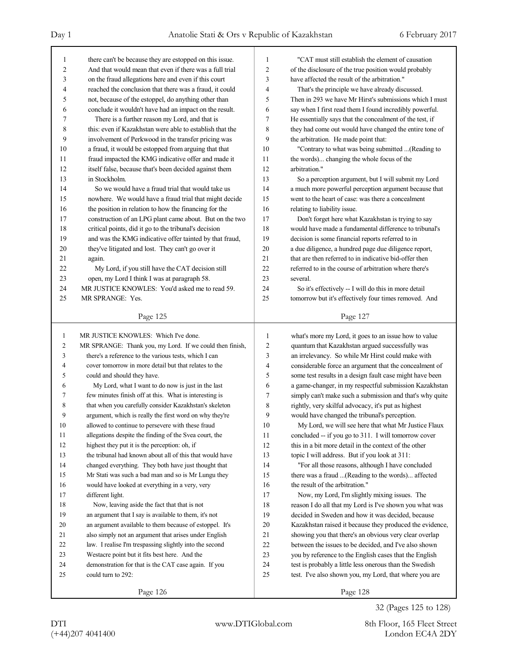| 1              | there can't be because they are estopped on this issue.  | 1      | "CAT must still establish the element of causation       |  |
|----------------|----------------------------------------------------------|--------|----------------------------------------------------------|--|
| 2              | And that would mean that even if there was a full trial  | 2      | of the disclosure of the true position would probably    |  |
| 3              | on the fraud allegations here and even if this court     | 3      | have affected the result of the arbitration."            |  |
| 4              | reached the conclusion that there was a fraud, it could  | 4      | That's the principle we have already discussed.          |  |
| 5              | not, because of the estoppel, do anything other than     |        | Then in 293 we have Mr Hirst's submissions which I must  |  |
| 6              | conclude it wouldn't have had an impact on the result.   |        | say when I first read them I found incredibly powerful.  |  |
| 7              | There is a further reason my Lord, and that is           | 7      | He essentially says that the concealment of the test, if |  |
| 8              | this: even if Kazakhstan were able to establish that the | 8      | they had come out would have changed the entire tone of  |  |
| 9              | involvement of Perkwood in the transfer pricing was      | 9      | the arbitration. He made point that:                     |  |
| 10             | a fraud, it would be estopped from arguing that that     | 10     | "Contrary to what was being submitted  (Reading to       |  |
| 11             | fraud impacted the KMG indicative offer and made it      | 11     | the words) changing the whole focus of the               |  |
| 12             | itself false, because that's been decided against them   | 12     | arbitration."                                            |  |
| 13             | in Stockholm.                                            | 13     | So a perception argument, but I will submit my Lord      |  |
| 14             | So we would have a fraud trial that would take us        | 14     | a much more powerful perception argument because that    |  |
| 15             | nowhere. We would have a fraud trial that might decide   | 15     | went to the heart of case: was there a concealment       |  |
| 16             | the position in relation to how the financing for the    | 16     | relating to liability issue.                             |  |
| 17             | construction of an LPG plant came about. But on the two  | 17     | Don't forget here what Kazakhstan is trying to say       |  |
| 18             | critical points, did it go to the tribunal's decision    | 18     | would have made a fundamental difference to tribunal's   |  |
| 19             | and was the KMG indicative offer tainted by that fraud,  | 19     | decision is some financial reports referred to in        |  |
| 20             | they've litigated and lost. They can't go over it        | 20     | a due diligence, a hundred page due diligence report,    |  |
| 21             | again.                                                   | 21     | that are then referred to in indicative bid-offer then   |  |
| 22             | My Lord, if you still have the CAT decision still        | 22     | referred to in the course of arbitration where there's   |  |
| 23             | open, my Lord I think I was at paragraph 58.             | 23     | several.                                                 |  |
| 24             | MR JUSTICE KNOWLES: You'd asked me to read 59.           | 24     | So it's effectively -- I will do this in more detail     |  |
| 25             | MR SPRANGE: Yes.                                         | 25     | tomorrow but it's effectively four times removed. And    |  |
|                |                                                          |        |                                                          |  |
|                | Page 125                                                 |        | Page 127                                                 |  |
|                |                                                          |        |                                                          |  |
|                |                                                          |        |                                                          |  |
| $\mathbf{1}$   | MR JUSTICE KNOWLES: Which I've done.                     | 1      | what's more my Lord, it goes to an issue how to value    |  |
| $\overline{2}$ | MR SPRANGE: Thank you, my Lord. If we could then finish, | 2      | quantum that Kazakhstan argued successfully was          |  |
| 3              | there's a reference to the various tests, which I can    | 3      | an irrelevancy. So while Mr Hirst could make with        |  |
| 4              | cover tomorrow in more detail but that relates to the    | 4      | considerable force an argument that the concealment of   |  |
| 5              | could and should they have.                              | 5      | some test results in a design fault case might have been |  |
| 6              | My Lord, what I want to do now is just in the last       | 6      | a game-changer, in my respectful submission Kazakhstan   |  |
| 7              | few minutes finish off at this. What is interesting is   | 7      | simply can't make such a submission and that's why quite |  |
| 8              | that when you carefully consider Kazakhstan's skeleton   | 8      | rightly, very skilful advocacy, it's put as highest      |  |
| 9              | argument, which is really the first word on why they're  | 9      | would have changed the tribunal's perception.            |  |
| 10             | allowed to continue to persevere with these fraud        | 10     | My Lord, we will see here that what Mr Justice Flaux     |  |
| 11             | allegations despite the finding of the Svea court, the   | 11     | concluded -- if you go to 311. I will tomorrow cover     |  |
| 12             | highest they put it is the perception: oh, if            | 12     | this in a bit more detail in the context of the other    |  |
| 13             | the tribunal had known about all of this that would have | 13     | topic I will address. But if you look at 311:            |  |
| 14             | changed everything. They both have just thought that     | 14     | "For all those reasons, although I have concluded        |  |
| 15             | Mr Stati was such a bad man and so is Mr Lungu they      | 15     | there was a fraud (Reading to the words) affected        |  |
| 16             | would have looked at everything in a very, very          | 16     | the result of the arbitration."                          |  |
| 17             | different light.                                         | 17     | Now, my Lord, I'm slightly mixing issues. The            |  |
| 18             | Now, leaving aside the fact that that is not             | 18     | reason I do all that my Lord is I've shown you what was  |  |
| 19             | an argument that I say is available to them, it's not    | 19     | decided in Sweden and how it was decided, because        |  |
| 20             | an argument available to them because of estoppel. It's  | 20     | Kazakhstan raised it because they produced the evidence, |  |
| 21             | also simply not an argument that arises under English    | 21     | showing you that there's an obvious very clear overlap   |  |
| 22             | law. I realise I'm trespassing slightly into the second  | $22\,$ | between the issues to be decided, and I've also shown    |  |
| 23             | Westacre point but it fits best here. And the            | 23     | you by reference to the English cases that the English   |  |
| 24             | demonstration for that is the CAT case again. If you     | 24     | test is probably a little less onerous than the Swedish  |  |
| 25             | could turn to 292:                                       | 25     | test. I've also shown you, my Lord, that where you are   |  |

32 (Pages 125 to 128)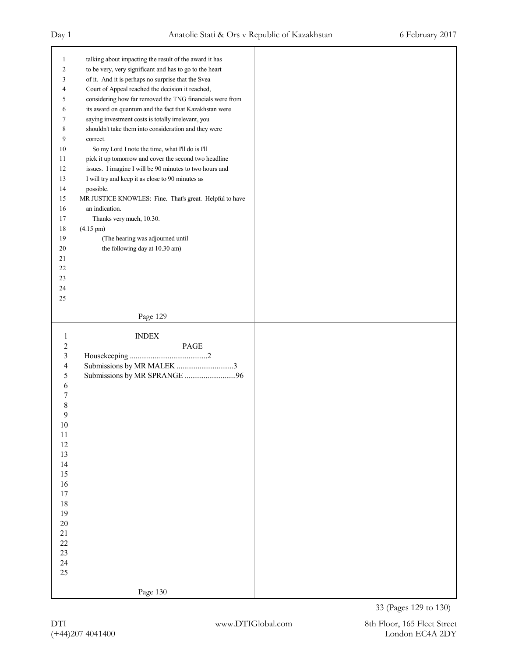| $\mathbf{1}$     | talking about impacting the result of the award it has   |  |
|------------------|----------------------------------------------------------|--|
| $\boldsymbol{2}$ | to be very, very significant and has to go to the heart  |  |
| 3                | of it. And it is perhaps no surprise that the Svea       |  |
| $\overline{4}$   | Court of Appeal reached the decision it reached,         |  |
| 5                | considering how far removed the TNG financials were from |  |
| 6                | its award on quantum and the fact that Kazakhstan were   |  |
| 7                | saying investment costs is totally irrelevant, you       |  |
| 8                | shouldn't take them into consideration and they were     |  |
| 9                | correct.                                                 |  |
| $10\,$           | So my Lord I note the time, what I'll do is I'll         |  |
| 11               | pick it up tomorrow and cover the second two headline    |  |
| 12               | issues. I imagine I will be 90 minutes to two hours and  |  |
| 13               | I will try and keep it as close to 90 minutes as         |  |
| 14               | possible.                                                |  |
| 15               | MR JUSTICE KNOWLES: Fine. That's great. Helpful to have  |  |
| 16               | an indication.                                           |  |
| 17               | Thanks very much, 10.30.                                 |  |
| $18\,$           | $(4.15 \text{ pm})$                                      |  |
| 19               | (The hearing was adjourned until                         |  |
|                  |                                                          |  |
| 20               | the following day at 10.30 am)                           |  |
| 21               |                                                          |  |
| $22\,$           |                                                          |  |
| 23               |                                                          |  |
| 24               |                                                          |  |
| 25               |                                                          |  |
|                  | Page 129                                                 |  |
|                  |                                                          |  |
| $\mathbf{1}$     | <b>INDEX</b>                                             |  |
| $\sqrt{2}$       | PAGE                                                     |  |
| $\mathfrak{Z}$   |                                                          |  |
| $\overline{4}$   | Submissions by MR MALEK 3                                |  |
| 5                |                                                          |  |
| 6                |                                                          |  |
| 7                |                                                          |  |
| 8                |                                                          |  |
| 9                |                                                          |  |
| $10\,$           |                                                          |  |
| $11\,$           |                                                          |  |
| $12\,$           |                                                          |  |
| 13               |                                                          |  |
| 14               |                                                          |  |
| 15               |                                                          |  |
| 16               |                                                          |  |
| $17\,$           |                                                          |  |
| 18               |                                                          |  |
| 19               |                                                          |  |
| $20\,$           |                                                          |  |
| $21\,$           |                                                          |  |
| $22\,$           |                                                          |  |
| 23               |                                                          |  |
| 24               |                                                          |  |
| 25               |                                                          |  |
|                  |                                                          |  |
|                  |                                                          |  |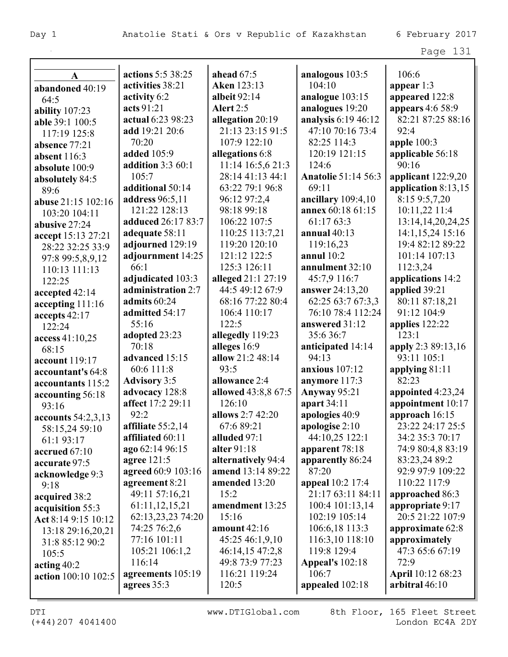|                      | actions 5:5 38:25          | ahead $67:5$        |                            | 106:6                              |
|----------------------|----------------------------|---------------------|----------------------------|------------------------------------|
| $\mathbf A$          | activities 38:21           | <b>Aken</b> 123:13  | analogous 103:5<br>104:10  |                                    |
| abandoned 40:19      |                            | albeit $92:14$      |                            | appear 1:3                         |
| 64:5                 | activity 6:2<br>acts 91:21 |                     | analogue 103:15            | appeared 122:8<br>appears 4:6 58:9 |
| ability 107:23       |                            | <b>Alert</b> 2:5    | analogues 19:20            |                                    |
| able 39:1 100:5      | actual 6:23 98:23          | allegation 20:19    | analysis 6:19 46:12        | 82:21 87:25 88:16                  |
| 117:19 125:8         | add 19:21 20:6             | 21:13 23:15 91:5    | 47:10 70:16 73:4           | 92:4                               |
| absence 77:21        | 70:20                      | 107:9 122:10        | 82:25 114:3                | apple $100:3$                      |
| absent 116:3         | added 105:9                | allegations 6:8     | 120:19 121:15              | applicable 56:18                   |
| absolute 100:9       | addition $3:360:1$         | 11:14 16:5,6 21:3   | 124:6                      | 90:16                              |
| absolutely 84:5      | 105:7                      | 28:14 41:13 44:1    | <b>Anatolie 51:14 56:3</b> | applicant 122:9,20                 |
| 89:6                 | additional 50:14           | 63:22 79:1 96:8     | 69:11                      | application 8:13,15                |
| abuse 21:15 102:16   | <b>address</b> 96:5,11     | 96:12 97:2,4        | ancillary $109:4,10$       | 8:15 9:5,7,20                      |
| 103:20 104:11        | 121:22 128:13              | 98:18 99:18         | annex 60:18 61:15          | 10:11,22 11:4                      |
| abusive 27:24        | adduced 26:17 83:7         | 106:22 107:5        | 61:17 63:3                 | 13:14, 14, 20, 24, 25              |
| accept 15:13 27:21   | adequate 58:11             | 110:25 113:7,21     | annual $40:13$             | 14:1,15,24 15:16                   |
| 28:22 32:25 33:9     | adjourned 129:19           | 119:20 120:10       | 119:16,23                  | 19:4 82:12 89:22                   |
| 97:8 99:5,8,9,12     | adjournment 14:25          | 121:12 122:5        | annul $10:2$               | 101:14 107:13                      |
| 110:13 111:13        | 66:1                       | 125:3 126:11        | annulment 32:10            | 112:3,24                           |
| 122:25               | adjudicated 103:3          | alleged 21:1 27:19  | 45:7,9 116:7               | applications 14:2                  |
| accepted 42:14       | administration 2:7         | 44:5 49:12 67:9     | answer 24:13,20            | applied 39:21                      |
| accepting 111:16     | admits 60:24               | 68:16 77:22 80:4    | 62:25 63:7 67:3,3          | 80:11 87:18,21                     |
| accepts 42:17        | admitted 54:17             | 106:4 110:17        | 76:10 78:4 112:24          | 91:12 104:9                        |
| 122:24               | 55:16                      | 122:5               | answered 31:12             | applies 122:22                     |
| access 41:10,25      | adopted 23:23              | allegedly 119:23    | 35:636:7                   | 123:1                              |
| 68:15                | 70:18                      | alleges 16:9        | anticipated 14:14          | apply 2:3 89:13,16                 |
| account 119:17       | advanced 15:15             | allow 21:2 48:14    | 94:13                      | 93:11 105:1                        |
| accountant's 64:8    | 60:6 111:8                 | 93:5                | anxious 107:12             | applying $81:11$                   |
| accountants 115:2    | <b>Advisory 3:5</b>        | allowance 2:4       | anymore 117:3              | 82:23                              |
| accounting 56:18     | advocacy 128:8             | allowed 43:8,8 67:5 | <b>Anyway</b> 95:21        | appointed 4:23,24                  |
| 93:16                | affect 17:2 29:11          | 126:10              | apart 34:11                | appointment 10:17                  |
| accounts $54:2,3,13$ | 92:2                       | allows 2:7 42:20    | apologies 40:9             | approach 16:15                     |
| 58:15,24 59:10       | affiliate 55:2,14          | 67:6 89:21          | apologise 2:10             | 23:22 24:17 25:5                   |
| 61:1 93:17           | affiliated 60:11           | alluded 97:1        | 44:10,25 122:1             | 34:2 35:3 70:17                    |
| accrued 67:10        | ago 62:14 96:15            | alter 91:18         | apparent 78:18             | 74:9 80:4,8 83:19                  |
| accurate 97:5        | agree 121:5                | alternatively 94:4  | apparently 86:24           | 83:23,24 89:2                      |
| acknowledge 9:3      | agreed 60:9 103:16         | amend 13:14 89:22   | 87:20                      | 92:9 97:9 109:22                   |
| 9:18                 | agreement 8:21             | amended 13:20       | appeal 10:2 17:4           | 110:22 117:9                       |
| acquired 38:2        | 49:11 57:16,21             | 15:2                | 21:17 63:11 84:11          | approached 86:3                    |
| acquisition 55:3     | 61:11,12,15,21             | amendment 13:25     | 100:4 101:13,14            | appropriate 9:17                   |
| Act 8:14 9:15 10:12  | 62:13,23,23 74:20          | 15:16               | 102:19 105:14              | 20:5 21:22 107:9                   |
| 13:18 29:16,20,21    | 74:25 76:2,6               | amount 42:16        | 106:6,18 113:3             | approximate 62:8                   |
| 31:8 85:12 90:2      | 77:16 101:11               | 45:25 46:1,9,10     | 116:3,10 118:10            | approximately                      |
| 105:5                | 105:21 106:1,2             | 46:14,15 47:2,8     | 119:8 129:4                | 47:3 65:6 67:19                    |
| acting $40:2$        | 116:14                     | 49:8 73:9 77:23     | <b>Appeal's 102:18</b>     | 72:9                               |
| action 100:10 102:5  | agreements 105:19          | 116:21 119:24       | 106:7                      | April 10:12 68:23                  |
|                      | agrees 35:3                | 120:5               | appealed 102:18            | arbitral 46:10                     |
|                      |                            |                     |                            |                                    |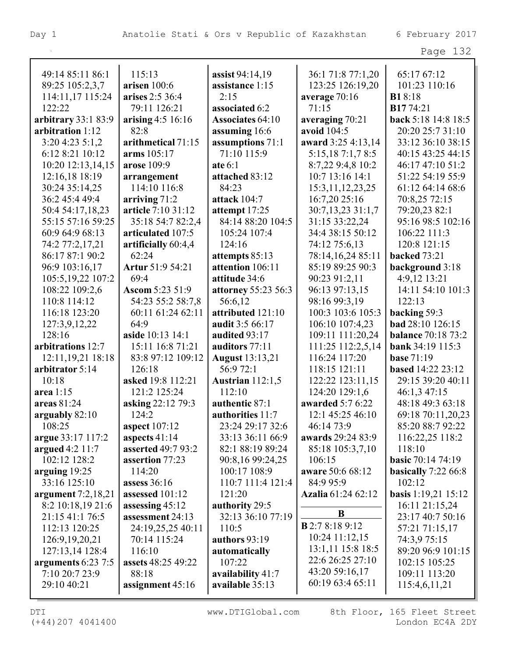| 49:14 85:11 86:1     | 115:13               | assist $94:14,19$          | 36:1 71:8 77:1,20      | 65:17 67:12               |
|----------------------|----------------------|----------------------------|------------------------|---------------------------|
| 89:25 105:2,3,7      | arisen 100:6         | assistance 1:15            | 123:25 126:19,20       | 101:23 110:16             |
| 114:11,17 115:24     | arises 2:5 36:4      | 2:15                       | average 70:16          | <b>B1</b> 8:18            |
| 122:22               | 79:11 126:21         | associated 6:2             | 71:15                  | B1774:21                  |
| arbitrary 33:1 83:9  | arising 4:5 16:16    | <b>Associates 64:10</b>    | averaging 70:21        | back 5:18 14:8 18:5       |
| arbitration 1:12     | 82:8                 | assuming 16:6              | avoid 104:5            | 20:20 25:7 31:10          |
| 3:20 4:23 5:1,2      | arithmetical 71:15   | assumptions 71:1           | award 3:25 4:13,14     | 33:12 36:10 38:15         |
| 6:12 8:21 10:12      | arms 105:17          | 71:10 115:9                | 5:15,187:1,78:5        | 40:15 43:25 44:15         |
| 10:20 12:13,14,15    | arose 109:9          | ate $6:1$                  | 8:7,22 9:4,8 10:2      | 46:17 47:10 51:2          |
| 12:16,18 18:19       | arrangement          | attached 83:12             | 10:7 13:16 14:1        | 51:22 54:19 55:9          |
| 30:24 35:14,25       | 114:10 116:8         | 84:23                      | 15:3, 11, 12, 23, 25   | 61:12 64:14 68:6          |
| 36:2 45:4 49:4       | arriving $71:2$      | attack 104:7               | 16:7,20 25:16          | 70:8,25 72:15             |
| 50:4 54:17,18,23     | article 7:10 31:12   | attempt 17:25              | 30:7,13,23 31:1,7      | 79:20,23 82:1             |
| 55:15 57:16 59:25    | 35:18 54:7 82:2,4    | 84:14 88:20 104:5          | 31:15 33:22,24         | 95:16 98:5 102:16         |
| 60:9 64:9 68:13      | articulated 107:5    | 105:24 107:4               | 34:4 38:15 50:12       | 106:22 111:3              |
| 74:2 77:2,17,21      | artificially 60:4,4  | 124:16                     | 74:12 75:6,13          | 120:8 121:15              |
| 86:17 87:1 90:2      | 62:24                | attempts 85:13             | 78:14,16,24 85:11      | backed 73:21              |
| 96:9 103:16,17       | Artur 51:9 54:21     | attention 106:11           | 85:19 89:25 90:3       | background 3:18           |
| 105:5, 19, 22 107:2  | 69:4                 | attitude 34:6              | 90:23 91:2,11          | 4:9,12 13:21              |
| 108:22 109:2,6       | Ascom 5:23 51:9      | <b>attorney 55:23 56:3</b> | 96:13 97:13,15         | 14:11 54:10 101:3         |
| 110:8 114:12         | 54:23 55:2 58:7,8    | 56:6,12                    | 98:16 99:3,19          | 122:13                    |
| 116:18 123:20        | 60:11 61:24 62:11    | attributed 121:10          | 100:3 103:6 105:3      | backing 59:3              |
| 127:3,9,12,22        | 64:9                 | audit 3:5 66:17            | 106:10 107:4,23        | bad 28:10 126:15          |
| 128:16               | aside 10:13 14:1     | audited 93:17              | 109:11 111:20,24       | <b>balance</b> 70:18 73:2 |
| arbitrations 12:7    | 15:11 16:8 71:21     | auditors 77:11             | 111:25 112:2,5,14      | bank 34:19 115:3          |
| 12:11, 19, 21 18:18  | 83:8 97:12 109:12    | <b>August</b> 13:13,21     | 116:24 117:20          | <b>base 71:19</b>         |
| arbitrator 5:14      | 126:18               | 56:972:1                   | 118:15 121:11          | <b>based</b> 14:22 23:12  |
| 10:18                | asked 19:8 112:21    | <b>Austrian</b> 112:1,5    | 122:22 123:11,15       | 29:15 39:20 40:11         |
| area 1:15            | 121:2 125:24         | 112:10                     | 124:20 129:1,6         | 46:1,3 47:15              |
| areas 81:24          | asking 22:12 79:3    | authentic 87:1             | awarded 5:7 6:22       | 48:18 49:3 63:18          |
| arguably 82:10       | 124:2                | authorities 11:7           | 12:1 45:25 46:10       | 69:18 70:11,20,23         |
| 108:25               | <b>aspect</b> 107:12 | 23:24 29:17 32:6           | 46:14 73:9             | 85:20 88:7 92:22          |
| argue 33:17 117:2    | aspects $41:14$      | 33:13 36:11 66:9           | awards 29:24 83:9      | 116:22,25 118:2           |
| argued 4:2 11:7      | asserted 49:7 93:2   | 82:1 88:19 89:24           | 85:18 105:3,7,10       | 118:10                    |
| 102:12 128:2         | assertion 77:23      | 90:8,16 99:24,25           | 106:15                 | <b>basic</b> 70:14 74:19  |
| arguing $19:25$      | 114:20               | 100:17 108:9               | aware 50:6 68:12       | basically $7:2266:8$      |
| 33:16 125:10         | assess $36:16$       | 110:7 111:4 121:4          | 84:9 95:9              | 102:12                    |
| argument $7:2,18,21$ | assessed 101:12      | 121:20                     | Azalia 61:24 62:12     | basis 1:19,21 15:12       |
| 8:2 10:18,19 21:6    | assessing 45:12      | authority 29:5             | B                      | 16:11 21:15,24            |
| 21:15 41:1 76:5      | assessment 24:13     | 32:13 36:10 77:19          |                        | 23:17 40:7 50:16          |
| 112:13 120:25        | 24:19,25,25 40:11    | 110:5                      | <b>B</b> 2:7 8:18 9:12 | 57:21 71:15,17            |
| 126:9, 19, 20, 21    | 70:14 115:24         | authors 93:19              | $10:24$ 11:12,15       | 74:3,9 75:15              |
| 127:13,14 128:4      | 116:10               | automatically              | 13:1,11 15:8 18:5      | 89:20 96:9 101:15         |
| arguments 6:23 7:5   | assets 48:25 49:22   | 107:22                     | 22:6 26:25 27:10       | 102:15 105:25             |
| 7:10 20:7 23:9       | 88:18                | availability 41:7          | 43:20 59:16,17         | 109:11 113:20             |
| 29:10 40:21          | assignment 45:16     | available 35:13            | 60:19 63:4 65:11       | 115:4,6,11,21             |

(+44)207 4041400 London EC4A 2DY

DTI WWW.DTIGlobal.com 8th Floor, 165 Fleet Street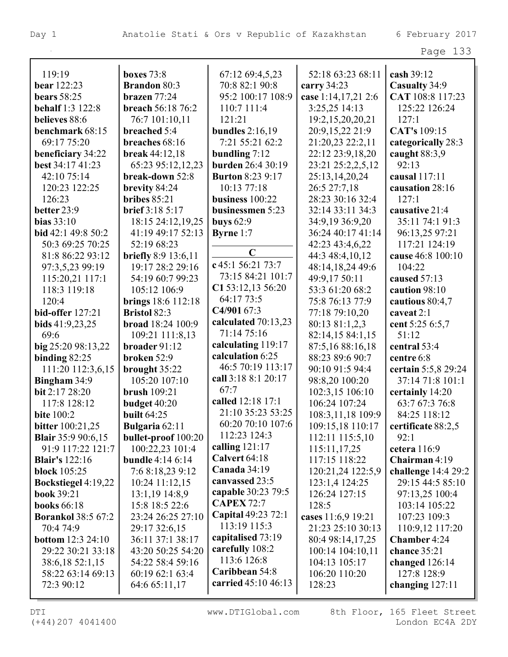| 119:19                       | <b>boxes</b> 73:8          | 67:12 69:4,5,23                    | 52:18 63:23 68:11   | cash 39:12          |
|------------------------------|----------------------------|------------------------------------|---------------------|---------------------|
| bear 122:23                  | <b>Brandon</b> 80:3        | 70:8 82:1 90:8                     | carry $34:23$       | Casualty 34:9       |
| <b>bears</b> 58:25           | brazen $77:24$             | 95:2 100:17 108:9                  | case 1:14,17,21 2:6 | CAT 108:8 117:23    |
| <b>behalf</b> 1:3 122:8      | breach 56:18 76:2          | 110:7 111:4                        | 3:25,25 14:13       | 125:22 126:24       |
| believes 88:6                | 76:7 101:10,11             | 121:21                             | 19:2,15,20,20,21    | 127:1               |
| benchmark 68:15              | breached 5:4               | <b>bundles</b> 2:16,19             | 20:9,15,22 21:9     | CAT's 109:15        |
| 69:17 75:20                  | breaches 68:16             | 7:21 55:21 62:2                    | 21:20,23 22:2,11    | categorically 28:3  |
| beneficiary 34:22            | break 44:12,18             | bundling $7:12$                    | 22:12 23:9,18,20    | caught 88:3,9       |
| best 34:17 41:23             | 65:23 95:12,12,23          | burden 26:4 30:19                  | 23:21 25:2,2,5,12   | 92:13               |
| 42:10 75:14                  | break-down 52:8            | <b>Burton 8:23 9:17</b>            | 25:13,14,20,24      | causal 117:11       |
| 120:23 122:25                | brevity 84:24              | 10:13 77:18                        | 26:5 27:7,18        | causation 28:16     |
| 126:23                       | bribes $85:21$             | business 100:22                    | 28:23 30:16 32:4    | 127:1               |
| better 23:9                  | <b>brief</b> 3:18 5:17     | businessmen 5:23                   | 32:14 33:11 34:3    | causative 21:4      |
| bias $33:10$                 | 18:15 24:12,19,25          | buys $62:9$                        | 34:9,19 36:9,20     | 35:11 74:1 91:3     |
| bid 42:1 49:8 50:2           | 41:19 49:17 52:13          | <b>Byrne</b> 1:7                   | 36:24 40:17 41:14   | 96:13,25 97:21      |
| 50:3 69:25 70:25             | 52:19 68:23                |                                    | 42:23 43:4,6,22     | 117:21 124:19       |
| 81:8 86:22 93:12             | <b>briefly</b> 8:9 13:6,11 | $\mathbf C$                        | 44:3 48:4,10,12     | cause 46:8 100:10   |
| 97:3,5,23 99:19              | 19:17 28:2 29:16           | c 45:1 56:21 73:7                  | 48:14,18,24 49:6    | 104:22              |
| 115:20,21 117:1              | 54:19 60:7 99:23           | 73:15 84:21 101:7                  | 49:9,17 50:11       | caused 57:13        |
| 118:3 119:18                 | 105:12 106:9               | C1 53:12,13 56:20                  | 53:3 61:20 68:2     | caution 98:10       |
| 120:4                        | <b>brings</b> 18:6 112:18  | 64:17 73:5                         | 75:8 76:13 77:9     | cautious 80:4,7     |
| bid-offer 127:21             | Bristol 82:3               | C4/901 67:3                        | 77:18 79:10,20      | caveat 2:1          |
| bids $41:9,23,25$            | broad 18:24 100:9          | calculated $70:13,23$              | 80:13 81:1,2,3      | cent 5:25 6:5,7     |
| 69:6                         | 109:21 111:8,13            | 71:14 75:16                        | 82:14,15 84:1,15    | 51:12               |
| big 25:20 98:13,22           | broader 91:12              | calculating 119:17                 | 87:5,16 88:16,18    | central 53:4        |
| binding $82:25$              | broken 52:9                | calculation 6:25                   | 88:23 89:6 90:7     | centre 6:8          |
| 111:20 112:3,6,15            | brought 35:22              | 46:5 70:19 113:17                  | 90:10 91:5 94:4     | certain 5:5,8 29:24 |
| <b>Bingham 34:9</b>          | 105:20 107:10              | call 3:18 8:1 20:17                | 98:8,20 100:20      | 37:14 71:8 101:1    |
| bit 2:17 28:20               | <b>brush</b> 109:21        | 67:7                               | 102:3,15 106:10     | certainly 14:20     |
| 117:8 128:12                 | budget 40:20               | called 12:18 17:1                  | 106:24 107:24       | 63:7 67:3 76:8      |
| <b>bite</b> 100:2            | <b>built</b> 64:25         | 21:10 35:23 53:25                  | 108:3,11,18 109:9   | 84:25 118:12        |
| <b>bitter</b> 100:21,25      | <b>Bulgaria</b> 62:11      | 60:20 70:10 107:6                  | 109:15,18 110:17    | certificate 88:2,5  |
| <b>Blair</b> 35:9 90:6,15    | <b>bullet-proof</b> 100:20 | 112:23 124:3                       | 112:11 115:5,10     | 92:1                |
| 91:9 117:22 121:7            | 100:22,23 101:4            | calling $121:17$                   | 115:11,17,25        | cetera 116:9        |
| <b>Blair's</b> 122:16        | <b>bundle</b> 4:14 6:14    | Calvert 64:18                      | 117:15 118:22       | Chairman 4:19       |
| block $105:25$               | 7:6 8:18,23 9:12           | Canada $34:19$                     | 120:21,24 122:5,9   | challenge 14:4 29:2 |
| Bockstiegel 4:19,22          | $10:24$ 11:12,15           | canvassed 23:5                     | 123:1,4 124:25      | 29:15 44:5 85:10    |
| <b>book 39:21</b>            | $13:1,19$ 14:8,9           | capable 30:23 79:5                 | 126:24 127:15       | 97:13,25 100:4      |
| <b>books</b> 66:18           | 15:8 18:5 22:6             | <b>CAPEX 72:7</b>                  | 128:5               | 103:14 105:22       |
| <b>Borankol 38:5 67:2</b>    | 23:24 26:25 27:10          | Capital 49:23 72:1<br>113:19 115:3 | cases 11:6,9 19:21  | 107:23 109:3        |
| 70:4 74:9                    | 29:17 32:6,15              |                                    | 21:23 25:10 30:13   | 110:9,12 117:20     |
| <b>bottom</b> $12:3$ $24:10$ | 36:11 37:1 38:17           | capitalised 73:19                  | 80:4 98:14,17,25    | <b>Chamber</b> 4:24 |
| 29:22 30:21 33:18            | 43:20 50:25 54:20          | carefully 108:2<br>113:6 126:8     | 100:14 104:10,11    | chance 35:21        |
| 38:6,18 52:1,15              | 54:22 58:4 59:16           | Caribbean 54:8                     | 104:13 105:17       | changed 126:14      |
| 58:22 63:14 69:13            | 60:19 62:1 63:4            | carried 45:10 46:13                | 106:20 110:20       | 127:8 128:9         |
| 72:3 90:12                   | 64:6 65:11,17              |                                    | 128:23              | changing $127:11$   |

 $\overline{\phantom{a}}$ 

(+44)207 4041400 London EC4A 2DY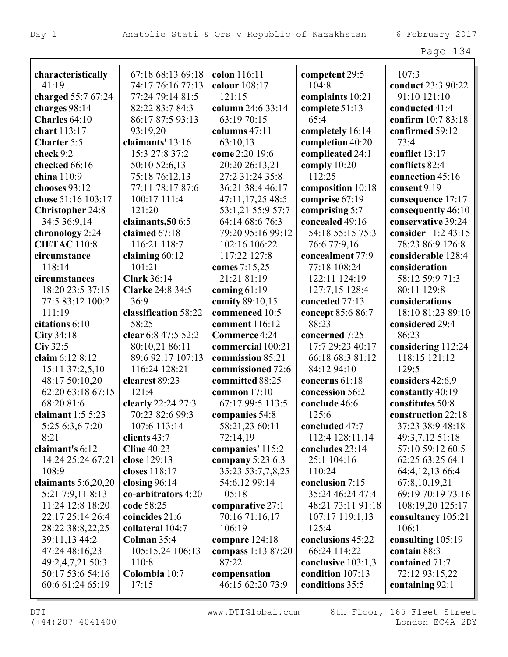|                                |                                       |                         |                         | Page 134                           |
|--------------------------------|---------------------------------------|-------------------------|-------------------------|------------------------------------|
|                                |                                       |                         |                         |                                    |
| characteristically             | 67:18 68:13 69:18                     | colon 116:11            | competent 29:5<br>104:8 | 107:3                              |
| 41:19<br>charged 55:7 67:24    | 74:17 76:16 77:13<br>77:24 79:14 81:5 | colour 108:17<br>121:15 |                         | conduct 23:3 90:22<br>91:10 121:10 |
|                                | 82:22 83:7 84:3                       | column 24:6 33:14       | complaints 10:21        | conducted 41:4                     |
| charges 98:14<br>Charles 64:10 | 86:17 87:5 93:13                      | 63:19 70:15             | complete 51:13<br>65:4  | confirm 10:7 83:18                 |
| chart 113:17                   | 93:19,20                              | columns 47:11           | completely 16:14        | confirmed 59:12                    |
| Charter 5:5                    | claimants' 13:16                      | 63:10,13                | completion 40:20        | 73:4                               |
| check 9:2                      | 15:3 27:8 37:2                        | come 2:20 19:6          | complicated 24:1        | conflict 13:17                     |
| checked 66:16                  | 50:10 52:6,13                         | 20:20 26:13,21          | comply $10:20$          | conflicts 82:4                     |
| china 110:9                    | 75:18 76:12,13                        | 27:2 31:24 35:8         | 112:25                  | connection 45:16                   |
| chooses 93:12                  | 77:11 78:17 87:6                      | 36:21 38:4 46:17        | composition 10:18       | consent 9:19                       |
| chose 51:16 103:17             | 100:17 111:4                          | 47:11,17,25 48:5        | comprise 67:19          | consequence 17:17                  |
| <b>Christopher 24:8</b>        | 121:20                                | 53:1,21 55:9 57:7       | comprising 5:7          | consequently 46:10                 |
| 34:5 36:9,14                   | claimants, 50 6:5                     | 64:14 68:6 76:3         | concealed 49:16         | conservative 39:24                 |
| chronology 2:24                | claimed 67:18                         | 79:20 95:16 99:12       | 54:18 55:15 75:3        | consider 11:2 43:15                |
| <b>CIETAC</b> 110:8            | 116:21 118:7                          | 102:16 106:22           | 76:6 77:9,16            | 78:23 86:9 126:8                   |
| circumstance                   | claiming $60:12$                      | 117:22 127:8            | concealment 77:9        | considerable 128:4                 |
| 118:14                         | 101:21                                | comes 7:15,25           | 77:18 108:24            | consideration                      |
| circumstances                  | <b>Clark 36:14</b>                    | 21:21 81:19             | 122:11 124:19           | 58:12 59:9 71:3                    |
| 18:20 23:5 37:15               | <b>Clarke 24:8 34:5</b>               | coming $61:19$          | 127:7,15 128:4          | 80:11 129:8                        |
| 77:5 83:12 100:2               | 36:9                                  | comity 89:10,15         | conceded 77:13          | considerations                     |
| 111:19                         | classification 58:22                  | commenced 10:5          | concept 85:6 86:7       | 18:10 81:23 89:10                  |
| citations 6:10                 | 58:25                                 | comment 116:12          | 88:23                   | considered 29:4                    |
| City $34:18$                   | clear 6:8 47:5 52:2                   | Commerce 4:24           | concerned 7:25          | 86:23                              |
| $Civ$ 32:5                     | 80:10,21 86:11                        | commercial 100:21       | 17:7 29:23 40:17        | considering 112:24                 |
| claim 6:12 8:12                | 89:6 92:17 107:13                     | commission 85:21        | 66:18 68:3 81:12        | 118:15 121:12                      |
| 15:11 37:2,5,10                | 116:24 128:21                         | commissioned 72:6       | 84:12 94:10             | 129:5                              |
| 48:17 50:10,20                 | clearest 89:23                        | committed 88:25         | concerns 61:18          | considers 42:6,9                   |
| 62:20 63:18 67:15              | 121:4                                 | common $17:10$          | concession 56:2         | constantly 40:19                   |
| 68:20 81:6                     | clearly 22:24 27:3                    | 67:17 99:5 113:5        | conclude 46:6           | constitutes 50:8                   |
| claimant $1:55:23$             | 70:23 82:6 99:3                       | companies 54:8          | 125:6                   | construction 22:18                 |
| 5:25 6:3,6 7:20                | 107:6 113:14                          | 58:21,23 60:11          | concluded 47:7          | 37:23 38:9 48:18                   |
| 8:21                           | clients 43:7                          | 72:14,19                | 112:4 128:11,14         | 49:3,7,12 51:18                    |
| claimant's 6:12                | Cline $40:23$                         | companies' 115:2        | concludes 23:14         | 57:10 59:12 60:5                   |
| 14:24 25:24 67:21              | close 129:13                          | company $5:236:3$       | 25:1 104:16             | 62:25 63:25 64:1                   |
| 108:9                          | closes 118:17                         | 35:23 53:7,7,8,25       | 110:24                  | 64:4,12,13 66:4                    |
| claimants $5:6,20,20$          | closing $96:14$                       | 54:6,12 99:14           | conclusion 7:15         | 67:8,10,19,21                      |
| 5:21 7:9,11 8:13               | co-arbitrators 4:20                   | 105:18                  | 35:24 46:24 47:4        | 69:19 70:19 73:16                  |
| 11:24 12:8 18:20               | code 58:25                            | comparative 27:1        | 48:21 73:11 91:18       | 108:19,20 125:17                   |
| 22:17 25:14 26:4               | coincides 21:6                        | 70:16 71:16,17          | 107:17 119:1,13         | consultancy 105:21                 |
| 28:22 38:8,22,25               | collateral 104:7                      | 106:19                  | 125:4                   | 106:1                              |
| 39:11,13 44:2                  | Colman 35:4                           | compare 124:18          | conclusions 45:22       | consulting 105:19                  |
| 47:24 48:16,23                 | 105:15,24 106:13                      | compass 1:13 87:20      | 66:24 114:22            | contain 88:3                       |
| 49:2,4,7,21 50:3               | 110:8                                 | 87:22                   | conclusive $103:1,3$    | contained 71:7                     |
| 50:17 53:6 54:16               | Colombia 10:7                         | compensation            | condition 107:13        | 72:12 93:15,22                     |
| 60:6 61:24 65:19               | 17:15                                 | 46:15 62:20 73:9        | conditions 35:5         | containing 92:1                    |
|                                |                                       |                         |                         |                                    |

L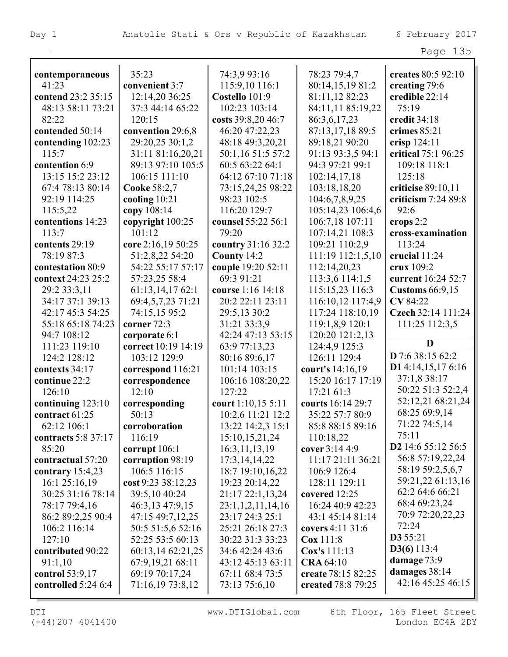| contemporaneous     | 35:23               | 74:3,9 93:16       | 78:23 79:4,7       | creates 80:5 92:10             |
|---------------------|---------------------|--------------------|--------------------|--------------------------------|
| 41:23               | convenient 3:7      | 115:9,10 116:1     | 80:14,15,19 81:2   | creating 79:6                  |
| contend 23:2 35:15  | 12:14,20 36:25      | Costello 101:9     | 81:11,12 82:23     | credible 22:14                 |
| 48:13 58:11 73:21   | 37:3 44:14 65:22    | 102:23 103:14      | 84:11,11 85:19,22  | 75:19                          |
| 82:22               | 120:15              | costs 39:8,20 46:7 | 86:3,6,17,23       | credit 34:18                   |
| contended 50:14     | convention 29:6,8   | 46:20 47:22,23     | 87:13,17,18 89:5   | crimes 85:21                   |
| contending 102:23   | 29:20,25 30:1,2     | 48:18 49:3,20,21   | 89:18,21 90:20     | crisp 124:11                   |
| 115:7               | 31:11 81:16,20,21   | 50:1,16 51:5 57:2  | 91:13 93:3,5 94:1  | critical 75:1 96:25            |
| contention 6:9      | 89:13 97:10 105:5   | 60:5 63:22 64:1    | 94:3 97:21 99:1    | 109:18 118:1                   |
| 13:15 15:2 23:12    | 106:15 111:10       | 64:12 67:10 71:18  | 102:14,17,18       | 125:18                         |
| 67:4 78:13 80:14    | Cooke 58:2,7        | 73:15,24,25 98:22  | 103:18,18,20       | criticise 89:10,11             |
| 92:19 114:25        | cooling 10:21       | 98:23 102:5        | 104:6,7,8,9,25     | criticism 7:24 89:8            |
| 115:5,22            | copy 108:14         | 116:20 129:7       | 105:14,23 106:4,6  | 92:6                           |
| contentions 14:23   | copyright 100:25    | counsel 55:22 56:1 | 106:7,18 107:11    | crops $2:2$                    |
| 113:7               | 101:12              | 79:20              | 107:14,21 108:3    | cross-examination              |
| contents 29:19      | core 2:16,19 50:25  | country 31:16 32:2 | 109:21 110:2,9     | 113:24                         |
| 78:19 87:3          | 51:2,8,22 54:20     | County 14:2        | 111:19 112:1,5,10  | crucial 11:24                  |
| contestation 80:9   | 54:22 55:17 57:17   | couple 19:20 52:11 | 112:14,20,23       | crux 109:2                     |
| context 24:23 25:2  | 57:23,25 58:4       | 69:3 91:21         | 113:3,6 114:1,5    | current 16:24 52:7             |
| 29:2 33:3,11        | 61:13,14,17 62:1    | course 1:16 14:18  | 115:15,23 116:3    | <b>Customs</b> 66:9,15         |
| 34:17 37:1 39:13    | 69:4,5,7,23 71:21   | 20:2 22:11 23:11   | 116:10,12 117:4,9  | CV 84:22                       |
| 42:17 45:3 54:25    | 74:15,15 95:2       | 29:5,13 30:2       | 117:24 118:10,19   | Czech 32:14 111:24             |
| 55:18 65:18 74:23   | corner 72:3         | 31:21 33:3,9       | 119:1,8,9 120:1    | 111:25 112:3,5                 |
| 94:7 108:12         | corporate 6:1       | 42:24 47:13 53:15  | 120:20 121:2,13    |                                |
| 111:23 119:10       | correct 10:19 14:19 | 63:9 77:13,23      | 124:4,9 125:3      | D                              |
| 124:2 128:12        | 103:12 129:9        | 80:16 89:6,17      | 126:11 129:4       | D 7:6 38:15 62:2               |
| contexts 34:17      | correspond 116:21   | 101:14 103:15      | court's 14:16,19   | D14:14,15,176:16               |
| continue 22:2       | correspondence      | 106:16 108:20,22   | 15:20 16:17 17:19  | 37:1,8 38:17                   |
| 126:10              | 12:10               | 127:22             | 17:21 61:3         | 50:22 51:3 52:2,4              |
| continuing 123:10   | corresponding       | court 1:10,15 5:11 | courts 16:14 29:7  | 52:12,21 68:21,24              |
| contract $61:25$    | 50:13               | 10:2,6 11:21 12:2  | 35:22 57:7 80:9    | 68:25 69:9,14                  |
| 62:12 106:1         | corroboration       | 13:22 14:2,3 15:1  | 85:8 88:15 89:16   | 71:22 74:5,14                  |
| contracts 5:8 37:17 | 116:19              | 15:10,15,21,24     | 110:18,22          | 75:11                          |
| 85:20               | corrupt $106:1$     | 16:3,11,13,19      | cover 3:14 4:9     | D <sub>2</sub> 14:6 55:12 56:5 |
| contractual 57:20   | corruption 98:19    | 17:3,14,14,22      | 11:17 21:11 36:21  | 56:8 57:19,22,24               |
| contrary $15:4,23$  | 106:5 116:15        | 18:7 19:10,16,22   | 106:9 126:4        | 58:19 59:2,5,6,7               |
| 16:125:16,19        | cost 9:23 38:12,23  | 19:23 20:14,22     | 128:11 129:11      | 59:21,22 61:13,16              |
| 30:25 31:16 78:14   | 39:5,10 40:24       | 21:17 22:1,13,24   | covered 12:25      | 62:2 64:6 66:21                |
| 78:17 79:4,16       | 46:3,13 47:9,15     | 23:1,1,2,11,14,16  | 16:24 40:9 42:23   | 68:4 69:23,24                  |
| 86:2 89:2,25 90:4   | 47:15 49:7,12,25    | 23:17 24:3 25:1    | 43:1 45:14 81:14   | 70:9 72:20,22,23               |
| 106:2 116:14        | 50:5 51:5,6 52:16   | 25:21 26:18 27:3   | covers 4:11 31:6   | 72:24                          |
| 127:10              | 52:25 53:5 60:13    | 30:22 31:3 33:23   | $\cos 111:8$       | <b>D3</b> 55:21                |
| contributed 90:22   | 60:13,14 62:21,25   | 34:6 42:24 43:6    | Cox's 111:13       | D3(6) 113:4                    |
| 91:1,10             | 67:9,19,21 68:11    | 43:12 45:13 63:11  | <b>CRA 64:10</b>   | damage 73:9                    |
| control $53:9,17$   | 69:19 70:17,24      | 67:11 68:4 73:5    | create 78:15 82:25 | damages 38:14                  |
| controlled 5:24 6:4 | 71:16,19 73:8,12    | 73:13 75:6,10      | created 78:8 79:25 | 42:16 45:25 46:15              |
|                     |                     |                    |                    |                                |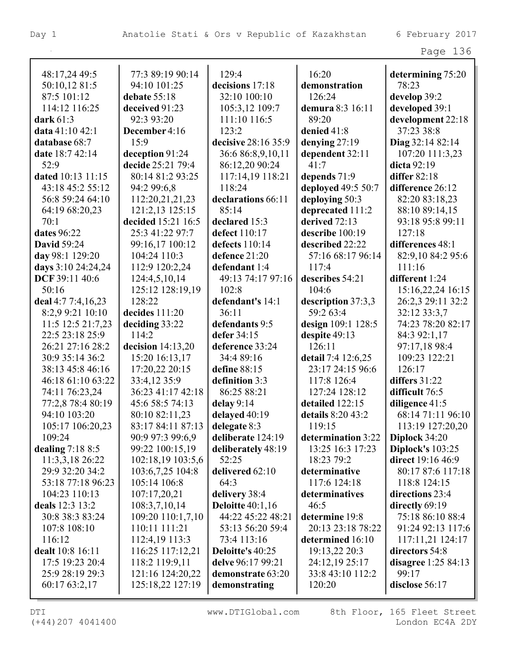| 48:17,24 49:5          | 77:3 89:19 90:14                      | 129:4                       | 16:20                             | determining 75:20           |
|------------------------|---------------------------------------|-----------------------------|-----------------------------------|-----------------------------|
| 50:10,12 81:5          | 94:10 101:25                          | decisions 17:18             | demonstration                     | 78:23                       |
| 87:5 101:12            | debate 55:18                          | 32:10 100:10                | 126:24                            | develop 39:2                |
| 114:12 116:25          | deceived 91:23                        | 105:3,12 109:7              | demura 8:3 16:11                  | developed 39:1              |
| dark 61:3              | 92:3 93:20                            | 111:10 116:5                | 89:20                             | development 22:18           |
| data 41:10 42:1        | December 4:16                         | 123:2                       | denied 41:8                       | 37:23 38:8                  |
| database 68:7          | 15:9                                  | decisive 28:16 35:9         | denying $27:19$                   | Diag 32:14 82:14            |
| date 18:7 42:14        | deception 91:24                       | 36:6 86:8,9,10,11           | dependent 32:11                   | 107:20 111:3,23             |
| 52:9                   | decide 25:21 79:4                     | 86:12,20 90:24              | 41:7                              | dicta 92:19                 |
| dated 10:13 11:15      | 80:14 81:2 93:25                      | 117:14,19 118:21            | depends 71:9                      | differ 82:18                |
| 43:18 45:2 55:12       | 94:2 99:6,8                           | 118:24                      | deployed 49:5 50:7                | difference 26:12            |
|                        |                                       |                             |                                   |                             |
| 56:8 59:24 64:10       | 112:20,21,21,23                       | declarations 66:11<br>85:14 | deploying 50:3                    | 82:20 83:18,23              |
| 64:19 68:20,23<br>70:1 | 121:2,13 125:15                       |                             | deprecated 111:2<br>derived 72:13 | 88:10 89:14,15              |
|                        | decided 15:21 16:5<br>25:3 41:22 97:7 | declared 15:3               |                                   | 93:18 95:8 99:11<br>127:18  |
| dates 96:22            |                                       | defect 110:17               | describe 100:19                   |                             |
| <b>David 59:24</b>     | 99:16,17 100:12                       | defects 110:14              | described 22:22                   | differences 48:1            |
| day 98:1 129:20        | 104:24 110:3                          | defence 21:20               | 57:16 68:17 96:14                 | 82:9,10 84:2 95:6<br>111:16 |
| days 3:10 24:24,24     | 112:9 120:2,24                        | defendant 1:4               | 117:4                             |                             |
| DCF 39:11 40:6         | 124:4,5,10,14                         | 49:13 74:17 97:16           | describes 54:21                   | different 1:24              |
| 50:16                  | 125:12 128:19,19                      | 102:8                       | 104:6                             | 15:16,22,24 16:15           |
| deal 4:7 7:4,16,23     | 128:22                                | defendant's 14:1            | description 37:3,3                | 26:2,3 29:11 32:2           |
| 8:2,9 9:21 10:10       | decides 111:20                        | 36:11                       | 59:2 63:4                         | 32:12 33:3,7                |
| 11:5 12:5 21:7,23      | deciding 33:22                        | defendants 9:5              | design 109:1 128:5                | 74:23 78:20 82:17           |
| 22:5 23:18 25:9        | 114:2                                 | defer 34:15                 | despite 49:13                     | 84:3 92:1,17                |
| 26:21 27:16 28:2       | decision $14:13,20$                   | deference 33:24             | 126:11                            | 97:17,18 98:4               |
| 30:9 35:14 36:2        | 15:20 16:13,17                        | 34:4 89:16                  | detail 7:4 12:6,25                | 109:23 122:21               |
| 38:13 45:8 46:16       | 17:20,22 20:15                        | define 88:15                | 23:17 24:15 96:6                  | 126:17                      |
| 46:18 61:10 63:22      | 33:4,12 35:9                          | definition 3:3              | 117:8 126:4                       | differs $31:22$             |
| 74:11 76:23,24         | 36:23 41:17 42:18                     | 86:25 88:21                 | 127:24 128:12                     | difficult 76:5              |
| 77:2,8 78:4 80:19      | 45:6 58:5 74:13                       | delay 9:14                  | detailed 122:15                   | diligence 41:5              |
| 94:10 103:20           | 80:10 82:11,23                        | delayed 40:19               | details 8:20 43:2                 | 68:14 71:11 96:10           |
| 105:17 106:20,23       | 83:17 84:11 87:13                     | delegate 8:3                | 119:15                            | 113:19 127:20,20            |
| 109:24                 | 90:9 97:3 99:6,9                      | deliberate 124:19           | determination 3:22                | Diplock 34:20               |
| dealing $7:188:5$      | 99:22 100:15,19                       | deliberately 48:19          | 13:25 16:3 17:23                  | Diplock's 103:25            |
| 11:3,3,18 26:22        | 102:18,19 103:5,6                     | 52:25                       | 18:23 79:2                        | direct 19:16 46:9           |
| 29:9 32:20 34:2        | 103:6,7,25 104:8                      | delivered 62:10             | determinative                     | 80:17 87:6 117:18           |
| 53:18 77:18 96:23      | 105:14 106:8                          | 64:3                        | 117:6 124:18                      | 118:8 124:15                |
| 104:23 110:13          | 107:17,20,21                          | delivery 38:4               | determinatives                    | directions 23:4             |
| deals 12:3 13:2        | 108:3,7,10,14                         | <b>Deloitte 40:1,16</b>     | 46:5                              | directly $69:19$            |
| 30:8 38:3 83:24        | 109:20 110:1,7,10                     | 44:22 45:22 48:21           | determine 19:8                    | 75:18 86:10 88:4            |
| 107:8 108:10           | 110:11 111:21                         | 53:13 56:20 59:4            | 20:13 23:18 78:22                 | 91:24 92:13 117:6           |
| 116:12                 | 112:4,19 113:3                        | 73:4 113:16                 | determined 16:10                  | 117:11,21 124:17            |
| dealt 10:8 16:11       | 116:25 117:12,21                      | Deloitte's 40:25            | 19:13,22 20:3                     | directors 54:8              |
| 17:5 19:23 20:4        | 118:2 119:9,11                        | delve 96:17 99:21           | 24:12,19 25:17                    | disagree $1:2584:13$        |
| 25:9 28:19 29:3        | 121:16 124:20,22                      | demonstrate 63:20           | 33:8 43:10 112:2                  | 99:17                       |
| 60:17 63:2,17          | 125:18,22 127:19                      | demonstrating               | 120:20                            | disclose 56:17              |
|                        |                                       |                             |                                   |                             |

L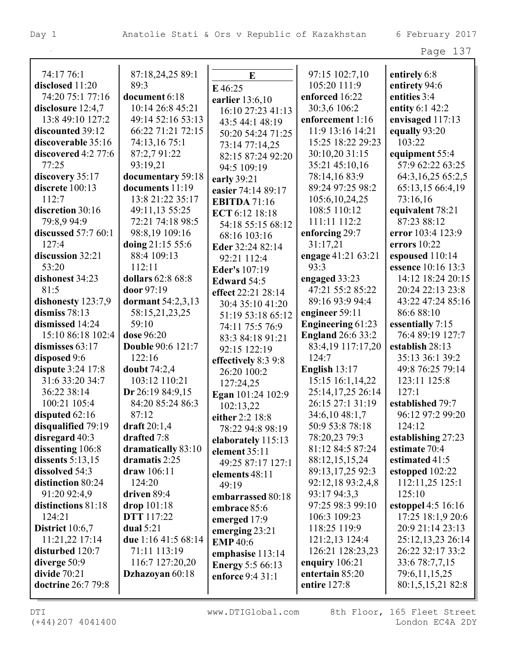| аa<br>≏ |  |
|---------|--|
|---------|--|

| 74:17 76:1             | 87:18,24,25 89:1         | $\bf{E}$                | 97:15 102:7,10           | entirely 6:8       |
|------------------------|--------------------------|-------------------------|--------------------------|--------------------|
| disclosed 11:20        | 89:3                     | E 46:25                 | 105:20 111:9             | entirety 94:6      |
| 74:20 75:1 77:16       | document 6:18            | earlier 13:6,10         | enforced 16:22           | entities 3:4       |
| disclosure 12:4,7      | 10:14 26:8 45:21         | 16:10 27:23 41:13       | 30:3,6 106:2             | entity 6:1 42:2    |
| 13:8 49:10 127:2       | 49:14 52:16 53:13        | 43:5 44:1 48:19         | enforcement 1:16         | envisaged 117:13   |
| discounted 39:12       | 66:22 71:21 72:15        | 50:20 54:24 71:25       | 11:9 13:16 14:21         | equally 93:20      |
| discoverable 35:16     | 74:13,16 75:1            | 73:14 77:14,25          | 15:25 18:22 29:23        | 103:22             |
| discovered 4:2 77:6    | 87:2,7 91:22             | 82:15 87:24 92:20       | 30:10,20 31:15           | equipment 55:4     |
| 77:25                  | 93:19,21                 | 94:5 109:19             | 35:21 45:10,16           | 57:9 62:22 63:25   |
| discovery 35:17        | documentary 59:18        | early 39:21             | 78:14,16 83:9            | 64:3,16,25 65:2,5  |
| discrete 100:13        | documents 11:19          | easier 74:14 89:17      | 89:24 97:25 98:2         | 65:13,15 66:4,19   |
| 112:7                  | 13:8 21:22 35:17         | <b>EBITDA</b> 71:16     | 105:6, 10, 24, 25        | 73:16,16           |
| discretion 30:16       | 49:11,13 55:25           | ECT 6:12 18:18          | 108:5 110:12             | equivalent 78:21   |
| 79:8,9 94:9            | 72:21 74:18 98:5         | 54:18 55:15 68:12       | 111:11 112:2             | 87:23 88:12        |
| discussed 57:7 60:1    | 98:8,19 109:16           | 68:16 103:16            | enforcing 29:7           | error 103:4 123:9  |
| 127:4                  | doing 21:15 55:6         | Eder 32:24 82:14        | 31:17,21                 | errors $10:22$     |
| discussion 32:21       | 88:4 109:13              | 92:21 112:4             | engage 41:21 63:21       | espoused 110:14    |
| 53:20                  | 112:11                   | <b>Eder's 107:19</b>    | 93:3                     | essence 10:16 13:3 |
| dishonest 34:23        | dollars 62:8 68:8        | Edward 54:5             | engaged 33:23            | 14:12 18:24 20:15  |
| 81:5                   | door 97:19               | effect 22:21 28:14      | 47:21 55:2 85:22         | 20:24 22:13 23:8   |
| dishonesty 123:7,9     | dormant 54:2,3,13        | 30:4 35:10 41:20        | 89:16 93:9 94:4          | 43:22 47:24 85:16  |
| dismiss $78:13$        | 58:15,21,23,25           | 51:19 53:18 65:12       | engineer 59:11           | 86:6 88:10         |
| dismissed 14:24        | 59:10                    | 74:11 75:5 76:9         | <b>Engineering 61:23</b> | essentially 7:15   |
| 15:10 86:18 102:4      | dose 96:20               | 83:3 84:18 91:21        | <b>England 26:6 33:2</b> | 76:4 89:19 127:7   |
| dismisses 63:17        | <b>Double 90:6 121:7</b> | 92:15 122:19            | 83:4,19 117:17,20        | establish 28:13    |
| disposed 9:6           | 122:16                   | effectively 8:3 9:8     | 124:7                    | 35:13 36:1 39:2    |
| dispute 3:24 17:8      | doubt $74:2,4$           | 26:20 100:2             | English $13:17$          | 49:8 76:25 79:14   |
| 31:6 33:20 34:7        | 103:12 110:21            | 127:24,25               | 15:15 16:1,14,22         | 123:11 125:8       |
| 36:22 38:14            | Dr 26:19 84:9,15         | Egan 101:24 102:9       | 25:14,17,25 26:14        | 127:1              |
| 100:21 105:4           | 84:20 85:24 86:3         | 102:13,22               | 26:15 27:1 31:19         | established 79:7   |
| disputed $62:16$       | 87:12                    | either 2:2 18:8         | 34:6,10 48:1,7           | 96:12 97:2 99:20   |
| disqualified 79:19     | draft $20:1,4$           | 78:22 94:8 98:19        | 50:9 53:8 78:18          | 124:12             |
| disregard $40:3$       | drafted 7:8              | elaborately 115:13      | 78:20,23 79:3            | establishing 27:23 |
| dissenting 106:8       | dramatically 83:10       | element 35:11           | 81:12 84:5 87:24         | estimate 70:4      |
| dissents $5:13,15$     | dramatis $2:25$          | 49:25 87:17 127:1       | 88:12,15,15,24           | estimated 41:5     |
| dissolved 54:3         | draw 106:11              | elements 48:11          | 89:13,17,25 92:3         | estopped 102:22    |
| distinction 80:24      | 124:20                   | 49:19                   | 92:12,18 93:2,4,8        | 112:11,25 125:1    |
| 91:20 92:4,9           | driven 89:4              | embarrassed 80:18       | 93:17 94:3,3             | 125:10             |
| distinctions 81:18     | drop $101:18$            | embrace 85:6            | 97:25 98:3 99:10         | estoppel 4:5 16:16 |
| 124:21                 | <b>DTT</b> 117:22        | emerged 17:9            | 106:3 109:23             | 17:25 18:1,9 20:6  |
| <b>District</b> 10:6,7 | dual $5:21$              | emerging $23:21$        | 118:25 119:9             | 20:9 21:14 23:13   |
| 11:21,22 17:14         | due 1:16 41:5 68:14      | <b>EMP</b> 40:6         | 121:2,13 124:4           | 25:12,13,23 26:14  |
| disturbed 120:7        | 71:11 113:19             | emphasise 113:14        | 126:21 128:23,23         | 26:22 32:17 33:2   |
| diverge $50:9$         | 116:7 127:20,20          | <b>Energy</b> 5:5 66:13 | enquiry $106:21$         | 33:6 78:7,7,15     |
| divide $70:21$         | Dzhazoyan 60:18          | enforce 9:4 31:1        | entertain 85:20          | 79:6,11,15,25      |
| doctrine 26:7 79:8     |                          |                         | entire 127:8             | 80:1,5,15,21 82:8  |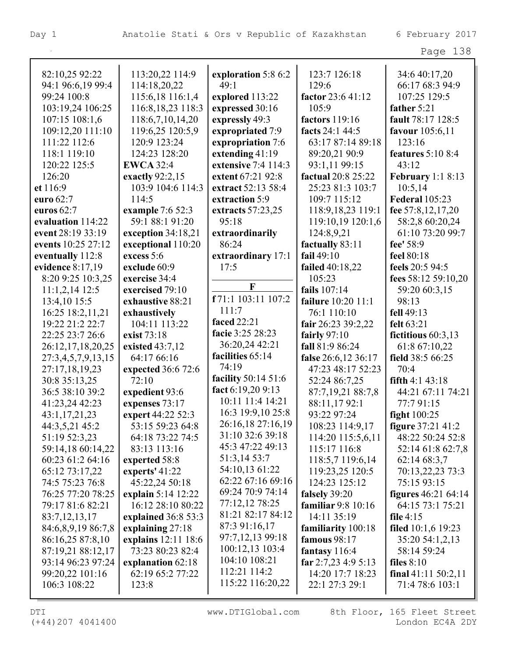|                                  |                                  |                             |                            | Page 138                        |
|----------------------------------|----------------------------------|-----------------------------|----------------------------|---------------------------------|
|                                  |                                  |                             |                            |                                 |
| 82:10,25 92:22                   | 113:20,22 114:9                  | exploration 5:8 6:2<br>49:1 | 123:7 126:18               | 34:6 40:17,20                   |
| 94:1 96:6,19 99:4<br>99:24 100:8 | 114:18,20,22<br>115:6,18 116:1,4 | explored 113:22             | 129:6<br>factor 23:6 41:12 | 66:17 68:3 94:9<br>107:25 129:5 |
| 103:19,24 106:25                 | 116:8, 18, 23 118:3              | expressed 30:16             | 105:9                      | father 5:21                     |
| 107:15 108:1,6                   | 118:6,7,10,14,20                 | expressly 49:3              | factors 119:16             | fault 78:17 128:5               |
| 109:12,20 111:10                 | 119:6,25 120:5,9                 | expropriated 7:9            | facts 24:1 44:5            | <b>favour</b> 105:6,11          |
| 111:22 112:6                     | 120:9 123:24                     | expropriation 7:6           | 63:17 87:14 89:18          | 123:16                          |
| 118:1 119:10                     | 124:23 128:20                    | extending 41:19             | 89:20,21 90:9              | features $5:108:4$              |
| 120:22 125:5                     | <b>EWCA 32:4</b>                 | extensive 7:4 114:3         | 93:1,11 99:15              | 43:12                           |
| 126:20                           | exactly $92:2,15$                | extent 67:21 92:8           | factual 20:8 25:22         | <b>February</b> 1:1 8:13        |
| et 116:9                         | 103:9 104:6 114:3                | extract 52:13 58:4          | 25:23 81:3 103:7           | 10:5,14                         |
| euro 62:7                        | 114:5                            | extraction 5:9              | 109:7 115:12               | <b>Federal 105:23</b>           |
| euros 62:7                       | example 7:6 52:3                 | extracts 57:23,25           | 118:9,18,23 119:1          | fee 57:8,12,17,20               |
| evaluation 114:22                | 59:1 88:1 91:20                  | 95:18                       | 119:10,19 120:1,6          | 58:2,8 60:20,24                 |
| event 28:19 33:19                | exception 34:18,21               | extraordinarily             | 124:8,9,21                 | 61:10 73:20 99:7                |
| events 10:25 27:12               | exceptional 110:20               | 86:24                       | factually 83:11            | fee' 58:9                       |
| eventually 112:8                 | excess 5:6                       | extraordinary 17:1          | fail $49:10$               | feel 80:18                      |
| evidence 8:17,19                 | exclude 60:9                     | 17:5                        | <b>failed</b> 40:18,22     | feels 20:5 94:5                 |
| 8:20 9:25 10:3,25                | exercise 34:4                    |                             | 105:23                     | fees 58:12 59:10,20             |
| $11:1,2,14$ 12:5                 | exercised 79:10                  | $\mathbf{F}$                | fails $107:14$             | 59:20 60:3,15                   |
| 13:4,10 15:5                     | exhaustive 88:21                 | f 71:1 103:11 107:2         | failure 10:20 11:1         | 98:13                           |
| 16:25 18:2,11,21                 | exhaustively                     | 111:7                       | 76:1 110:10                | fell 49:13                      |
| 19:22 21:2 22:7                  | 104:11 113:22                    | <b>faced</b> 22:21          | fair 26:23 39:2,22         | felt 63:21                      |
| 22:25 23:7 26:6                  | exist 73:18                      | facie 3:25 28:23            | fairly $97:10$             | fictitious $60:3,13$            |
| 26:12,17,18,20,25                | existed 43:7,12                  | 36:20,24 42:21              | fall 81:9 86:24            | 61:8 67:10,22                   |
| 27:3,4,5,7,9,13,15               | 64:17 66:16                      | facilities 65:14            | false 26:6,12 36:17        | field 38:5 66:25                |
| 27:17,18,19,23                   | expected 36:6 72:6               | 74:19                       | 47:23 48:17 52:23          | 70:4                            |
| 30:8 35:13,25                    | 72:10                            | facility 50:14 51:6         | 52:24 86:7,25              | fifth $4:1$ $43:18$             |
| 36:5 38:10 39:2                  | expedient 93:6                   | fact 6:19,20 9:13           | 87:7,19,21 88:7,8          | 44:21 67:11 74:21               |
| 41:23,24 42:23                   | expenses 73:17                   | 10:11 11:4 14:21            | 88:11,1792:1               | 77:7 91:15                      |
| 43:1,17,21,23                    | expert 44:22 52:3                | 16:3 19:9,10 25:8           | 93:22 97:24                | <b>fight</b> 100:25             |
| 44:3,5,21 45:2                   | 53:15 59:23 64:8                 | 26:16,18 27:16,19           | 108:23 114:9,17            | figure 37:21 41:2               |
| 51:19 52:3,23                    | 64:18 73:22 74:5                 | 31:10 32:6 39:18            | 114:20 115:5,6,11          | 48:22 50:24 52:8                |
| 59:14,18 60:14,22                | 83:13 113:16                     | 45:3 47:22 49:13            | 115:17 116:8               | 52:14 61:8 62:7,8               |
| 60:23 61:2 64:16                 | experted 58:8                    | 51:3,14 53:7                | 118:5,7 119:6,14           | 62:1468:3,7                     |
| 65:12 73:17,22                   | experts' $41:22$                 | 54:10,13 61:22              | 119:23,25 120:5            | 70:13,22,23 73:3                |
| 74:5 75:23 76:8                  | 45:22,24 50:18                   | 62:22 67:16 69:16           | 124:23 125:12              | 75:15 93:15                     |
| 76:25 77:20 78:25                | explain 5:14 12:22               | 69:24 70:9 74:14            | falsely 39:20              | figures $46:2164:14$            |
| 79:17 81:6 82:21                 | 16:12 28:10 80:22                | 77:12,12 78:25              | familiar 9:8 10:16         | 64:15 73:1 75:21                |
| 83:7, 12, 13, 17                 | explained 36:8 53:3              | 81:21 82:17 84:12           | 14:11 35:19                | file $4:15$                     |
| 84:6,8,9,19 86:7,8               | explaining 27:18                 | 87:3 91:16,17               | familiarity 100:18         | filed $10:1,6$ 19:23            |
| 86:16,25 87:8,10                 | explains 12:11 18:6              | 97:7,12,13 99:18            | <b>famous</b> 98:17        | 35:20 54:1,2,13                 |
| 87:19,21 88:12,17                | 73:23 80:23 82:4                 | 100:12,13 103:4             | fantasy $116:4$            | 58:14 59:24                     |
| 93:14 96:23 97:24                | explanation 62:18                | 104:10 108:21               | far $2:7,23$ 4:9 5:13      | files $8:10$                    |
| 99:20,22 101:16                  | 62:19 65:2 77:22                 | 112:21 114:2                | 14:20 17:7 18:23           | final $41:11\,50:2,11$          |
| 106:3 108:22                     | 123:8                            | 115:22 116:20,22            | 22:1 27:3 29:1             | 71:4 78:6 103:1                 |

(+44)207 4041400 London EC4A 2DY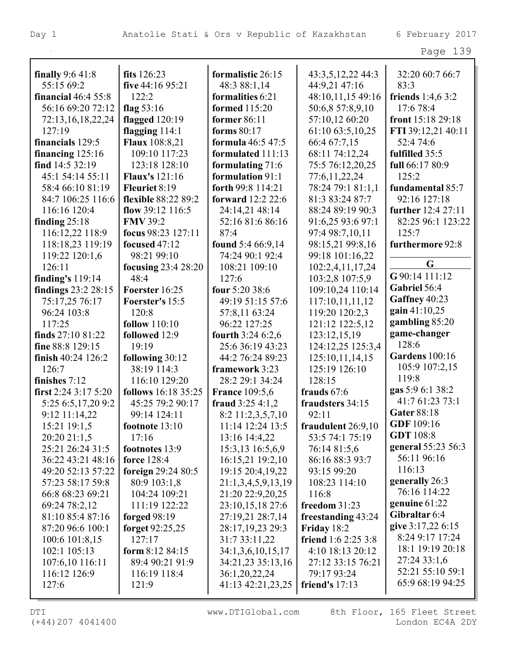| finally $9:641:8$          | fits $126:23$         | formalistic 26:15                    | 43:3,5,12,22 44:3                 | 32:20 60:7 66:7       |
|----------------------------|-----------------------|--------------------------------------|-----------------------------------|-----------------------|
| 55:15 69:2                 | five 44:16 95:21      | 48:3 88:1,14                         | 44:9,21 47:16                     | 83:3                  |
| <b>financial</b> 46:4 55:8 | 122:2                 | formalities 6:21                     | 48:10,11,15 49:16                 | friends $1:4,63:2$    |
| 56:16 69:20 72:12          | flag $53:16$          | <b>formed</b> 115:20                 | 50:6,8 57:8,9,10                  | 17:6 78:4             |
| 72:13,16,18,22,24          | flagged $120:19$      | former 86:11                         | 57:10,12 60:20                    | front 15:18 29:18     |
| 127:19                     | flagging $114:1$      | forms $80:17$                        | 61:10 63:5,10,25                  | FTI 39:12,21 40:11    |
| financials 129:5           | <b>Flaux</b> 108:8,21 | <b>formula</b> 46:5 47:5             | 66:4 67:7,15                      | 52:4 74:6             |
| financing $125:16$         | 109:10 117:23         | formulated 111:13                    | 68:11 74:12,24                    | fulfilled 35:5        |
| find 14:5 32:19            | 123:18 128:10         | formulating 71:6                     | 75:5 76:12,20,25                  | full 66:17 80:9       |
| 45:1 54:14 55:11           | <b>Flaux's</b> 121:16 | formulation 91:1                     | 77:6,11,22,24                     | 125:2                 |
| 58:4 66:10 81:19           | Fleuriet 8:19         | forth 99:8 114:21                    | 78:24 79:1 81:1,1                 | fundamental 85:7      |
| 84:7 106:25 116:6          | flexible 88:22 89:2   | <b>forward</b> 12:2 22:6             | 81:3 83:24 87:7                   | 92:16 127:18          |
| 116:16 120:4               | flow $39:12$ 116:5    | 24:14,21 48:14                       | 88:24 89:19 90:3                  | further 12:4 27:11    |
| finding $25:18$            | <b>FMV 39:2</b>       | 52:16 81:6 86:16                     | 91:6,25 93:6 97:1                 | 82:25 96:1 123:22     |
| 116:12,22 118:9            | focus 98:23 127:11    | 87:4                                 | 97:4 98:7,10,11                   | 125:7                 |
| 118:18,23 119:19           | focused 47:12         | found 5:4 66:9,14                    | 98:15,21 99:8,16                  | furthermore 92:8      |
| 119:22 120:1,6             | 98:21 99:10           | 74:24 90:1 92:4                      | 99:18 101:16,22                   |                       |
| 126:11                     | focusing 23:4 28:20   | 108:21 109:10                        | 102:2,4,11,17,24                  | G                     |
| finding's $119:14$         | 48:4                  | 127:6                                | 103:2,8 107:5,9                   | G 90:14 111:12        |
| findings 23:2 28:15        | Foerster 16:25        | four 5:20 38:6                       | 109:10,24 110:14                  | Gabriel 56:4          |
| 75:17,25 76:17             | Foerster's 15:5       | 49:19 51:15 57:6                     | 117:10,11,11,12                   | Gaffney 40:23         |
| 96:24 103:8                | 120:8                 | 57:8,11 63:24                        | 119:20 120:2,3                    | gain 41:10,25         |
| 117:25                     | <b>follow</b> 110:10  | 96:22 127:25                         | 121:12 122:5,12                   | gambling 85:20        |
| finds 27:10 81:22          | followed 12:9         | fourth 3:24 6:2,6                    | 123:12,15,19                      | game-changer          |
| fine 88:8 129:15           | 19:19                 | 25:6 36:19 43:23                     | 124:12,25 125:3,4                 | 128:6                 |
| finish $40:24$ 126:2       | following 30:12       | 44:2 76:24 89:23                     | 125:10,11,14,15                   | <b>Gardens</b> 100:16 |
| 126:7                      | 38:19 114:3           | framework 3:23                       | 125:19 126:10                     | 105:9 107:2,15        |
| finishes 7:12              | 116:10 129:20         | 28:2 29:1 34:24                      | 128:15                            | 119:8                 |
| first $2:24$ 3:17 5:20     | follows 16:18 35:25   | <b>France 109:5,6</b>                | frauds $67:6$                     | gas 5:9 6:1 38:2      |
| 5:25 6:5,17,20 9:2         | 45:25 79:2 90:17      | fraud $3:254:1,2$                    | fraudsters 34:15                  | 41:7 61:23 73:1       |
| 9:12 11:14,22              | 99:14 124:11          | 8:2 11:2,3,5,7,10                    | 92:11                             | Gater 88:18           |
| 15:21 19:1,5               | footnote 13:10        | 11:14 12:24 13:5                     | fraudulent 26:9,10                | GDF 109:16            |
| 20:20 21:1,5               | 17:16                 | 13:16 14:4,22                        | 53:5 74:1 75:19                   | <b>GDT</b> 108:8      |
| 25:21 26:24 31:5           | footnotes 13:9        | 15:3,13 16:5,6,9                     | 76:14 81:5,6                      | general 55:23 56:3    |
| 36:22 43:21 48:16          | force 128:4           | 16:15,21 19:2,10                     | 86:16 88:3 93:7                   | 56:11 96:16           |
| 49:20 52:13 57:22          | foreign 29:24 80:5    | 19:15 20:4,19,22                     | 93:15 99:20                       | 116:13                |
| 57:23 58:17 59:8           | 80:9 103:1,8          | 21:1,3,4,5,9,13,19                   | 108:23 114:10                     | generally 26:3        |
| 66:8 68:23 69:21           | 104:24 109:21         | 21:20 22:9,20,25                     | 116:8                             | 76:16 114:22          |
| 69:24 78:2,12              | 111:19 122:22         |                                      | freedom $31:23$                   | genuine 61:22         |
| 81:10 85:4 87:16           | forged $98:19$        | 23:10,15,18 27:6<br>27:19,21 28:7,14 |                                   | Gibraltar 6:4         |
| 87:20 96:6 100:1           | forget 92:25,25       | 28:17,19,23 29:3                     | freestanding 43:24<br>Friday 18:2 | give 3:17,22 6:15     |
|                            |                       |                                      |                                   | 8:24 9:17 17:24       |
| 100:6 101:8,15             | 127:17                | 31:7 33:11,22                        | <b>friend</b> 1:6 2:25 3:8        | 18:1 19:19 20:18      |
| 102:1 105:13               | form $8:1284:15$      | 34:1,3,6,10,15,17                    | 4:10 18:13 20:12                  | 27:24 33:1,6          |
| 107:6,10 116:11            | 89:4 90:21 91:9       | 34:21,23 35:13,16                    | 27:12 33:15 76:21                 | 52:21 55:10 59:1      |
| 116:12 126:9               | 116:19 118:4          | 36:1,20,22,24                        | 79:17 93:24                       | 65:9 68:19 94:25      |
| 127:6                      | 121:9                 | 41:13 42:21,23,25                    | friend's 17:13                    |                       |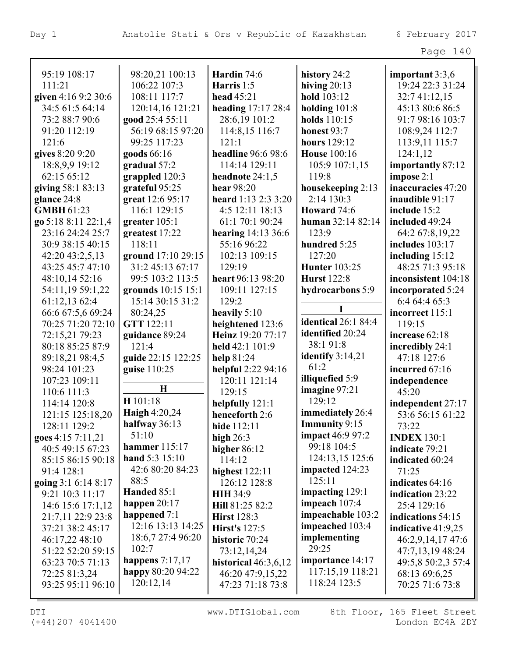| 95:19 108:17        | 98:20,21 100:13    | Hardin 74:6               | history 24:2               | important 3:3,6      |
|---------------------|--------------------|---------------------------|----------------------------|----------------------|
| 111:21              | 106:22 107:3       | Harris 1:5                | hiving $20:13$             | 19:24 22:3 31:24     |
| given 4:16 9:2 30:6 | 108:11 117:7       | head $45:21$              | hold 103:12                | 32:7 41:12,15        |
| 34:5 61:5 64:14     | 120:14,16 121:21   | heading 17:17 28:4        | holding $101:8$            | 45:13 80:6 86:5      |
| 73:2 88:7 90:6      | good 25:4 55:11    | 28:6,19 101:2             | holds 110:15               | 91:7 98:16 103:7     |
| 91:20 112:19        | 56:19 68:15 97:20  | 114:8,15 116:7            | honest 93:7                | 108:9,24 112:7       |
| 121:6               | 99:25 117:23       | 121:1                     | hours 129:12               | 113:9,11 115:7       |
| gives 8:20 9:20     | goods 66:16        | headline 96:6 98:6        | <b>House</b> 100:16        | 124:1,12             |
| 18:8,9,9 19:12      | gradual 57:2       | 114:14 129:11             | 105:9 107:1,15             | importantly 87:12    |
| 62:15 65:12         | grappled 120:3     | headnote 24:1,5           | 119:8                      | impose 2:1           |
| giving 58:1 83:13   | grateful 95:25     | hear 98:20                | housekeeping 2:13          | inaccuracies 47:20   |
| glance 24:8         | great 12:6 95:17   | heard 1:13 2:3 3:20       | 2:14 130:3                 | inaudible 91:17      |
| <b>GMBH</b> 61:23   | 116:1 129:15       | 4:5 12:11 18:13           | Howard 74:6                | include 15:2         |
| go 5:18 8:11 22:1,4 | greater $105:1$    | 61:1 70:1 90:24           | human 32:14 82:14          | included 49:24       |
| 23:16 24:24 25:7    | greatest 17:22     | <b>hearing</b> 14:13 36:6 | 123:9                      | 64:2 67:8,19,22      |
| 30:9 38:15 40:15    | 118:11             | 55:16 96:22               | hundred 5:25               | includes 103:17      |
| 42:20 43:2,5,13     | ground 17:10 29:15 | 102:13 109:15             | 127:20                     | including $15:12$    |
| 43:25 45:7 47:10    | 31:2 45:13 67:17   | 129:19                    | <b>Hunter</b> 103:25       | 48:25 71:3 95:18     |
| 48:10,14 52:16      | 99:5 103:2 113:5   | heart 96:13 98:20         | <b>Hurst</b> 122:8         | inconsistent 104:18  |
| 54:11,19 59:1,22    | grounds 10:15 15:1 | 109:11 127:15             | hydrocarbons 5:9           | incorporated 5:24    |
| 61:12,13 62:4       | 15:14 30:15 31:2   | 129:2                     |                            | 6:4 64:4 65:3        |
| 66:6 67:5,6 69:24   | 80:24,25           | heavily 5:10              |                            | incorrect 115:1      |
| 70:25 71:20 72:10   | GTT 122:11         | heightened 123:6          | <b>identical</b> 26:1 84:4 | 119:15               |
| 72:15,21 79:23      | guidance 89:24     | Heinz 19:20 77:17         | identified 20:24           | increase 62:18       |
| 80:18 85:25 87:9    | 121:4              | held 42:1 101:9           | 38:191:8                   | incredibly 24:1      |
| 89:18,21 98:4,5     | guide 22:15 122:25 | help 81:24                | identify $3:14,21$         | 47:18 127:6          |
| 98:24 101:23        | guise 110:25       | helpful 2:22 94:16        | 61:2                       | incurred 67:16       |
| 107:23 109:11       |                    | 120:11 121:14             | illiquefied 5:9            | independence         |
| 110:6 111:3         | $\mathbf H$        | 129:15                    | imagine 97:21              | 45:20                |
| 114:14 120:8        | H 101:18           | helpfully 121:1           | 129:12                     | independent 27:17    |
| 121:15 125:18,20    | Haigh 4:20,24      | henceforth 2:6            | immediately 26:4           | 53:6 56:15 61:22     |
| 128:11 129:2        | halfway $36:13$    | hide 112:11               | <b>Immunity</b> 9:15       | 73:22                |
| goes 4:15 7:11,21   | 51:10              | high $26:3$               | <b>impact</b> 46:9 97:2    | <b>INDEX 130:1</b>   |
| 40:5 49:15 67:23    | hammer $115:17$    | higher 86:12              | 99:18 104:5                | indicate 79:21       |
| 85:15 86:15 90:18   | hand 5:3 15:10     | 114:12                    | 124:13,15 125:6            | indicated 60:24      |
| 91:4 128:1          | 42:6 80:20 84:23   | highest 122:11            | impacted 124:23            | 71:25                |
| going 3:1 6:14 8:17 | 88:5               | 126:12 128:8              | 125:11                     | indicates 64:16      |
| 9:21 10:3 11:17     | Handed 85:1        | <b>HIH 34:9</b>           | impacting 129:1            | indication 23:22     |
| 14:6 15:6 17:1,12   | happen $20:17$     | Hill 81:25 82:2           | impeach $107:4$            | 25:4 129:16          |
| 21:7,11 22:9 23:8   | happened 7:1       | <b>Hirst</b> 128:3        | impeachable 103:2          | indications 54:15    |
| 37:21 38:2 45:17    | 12:16 13:13 14:25  | <b>Hirst's</b> 127:5      | impeached 103:4            | indicative $41:9,25$ |
| 46:17,22 48:10      | 18:6,7 27:4 96:20  | historic 70:24            | implementing               | 46:2,9,14,17 47:6    |
| 51:22 52:20 59:15   | 102:7              | 73:12,14,24               | 29:25                      | 47:7,13,19 48:24     |
| 63:23 70:5 71:13    | happens $7:17,17$  | historical $46:3,6,12$    | importance 14:17           | 49:5,8 50:2,3 57:4   |
| 72:25 81:3,24       | happy 80:20 94:22  | 46:20 47:9,15,22          | 117:15,19 118:21           | 68:13 69:6,25        |
| 93:25 95:11 96:10   | 120:12,14          | 47:23 71:18 73:8          | 118:24 123:5               | 70:25 71:6 73:8      |
|                     |                    |                           |                            |                      |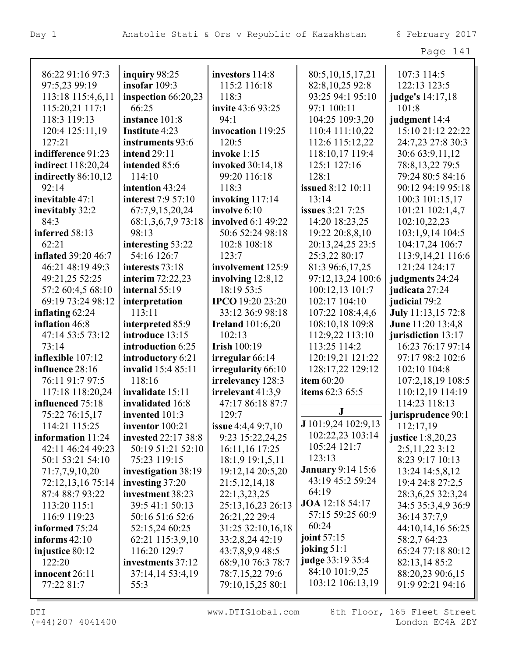|                                 |                                  |                            |                                       | Page 141                           |
|---------------------------------|----------------------------------|----------------------------|---------------------------------------|------------------------------------|
| 86:22 91:16 97:3                |                                  |                            |                                       |                                    |
|                                 | inquiry 98:25<br>insofar $109:3$ | investors 114:8            | 80:5,10,15,17,21                      | 107:3 114:5                        |
| 97:5,23 99:19                   |                                  | 115:2 116:18<br>118:3      | 82:8, 10, 25 92:8<br>93:25 94:1 95:10 | 122:13 123:5                       |
| 113:18 115:4,6,11               | inspection 66:20,23<br>66:25     |                            |                                       | judge's 14:17,18                   |
| 115:20,21 117:1<br>118:3 119:13 |                                  | invite 43:6 93:25<br>94:1  | 97:1 100:11                           | 101:8                              |
|                                 | instance 101:8                   |                            | 104:25 109:3,20                       | judgment 14:4<br>15:10 21:12 22:22 |
| 120:4 125:11,19                 | <b>Institute 4:23</b>            | invocation 119:25<br>120:5 | 110:4 111:10,22                       |                                    |
| 127:21                          | instruments 93:6                 |                            | 112:6 115:12,22                       | 24:7,23 27:8 30:3                  |
| indifference 91:23              | <b>intend 29:11</b>              | invoke $1:15$              | 118:10,17 119:4                       | 30:6 63:9,11,12                    |
| <b>indirect</b> 118:20,24       | intended 85:6                    | invoked 30:14,18           | 125:1 127:16                          | 78:8,13,22 79:5                    |
| indirectly 86:10,12             | 114:10                           | 99:20 116:18               | 128:1                                 | 79:24 80:5 84:16                   |
| 92:14                           | intention 43:24                  | 118:3                      | <b>issued</b> 8:12 10:11              | 90:12 94:19 95:18                  |
| inevitable 47:1                 | interest 7:9 57:10               | invoking $117:14$          | 13:14                                 | 100:3 101:15,17                    |
| inevitably 32:2                 | 67:7,9,15,20,24                  | involve 6:10               | issues 3:21 7:25                      | 101:21 102:1,4,7                   |
| 84:3                            | 68:1,3,6,7,9 73:18               | involved 6:1 49:22         | 14:20 18:23,25                        | 102:10,22,23                       |
| inferred 58:13                  | 98:13                            | 50:6 52:24 98:18           | 19:22 20:8,8,10                       | 103:1,9,14 104:5                   |
| 62:21                           | interesting 53:22                | 102:8 108:18               | 20:13,24,25 23:5                      | 104:17,24 106:7                    |
| <b>inflated 39:20 46:7</b>      | 54:16 126:7                      | 123:7                      | 25:3,22 80:17                         | 113:9,14,21 116:6                  |
| 46:21 48:19 49:3                | interests 73:18                  | involvement 125:9          | 81:3 96:6,17,25                       | 121:24 124:17                      |
| 49:21,25 52:25                  | interim 72:22,23                 | involving $12:8,12$        | 97:12,13,24 100:6                     | judgments 24:24                    |
| 57:2 60:4,5 68:10               | internal $55:19$                 | 18:19 53:5                 | 100:12,13 101:7                       | judicata 27:24                     |
| 69:19 73:24 98:12               | interpretation                   | <b>IPCO</b> 19:20 23:20    | 102:17 104:10                         | judicial 79:2                      |
| inflating $62:24$               | 113:11                           | 33:12 36:9 98:18           | 107:22 108:4,4,6                      | July 11:13,15 72:8                 |
| inflation 46:8                  | interpreted 85:9                 | <b>Ireland</b> 101:6,20    | 108:10,18 109:8                       | June 11:20 13:4,8                  |
| 47:14 53:5 73:12                | introduce 13:15                  | 102:13                     | 112:9,22 113:10                       | jurisdiction 13:17                 |
| 73:14                           | introduction 6:25                | <b>Irish 100:19</b>        | 113:25 114:2                          | 16:23 76:17 97:14                  |
| inflexible 107:12               | introductory 6:21                | irregular 66:14            | 120:19,21 121:22                      | 97:17 98:2 102:6                   |
| influence 28:16                 | invalid 15:4 85:11               | irregularity 66:10         | 128:17,22 129:12                      | 102:10 104:8                       |
| 76:11 91:7 97:5                 | 118:16                           | irrelevancy 128:3          | item 60:20                            | 107:2,18,19 108:5                  |
| 117:18 118:20,24                | invalidate 15:11                 | irrelevant $41:3,9$        | items 62:3 65:5                       | 110:12,19 114:19                   |
| influenced 75:18                | invalidated 16:8                 | 47:17 86:18 87:7           | $\bf J$                               | 114:23 118:13                      |
| 75:22 76:15,17                  | invented $101:3$                 | 129:7                      | J 101:9,24 102:9,13                   | jurisprudence 90:1                 |
| 114:21 115:25                   | inventor 100:21                  | <b>issue</b> 4:4,4 9:7,10  |                                       | 112:17,19                          |
| information 11:24               | invested 22:17 38:8              | 9:23 15:22,24,25           | 102:22,23 103:14<br>105:24 121:7      | justice 1:8,20,23                  |
| 42:11 46:24 49:23               | 50:19 51:21 52:10                | 16:11,16 17:25             | 123:13                                | 2:5,11,223:12                      |
| 50:1 53:21 54:10                | 75:23 119:15                     | 18:1,9 19:1,5,11           | <b>January 9:14 15:6</b>              | 8:23 9:17 10:13                    |
| 71:7,7,9,10,20                  | investigation 38:19              | 19:12,14 20:5,20           | 43:19 45:2 59:24                      | 13:24 14:5,8,12                    |
| 72:12,13,16 75:14               | investing 37:20                  | 21:5,12,14,18              | 64:19                                 | 19:4 24:8 27:2,5                   |
| 87:4 88:7 93:22                 | investment 38:23                 | 22:1,3,23,25               | JOA 12:18 54:17                       | 28:3,6,25 32:3,24                  |
| 113:20 115:1                    | 39:5 41:1 50:13                  | 25:13,16,23 26:13          | 57:15 59:25 60:9                      | 34:5 35:3,4,9 36:9                 |
| 116:9 119:23                    | 50:16 51:6 52:6                  | 26:21,22 29:4              | 60:24                                 | 36:14 37:7,9                       |
| informed 75:24                  | 52:15,24 60:25                   | 31:25 32:10,16,18          |                                       | 44:10,14,16 56:25                  |
| informs $42:10$                 | 62:21 115:3,9,10                 | 33:2,8,24 42:19            | <b>joint</b> 57:15<br>joking 51:1     | 58:2,7 64:23                       |
| injustice 80:12                 | 116:20 129:7                     | 43:7,8,9,9 48:5            |                                       | 65:24 77:18 80:12                  |
| 122:20                          | investments 37:12                | 68:9,10 76:3 78:7          | judge 33:19 35:4<br>84:10 101:9,25    | 82:13,14 85:2                      |
| innocent 26:11                  | 37:14,14 53:4,19                 | 78:7,15,22 79:6            | 103:12 106:13,19                      | 88:20,23 90:6,15                   |
| 77:22 81:7                      | 55:3                             | 79:10,15,25 80:1           |                                       | 91:9 92:21 94:16                   |

(+44)207 4041400 London EC4A 2DY DTI WWW.DTIGlobal.com 8th Floor, 165 Fleet Street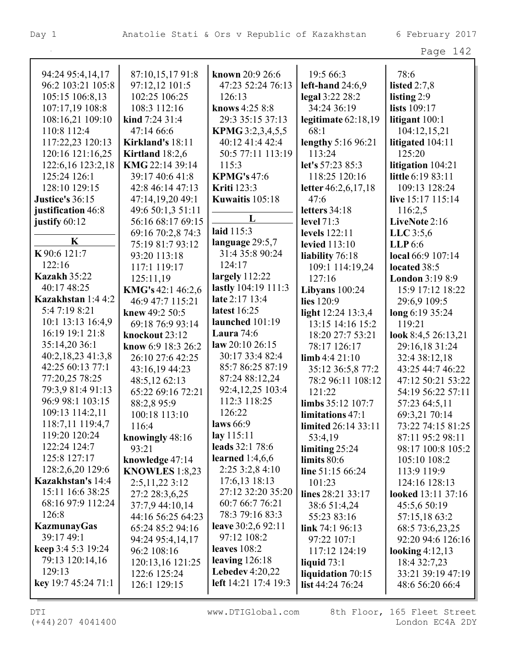| 94:24 95:4,14,17          | 87:10,15,1791:8         | known 20:9 26:6         | 19:5 66:3                  | 78:6                      |
|---------------------------|-------------------------|-------------------------|----------------------------|---------------------------|
| 96:2 103:21 105:8         | 97:12,12 101:5          | 47:23 52:24 76:13       | left-hand $24:6,9$         | listed $2:7,8$            |
| 105:15 106:8,13           | 102:25 106:25           | 126:13                  | legal 3:22 28:2            | listing $2:9$             |
| 107:17,19 108:8           | 108:3 112:16            | knows 4:25 8:8          | 34:24 36:19                | lists 109:17              |
| 108:16,21 109:10          | kind $7:24$ 31:4        | 29:3 35:15 37:13        | legitimate $62:18,19$      | litigant 100:1            |
| 110:8 112:4               | 47:14 66:6              | <b>KPMG</b> 3:2,3,4,5,5 | 68:1                       | 104:12,15,21              |
| 117:22,23 120:13          | Kirkland's 18:11        | 40:12 41:4 42:4         | lengthy 5:16 96:21         | litigated 104:11          |
| 120:16 121:16,25          | Kirtland $18:2,6$       | 50:5 77:11 113:19       | 113:24                     | 125:20                    |
| 122:6,16 123:2,18         | KMG 22:14 39:14         | 115:3                   | let's 57:23 85:3           | litigation 104:21         |
| 125:24 126:1              | 39:17 40:6 41:8         | <b>KPMG's 47:6</b>      | 118:25 120:16              | little 6:19 83:11         |
| 128:10 129:15             | 42:8 46:14 47:13        | <b>Kriti</b> 123:3      | letter 46:2,6,17,18        | 109:13 128:24             |
| Justice's 36:15           | 47:14,19,20 49:1        | Kuwaitis 105:18         | 47:6                       | live 15:17 115:14         |
| justification 46:8        | 49:6 50:1,3 51:11       |                         | letters 34:18              | 116:2,5                   |
| justify 60:12             | 56:16 68:17 69:15       | L                       | <b>level</b> 71:3          | LiveNote 2:16             |
|                           | 69:16 70:2,8 74:3       | laid 115:3              | levels 122:11              | LLC $3:5,6$               |
| K                         | 75:19 81:7 93:12        | language 29:5,7         | <b>levied</b> 113:10       | LLP <sub>6.6</sub>        |
| K90:6 121:7               | 93:20 113:18            | 31:4 35:8 90:24         | liability 76:18            | local 66:9 107:14         |
| 122:16                    | 117:1 119:17            | 124:17                  | 109:1 114:19,24            | located 38:5              |
| <b>Kazakh 35:22</b>       | 125:11,19               | largely $112:22$        | 127:16                     | London 3:19 8:9           |
| 40:17 48:25               | KMG's 42:1 46:2,6       | lastly 104:19 111:3     | Libyans $100:24$           | 15:9 17:12 18:22          |
| Kazakhstan 1:4 4:2        | 46:9 47:7 115:21        | late 2:17 13:4          | lies 120:9                 | 29:6,9 109:5              |
| 5:4 7:19 8:21             | knew 49:2 50:5          | latest 16:25            | light 12:24 13:3,4         | long 6:19 35:24           |
| 10:1 13:13 16:4,9         | 69:18 76:9 93:14        | launched 101:19         | 13:15 14:16 15:2           | 119:21                    |
| 16:19 19:1 21:8           | knockout 23:12          | Laura $74:6$            | 18:20 27:7 53:21           | look 8:4,5 26:13,21       |
| 35:14,20 36:1             | know 6:9 18:3 26:2      | law 20:10 26:15         | 78:17 126:17               | 29:16,18 31:24            |
| 40:2,18,23 41:3,8         | 26:10 27:6 42:25        | 30:17 33:4 82:4         | $\lim_{6} 4:421:10$        | 32:4 38:12,18             |
| 42:25 60:13 77:1          | 43:16,19 44:23          | 85:7 86:25 87:19        | 35:12 36:5,8 77:2          | 43:25 44:7 46:22          |
| 77:20,25 78:25            | 48:5,12 62:13           | 87:24 88:12,24          | 78:2 96:11 108:12          | 47:12 50:21 53:22         |
| 79:3,9 81:4 91:13         | 65:22 69:16 72:21       | 92:4,12,25 103:4        | 121:22                     | 54:19 56:22 57:11         |
| 96:9 98:1 103:15          | 88:2,895:9              | 112:3 118:25            | limbs 35:12 107:7          | 57:23 64:5,11             |
| 109:13 114:2,11           | 100:18 113:10           | 126:22                  | limitations 47:1           | 69:3,21 70:14             |
| 118:7,11 119:4,7          | 116:4                   | laws $66:9$             | <b>limited</b> 26:14 33:11 | 73:22 74:15 81:25         |
| 119:20 120:24             | knowingly 48:16         | lay 115:11              | 53:4,19                    | 87:11 95:2 98:11          |
| 122:24 124:7              | 93:21                   | leads 32:1 78:6         | limiting $25:24$           | 98:17 100:8 105:2         |
| 125:8 127:17              | knowledge 47:14         | learned $1:4,6,6$       | limits 80:6                | 105:10 108:2              |
| 128:2,6,20 129:6          | <b>KNOWLES</b> $1:8,23$ | $2:25\,3:2,8\,4:10$     | line 51:15 66:24           | 113:9 119:9               |
| Kazakhstan's 14:4         | 2:5,11,223:12           | 17:6,13 18:13           | 101:23                     | 124:16 128:13             |
| 15:11 16:6 38:25          | 27:2 28:3,6,25          | 27:12 32:20 35:20       | lines 28:21 33:17          | <b>looked</b> 13:11 37:16 |
| 68:16 97:9 112:24         | 37:7,9 44:10,14         | 60:7 66:7 76:21         | 38:6 51:4,24               | 45:5,6 50:19              |
| 126:8                     | 44:16 56:25 64:23       | 78:3 79:16 83:3         | 55:23 83:16                | 57:15,18 63:2             |
| <b>KazmunayGas</b>        | 65:24 85:2 94:16        | leave 30:2,6 92:11      | link $74:196:13$           | 68:5 73:6,23,25           |
| 39:17 49:1                | 94:24 95:4,14,17        | 97:12 108:2             | 97:22 107:1                | 92:20 94:6 126:16         |
| <b>keep</b> 3:4 5:3 19:24 | 96:2 108:16             | leaves $108:2$          | 117:12 124:19              | looking $4:12,13$         |
| 79:13 120:14,16           | 120:13,16 121:25        | leaving $126:18$        | liquid $73:1$              | 18:4 32:7,23              |
| 129:13                    | 122:6 125:24            | Lebedev $4:20,22$       | liquidation 70:15          | 33:21 39:19 47:19         |
| key 19:7 45:24 71:1       | 126:1 129:15            | left 14:21 17:4 19:3    | list $44:2476:24$          | 48:6 56:20 66:4           |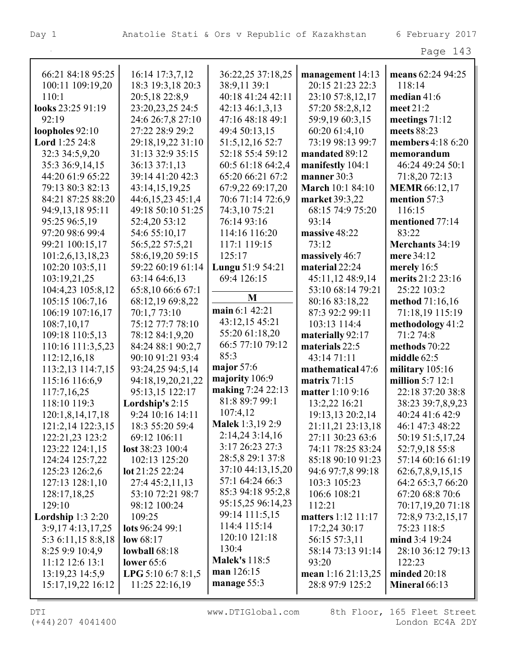|                       |                               |                         |                         | Page 143             |
|-----------------------|-------------------------------|-------------------------|-------------------------|----------------------|
| 66:21 84:18 95:25     | 16:14 17:3,7,12               | 36:22,25 37:18,25       | management 14:13        | means 62:24 94:25    |
| 100:11 109:19,20      | 18:3 19:3,18 20:3             | 38:9,11 39:1            | 20:15 21:23 22:3        | 118:14               |
| 110:1                 | 20:5,18 22:8,9                | 40:18 41:24 42:11       | 23:10 57:8,12,17        | median $41:6$        |
| looks 23:25 91:19     | 23:20,23,25 24:5              | 42:13 46:1,3,13         | 57:20 58:2,8,12         | meet $21:2$          |
| 92:19                 | 24:6 26:7,8 27:10             | 47:16 48:18 49:1        | 59:9,19 60:3,15         | meetings $71:12$     |
| loopholes 92:10       | 27:22 28:9 29:2               | 49:4 50:13,15           | 60:20 61:4,10           | meets 88:23          |
| <b>Lord</b> 1:25 24:8 | 29:18,19,22 31:10             | 51:5, 12, 16 52:7       | 73:19 98:13 99:7        | members 4:18 6:20    |
| 32:3 34:5,9,20        | 31:13 32:9 35:15              | 52:18 55:4 59:12        | mandated 89:12          | memorandum           |
| 35:3 36:9,14,15       | 36:13 37:1,13                 | 60:5 61:18 64:2,4       | manifestly 104:1        | 46:24 49:24 50:1     |
| 44:20 61:9 65:22      | 39:14 41:20 42:3              | 65:20 66:21 67:2        | manner 30:3             | 71:8,20 72:13        |
| 79:13 80:3 82:13      | 43:14,15,19,25                | 67:9,22 69:17,20        | <b>March</b> 10:1 84:10 | <b>MEMR</b> 66:12,17 |
| 84:21 87:25 88:20     | 44:6,15,23 45:1,4             | 70:6 71:14 72:6,9       | market 39:3,22          | mention 57:3         |
| 94:9,13,18 95:11      | 49:18 50:10 51:25             | 74:3,10 75:21           | 68:15 74:9 75:20        | 116:15               |
| 95:25 96:5,19         | 52:4,20 53:12                 | 76:14 93:16             | 93:14                   | mentioned 77:14      |
| 97:20 98:6 99:4       | 54:6 55:10,17                 | 114:16 116:20           | massive 48:22           | 83:22                |
| 99:21 100:15,17       | 56:5,22 57:5,21               | 117:1 119:15            | 73:12                   | Merchants 34:19      |
| 101:2,6,13,18,23      | 58:6,19,20 59:15              | 125:17                  | massively 46:7          | mere 34:12           |
| 102:20 103:5,11       | 59:22 60:19 61:14             | Lungu 51:9 54:21        | material 22:24          | merely 16:5          |
| 103:19,21,25          | 63:14 64:6,13                 | 69:4 126:15             | 45:11,12 48:9,14        | merits 21:2 23:16    |
| 104:4,23 105:8,12     | 65:8,10 66:6 67:1             |                         | 53:10 68:14 79:21       | 25:22 103:2          |
| 105:15 106:7,16       | 68:12,19 69:8,22              | M                       | 80:16 83:18,22          | method 71:16,16      |
| 106:19 107:16,17      | 70:1,7 73:10                  | main 6:1 42:21          | 87:3 92:2 99:11         | 71:18,19 115:19      |
| 108:7,10,17           | 75:12 77:7 78:10              | 43:12,15 45:21          | 103:13 114:4            | methodology 41:2     |
| 109:18 110:5,13       | 78:12 84:1,9,20               | 55:20 61:18,20          | materially 92:17        | 71:2 74:8            |
| 110:16 111:3,5,23     | 84:24 88:1 90:2,7             | 66:5 77:10 79:12        | materials 22:5          | methods 70:22        |
| 112:12,16,18          | 90:10 91:21 93:4              | 85:3                    | 43:14 71:11             | middle $62:5$        |
| 113:2,13 114:7,15     | 93:24,25 94:5,14              | major $57:6$            | mathematical 47:6       | military 105:16      |
| 115:16 116:6,9        | 94:18,19,20,21,22             | majority 106:9          | matrix 71:15            | million $5:7$ 12:1   |
| 117:7,16,25           | 95:13,15 122:17               | making 7:24 22:13       | matter 1:10 9:16        | 22:18 37:20 38:8     |
| 118:10 119:3          | Lordship's 2:15               | 81:8 89:7 99:1          | 13:2,22 16:21           | 38:23 39:7,8,9,23    |
| 120:1,8,14,17,18      | 9:24 10:16 14:11              | 107:4,12                | 19:13,13 20:2,14        | 40:24 41:6 42:9      |
| 121:2,14 122:3,15     | 18:3 55:20 59:4               | <b>Malek</b> 1:3,19 2:9 | 21:11,21 23:13,18       | 46:1 47:3 48:22      |
| 122:21,23 123:2       | 69:12 106:11                  | 2:14,243:14,16          | 27:11 30:23 63:6        | 50:19 51:5,17,24     |
| 123:22 124:1,15       | $\text{lost } 38:23 \, 100:4$ | 3:17 26:23 27:3         | 74:11 78:25 83:24       | 52:7,9,18 55:8       |
| 124:24 125:7,22       | 102:13 125:20                 | 28:5,8 29:1 37:8        | 85:18 90:10 91:23       | 57:14 60:16 61:19    |
| 125:23 126:2,6        | lot 21:25 22:24               | 37:10 44:13,15,20       | 94:6 97:7,8 99:18       | 62:6,7,8,9,15,15     |
| 127:13 128:1,10       | 27:4 45:2,11,13               | 57:1 64:24 66:3         | 103:3 105:23            | 64:2 65:3,7 66:20    |
| 128:17,18,25          | 53:10 72:21 98:7              | 85:3 94:18 95:2,8       | 106:6 108:21            | 67:20 68:8 70:6      |
| 129:10                | 98:12 100:24                  | 95:15,25 96:14,23       | 112:21                  | 70:17,19,20 71:18    |
| Lordship $1:32:20$    | 109:25                        | 99:14 111:5,15          | matters 1:12 11:17      | 72:8,9 73:2,15,17    |
| 3:9,174:13,17,25      | lots 96:24 99:1               | 114:4 115:14            | 17:2,24 30:17           | 75:23 118:5          |
| 5:3 6:11,15 8:8,18    | low $68:17$                   | 120:10 121:18           | 56:15 57:3,11           | mind 3:4 19:24       |
| 8:25 9:9 10:4,9       | lowball $68:18$               | 130:4                   | 58:14 73:13 91:14       | 28:10 36:12 79:13    |
| 11:12 12:6 13:1       | lower $65:6$                  | <b>Malek's</b> 118:5    | 93:20                   | 122:23               |
| 13:19,23 14:5,9       | <b>LPG</b> 5:10 6:7 8:1,5     | man 126:15              | mean 1:16 21:13,25      | minded $20:18$       |
| 15:17, 19, 22 16:12   | $11:25$ 22:16,19              | manage 55:3             | 28:8 97:9 125:2         | Mineral 66:13        |
|                       |                               |                         |                         |                      |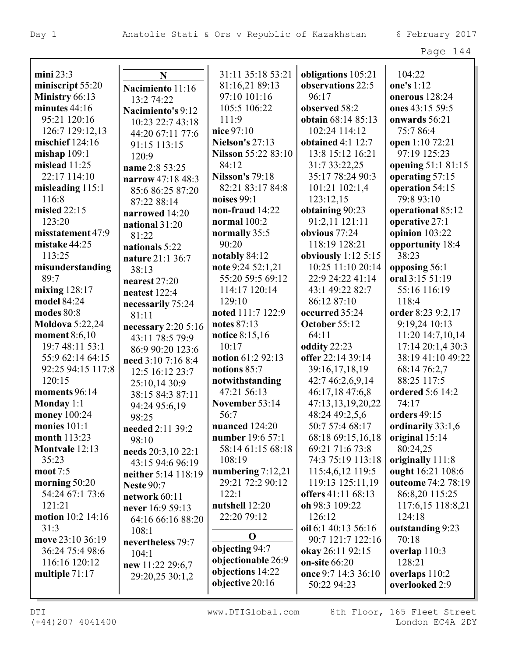|                        |                      |                        |                                             | Page 144            |
|------------------------|----------------------|------------------------|---------------------------------------------|---------------------|
| mini $23:3$            | $\mathbf N$          | 31:11 35:18 53:21      | obligations 105:21                          | 104:22              |
| miniscript 55:20       | Nacimiento 11:16     | 81:16,21 89:13         | observations 22:5                           | one's 1:12          |
| Ministry 66:13         |                      | 97:10 101:16           | 96:17                                       | onerous 128:24      |
| minutes 44:16          | 13:2 74:22           | 105:5 106:22           | observed 58:2                               | ones 43:15 59:5     |
| 95:21 120:16           | Nacimiento's 9:12    | 111:9                  | obtain 68:14 85:13                          | onwards 56:21       |
| 126:7 129:12,13        | 10:23 22:7 43:18     | nice 97:10             | 102:24 114:12                               | 75:7 86:4           |
| mischief $124:16$      | 44:20 67:11 77:6     | <b>Nielson's 27:13</b> | obtained $4:1$ 12:7                         | open 1:10 72:21     |
| mishap $109:1$         | 91:15 113:15         | Nilsson 55:22 83:10    | 13:8 15:12 16:21                            | 97:19 125:23        |
| mislead 11:25          | 120:9                | 84:12                  | 31:7 33:22,25                               | opening 51:1 81:15  |
| 22:17 114:10           | name 2:8 53:25       | <b>Nilsson's 79:18</b> | 35:17 78:24 90:3                            | operating 57:15     |
| misleading $115:1$     | narrow 47:18 48:3    | 82:21 83:17 84:8       | 101:21 102:1,4                              | operation 54:15     |
| 116:8                  | 85:6 86:25 87:20     | noises $99:1$          | 123:12,15                                   | 79:8 93:10          |
| misled 22:15           | 87:22 88:14          | non-fraud 14:22        |                                             |                     |
| 123:20                 | narrowed 14:20       | normal 100:2           | obtaining 90:23<br>91:2,11 121:11           | operational 85:12   |
|                        | national 31:20       |                        |                                             | operative 27:1      |
| misstatement 47:9      | 81:22                | normally 35:5<br>90:20 | obvious 77:24                               | opinion 103:22      |
| mistake 44:25          | nationals 5:22       |                        | 118:19 128:21                               | opportunity 18:4    |
| 113:25                 | nature 21:1 36:7     | notably 84:12          | obviously $1:12\,5:15$<br>10:25 11:10 20:14 | 38:23               |
| misunderstanding       | 38:13                | note 9:24 52:1,21      |                                             | opposing 56:1       |
| 89:7                   | nearest $27:20$      | 55:20 59:5 69:12       | 22:9 24:22 41:14                            | oral 3:15 51:19     |
| mixing $128:17$        | neatest 122:4        | 114:17 120:14          | 43:1 49:22 82:7                             | 55:16 116:19        |
| model 84:24            | necessarily 75:24    | 129:10                 | 86:12 87:10                                 | 118:4               |
| modes 80:8             | 81:11                | noted 111:7 122:9      | occurred 35:24                              | order 8:23 9:2,17   |
| <b>Moldova</b> 5:22,24 | necessary $2:205:16$ | notes 87:13            | October 55:12                               | 9:19,24 10:13       |
| moment 8:6,10          | 43:11 78:5 79:9      | notice 8:15,16         | 64:11                                       | 11:20 14:7,10,14    |
| 19:7 48:11 53:1        | 86:9 90:20 123:6     | 10:17                  | oddity 22:23                                | 17:14 20:1,4 30:3   |
| 55:9 62:14 64:15       | need 3:10 7:16 8:4   | notion 61:2 92:13      | offer 22:14 39:14                           | 38:19 41:10 49:22   |
| 92:25 94:15 117:8      | 12:5 16:12 23:7      | notions 85:7           | 39:16,17,18,19                              | 68:14 76:2,7        |
| 120:15                 | 25:10,14 30:9        | notwithstanding        | 42:7 46:2,6,9,14                            | 88:25 117:5         |
| moments 96:14          | 38:15 84:3 87:11     | 47:21 56:13            | 46:17,18 47:6,8                             | ordered 5:6 14:2    |
| Monday $1:1$           | 94:24 95:6,19        | November 53:14         | 47:13,13,19,20,22                           | 74:17               |
| money 100:24           | 98:25                | 56:7                   | 48:24 49:2,5,6                              | <b>orders</b> 49:15 |
| monies $101:1$         | needed 2:11 39:2     | nuanced 124:20         | 50:7 57:4 68:17                             | ordinarily 33:1,6   |
| month 113:23           | 98:10                | number 19:6 57:1       | 68:18 69:15,16,18                           | original 15:14      |
| Montvale 12:13         | needs 20:3,10 22:1   | 58:14 61:15 68:18      | 69:21 71:6 73:8                             | 80:24,25            |
| 35:23                  | 43:15 94:6 96:19     | 108:19                 | 74:3 75:19 113:18                           | originally 111:8    |
| moot 7:5               | neither 5:14 118:19  | numbering 7:12,21      | 115:4,6,12 119:5                            | ought 16:21 108:6   |
| morning $50:20$        | <b>Neste 90:7</b>    | 29:21 72:2 90:12       | 119:13 125:11,19                            | outcome 74:2 78:19  |
| 54:24 67:1 73:6        | network 60:11        | 122:1                  | offers 41:11 68:13                          | 86:8,20 115:25      |
| 121:21                 | never 16:9 59:13     | nutshell 12:20         | oh 98:3 109:22                              | 117:6,15 118:8,21   |
| motion 10:2 14:16      | 64:16 66:16 88:20    | 22:20 79:12            | 126:12                                      | 124:18              |
| 31:3                   | 108:1                |                        | oil 6:1 40:13 56:16                         | outstanding 9:23    |
| move 23:10 36:19       | nevertheless 79:7    | $\mathbf 0$            | 90:7 121:7 122:16                           | 70:18               |
| 36:24 75:4 98:6        | 104:1                | objecting 94:7         | okay 26:11 92:15                            | overlap 110:3       |
| 116:16 120:12          | new 11:22 29:6,7     | objectionable 26:9     | on-site 66:20                               | 128:21              |
| multiple $71:17$       | 29:20,25 30:1,2      | objections 14:22       | once 9:7 14:3 36:10                         | overlaps 110:2      |
|                        |                      | objective 20:16        | 50:22 94:23                                 | overlooked 2:9      |
|                        |                      |                        |                                             |                     |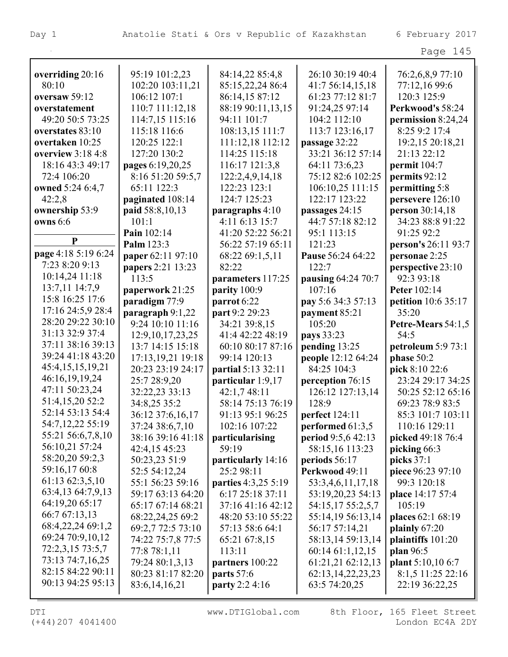|                     |                      |                       |                       | Page 145                   |
|---------------------|----------------------|-----------------------|-----------------------|----------------------------|
| overriding 20:16    | 95:19 101:2,23       | 84:14,22 85:4,8       | 26:10 30:19 40:4      | 76:2,6,8,9 77:10           |
| 80:10               | 102:20 103:11,21     | 85:15,22,24 86:4      | 41:7 56:14,15,18      | 77:12,16 99:6              |
| oversaw 59:12       | 106:12 107:1         | 86:14,15 87:12        | 61:23 77:12 81:7      | 120:3 125:9                |
| overstatement       | 110:7 111:12,18      | 88:19 90:11,13,15     | 91:24,25 97:14        | Perkwood's 58:24           |
| 49:20 50:5 73:25    | 114:7,15 115:16      | 94:11 101:7           | 104:2 112:10          | permission 8:24,24         |
| overstates 83:10    | 115:18 116:6         | 108:13,15 111:7       | 113:7 123:16,17       | 8:25 9:2 17:4              |
| overtaken 10:25     | 120:25 122:1         | 111:12,18 112:12      | passage 32:22         | 19:2,15 20:18,21           |
| overview $3:184:8$  | 127:20 130:2         | 114:25 115:18         | 33:21 36:12 57:14     | 21:13 22:12                |
| 18:16 43:3 49:17    | pages 6:19,20,25     | 116:17 121:3,8        | 64:11 73:6,23         | permit $104:7$             |
| 72:4 106:20         | 8:16 51:20 59:5,7    | 122:2,4,9,14,18       | 75:12 82:6 102:25     | permits 92:12              |
| owned 5:24 6:4,7    | 65:11 122:3          | 122:23 123:1          | 106:10,25 111:15      | permitting 5:8             |
| 42:2,8              | paginated 108:14     | 124:7 125:23          | 122:17 123:22         | persevere 126:10           |
| ownership 53:9      | paid 58:8,10,13      | paragraphs 4:10       | passages 24:15        | person 30:14,18            |
| <b>owns</b> 6:6     | 101:1                | 4:11 6:13 15:7        | 44:7 57:18 82:12      | 34:23 88:8 91:22           |
|                     | Pain 102:14          | 41:20 52:22 56:21     | 95:1 113:15           | 91:25 92:2                 |
| $\mathbf{P}$        | Palm 123:3           | 56:22 57:19 65:11     | 121:23                | person's 26:11 93:7        |
| page 4:18 5:19 6:24 | paper 62:11 97:10    | 68:22 69:1,5,11       | Pause 56:24 64:22     | personae 2:25              |
| 7:23 8:20 9:13      | papers 2:21 13:23    | 82:22                 | 122:7                 | perspective 23:10          |
| 10:14,24 11:18      | 113:5                | parameters 117:25     | pausing 64:24 70:7    | 92:3 93:18                 |
| 13:7,11 14:7,9      | paperwork 21:25      | parity 100:9          | 107:16                | Peter 102:14               |
| 15:8 16:25 17:6     | paradigm 77:9        | parrot 6:22           | pay 5:6 34:3 57:13    | <b>petition</b> 10:6 35:17 |
| 17:16 24:5,9 28:4   | paragraph 9:1,22     | part 9:2 29:23        | payment 85:21         | 35:20                      |
| 28:20 29:22 30:10   | 9:24 10:10 11:16     | 34:21 39:8,15         | 105:20                | Petre-Mears 54:1,5         |
| 31:13 32:9 37:4     | 12:9, 10, 17, 23, 25 | 41:4 42:22 48:19      | pays 33:23            | 54:5                       |
| 37:11 38:16 39:13   | 13:7 14:15 15:18     | 60:10 80:17 87:16     | pending 13:25         | petroleum 5:9 73:1         |
| 39:24 41:18 43:20   | 17:13, 19, 21 19:18  | 99:14 120:13          | people 12:12 64:24    | phase 50:2                 |
| 45:4,15,15,19,21    | 20:23 23:19 24:17    | partial 5:13 32:11    | 84:25 104:3           | pick 8:10 22:6             |
| 46:16,19,19,24      | 25:7 28:9,20         | particular 1:9,17     | perception 76:15      | 23:24 29:17 34:25          |
| 47:11 50:23,24      | 32:22,23 33:13       | 42:1,7 48:11          | 126:12 127:13,14      | 50:25 52:12 65:16          |
| 51:4,15,20 52:2     | 34:8,25 35:2         | 58:14 75:13 76:19     | 128:9                 | 69:23 78:9 83:5            |
| 52:14 53:13 54:4    | 36:12 37:6,16,17     | 91:13 95:1 96:25      | <b>perfect</b> 124:11 | 85:3 101:7 103:11          |
| 54:7,12,22 55:19    | 37:24 38:6,7,10      | 102:16 107:22         | performed 61:3,5      | 110:16 129:11              |
| 55:21 56:6,7,8,10   | 38:16 39:16 41:18    | particularising       | period 9:5,6 42:13    | picked 49:18 76:4          |
| 56:10,21 57:24      | 42:4,15 45:23        | 59:19                 | 58:15,16 113:23       | picking 66:3               |
| 58:20,20 59:2,3     | 50:23,23 51:9        | particularly 14:16    | periods $56:17$       | picks 37:1                 |
| 59:16,17 60:8       | 52:5 54:12,24        | 25:2 98:11            | Perkwood 49:11        | piece 96:23 97:10          |
| 61:13 62:3,5,10     | 55:1 56:23 59:16     | parties 4:3,25 5:19   | 53:3,4,6,11,17,18     | 99:3 120:18                |
| 63:4,13 64:7,9,13   | 59:17 63:13 64:20    | 6:17 25:18 37:11      | 53:19,20,23 54:13     | place 14:17 57:4           |
| 64:19,20 65:17      | 65:17 67:14 68:21    | 37:16 41:16 42:12     | 54:15,17 55:2,5,7     | 105:19                     |
| 66:7 67:13,13       | 68:22,24,25 69:2     | 48:20 53:10 55:22     | 55:14,19 56:13,14     | places 62:1 68:19          |
| 68:4,22,24 69:1,2   | 69:2,7 72:5 73:10    | 57:13 58:6 64:1       | 56:17 57:14,21        | plainly $67:20$            |
| 69:24 70:9,10,12    | 74:22 75:7,8 77:5    | 65:21 67:8,15         | 58:13,14 59:13,14     | plaintiffs 101:20          |
| 72:2,3,15 73:5,7    | 77:8 78:1,11         | 113:11                | 60:1461:1,12,15       | plan 96:5                  |
| 73:13 74:7,16,25    | 79:24 80:1,3,13      | partners 100:22       | 61:21,21 62:12,13     | <b>plant</b> 5:10,10 6:7   |
| 82:15 84:22 90:11   | 80:23 81:17 82:20    | parts 57:6            | 62:13, 14, 22, 23, 23 | 8:1,5 11:25 22:16          |
| 90:13 94:25 95:13   | 83:6, 14, 16, 21     | <b>party</b> 2:2 4:16 | 63:5 74:20,25         | 22:19 36:22,25             |

DTI WWW.DTIGlobal.com 8th Floor, 165 Fleet Street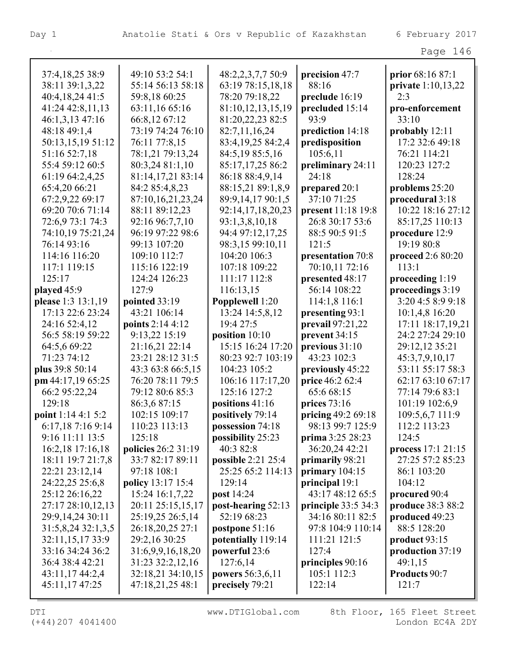| 37:4,18,25 38:9                     | 49:10 53:2 54:1                         | 48:2,2,3,7,7 50:9              | precision 47:7                    | prior 68:16 87:1                |
|-------------------------------------|-----------------------------------------|--------------------------------|-----------------------------------|---------------------------------|
| 38:11 39:1,3,22                     | 55:14 56:13 58:18                       | 63:19 78:15,18,18              | 88:16                             | private 1:10,13,22              |
| 40:4,18,24 41:5                     | 59:8,18 60:25                           | 78:20 79:18,22                 | preclude 16:19                    | 2:3                             |
| 41:24 42:8,11,13                    | 63:11,16 65:16                          | 81:10,12,13,15,19              | precluded 15:14                   | pro-enforcement                 |
| 46:1,3,13 47:16                     | 66:8,12 67:12                           | 81:20,22,23 82:5               | 93:9                              | 33:10                           |
| 48:18 49:1,4                        | 73:19 74:24 76:10                       | 82:7,11,16,24                  | prediction 14:18                  | probably $12:11$                |
| 50:13,15,19 51:12                   | 76:11 77:8,15                           | 83:4, 19, 25 84: 2, 4          | predisposition                    | 17:2 32:6 49:18                 |
| 51:16 52:7,18                       | 78:1,21 79:13,24                        | 84:5,19 85:5,16                | 105:6,11                          | 76:21 114:21                    |
| 55:4 59:12 60:5                     | 80:3,24 81:1,10                         | 85:17,17,25 86:2               | preliminary 24:11                 | 120:23 127:2                    |
| 61:19 64:2,4,25                     | 81:14,17,21 83:14                       | 86:18 88:4,9,14                | 24:18                             | 128:24                          |
| 65:4,20 66:21                       | 84:2 85:4,8,23                          | 88:15,21 89:1,8,9              | prepared 20:1                     | problems 25:20                  |
| 67:2,9,22 69:17                     | 87:10,16,21,23,24                       | 89:9,14,17 90:1,5              | 37:10 71:25                       | procedural 3:18                 |
| 69:20 70:6 71:14                    | 88:11 89:12,23                          | 92:14,17,18,20,23              | present 11:18 19:8                | 10:22 18:16 27:12               |
| 72:6,9 73:1 74:3                    | 92:16 96:7,7,10                         | 93:1,3,8,10,18                 | 26:8 30:17 53:6                   | 85:17,25 110:13                 |
| 74:10,19 75:21,24                   | 96:19 97:22 98:6                        | 94:4 97:12,17,25               | 88:5 90:5 91:5                    | procedure 12:9                  |
| 76:14 93:16                         | 99:13 107:20                            | 98:3,15 99:10,11               | 121:5                             | 19:19 80:8                      |
| 114:16 116:20                       | 109:10 112:7                            | 104:20 106:3                   | presentation 70:8                 | proceed 2:6 80:20               |
| 117:1 119:15                        | 115:16 122:19                           | 107:18 109:22                  | 70:10,11 72:16                    | 113:1                           |
| 125:17                              | 124:24 126:23                           | 111:17 112:8                   | presented 48:17                   | proceeding 1:19                 |
| played 45:9                         | 127:9                                   | 116:13,15                      | 56:14 108:22                      | proceedings 3:19                |
| please 1:3 13:1,19                  | pointed 33:19                           | Popplewell 1:20                | 114:1,8 116:1                     | 3:20 4:5 8:9 9:18               |
| 17:13 22:6 23:24                    | 43:21 106:14                            | 13:24 14:5,8,12                | presenting 93:1                   | 10:1,4,8 16:20                  |
| 24:16 52:4,12                       | points 2:14 4:12                        | 19:4 27:5                      | prevail 97:21,22                  | 17:11 18:17,19,21               |
| 56:5 58:19 59:22                    | 9:13,22 15:19                           | position $10:10$               | prevent 34:15                     | 24:2 27:24 29:10                |
| 64:5,6 69:22                        | 21:16,21 22:14                          | 15:15 16:24 17:20              | previous 31:10                    | 29:12,12 35:21                  |
| 71:23 74:12                         | 23:21 28:12 31:5                        | 80:23 92:7 103:19              | 43:23 102:3                       | 45:3,7,9,10,17                  |
| plus 39:8 50:14                     | 43:3 63:8 66:5,15                       | 104:23 105:2                   | previously 45:22                  | 53:11 55:17 58:3                |
| pm 44:17,19 65:25                   | 76:20 78:11 79:5                        | 106:16 117:17,20               | price 46:2 62:4                   | 62:17 63:10 67:17               |
| 66:2 95:22,24                       | 79:12 80:6 85:3                         | 125:16 127:2                   | 65:6 68:15                        | 77:14 79:6 83:1                 |
| 129:18                              | 86:3,6 87:15                            | positions 41:16                | prices 73:16                      | 101:19 102:6,9                  |
| point 1:14 4:1 5:2                  | 102:15 109:17                           | positively 79:14               | pricing 49:2 69:18                | 109:5,6,7 111:9                 |
| 6:17,18 7:16 9:14                   | 110:23 113:13                           | possession 74:18               | 98:13 99:7 125:9                  | 112:2 113:23                    |
| 9:16 11:11 13:5                     | 125:18                                  | possibility 25:23<br>40:3 82:8 | prima 3:25 28:23                  | 124:5                           |
| 16:2,18 17:16,18                    | policies 26:2 31:19<br>33:7 82:17 89:11 | possible 2:21 25:4             | 36:20,24 42:21<br>primarily 98:21 | process 17:1 21:15              |
| 18:11 19:7 21:7,8<br>22:21 23:12,14 | 97:18 108:1                             | 25:25 65:2 114:13              | primary $104:15$                  | 27:25 57:2 85:23<br>86:1 103:20 |
| 24:22,25 25:6,8                     | policy 13:17 15:4                       | 129:14                         | principal 19:1                    | 104:12                          |
| 25:12 26:16,22                      | 15:24 16:1,7,22                         | post 14:24                     | 43:17 48:12 65:5                  | procured 90:4                   |
| 27:17 28:10,12,13                   | 20:11 25:15,15,17                       | post-hearing 52:13             | principle 33:5 34:3               | produce 38:3 88:2               |
| 29:9,14,24 30:11                    | 25:19,25 26:5,14                        | 52:19 68:23                    | 34:16 80:11 82:5                  | produced 49:23                  |
| 31:5,8,24 32:1,3,5                  | 26:18,20,25 27:1                        | postpone 51:16                 | 97:8 104:9 110:14                 | 88:5 128:20                     |
| 32:11, 15, 17 33:9                  | 29:2,16 30:25                           | potentially 119:14             | 111:21 121:5                      | product $93:15$                 |
| 33:16 34:24 36:2                    | 31:6,9,9,16,18,20                       | powerful 23:6                  | 127:4                             | production 37:19                |
| 36:4 38:4 42:21                     | 31:23 32:2,12,16                        | 127:6,14                       | principles 90:16                  | 49:1,15                         |
| 43:11,17 44:2,4                     | 32:18,21 34:10,15                       | powers 56:3,6,11               | 105:1 112:3                       | Products 90:7                   |
| 45:11,17 47:25                      | 47:18,21,25 48:1                        | precisely 79:21                | 122:14                            | 121:7                           |
|                                     |                                         |                                |                                   |                                 |

(+44)207 4041400 London EC4A 2DY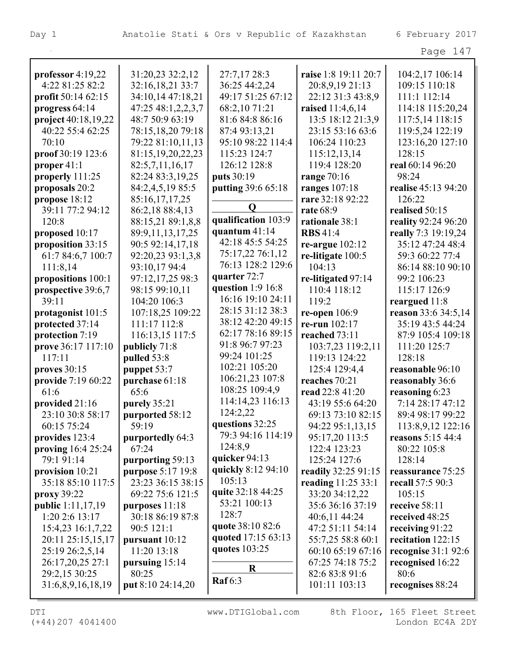|                                        |                       |                               |                                   | Page 147                 |
|----------------------------------------|-----------------------|-------------------------------|-----------------------------------|--------------------------|
|                                        | 31:20,23 32:2,12      |                               | raise 1:8 19:11 20:7              | 104:2,17 106:14          |
| professor $4:19,22$<br>4:22 81:25 82:2 | 32:16,18,21 33:7      | 27:7,17 28:3<br>36:25 44:2,24 | 20:8,9,19 21:13                   | 109:15 110:18            |
| profit 50:14 62:15                     | 34:10,14 47:18,21     | 49:17 51:25 67:12             | 22:12 31:3 43:8,9                 | 111:1 112:14             |
| progress 64:14                         | 47:25 48:1,2,2,3,7    | 68:2,10 71:21                 | raised 11:4,6,14                  | 114:18 115:20,24         |
| project 40:18,19,22                    | 48:7 50:9 63:19       | 81:6 84:8 86:16               | 13:5 18:12 21:3,9                 | 117:5,14 118:15          |
| 40:22 55:4 62:25                       | 78:15,18,20 79:18     | 87:4 93:13,21                 |                                   |                          |
|                                        |                       |                               | 23:15 53:16 63:6<br>106:24 110:23 | 119:5,24 122:19          |
| 70:10                                  | 79:22 81:10,11,13     | 95:10 98:22 114:4             |                                   | 123:16,20 127:10         |
| proof 30:19 123:6                      | 81:15, 19, 20, 22, 23 | 115:23 124:7                  | 115:12,13,14                      | 128:15                   |
| proper $41:1$                          | 82:5,7,11,16,17       | 126:12 128:8                  | 119:4 128:20                      | real 60:14 96:20         |
| properly 111:25                        | 82:24 83:3,19,25      | puts 30:19                    | range $70:16$                     | 98:24                    |
| proposals 20:2                         | 84:2,4,5,19 85:5      | putting 39:6 65:18            | <b>ranges</b> 107:18              | realise 45:13 94:20      |
| propose 18:12                          | 85:16,17,17,25        | $\mathbf 0$                   | rare 32:18 92:22                  | 126:22                   |
| 39:11 77:2 94:12                       | 86:2,18 88:4,13       |                               | rate 68:9                         | realised 50:15           |
| 120:8                                  | 88:15,21 89:1,8,8     | qualification 103:9           | rationale 38:1                    | reality 92:24 96:20      |
| proposed 10:17                         | 89:9,11,13,17,25      | quantum $41:14$               | <b>RBS</b> 41:4                   | really 7:3 19:19,24      |
| proposition 33:15                      | 90:5 92:14,17,18      | 42:18 45:5 54:25              | re-argue $102:12$                 | 35:12 47:24 48:4         |
| 61:7 84:6,7 100:7                      | 92:20,23 93:1,3,8     | 75:17,22 76:1,12              | re-litigate $100:5$               | 59:3 60:22 77:4          |
| 111:8,14                               | 93:10,17 94:4         | 76:13 128:2 129:6             | 104:13                            | 86:14 88:10 90:10        |
| propositions 100:1                     | 97:12,17,25 98:3      | quarter 72:7                  | re-litigated 97:14                | 99:2 106:23              |
| prospective 39:6,7                     | 98:15 99:10,11        | question $1:9$ 16:8           | 110:4 118:12                      | 115:17 126:9             |
| 39:11                                  | 104:20 106:3          | 16:16 19:10 24:11             | 119:2                             | reargued 11:8            |
| protagonist 101:5                      | 107:18,25 109:22      | 28:15 31:12 38:3              | re-open $106:9$                   | reason 33:6 34:5,14      |
| protected 37:14                        | 111:17 112:8          | 38:12 42:20 49:15             | re-run 102:17                     | 35:19 43:5 44:24         |
| protection 7:19                        | 116:13,15 117:5       | 62:17 78:16 89:15             | reached 73:11                     | 87:9 105:4 109:18        |
| prove 36:17 117:10                     | publicly 71:8         | 91:8 96:7 97:23               | 103:7,23 119:2,11                 | 111:20 125:7             |
| 117:11                                 | pulled 53:8           | 99:24 101:25                  | 119:13 124:22                     | 128:18                   |
| proves $30:15$                         | puppet 53:7           | 102:21 105:20                 | 125:4 129:4,4                     | reasonable 96:10         |
| provide 7:19 60:22                     | purchase 61:18        | 106:21,23 107:8               | reaches 70:21                     | reasonably 36:6          |
| 61:6                                   | 65:6                  | 108:25 109:4,9                | read 22:8 41:20                   | reasoning 6:23           |
| provided 21:16                         | purely 35:21          | 114:14,23 116:13              | 43:19 55:6 64:20                  | 7:14 28:17 47:12         |
| 23:10 30:8 58:17                       | purported 58:12       | 124:2,22                      | 69:13 73:10 82:15                 | 89:4 98:17 99:22         |
| 60:15 75:24                            | 59:19                 | questions 32:25               | 94:22 95:1,13,15                  | 113:8,9,12 122:16        |
| provides 123:4                         | purportedly 64:3      | 79:3 94:16 114:19             | 95:17,20 113:5                    | <b>reasons</b> 5:15 44:4 |
| proving $16:425:24$                    | 67:24                 | 124:8,9                       | 122:4 123:23                      | 80:22 105:8              |
| 79:1 91:14                             | purporting 59:13      | quicker $94:13$               | 125:24 127:6                      | 128:14                   |
| provision $10:21$                      | purpose 5:17 19:8     | quickly 8:12 94:10            | readily 32:25 91:15               | reassurance 75:25        |
| 35:18 85:10 117:5                      | 23:23 36:15 38:15     | 105:13                        | reading 11:25 33:1                | recall 57:5 90:3         |
| proxy 39:22                            | 69:22 75:6 121:5      | quite 32:18 44:25             | 33:20 34:12,22                    | 105:15                   |
| <b>public</b> 1:11,17,19               | purposes $11:18$      | 53:21 100:13                  | 35:6 36:16 37:19                  | receive 58:11            |
| 1:20 2:6 13:17                         | 30:18 86:19 87:8      | 128:7                         | 40:6,11 44:24                     | received 48:25           |
| 15:4,23 16:1,7,22                      | 90:5 121:1            | quote 38:10 82:6              | 47:2 51:11 54:14                  | receiving $91:22$        |
| 20:11 25:15,15,17                      | pursuant 10:12        | quoted 17:15 63:13            | 55:7,25 58:8 60:1                 | recitation 122:15        |
| 25:19 26:2,5,14                        | 11:20 13:18           | quotes $103:25$               | 60:10 65:19 67:16                 | recognise $31:192:6$     |
| 26:17,20,25 27:1                       | pursuing $15:14$      |                               | 67:25 74:18 75:2                  | recognised 16:22         |
| 29:2,15 30:25                          | 80:25                 | $\bf R$                       | 82:6 83:8 91:6                    | 80:6                     |
| 31:6,8,9,16,18,19                      | put 8:10 24:14,20     | <b>Raf</b> 6:3                | 101:11 103:13                     | recognises 88:24         |
|                                        |                       |                               |                                   |                          |

(+44)207 4041400 London EC4A 2DY DTI WWW.DTIGlobal.com 8th Floor, 165 Fleet Street

L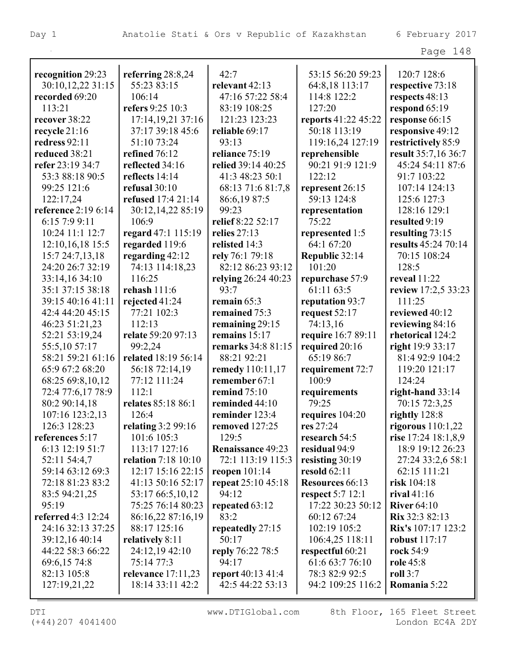| aae |  |  |  |
|-----|--|--|--|
|-----|--|--|--|

| recognition 29:23   | referring 28:8,24          | 42:7                     | 53:15 56:20 59:23   | 120:7 128:6           |
|---------------------|----------------------------|--------------------------|---------------------|-----------------------|
| 30:10,12,22 31:15   | 55:23 83:15                | relevant 42:13           | 64:8,18 113:17      | respective 73:18      |
| recorded 69:20      | 106:14                     | 47:16 57:22 58:4         | 114:8 122:2         | respects 48:13        |
| 113:21              | refers 9:25 10:3           | 83:19 108:25             | 127:20              | respond $65:19$       |
| recover 38:22       | 17:14,19,21 37:16          | 121:23 123:23            | reports 41:22 45:22 | response 66:15        |
| recycle $21:16$     | 37:17 39:18 45:6           | reliable 69:17           | 50:18 113:19        | responsive 49:12      |
| redress 92:11       | 51:10 73:24                | 93:13                    | 119:16,24 127:19    | restrictively 85:9    |
| reduced 38:21       | refined 76:12              | reliance 75:19           | reprehensible       | result 35:7,16 36:7   |
| refer 23:19 34:7    | reflected 34:16            | relied 39:14 40:25       | 90:21 91:9 121:9    | 45:24 54:11 87:6      |
| 53:3 88:18 90:5     | reflects 14:14             | 41:3 48:23 50:1          | 122:12              | 91:7 103:22           |
| 99:25 121:6         | refusal $30:10$            | 68:13 71:6 81:7,8        | represent 26:15     | 107:14 124:13         |
| 122:17,24           | <b>refused</b> 17:4 21:14  | 86:6,1987:5              | 59:13 124:8         | 125:6 127:3           |
| reference 2:19 6:14 | 30:12,14,22 85:19          | 99:23                    | representation      | 128:16 129:1          |
| 6:15 7:9 9:11       | 106:9                      | relief 8:22 52:17        | 75:22               | resulted 9:19         |
| 10:24 11:1 12:7     | regard 47:1 115:19         | relies 27:13             | represented 1:5     | resulting 73:15       |
| 12:10,16,18 15:5    | regarded 119:6             | relisted 14:3            | 64:1 67:20          | results 45:24 70:14   |
| 15:7 24:7,13,18     | regarding $42:12$          | rely 76:1 79:18          | Republic 32:14      | 70:15 108:24          |
| 24:20 26:7 32:19    | 74:13 114:18,23            | 82:12 86:23 93:12        | 101:20              | 128:5                 |
| 33:14,16 34:10      | 116:25                     | relying 26:24 40:23      | repurchase 57:9     | <b>reveal</b> 11:22   |
| 35:1 37:15 38:18    | rehash 111:6               | 93:7                     | 61:11 63:5          | review 17:2,5 33:23   |
| 39:15 40:16 41:11   | rejected 41:24             | remain $65:3$            | reputation 93:7     | 111:25                |
| 42:4 44:20 45:15    | 77:21 102:3                | remained 75:3            | request 52:17       | reviewed 40:12        |
| 46:23 51:21,23      | 112:13                     | remaining 29:15          | 74:13,16            | reviewing 84:16       |
| 52:21 53:19,24      | relate 59:20 97:13         | remains $15:17$          | require 16:7 89:11  | rhetorical 124:2      |
| 55:5,10 57:17       | 99:2,24                    | remarks 34:8 81:15       | required 20:16      | right 19:9 33:17      |
| 58:21 59:21 61:16   | related 18:19 56:14        | 88:21 92:21              | 65:19 86:7          | 81:4 92:9 104:2       |
| 65:9 67:2 68:20     | 56:18 72:14,19             | remedy 110:11,17         | requirement 72:7    | 119:20 121:17         |
| 68:25 69:8,10,12    | 77:12 111:24               | remember 67:1            | 100:9               | 124:24                |
| 72:4 77:6,17 78:9   | 112:1                      | remind $75:10$           | requirements        | right-hand $33:14$    |
| 80:2 90:14,18       | relates 85:18 86:1         | reminded 44:10           | 79:25               | 70:15 72:3,25         |
| 107:16 123:2,13     | 126:4                      | reminder 123:4           | requires $104:20$   | rightly $128:8$       |
| 126:3 128:23        | relating 3:2 99:16         | removed 127:25           | res 27:24           | rigorous $110:1,22$   |
| references 5:17     | 101:6 105:3                | 129:5                    | research 54:5       | rise 17:24 18:1,8,9   |
| 6:13 12:19 51:7     | 113:17 127:16              | Renaissance 49:23        | residual 94:9       | 18:9 19:12 26:23      |
| 52:11 54:4,7        | <b>relation</b> 7:18 10:10 | 72:1 113:19 115:3        | resisting 30:19     | 27:24 33:2,6 58:1     |
| 59:14 63:12 69:3    | 12:17 15:16 22:15          | reopen $101:14$          | <b>resold</b> 62:11 | 62:15 111:21          |
| 72:18 81:23 83:2    | 41:13 50:16 52:17          | repeat 25:10 45:18       | Resources 66:13     | risk $104:18$         |
| 83:5 94:21,25       | 53:17 66:5,10,12           | 94:12                    | respect $5:7$ 12:1  | rival $41:16$         |
| 95:19               | 75:25 76:14 80:23          | repeated 63:12           | 17:22 30:23 50:12   | River $64:10$         |
| referred 4:3 12:24  | 86:16,22 87:16,19          | 83:2                     | 60:12 67:24         | <b>Rix</b> 32:3 82:13 |
| 24:16 32:13 37:25   | 88:17 125:16               | repeatedly 27:15         | 102:19 105:2        | Rix's 107:17 123:2    |
| 39:12,16 40:14      | relatively 8:11            | 50:17                    | 106:4,25 118:11     | <b>robust</b> 117:17  |
| 44:22 58:3 66:22    | 24:12,19 42:10             | reply 76:22 78:5         | respectful 60:21    | rock 54:9             |
| 69:6,15 74:8        | 75:14 77:3                 | 94:17                    | 61:6 63:7 76:10     | <b>role</b> 45:8      |
| 82:13 105:8         | relevance $17:11,23$       | <b>report</b> 40:13 41:4 | 78:3 82:9 92:5      | roll $3:7$            |
| 127:19,21,22        | 18:14 33:11 42:2           | 42:5 44:22 53:13         | 94:2 109:25 116:2   | Romania 5:22          |
|                     |                            |                          |                     |                       |

(+44)207 4041400 London EC4A 2DY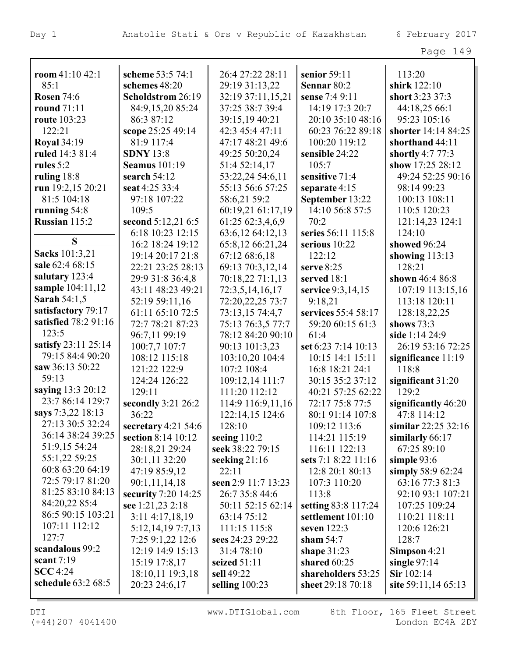| room $41:10\,42:1$   | scheme 53:5 74:1       | 26:4 27:22 28:11    | senior 59:11        | 113:20                       |
|----------------------|------------------------|---------------------|---------------------|------------------------------|
| 85:1                 | schemes 48:20          | 29:19 31:13,22      | Sennar 80:2         | shirk 122:10                 |
| <b>Rosen 74:6</b>    | Scholdstrom 26:19      | 32:19 37:11,15,21   | sense 7:4 9:11      | short 3:23 37:3              |
| <b>round</b> 71:11   | 84:9,15,20 85:24       | 37:25 38:7 39:4     | 14:19 17:3 20:7     | 44:18,25 66:1                |
| <b>route</b> 103:23  | 86:3 87:12             | 39:15,19 40:21      | 20:10 35:10 48:16   | 95:23 105:16                 |
| 122:21               | scope 25:25 49:14      | 42:3 45:4 47:11     | 60:23 76:22 89:18   | shorter 14:14 84:25          |
| <b>Royal</b> 34:19   | 81:9 117:4             | 47:17 48:21 49:6    | 100:20 119:12       | shorthand 44:11              |
| ruled 14:3 81:4      | <b>SDNY 13:8</b>       | 49:25 50:20,24      | sensible 24:22      | shortly 4:7 77:3             |
| rules 5:2            | <b>Seamus</b> 101:19   | 51:4 52:14,17       | 105:7               | show 17:25 28:12             |
| ruling $18:8$        | search 54:12           | 53:22,24 54:6,11    | sensitive 71:4      | 49:24 52:25 90:16            |
| run 19:2,15 20:21    | seat 4:25 33:4         | 55:13 56:6 57:25    | separate $4:15$     | 98:14 99:23                  |
| 81:5 104:18          | 97:18 107:22           | 58:6,21 59:2        | September 13:22     | 100:13 108:11                |
| running $54:8$       | 109:5                  | 60:19,21 61:17,19   | 14:10 56:8 57:5     | 110:5 120:23                 |
| Russian 115:2        | second 5:12,21 6:5     | 61:25 62:3,4,6,9    | 70:2                | 121:14,23 124:1              |
|                      | 6:18 10:23 12:15       | 63:6,12 64:12,13    | series 56:11 115:8  | 124:10                       |
| S                    | 16:2 18:24 19:12       | 65:8,12 66:21,24    | serious $10:22$     | showed 96:24                 |
| Sacks 101:3,21       | 19:14 20:17 21:8       | 67:12 68:6,18       | 122:12              | showing $113:13$             |
| sale 62:4 68:15      | 22:21 23:25 28:13      | 69:13 70:3,12,14    | serve $8:25$        | 128:21                       |
| salutary 123:4       | 29:9 31:8 36:4,8       | 70:18,22 71:1,13    | served 18:1         | shown 46:4 86:8              |
| sample 104:11,12     | 43:11 48:23 49:21      | 72:3,5,14,16,17     | service 9:3,14,15   | 107:19 113:15,16             |
| <b>Sarah 54:1,5</b>  | 52:19 59:11,16         | 72:20,22,25 73:7    | 9:18,21             | 113:18 120:11                |
| satisfactory 79:17   | 61:11 65:10 72:5       | 73:13,15 74:4,7     | services 55:4 58:17 | 128:18,22,25                 |
| satisfied 78:2 91:16 | 72:7 78:21 87:23       | 75:13 76:3,5 77:7   | 59:20 60:15 61:3    | shows $73:3$                 |
| 123:5                | 96:7,11 99:19          | 78:12 84:20 90:10   | 61:4                | side 1:14 24:9               |
| satisfy 23:11 25:14  | 100:7,7 107:7          | 90:13 101:3,23      | set 6:23 7:14 10:13 | 26:19 53:16 72:25            |
| 79:15 84:4 90:20     | 108:12 115:18          | 103:10,20 104:4     | 10:15 14:1 15:11    | significance 11:19           |
| saw 36:13 50:22      | 121:22 122:9           | 107:2 108:4         | 16:8 18:21 24:1     | 118:8                        |
| 59:13                | 124:24 126:22          | 109:12,14 111:7     | 30:15 35:2 37:12    |                              |
| saying 13:3 20:12    |                        |                     |                     | significant $31:20$<br>129:2 |
| 23:7 86:14 129:7     | 129:11                 | 111:20 112:12       | 40:21 57:25 62:22   |                              |
| says 7:3,22 18:13    | secondly 3:21 26:2     | 114:9 116:9,11,16   | 72:17 75:8 77:5     | significantly 46:20          |
| 27:13 30:5 32:24     | 36:22                  | 122:14,15 124:6     | 80:1 91:14 107:8    | 47:8 114:12                  |
| 36:14 38:24 39:25    | secretary $4:21\,54:6$ | 128:10              | 109:12 113:6        | similar $22:25\,32:16$       |
| 51:9,15 54:24        | section 8:14 10:12     | seeing $110:2$      | 114:21 115:19       | similarly 66:17              |
|                      | 28:18,21 29:24         | seek 38:22 79:15    | 116:11 122:13       | 67:25 89:10                  |
| 55:1,22 59:25        | 30:1,11 32:20          | seeking $21:16$     | sets 7:1 8:22 11:16 | simple $93:6$                |
| 60:8 63:20 64:19     | 47:19 85:9,12          | 22:11               | 12:8 20:1 80:13     | simply $58:962:24$           |
| 72:5 79:17 81:20     | 90:1,11,14,18          | seen 2:9 11:7 13:23 | 107:3 110:20        | 63:16 77:3 81:3              |
| 81:25 83:10 84:13    | security 7:20 14:25    | 26:7 35:8 44:6      | 113:8               | 92:10 93:1 107:21            |
| 84:20,22 85:4        | see 1:21,23 2:18       | 50:11 52:15 62:14   | setting 83:8 117:24 | 107:25 109:24                |
| 86:5 90:15 103:21    | 3:11 4:17,18,19        | 63:14 75:12         | settlement 101:10   | 110:21 118:11                |
| 107:11 112:12        | 5:12, 14, 19 7:7, 13   | 111:15 115:8        | seven 122:3         | 120:6 126:21                 |
| 127:7                | 7:25 9:1,22 12:6       | sees 24:23 29:22    | sham $54:7$         | 128:7                        |
| scandalous 99:2      | 12:19 14:9 15:13       | 31:4 78:10          | shape $31:23$       | Simpson $4:21$               |
| scant $7:19$         | 15:19 17:8,17          | seized $51:11$      | shared 60:25        | single $97:14$               |
| SCC 4:24             | 18:10,11 19:3,18       | sell 49:22          | shareholders 53:25  | Sir 102:14                   |
| schedule 63:2 68:5   | 20:23 24:6,17          | selling 100:23      | sheet 29:18 70:18   | site 59:11,14 65:13          |
|                      |                        |                     |                     |                              |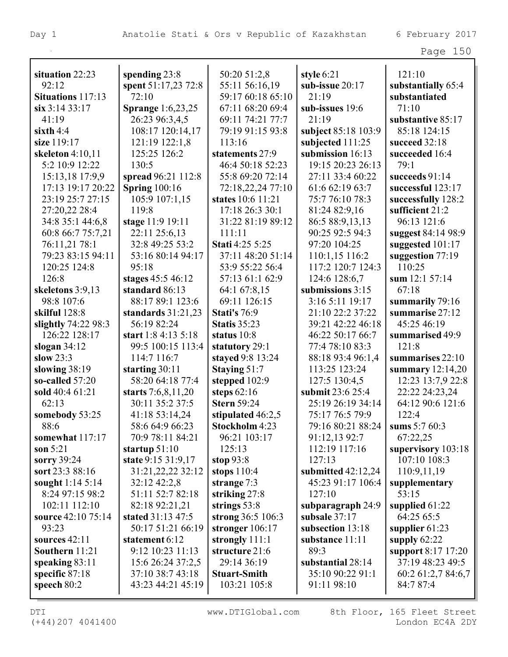93:23 **sources** 42:11 **Southern** 11:21 **speaking** 83:11 **specific** 87:18 **speech** 80:2

|                          |                          |                        |                      | Page 150           |
|--------------------------|--------------------------|------------------------|----------------------|--------------------|
| situation 22:23          | spending 23:8            | 50:20 51:2,8           | style 6:21           | 121:10             |
| 92:12                    | spent 51:17,23 72:8      | 55:11 56:16,19         | sub-issue 20:17      | substantially 65:4 |
| <b>Situations</b> 117:13 | 72:10                    | 59:17 60:18 65:10      | 21:19                | substantiated      |
| six 3:14 33:17           | <b>Sprange</b> 1:6,23,25 | 67:11 68:20 69:4       | sub-issues 19:6      | 71:10              |
| 41:19                    | 26:23 96:3,4,5           | 69:11 74:21 77:7       | 21:19                | substantive 85:17  |
| sixth $4:4$              | 108:17 120:14,17         | 79:19 91:15 93:8       | subject 85:18 103:9  | 85:18 124:15       |
| size 119:17              | 121:19 122:1,8           | 113:16                 | subjected 111:25     | succeed 32:18      |
| skeleton $4:10,11$       | 125:25 126:2             | statements 27:9        | submission 16:13     | succeeded 16:4     |
| 5:2 10:9 12:22           | 130:5                    | 46:4 50:18 52:23       | 19:15 20:23 26:13    | 79:1               |
| 15:13,18 17:9,9          | spread 96:21 112:8       | 55:8 69:20 72:14       | 27:11 33:4 60:22     | succeeds $91:14$   |
| 17:13 19:17 20:22        | <b>Spring</b> 100:16     | 72:18,22,24 77:10      | 61:6 62:19 63:7      | successful 123:17  |
| 23:19 25:7 27:15         | 105:9 107:1,15           | states 10:6 11:21      | 75:7 76:10 78:3      | successfully 128:2 |
| 27:20,22 28:4            | 119:8                    | 17:18 26:3 30:1        | 81:24 82:9,16        | sufficient 21:2    |
| 34:8 35:1 44:6,8         | stage 11:9 19:11         | 31:22 81:19 89:12      | 86:5 88:9,13,13      | 96:13 121:6        |
| 60:8 66:7 75:7,21        | 22:11 25:6,13            | 111:11                 | 90:25 92:5 94:3      | suggest 84:14 98:9 |
| 76:11,21 78:1            | 32:8 49:25 53:2          | <b>Stati 4:25 5:25</b> | 97:20 104:25         | suggested 101:17   |
| 79:23 83:15 94:11        | 53:16 80:14 94:17        | 37:11 48:20 51:14      | 110:1,15 116:2       | suggestion $77:19$ |
| 120:25 124:8             | 95:18                    | 53:9 55:22 56:4        | 117:2 120:7 124:3    | 110:25             |
| 126:8                    | stages 45:5 46:12        | 57:13 61:1 62:9        | 124:6 128:6,7        | sum 12:1 57:14     |
| skeletons 3:9,13         | standard 86:13           | 64:1 67:8,15           | submissions 3:15     | 67:18              |
| 98:8 107:6               | 88:17 89:1 123:6         | 69:11 126:15           | 3:16 5:11 19:17      | summarily 79:16    |
| skilful 128:8            | standards $31:21,23$     | <b>Stati's 76:9</b>    | 21:10 22:2 37:22     | summarise 27:12    |
| slightly 74:22 98:3      | 56:19 82:24              | <b>Statis 35:23</b>    | 39:21 42:22 46:18    | 45:25 46:19        |
| 126:22 128:17            | start 1:8 4:13 5:18      | status 10:8            | 46:22 50:17 66:7     | summarised 49:9    |
| slogan $34:12$           | 99:5 100:15 113:4        | statutory 29:1         | 77:4 78:10 83:3      | 121:8              |
| slow $23:3$              | 114:7 116:7              | stayed 9:8 13:24       | 88:18 93:4 96:1,4    | summarises 22:10   |
| slowing 38:19            | starting $30:11$         | Staying 51:7           | 113:25 123:24        | summary $12:14,20$ |
| so-called $57:20$        | 58:20 64:18 77:4         | stepped 102:9          | 127:5 130:4,5        | 12:23 13:7,9 22:8  |
| sold 40:4 61:21          | starts $7:6,8,11,20$     | steps $62:16$          | submit 23:6 25:4     | 22:22 24:23,24     |
| 62:13                    | 30:11 35:2 37:5          | <b>Stern 59:24</b>     | 25:19 26:19 34:14    | 64:12 90:6 121:6   |
| somebody 53:25           | 41:18 53:14,24           | stipulated 46:2,5      | 75:17 76:5 79:9      | 122:4              |
| 88:6                     | 58:6 64:9 66:23          | Stockholm 4:23         | 79:16 80:21 88:24    | sums $5:760:3$     |
| somewhat 117:17          | 70:9 78:11 84:21         | 96:21 103:17           | 91:12,13 92:7        | 67:22,25           |
| son $5:21$               | startup $51:10$          | 125:13                 | 112:19 117:16        | supervisory 103:18 |
| sorry 39:24              | state 9:15 31:9,17       | stop $93:8$            | 127:13               | 107:10 108:3       |
| sort 23:3 88:16          | 31:21,22,22 32:12        | stops $110:4$          | submitted $42:12,24$ | 110:9,11,19        |
| sought $1:145:14$        | 32:12 42:2,8             | strange 7:3            | 45:23 91:17 106:4    | supplementary      |
| 8:24 97:15 98:2          | 51:11 52:7 82:18         | striking $27:8$        | 127:10               | 53:15              |
| 102:11 112:10            | 82:18 92:21,21           | strings $53:8$         | subparagraph 24:9    | supplied 61:22     |
| source 42:10 75:14       | stated 31:13 47:5        | strong 36:5 106:3      | subsale 37:17        | 64:25 65:5         |

(+44)207 4041400 London EC4A 2DY

DTI **WWW.DTIGlobal.com** 8th Floor, 165 Fleet Street

**stronger** 106:17 **strongly** 111:1 **structure** 21:6 29:14 36:19 **Stuart-Smith** 103:21 105:8

50:17 51:21 66:19

**statement** 6:12 9:12 10:23 11:13 15:6 26:24 37:2,5 37:10 38:7 43:18 43:23 44:21 45:19

**subsection** 13:18 **substance** 11:11

**substantial** 28:14 35:10 90:22 91:1 91:11 98:10

89:3

**supplier** 61:23 **supply** 62:22

84:7 87:4

**support** 8:17 17:20 37:19 48:23 49:5 60:2 61:2,7 84:6,7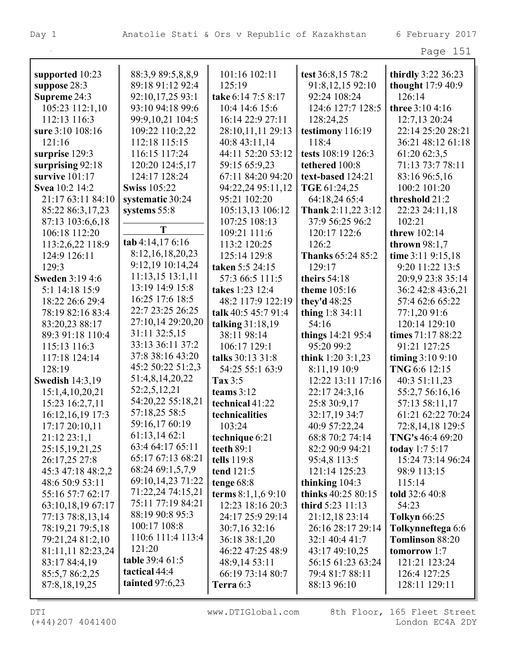| $\sim$ $\sim$<br>י '<br>$\overline{\phantom{0}}$ |  |
|--------------------------------------------------|--|
|--------------------------------------------------|--|

| supported 10:23        | 88:3,9 89:5,8,8,9    | 101:16 102:11       | test 36:8,15 78:2        | thirdly 3:22 36:23     |
|------------------------|----------------------|---------------------|--------------------------|------------------------|
| suppose 28:3           | 89:18 91:12 92:4     | 125:19              | 91:8,12,15 92:10         | thought 17:9 40:9      |
| Supreme 24:3           | 92:10,17,25 93:1     | take 6:14 7:5 8:17  | 92:24 108:24             | 126:14                 |
| 105:23 112:1,10        | 93:10 94:18 99:6     | 10:4 14:6 15:6      | 124:6 127:7 128:5        | <b>three</b> 3:10 4:16 |
| 112:13 116:3           | 99:9,10,21 104:5     | 16:14 22:9 27:11    | 128:24,25                | 12:7,13 20:24          |
| sure 3:10 108:16       | 109:22 110:2,22      | 28:10,11,11 29:13   | testimony 116:19         | 22:14 25:20 28:21      |
| 121:16                 | 112:18 115:15        | 40:8 43:11,14       | 118:4                    | 36:21 48:12 61:18      |
| surprise 129:3         | 116:15 117:24        | 44:11 52:20 53:12   | tests 108:19 126:3       | 61:20 62:3,5           |
| surprising 92:18       | 120:20 124:5,17      | 59:15 65:9,23       | tethered 100:8           | 71:13 73:7 78:11       |
| survive 101:17         | 124:17 128:24        | 67:11 84:20 94:20   | text-based 124:21        | 83:16 96:5,16          |
| Svea 10:2 14:2         | <b>Swiss 105:22</b>  | 94:22,24 95:11,12   | TGE 61:24,25             | 100:2 101:20           |
| 21:17 63:11 84:10      | systematic 30:24     | 95:21 102:20        | 64:18,24 65:4            | threshold 21:2         |
| 85:22 86:3,17,23       | systems 55:8         | 105:13,13 106:12    | Thank 2:11,22 3:12       | 22:23 24:11,18         |
| 87:13 103:6,6,18       |                      | 107:25 108:13       | 37:9 56:25 96:2          | 102:21                 |
| 106:18 112:20          | T                    | 109:21 111:6        | 120:17 122:6             | <b>threw</b> 102:14    |
| 113:2,6,22 118:9       | tab 4:14,17 6:16     | 113:2 120:25        | 126:2                    | thrown $98:1,7$        |
| 124:9 126:11           | 8:12, 16, 18, 20, 23 | 125:14 129:8        | <b>Thanks 65:24 85:2</b> | time 3:11 9:15,18      |
| 129:3                  | 9:12,19 10:14,24     | taken 5:5 24:15     | 129:17                   | 9:20 11:22 13:5        |
| <b>Sweden 3:19 4:6</b> | $11:13,15$ $13:1,11$ | 57:3 66:5 111:5     | theirs $54:18$           | 20:9,9 23:8 35:14      |
| 5:1 14:18 15:9         | 13:19 14:9 15:8      | takes 1:23 12:4     | <b>theme</b> 105:16      | 36:2 42:8 43:6,21      |
| 18:22 26:6 29:4        | 16:25 17:6 18:5      | 48:2 117:9 122:19   | they'd 48:25             | 57:4 62:6 65:22        |
| 78:19 82:16 83:4       | 22:7 23:25 26:25     | talk 40:5 45:7 91:4 | thing $1:834:11$         | 77:1,20 91:6           |
| 83:20,23 88:17         | 27:10,14 29:20,20    | talking 31:18,19    | 54:16                    | 120:14 129:10          |
| 89:3 91:18 110:4       | 31:11 32:5,15        | 38:11 98:14         | things 14:21 95:4        | times 71:17 88:22      |
| 115:13 116:3           | 33:13 36:11 37:2     | 106:17 129:1        | 95:20 99:2               | 91:21 127:25           |
| 117:18 124:14          | 37:8 38:16 43:20     | talks 30:13 31:8    | think $1:203:1,23$       | timing 3:10 9:10       |
| 128:19                 | 45:2 50:22 51:2,3    | 54:25 55:1 63:9     | 8:11,19 10:9             | TNG 6:6 12:15          |
| <b>Swedish 14:3,19</b> | 51:4,8,14,20,22      | Tax $3:5$           | 12:22 13:11 17:16        | 40:3 51:11,23          |
| 15:1,4,10,20,21        | 52:2,5,12,21         | teams $3:12$        | 22:17 24:3,16            | 55:2,7 56:16,16        |
| 15:23 16:2,7,11        | 54:20,22 55:18,21    | technical 41:22     | 25:8 30:9,17             | 57:13 58:11,17         |
| 16:12, 16, 19 17:3     | 57:18,25 58:5        | technicalities      | 32:17,19 34:7            | 61:21 62:22 70:24      |
| 17:17 20:10,11         | 59:16,17 60:19       | 103:24              | 40:9 57:22,24            | 72:8,14,18 129:5       |
| 21:12 23:1,1           | 61:13,14 62:1        | technique 6:21      | 68:8 70:2 74:14          | TNG's 46:4 69:20       |
| 25:15, 19, 21, 25      | 63:4 64:17 65:11     | teeth $89:1$        | 82:2 90:9 94:21          | <b>today</b> 1:7 5:17  |
| 26:17,25 27:8          | 65:17 67:13 68:21    | tells 119:8         | 95:4,8 113:5             | 15:24 73:14 96:24      |
| 45:3 47:18 48:2,2      | 68:24 69:1,5,7,9     | tend 121:5          | 121:14 125:23            | 98:9 113:15            |
| 48:6 50:9 53:11        | 69:10,14,23 71:22    | tenge 68:8          | thinking $104:3$         | 115:14                 |
| 55:16 57:7 62:17       | 71:22,24 74:15,21    | terms $8:1,1,69:10$ | thinks 40:25 80:15       | told 32:6 40:8         |
| 63:10,18,19 67:17      | 75:11 77:19 84:21    | 12:23 18:16 20:3    | third $5:23$ 11:13       | 54:23                  |
| 77:13 78:8,13,14       | 88:19 90:8 95:3      | 24:17 25:9 29:14    | 21:12,18 23:14           | <b>Tolkyn 66:25</b>    |
| 78:19,21 79:5,18       | 100:17 108:8         | 30:7,16 32:16       | 26:16 28:17 29:14        | Tolkynneftega 6:6      |
| 79:21,24 81:2,10       | 110:6 111:4 113:4    | 36:18 38:1,20       | 32:1 40:4 41:7           | Tomlinson 88:20        |
| 81:11,11 82:23,24      | 121:20               | 46:22 47:25 48:9    | 43:17 49:10,25           | tomorrow 1:7           |
| 83:17 84:4,19          | table 39:4 61:5      | 48:9,14 53:11       | 56:15 61:23 63:24        | 121:21 123:24          |
| 85:5,7 86:2,25         | tactical 44:4        | 66:19 73:14 80:7    | 79:4 81:7 88:11          | 126:4 127:25           |
| 87:8,18,19,25          | tainted $97:6,23$    | <b>Terra</b> 6:3    | 88:13 96:10              | 128:11 129:11          |
|                        |                      |                     |                          |                        |

(+44)207 4041400 London EC4A 2DY

DTI WWW.DTIGlobal.com 8th Floor, 165 Fleet Street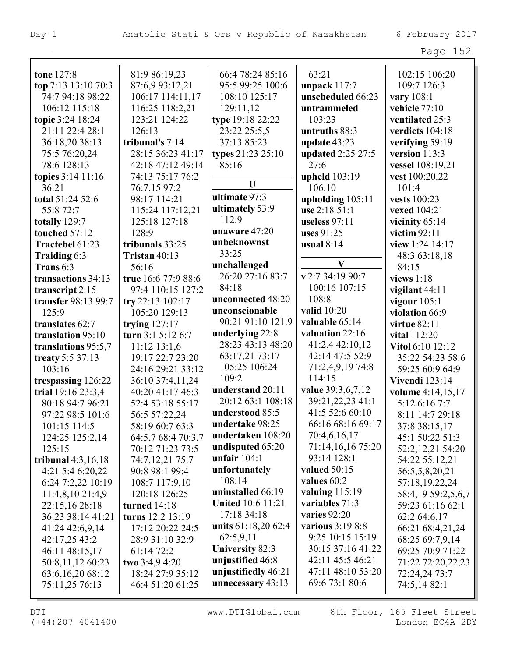| tone 127:8           | 81:9 86:19,23       | 66:4 78:24 85:16         | 63:21             | 102:15 106:20         |
|----------------------|---------------------|--------------------------|-------------------|-----------------------|
| top 7:13 13:10 70:3  | 87:6,9 93:12,21     | 95:5 99:25 100:6         | unpack $117:7$    | 109:7 126:3           |
| 74:7 94:18 98:22     | 106:17 114:11,17    | 108:10 125:17            | unscheduled 66:23 | vary 108:1            |
| 106:12 115:18        | 116:25 118:2,21     | 129:11,12                | untrammeled       | vehicle 77:10         |
| topic 3:24 18:24     | 123:21 124:22       | type 19:18 22:22         | 103:23            | ventilated 25:3       |
| 21:11 22:4 28:1      | 126:13              | 23:22 25:5,5             | untruths 88:3     | verdicts 104:18       |
| 36:18,20 38:13       | tribunal's 7:14     | 37:13 85:23              | update $43:23$    | verifying 59:19       |
| 75:5 76:20,24        | 28:15 36:23 41:17   | types 21:23 25:10        | updated 2:25 27:5 | version 113:3         |
| 78:6 128:13          | 42:18 47:12 49:14   | 85:16                    | 27:6              | vessel 108:19,21      |
| topics 3:14 11:16    | 74:13 75:17 76:2    |                          | upheld 103:19     | vest 100:20,22        |
| 36:21                | 76:7,15 97:2        | U                        | 106:10            | 101:4                 |
| total 51:24 52:6     | 98:17 114:21        | ultimate 97:3            | upholding 105:11  | vests 100:23          |
| 55:8 72:7            | 115:24 117:12,21    | ultimately 53:9          | use 2:18 51:1     | vexed 104:21          |
| totally 129:7        | 125:18 127:18       | 112:9                    | useless 97:11     | vicinity $65:14$      |
| touched 57:12        | 128:9               | unaware 47:20            | uses $91:25$      | victim $92:11$        |
| Tractebel 61:23      | tribunals 33:25     | unbeknownst              | usual $8:14$      | view 1:24 14:17       |
| Traiding 6:3         | Tristan 40:13       | 33:25                    |                   | 48:3 63:18,18         |
| Trans 6:3            | 56:16               | unchallenged             | $\mathbf{V}$      | 84:15                 |
| transactions 34:13   | true 16:6 77:9 88:6 | 26:20 27:16 83:7         | v 2:7 34:19 90:7  | views $1:18$          |
| transcript 2:15      | 97:4 110:15 127:2   | 84:18                    | 100:16 107:15     | vigilant 44:11        |
| transfer 98:13 99:7  | try 22:13 102:17    | unconnected 48:20        | 108:8             | vigour $105:1$        |
| 125:9                | 105:20 129:13       | unconscionable           | valid 10:20       | violation 66:9        |
| translates 62:7      | trying $127:17$     | 90:21 91:10 121:9        | valuable 65:14    | <b>virtue 82:11</b>   |
| translation 95:10    | turn 3:1 5:12 6:7   | underlying 22:8          | valuation 22:16   | vital 112:20          |
| translations 95:5,7  | $11:12$ $13:1,6$    | 28:23 43:13 48:20        | 41:2,4 42:10,12   | Vitol 6:10 12:12      |
| treaty 5:5 37:13     | 19:17 22:7 23:20    | 63:17,21 73:17           | 42:14 47:5 52:9   | 35:22 54:23 58:6      |
| 103:16               | 24:16 29:21 33:12   | 105:25 106:24            | 71:2,4,9,19 74:8  | 59:25 60:9 64:9       |
| trespassing 126:22   | 36:10 37:4,11,24    | 109:2                    | 114:15            | <b>Vivendi</b> 123:14 |
| trial 19:16 23:3,4   | 40:20 41:17 46:3    | understand 20:11         | value 39:3,6,7,12 | volume 4:14,15,17     |
| 80:18 94:7 96:21     | 52:4 53:18 55:17    | 20:12 63:1 108:18        | 39:21,22,23 41:1  | 5:12 6:16 7:7         |
| 97:22 98:5 101:6     | 56:5 57:22,24       | understood 85:5          | 41:5 52:6 60:10   | 8:11 14:7 29:18       |
| $101:15$ 114:5       | 58:19 60:7 63:3     | undertake 98:25          | 66:16 68:16 69:17 | 37:8 38:15,17         |
| 124:25 125:2,14      | 64:5,7 68:4 70:3,7  | undertaken 108:20        | 70:4,6,16,17      | 45:1 50:22 51:3       |
| 125:15               | 70:12 71:23 73:5    | undisputed 65:20         | 71:14,16,16 75:20 | 52:2,12,21 54:20      |
| tribunal $4:3,16,18$ | 74:7,12,21 75:7     | unfair $104:1$           | 93:14 128:1       | 54:22 55:12,21        |
| 4:21 5:4 6:20,22     | 90:8 98:1 99:4      | unfortunately            | valued $50:15$    | 56:5,5,8,20,21        |
| 6:24 7:2,22 10:19    | 108:7 117:9,10      | 108:14                   | values 60:2       | 57:18,19,22,24        |
| $11:4,8,10\ 21:4,9$  | 120:18 126:25       | uninstalled 66:19        | valuing $115:19$  | 58:4,19 59:2,5,6,7    |
| 22:15,16 28:18       | <b>turned</b> 14:18 | <b>United 10:6 11:21</b> | variables 71:3    | 59:23 61:16 62:1      |
| 36:23 38:14 41:21    | turns 12:2 13:19    | 17:18 34:18              | varies $92:20$    | 62:2 64:6,17          |
| 41:24 42:6,9,14      | 17:12 20:22 24:5    | units 61:18,20 62:4      | various 3:19 8:8  | 66:21 68:4,21,24      |
| 42:17,25 43:2        | 28:9 31:10 32:9     | 62:5,9,11                | 9:25 10:15 15:19  | 68:25 69:7,9,14       |
| 46:11 48:15,17       | 61:14 72:2          | <b>University 82:3</b>   | 30:15 37:16 41:22 | 69:25 70:9 71:22      |
| 50:8,11,12 60:23     | two $3:4.94:20$     | unjustified 46:8         | 42:11 45:5 46:21  | 71:22 72:20,22,23     |
| 63:6,16,20 68:12     | 18:24 27:9 35:12    | unjustifiedly 46:21      | 47:11 48:10 53:20 | 72:24,24 73:7         |
| 75:11,25 76:13       | 46:4 51:20 61:25    | unnecessary 43:13        | 69:6 73:1 80:6    | 74:5,14 82:1          |
|                      |                     |                          |                   |                       |

L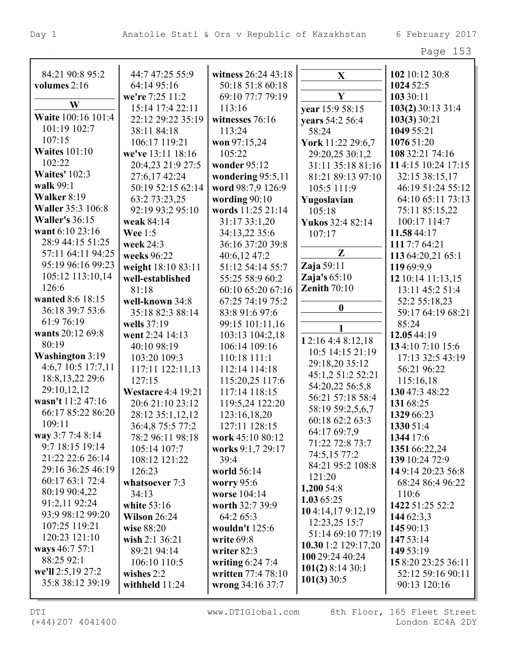| 84:21 90:8 95:2          | 44:7 47:25 55:9           | witness 26:24 43:18 | $\mathbf{X}$        | 102 10:12 30:8     |
|--------------------------|---------------------------|---------------------|---------------------|--------------------|
| volumes 2:16             | 64:14 95:16               | 50:18 51:8 60:18    |                     | 1024 52:5          |
|                          | we're 7:25 11:2           | 69:10 77:7 79:19    | Y                   | 103 30:11          |
| W                        | 15:14 17:4 22:11          | 113:16              | year 15:9 58:15     | 103(2) 30:13 31:4  |
| Waite 100:16 101:4       | 22:12 29:22 35:19         | witnesses 76:16     | years 54:2 56:4     | 103(3)30:21        |
| 101:19 102:7             | 38:11 84:18               | 113:24              | 58:24               | 1049 55:21         |
| 107:15                   | 106:17 119:21             | won 97:15,24        | York 11:22 29:6,7   | 1076 51:20         |
| <b>Waites 101:10</b>     | we've 13:11 18:16         | 105:22              | 29:20,25 30:1,2     | 108 32:21 74:16    |
| 102:22                   | 20:4,23 21:9 27:5         | wonder 95:12        | 31:11 35:18 81:16   | 114:15 10:24 17:15 |
| <b>Waites' 102:3</b>     | 27:6,17 42:24             | wondering 95:5,11   | 81:21 89:13 97:10   | 32:15 38:15,17     |
| walk 99:1                | 50:19 52:15 62:14         | word 98:7,9 126:9   | 105:5 111:9         | 46:19 51:24 55:12  |
| Walker 8:19              | 63:2 73:23,25             | wording $90:10$     | Yugoslavian         | 64:10 65:11 73:13  |
| <b>Waller 35:3 106:8</b> | 92:19 93:2 95:10          | words 11:25 21:14   | 105:18              | 75:11 85:15,22     |
| <b>Waller's 36:15</b>    | weak 84:14                | 31:17 33:1,20       | Yukos 32:4 82:14    | 100:17 114:7       |
| want 6:10 23:16          | <b>Wee</b> 1:5            | 34:13,22 35:6       | 107:17              | 11.58 44:17        |
| 28:9 44:15 51:25         | week 24:3                 | 36:16 37:20 39:8    |                     | 111 7:7 64:21      |
| 57:11 64:11 94:25        | weeks 96:22               | 40:6,12 47:2        | Z                   | 113 64:20,21 65:1  |
| 95:19 96:16 99:23        | weight 18:10 83:11        | 51:12 54:14 55:7    | Zaja 59:11          | 11969:9,9          |
| 105:12 113:10,14         | well-established          | 55:25 58:9 60:2     | Zaja's $65:10$      | 12 10:14 11:13,15  |
| 126:6                    | 81:18                     | 60:10 65:20 67:16   | Zenith $70:10$      | 13:11 45:2 51:4    |
| wanted 8:6 18:15         | well-known 34:8           | 67:25 74:19 75:2    |                     | 52:2 55:18,23      |
| 36:18 39:7 53:6          | 35:18 82:3 88:14          | 83:8 91:6 97:6      | $\boldsymbol{0}$    | 59:17 64:19 68:21  |
| 61:9 76:19               | wells 37:19               | 99:15 101:11,16     |                     | 85:24              |
| wants 20:12 69:8         | went 2:24 14:13           | 103:13 104:2,18     | 1                   | 12.05 44:19        |
| 80:19                    | 40:10 98:19               | 106:14 109:16       | 12:16 4:4 8:12,18   | 134:107:1015:6     |
| Washington 3:19          | 103:20 109:3              | 110:18 111:1        | 10:5 14:15 21:19    | 17:13 32:5 43:19   |
| 4:6,7 10:5 17:7,11       | 117:11 122:11,13          | 112:14 114:18       | 29:18,20 35:12      | 56:21 96:22        |
| 18:8, 13, 22 29:6        | 127:15                    | 115:20,25 117:6     | 45:1,2 51:2 52:21   | 115:16,18          |
| 29:10,12,12              | <b>Westacre 4:4 19:21</b> | 117:14 118:15       | 54:20,22 56:5,8     | 130 47:3 48:22     |
| wasn't 11:2 47:16        | 20:6 21:10 23:12          | 119:5,24 122:20     | 56:21 57:18 58:4    | 131 68:25          |
| 66:17 85:22 86:20        | 28:12 35:1,12,12          | 123:16,18,20        | 58:19 59:2,5,6,7    | 1329 66:23         |
| 109:11                   | 36:4,8 75:5 77:2          | 127:11 128:15       | 60:18 62:2 63:3     | 1330 51:4          |
| way 3:7 7:4 8:14         | 78:2 96:11 98:18          | work 45:10 80:12    | 64:17 69:7,9        | 1344 17:6          |
| 9:7 18:15 19:14          | 105:14 107:7              | works 9:1,7 29:17   | 71:22 72:8 73:7     | 1351 66:22,24      |
| 21:22 22:6 26:14         | 108:12 121:22             | 39:4                | 74:5,15 77:2        | 139 10:24 72:9     |
| 29:16 36:25 46:19        | 126:23                    | world 56:14         | 84:21 95:2 108:8    | 149:14 20:23 56:8  |
| 60:17 63:1 72:4          | whatsoever 7:3            | <b>worry</b> 95:6   | 121:20              | 68:24 86:4 96:22   |
| 80:19 90:4,22            | 34:13                     | worse 104:14        | 1,200 54:8          | 110:6              |
| 91:2,11 92:24            | white $53:16$             | worth 32:7 39:9     | 1.0365:25           | 1422 51:25 52:2    |
| 93:9 98:12 99:20         | Wilson $26:24$            | 64:2 65:3           | 104:14,179:12,19    | 144 62:3,3         |
| 107:25 119:21            | wise 88:20                | wouldn't $125:6$    | 12:23,25 15:7       | 145 90:13          |
| 120:23 121:10            | wish $2:1 \, 36:21$       | write $69:8$        | 51:14 69:10 77:19   | 147 53:14          |
| ways 46:7 57:1           | 89:21 94:14               | writer 82:3         | 10.30 1:2 129:17,20 | 149 53:19          |
| 88:25 92:1               | 106:10 110:5              | writing $6:24$ 7:4  | 100 29:24 40:24     | 158:20 23:25 36:11 |
| we'll 2:5,19 27:2        | wishes $2:2$              | written 77:4 78:10  | $101(2)$ 8:14 30:1  | 52:12 59:16 90:11  |
| 35:8 38:12 39:19         | withheld $11:24$          | wrong 34:16 37:7    | 101(3)30:5          | 90:13 120:16       |
|                          |                           |                     |                     |                    |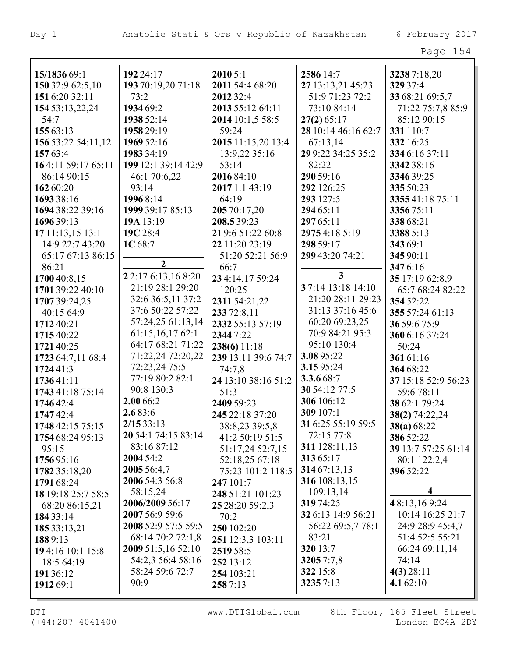| 15/1836 69:1       | 192 24:17           | 20105:1             | 2586 14:7           | 32387:18,20             |
|--------------------|---------------------|---------------------|---------------------|-------------------------|
| 150 32:9 62:5,10   | 193 70:19,20 71:18  | 2011 54:4 68:20     | 27 13:13,21 45:23   | 329 37:4                |
| 151 6:20 32:11     | 73:2                | 2012 32:4           | 51:9 71:23 72:2     | 33 68:21 69:5,7         |
| 154 53:13,22,24    | 1934 69:2           | 2013 55:12 64:11    | 73:10 84:14         | 71:22 75:7,8 85:9       |
| 54:7               | 1938 52:14          | 2014 10:1,5 58:5    | $27(2)$ 65:17       | 85:12 90:15             |
| 155 63:13          | 1958 29:19          | 59:24               | 28 10:14 46:16 62:7 | 331 110:7               |
| 156 53:22 54:11,12 | 1969 52:16          | 2015 11:15,20 13:4  | 67:13,14            | 332 16:25               |
| 157 63:4           | 1983 34:19          | 13:9,22 35:16       | 29 9:22 34:25 35:2  | 334 6:16 37:11          |
| 164:11 59:17 65:11 | 199 12:1 39:14 42:9 | 53:14               | 82:22               | 3342 38:16              |
| 86:14 90:15        | 46:1 70:6,22        | 2016 84:10          | 290 59:16           | 3346 39:25              |
| 162 60:20          | 93:14               | 2017 1:1 43:19      | 292 126:25          | 335 50:23               |
| 1693 38:16         | 19968:14            | 64:19               | 293 127:5           | 335541:18 75:11         |
| 1694 38:22 39:16   | 1999 39:17 85:13    | 205 70:17,20        | 294 65:11           | 335675:11               |
| 1696 39:13         | 19A 13:19           | 208.5 39:23         | 297 65:11           | 338 68:21               |
| 17 11:13,15 13:1   | 19C 28:4            | 21 9:6 51:22 60:8   | 29754:185:19        | 3388 5:13               |
| 14:9 22:7 43:20    | 1C 68:7             | 22 11:20 23:19      | 298 59:17           | 343 69:1                |
| 65:17 67:13 86:15  |                     | 51:20 52:21 56:9    | 299 43:20 74:21     | 345 90:11               |
| 86:21              | $\overline{2}$      | 66:7                |                     | 3476:16                 |
| 1700 40:8,15       | 22:17 6:13,16 8:20  | 23 4:14,17 59:24    | $\mathbf{3}$        | 35 17:19 62:8,9         |
| 1701 39:22 40:10   | 21:19 28:1 29:20    | 120:25              | 3 7:14 13:18 14:10  | 65:7 68:24 82:22        |
| 1707 39:24,25      | 32:6 36:5,11 37:2   | 2311 54:21,22       | 21:20 28:11 29:23   | 354 52:22               |
| 40:15 64:9         | 37:6 50:22 57:22    | 233 72:8,11         | 31:13 37:16 45:6    | 355 57:24 61:13         |
| 1712 40:21         | 57:24,25 61:13,14   | 2332 55:13 57:19    | 60:20 69:23,25      | 36 59:6 75:9            |
| 1715 40:22         | 61:15,16,1762:1     | 2344 7:22           | 70:9 84:21 95:3     | 360 6:16 37:24          |
| 1721 40:25         | 64:17 68:21 71:22   | 238(6)11:18         | 95:10 130:4         | 50:24                   |
| 1723 64:7,11 68:4  | 71:22,24 72:20,22   | 239 13:11 39:6 74:7 | 3.0895:22           | 36161:16                |
| 1724 41:3          | 72:23,24 75:5       | 74:7,8              | 3.1595:24           | 364 68:22               |
| 173641:11          | 77:19 80:2 82:1     | 24 13:10 38:16 51:2 | 3.3.6 68:7          | 37 15:18 52:9 56:23     |
| 1743 41:18 75:14   | 90:8 130:3          | 51:3                | 30 54:12 77:5       | 59:6 78:11              |
| 1746 42:4          | 2.00 66:2           | 2409 59:23          | 306 106:12          | 38 62:1 79:24           |
| 174742:4           | 2.683:6             | 245 22:18 37:20     | 309 107:1           | 38(2) 74:22,24          |
| 1748 42:15 75:15   | 2/1533:13           | 38:8,23 39:5,8      | 31 6:25 55:19 59:5  | 38(a) 68:22             |
| 1754 68:24 95:13   | 20 54:1 74:15 83:14 | 41:2 50:19 51:5     | 72:15 77:8          | 386 52:22               |
| 95:15              | 83:16 87:12         | 51:17,24 52:7,15    | 311 128:11,13       | 39 13:7 57:25 61:14     |
| 1756 95:16         | 2004 54:2           | 52:18,25 67:18      | 313 65:17           | 80:1 122:2,4            |
| 1782 35:18,20      | 2005 56:4,7         | 75:23 101:2 118:5   | 314 67:13,13        | 396 52:22               |
| 1791 68:24         | 2006 54:3 56:8      | 247 101:7           | 316 108:13,15       |                         |
| 18 19:18 25:7 58:5 | 58:15,24            | 248 51:21 101:23    | 109:13,14           | $\overline{\mathbf{4}}$ |
| 68:20 86:15,21     | 2006/2009 56:17     | 25 28:20 59:2,3     | 319 74:25           | 48:13,169:24            |
| 184 33:14          | 2007 56:9 59:6      | 70:2                | 32 6:13 14:9 56:21  | 10:14 16:25 21:7        |
| 185 33:13,21       | 2008 52:9 57:5 59:5 | 250 102:20          | 56:22 69:5,7 78:1   | 24:9 28:9 45:4,7        |
| 1889:13            | 68:14 70:2 72:1,8   | 251 12:3,3 103:11   | 83:21               | 51:4 52:5 55:21         |
| 194:16 10:1 15:8   | 2009 51:5,16 52:10  | 2519 58:5           | 320 13:7            | 66:24 69:11,14          |
| 18:5 64:19         | 54:2,3 56:4 58:16   | 252 13:12           | 32057:7,8           | 74:14                   |
| 191 36:12          | 58:24 59:6 72:7     | 254 103:21          | 322 15:8            | $4(3)$ 28:11            |
| 1912 69:1          | 90:9                | 2587:13             | 32357:13            | 4.1 $62:10$             |
|                    |                     |                     |                     |                         |